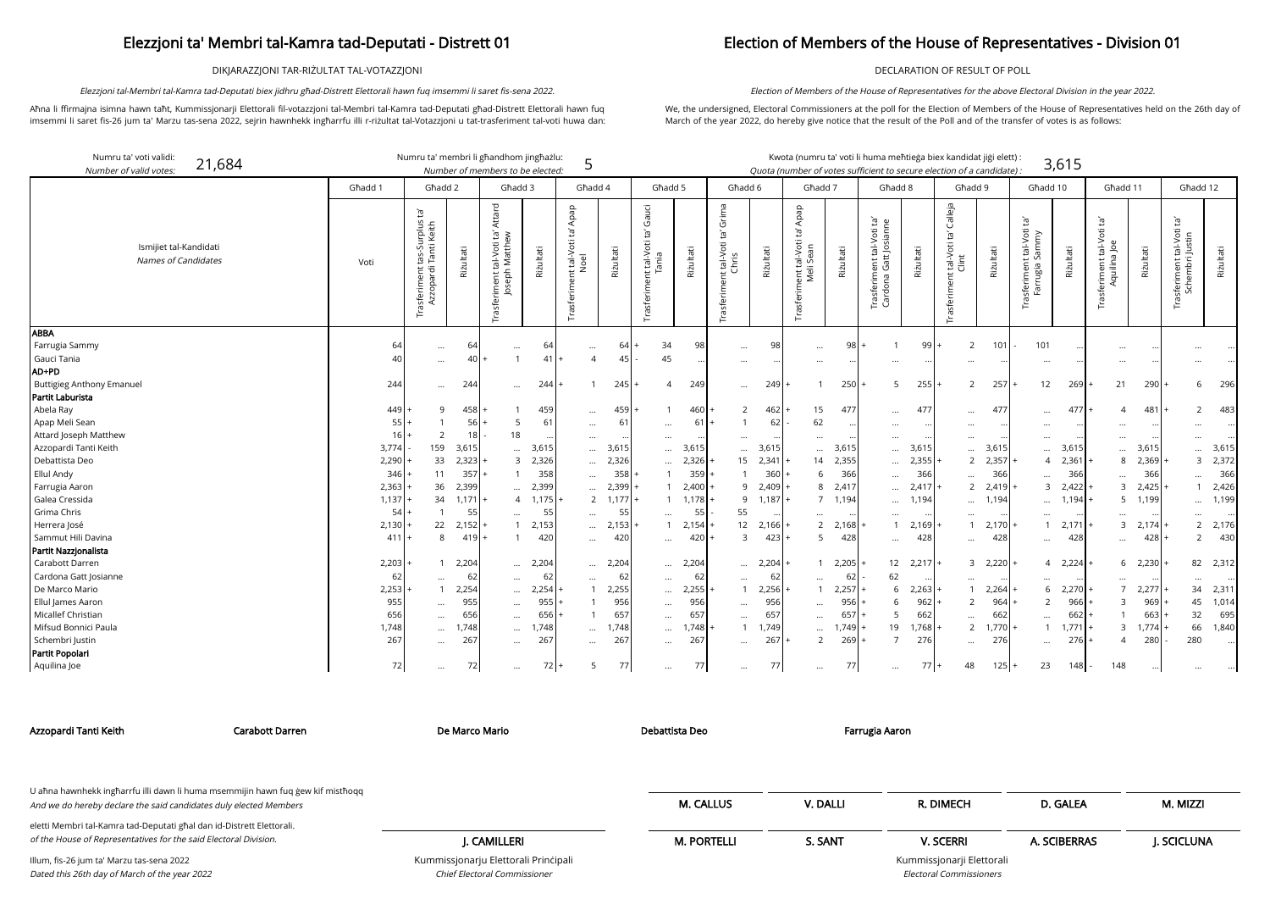DIKJARAZZJONI TAR-RIŻULTAT TAL-VOTAZZJONI

Aħna li ffirmajna isimna hawn taħt, Kummissjonarji Elettorali fil-votazzjoni tal-Membri tal-Kamra tad-Deputati għad-Distrett Elettorali hawn fuq imsemmi li saret fis-26 jum ta' Marzu tas-sena 2022, sejrin hawnhekk ingħarrfu illi r-riżultat tal-Votazzjoni u tat-trasferiment tal-voti huwa dan:

Elezzjoni tal-Membri tal-Kamra tad-Deputati biex jidhru għad-Distrett Elettorali hawn fuq imsemmi li saret fis-sena 2022.

## Election of Members of the House of Representatives - Division 01

DECLARATION OF RESULT OF POLL

We, the undersigned, Electoral Commissioners at the poll for the Election of Members of the House of Representatives held on the 26th day of March of the year 2022, do hereby give notice that the result of the Poll and of the transfer of votes is as follows:

Election of Members of the House of Representatives for the above Electoral Division in the year 2022.

| didat jiği elett): |       |
|--------------------|-------|
| of a candidate) ·  | 3,615 |

arji Elettorali

| Numru ta' voti validi:<br>21,684<br>Number of valid votes: |          | Numru ta' membri li għandhom jingħażlu:                             |           | Number of members to be elected:                                    |                   | 5                                                  |                 |                                                                  |           |                                                           |                   |                                                        |           | Kwota (numru ta' voti li huma meħtieġa biex kandidat jiġi elett)<br>Quota (number of votes sufficient to secure election of a candidate): |                   |                                                    |           |                                                              | 3,615           |                                                            |            |                                                 |           |
|------------------------------------------------------------|----------|---------------------------------------------------------------------|-----------|---------------------------------------------------------------------|-------------------|----------------------------------------------------|-----------------|------------------------------------------------------------------|-----------|-----------------------------------------------------------|-------------------|--------------------------------------------------------|-----------|-------------------------------------------------------------------------------------------------------------------------------------------|-------------------|----------------------------------------------------|-----------|--------------------------------------------------------------|-----------------|------------------------------------------------------------|------------|-------------------------------------------------|-----------|
|                                                            | Għadd 1  | Għadd 2                                                             |           | Għadd 3                                                             |                   | Għadd 4                                            |                 | Ghadd 5                                                          |           | Ghadd 6                                                   |                   | Ghadd 7                                                |           | Ghadd 8                                                                                                                                   |                   | Għadd 9                                            |           | Għadd 10                                                     |                 | Għadd 11                                                   |            | Għadd 12                                        |           |
| Ismijiet tal-Kandidati<br>Names of Candidates              | Voti     | Į.<br>tas-Surplus t<br>i Tanti Keith<br>Trasferiment t<br>Azzopardi | Riżultati | Attard<br>Ē,<br>tal-Voti ta'<br>1 Matthew<br>Joseph<br>Trasferiment | Riżultati         | Apap<br>ē,<br>nent tal-Voti t<br>Noel<br>Trasferim | Riżultati       | Gauci<br>$\mathbb{E}^1$<br>t tal-Voti t<br>Tania<br>Trasferiment | Riżultati | Grima<br>$\Xi$<br>t tal-Voti<br>Chris<br>ent<br>Trasferim | Rizultati         | Apap<br>$\Xi$<br>ient tal-Voti<br>Meli Sean<br>Trasfer | Rizultati | Trasferiment tal-Voti ta'<br>Cardona Gatt Josianne                                                                                        | Riżultati         | Calleja<br>Ğ,<br>tal-Voti<br>Clint<br>Trasferiment | Rizultati | $\Xi$<br>rasferiment tal-Voti<br>Farrugia Sammy<br>Farrugia: | Rizultati       | $\overline{c}$<br>tal-Voti<br>Aquilina Joe<br>Trasferiment | Riżultati  | sferiment tal-Voti ta'<br>Schembri Justin<br>Γã | Riżultati |
| <b>ABBA</b>                                                |          |                                                                     |           |                                                                     |                   |                                                    |                 |                                                                  |           |                                                           |                   |                                                        |           |                                                                                                                                           |                   |                                                    |           |                                                              |                 |                                                            |            |                                                 |           |
| Farrugia Sammy<br>Gauci Tania                              | 64<br>40 | $\cdots$                                                            | 64<br>40  | $\cdots$                                                            | 64<br>41          | $\cdots$<br>$\overline{4}$                         | 64<br>45        | 34<br>45                                                         | 98        |                                                           | 98                | $\ddots$                                               | 98        |                                                                                                                                           | 99 l              | 2                                                  | 101       | 101                                                          |                 | $\ddotsc$                                                  |            |                                                 |           |
| AD+PD                                                      |          | $\cdots$                                                            |           |                                                                     |                   |                                                    |                 |                                                                  |           | $\cdots$                                                  | $\cdots$          | $\cdots$                                               |           | $\cdots$                                                                                                                                  | $\cdots$          |                                                    |           | $\cdots$                                                     |                 | $\ldots$                                                   |            |                                                 |           |
| <b>Buttigieg Anthony Emanuel</b>                           | 244      |                                                                     | 244       |                                                                     | 244               |                                                    | 245             | $\overline{4}$                                                   | 249       |                                                           | 249               |                                                        | 250       | 5                                                                                                                                         | 255               | 2                                                  | 257       | 12                                                           | 269             | 21                                                         | 290        | 6                                               | 296       |
| Partit Laburista                                           |          | $\cdots$                                                            |           | $\ddotsc$                                                           |                   |                                                    |                 |                                                                  |           | $\cdots$                                                  |                   |                                                        |           |                                                                                                                                           |                   |                                                    |           |                                                              |                 |                                                            |            |                                                 |           |
| Abela Ray                                                  | 449      | 9                                                                   | 458       |                                                                     | 459               |                                                    | 459             |                                                                  | 460       | $\overline{2}$                                            | 462               | 15                                                     | 477       |                                                                                                                                           | 477               |                                                    | 477       |                                                              | 477             |                                                            | 481        | 2                                               | 483       |
| Apap Meli Sean                                             | 55       |                                                                     | 56        | 5                                                                   | 61                | <br>$\cdots$                                       | 61              |                                                                  | 61        |                                                           | 62                | 62                                                     |           | $\cdots$<br>$\cdots$                                                                                                                      |                   | $\ddotsc$                                          |           | $\cdots$                                                     |                 |                                                            |            |                                                 |           |
| Attard Joseph Matthew                                      | 16       | $\overline{2}$                                                      | 18        | 18                                                                  |                   |                                                    |                 |                                                                  |           |                                                           |                   |                                                        |           |                                                                                                                                           |                   | $\cdots$                                           |           | $\cdots$<br>$\cdots$                                         |                 | $\ddotsc$<br>$\ddotsc$                                     |            |                                                 |           |
| Azzopardi Tanti Keith                                      | 3,774    | 159                                                                 | 3,615     |                                                                     | $\cdots$<br>3,615 | $\cdots$                                           | 3,615           | $\cdots$<br>$\cdots$                                             | 3,615     | <br>$\cdots$                                              | $\cdots$<br>3,615 | $\cdots$<br>$\cdots$                                   | 3,615     | $\cdots$<br>$\cdots$                                                                                                                      | $\cdots$<br>3,615 | $\cdots$                                           | 3,615     | $\cdots$                                                     | 3,615           | $\ddotsc$                                                  | 3,615      | $\cdots$                                        | 3,615     |
| Debattista Deo                                             | 2,290    | 33                                                                  | $2,323$ + | $\overline{3}$                                                      | 2,326             | $\cdots$                                           | 2,326           | $\cdots$                                                         | 2,326     | 15 <sub>1</sub>                                           | 2,341             | 14                                                     | 2,355     | $\cdots$                                                                                                                                  | 2,355             | $\overline{2}$                                     | 2,357     | $\overline{4}$                                               | 2,361           | 8                                                          | 2,369      | $\mathcal{E}$                                   | 2,372     |
| Ellul Andy                                                 | 346      | 11                                                                  | $357$ +   |                                                                     | 358               | $\cdots$                                           | 358             |                                                                  | 359       |                                                           | 360               | 6                                                      | 366       | $\cdots$                                                                                                                                  | 366               | $\cdots$                                           | 366       | $\cdots$                                                     | 366             | $\ddotsc$                                                  | 366        |                                                 | 366       |
| Farrugia Aaron                                             | 2,363    | 36                                                                  | 2,399     | $\cdots$                                                            | 2,399             | $\cdots$                                           | 2,399           |                                                                  | 2,400     | 9                                                         | 2,409             | 8                                                      | 2,41      | $\cdots$                                                                                                                                  | 2,417             | $\overline{2}$                                     | 2,419     | 3                                                            | 2,422           | $\overline{3}$                                             | 2,425      |                                                 | 2,426     |
| Galea Cressida                                             | 1,137    | 34                                                                  | 1.171     | $\overline{4}$                                                      | 1.175             |                                                    | $2 \quad 1,177$ |                                                                  | 1.178     |                                                           | 9 1,187           |                                                        | 7 1,194   | $\cdots$                                                                                                                                  | 1,194             | $\cdots$                                           | 1,194     | $\cdots$                                                     | 1,194           | 5                                                          | 1,199      |                                                 | 1,199     |
| Grima Chris                                                | 54       |                                                                     | 55        |                                                                     | 55                | $\cdots$                                           | 55              | $\cdots$                                                         | 55        | 55                                                        |                   | $\cdots$                                               |           | $\cdots$                                                                                                                                  | $\cdots$          | $\cdots$                                           |           | $\cdots$                                                     |                 | $\cdots$                                                   |            | $\cdots$                                        |           |
| Herrera José                                               | 2,130    | 22                                                                  | $2,152$ + |                                                                     | 2,153             | $\cdots$                                           | 2,153           | $\mathbf{1}$                                                     | 2,154     | 12                                                        | $2,166 +$         | $\overline{2}$                                         | 2,168     |                                                                                                                                           | 2,169             |                                                    | 2,170     | $\mathbf{1}$                                                 | 2,171           | 3                                                          | 2,174      | $\overline{2}$                                  | 2,176     |
| Sammut Hili Davina                                         | 411      | 8                                                                   | 419       | $\overline{1}$                                                      | 420               | $\cdots$                                           | 420             | $\cdots$                                                         | 420       | 3                                                         | 423               | $5^{\circ}$                                            | 428       | $\cdots$                                                                                                                                  | 428               | $\cdots$                                           | 428       | $\cdots$                                                     | 428             | $\ddotsc$                                                  | 428        | 2                                               | 430       |
| Partit Nazzjonalista                                       |          |                                                                     |           |                                                                     |                   |                                                    |                 |                                                                  |           |                                                           |                   |                                                        |           |                                                                                                                                           |                   |                                                    |           |                                                              |                 |                                                            |            |                                                 |           |
| Carabott Darren                                            | 2,203    |                                                                     | 2,204     | $\cdots$                                                            | 2,204             | $\cdots$                                           | 2,204           | $\cdots$                                                         | 2,204     | $\cdots$                                                  | 2,204             |                                                        | 2,205     | 12                                                                                                                                        | 2,217             |                                                    | 3 2,220   |                                                              | $4 \quad 2,224$ |                                                            | 2,230<br>6 | 82                                              | 2,312     |
| Cardona Gatt Josianne                                      | 62       | $\ddotsc$                                                           | 62        | $\cdots$                                                            | 62                |                                                    | 62              | $\cdots$                                                         | -62       | $\cdots$                                                  | 62                | $\cdots$                                               | 62        | 62                                                                                                                                        |                   |                                                    |           |                                                              |                 |                                                            |            |                                                 |           |
| De Marco Mario                                             | 2,253    | $\overline{1}$                                                      | 2,254     | $\cdots$                                                            | 2,254             |                                                    | 2,255           | $\cdots$                                                         | 2,255     | $\mathbf{1}$                                              | 2,256             | $\overline{1}$                                         | 2,257     | 6                                                                                                                                         | 2,263             | $\mathbf{1}$                                       | 2,264     | 6                                                            | 2,270           | $\overline{7}$                                             | 2,277      | 34                                              | 2,311     |
| Ellul James Aaron                                          | 955      | $\cdots$                                                            | 955       | $\ddotsc$                                                           | 955               |                                                    | 956             | $\cdots$                                                         | 956       | $\ddots$                                                  | 956               | $\cdots$                                               | 956       | 6                                                                                                                                         | 962               | 2                                                  | 964       | $\overline{2}$                                               | 966             | $\overline{3}$                                             | 969        | 45                                              | 1,014     |
| Micallef Christian                                         | 656      | $\ddots$                                                            | 656       |                                                                     | 656               |                                                    | 657             |                                                                  | 657       | $\ddotsc$                                                 | 657               | $\cdots$                                               | 657       | 5                                                                                                                                         | 662               |                                                    | 662       | $\cdots$                                                     | 662             |                                                            | 663        | 32                                              | 695       |
| Mifsud Bonnici Paula                                       | 1,748    | $\cdots$                                                            | 1,748     | $\cdots$                                                            | 1,748             | $\cdots$                                           | 1,748           | $\cdots$                                                         | 1,748     | $\mathbf{1}$                                              | 1,749             | $\cdots$                                               | 1,749     | 19                                                                                                                                        | 1,768             | $2^{\circ}$                                        | 1,770     | $\mathbf{1}$                                                 | 1.771           | $\overline{3}$                                             | 1,774      | 66                                              | 1,840     |
| Schembri Justin                                            | 267      | $\cdots$                                                            | 267       | $\cdots$                                                            | 267               | $\cdots$                                           | 267             | $\cdots$                                                         | 267       | $\cdots$                                                  | 267               | $\overline{2}$                                         | 269       | $\overline{7}$                                                                                                                            | 276               | $\cdots$                                           | 276       | $\cdots$                                                     | 276             | $\overline{A}$                                             | 280        | 280                                             |           |
| Partit Popolari                                            |          |                                                                     |           |                                                                     |                   |                                                    |                 |                                                                  |           |                                                           |                   |                                                        |           |                                                                                                                                           |                   |                                                    |           |                                                              |                 |                                                            |            |                                                 |           |
| Aquilina Joe                                               | 72       | $\cdots$                                                            | 72        | $\cdots$                                                            | $72 +$            | -5                                                 | 77              | $\cdots$                                                         | 77        | $\cdots$                                                  | 77                | $\cdots$                                               | 77        | $\cdots$                                                                                                                                  | $77$ +            | 48                                                 | $125 +$   | 23                                                           | 148             | 148                                                        |            |                                                 |           |

|  | Carabott Dari |  |  |
|--|---------------|--|--|
|  |               |  |  |

Azzopardi Tanti Keith Carabott Darren De Marco Mario Debattista Deo Farrugia Aaron

Electoral Commissioners

| U afina hawnhekk ingfiarrfu illi dawn li huma msemmijin hawn fuq gew kif misthoqq<br>And we do hereby declare the said candidates duly elected Members |                                      | <b>M. CALLUS</b>   | V. DALLI | R. DIMECH                 | D. GALEA     | M. MIZZI   |
|--------------------------------------------------------------------------------------------------------------------------------------------------------|--------------------------------------|--------------------|----------|---------------------------|--------------|------------|
| eletti Membri tal-Kamra tad-Deputati għal dan id-Distrett Elettorali.<br>of the House of Representatives for the said Electoral Division.              | I. CAMILLERI                         | <b>M. PORTELLI</b> | S. SANT  | <b>V. SCERRI</b>          | A. SCIBERRAS | I. SCICLUN |
| Illum, fis-26 jum ta' Marzu tas-sena 2022                                                                                                              | Kummissjonarju Elettorali Principali |                    |          | Kummissjonarji Elettorali |              |            |
| Dated this 26th day of March of the year 2022                                                                                                          | Chief Electoral Commissioner         |                    |          | Electoral Commissioners   |              |            |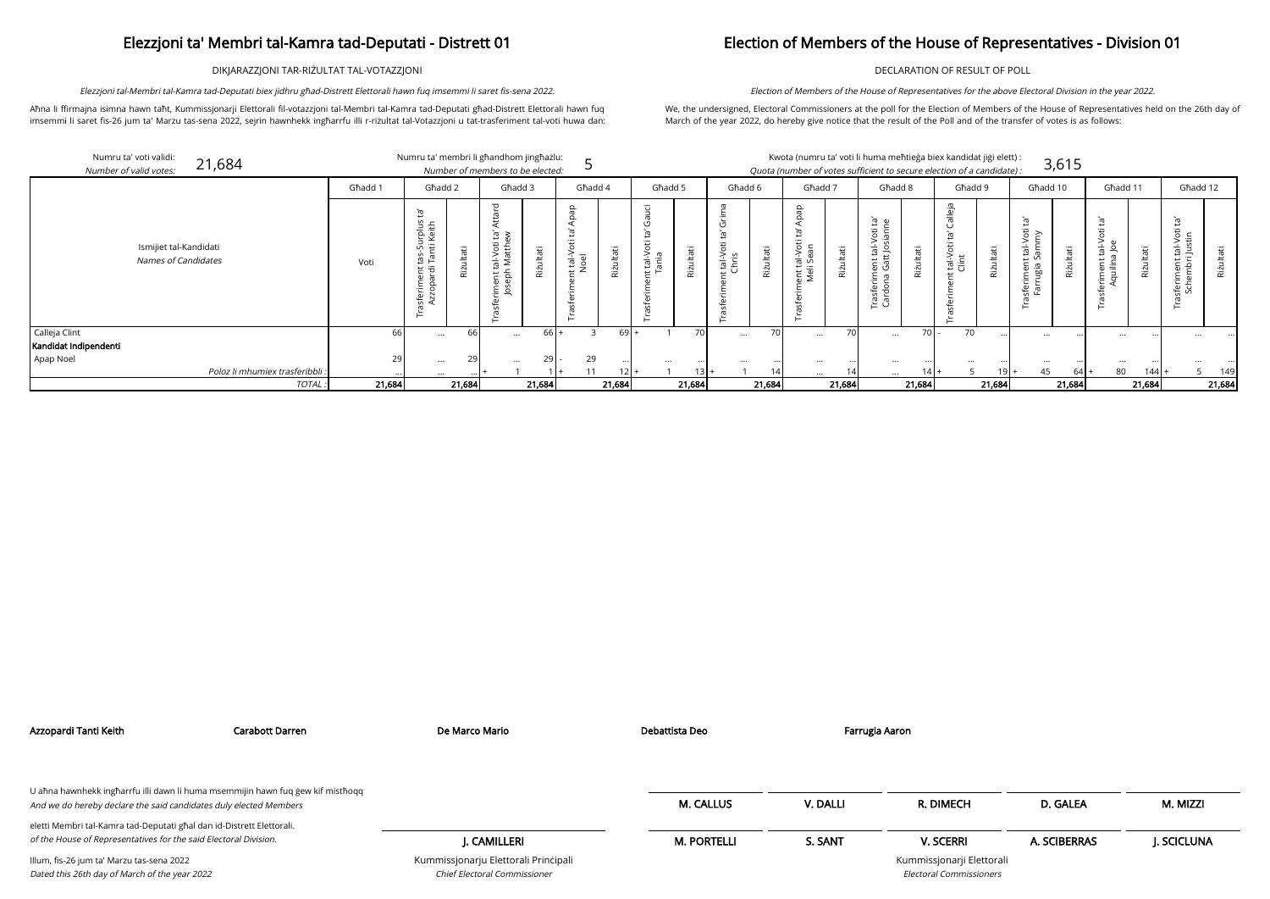DIKJARAZZJONI TAR-RIŻULTAT TAL-VOTAZZJONI

Aħna li ffirmajna isimna hawn taħt, Kummissjonarji Elettorali fil-votazzjoni tal-Membri tal-Kamra tad-Deputati għad-Distrett Elettorali hawn fuq imsemmi li saret fis-26 jum ta' Marzu tas-sena 2022, sejrin hawnhekk ingħarrfu illi r-riżultat tal-Votazzjoni u tat-trasferiment tal-voti huwa dan:

Elezzjoni tal-Membri tal-Kamra tad-Deputati biex jidhru għad-Distrett Elettorali hawn fuq imsemmi li saret fis-sena 2022.

## Election of Members of the House of Representatives - Division 01

DECLARATION OF RESULT OF POLL

We, the undersigned, Electoral Commissioners at the poll for the Election of Members of the House of Representatives held on the 26th day of March of the year 2022, do hereby give notice that the result of the Poll and of the transfer of votes is as follows:

Election of Members of the House of Representatives for the above Electoral Division in the year 2022.

| didat jiği elett): |       |
|--------------------|-------|
| of a candidate) :  | 3,615 |

| ۰  | . . |  |
|----|-----|--|
|    | . . |  |
|    |     |  |
| ۰. |     |  |

| Numru ta' voti validi:<br>Number of valid votes: | 21,684                                        |         | Numru ta' membri li għandhom jingħażlu:                                              |             | Number of members to be elected:                                          |         |                        |           |                                                 |              |                |           |                          |           |                                                                      |            | Kwota (numru ta' voti li huma meħtieġa biex kandidat jiġi elett) :<br>Quota (number of votes sufficient to secure election of a candidate): |           |                                                                          | 3,615       |                                       |             |                                                          |           |
|--------------------------------------------------|-----------------------------------------------|---------|--------------------------------------------------------------------------------------|-------------|---------------------------------------------------------------------------|---------|------------------------|-----------|-------------------------------------------------|--------------|----------------|-----------|--------------------------|-----------|----------------------------------------------------------------------|------------|---------------------------------------------------------------------------------------------------------------------------------------------|-----------|--------------------------------------------------------------------------|-------------|---------------------------------------|-------------|----------------------------------------------------------|-----------|
|                                                  |                                               | Ghadd 1 | Għadd 2                                                                              |             | Għadd 3                                                                   |         | Ghadd 4                |           | Għadd 5                                         |              | Għadd 6        |           | Ghadd 7                  |           | Għadd 8                                                              |            | Ghadd 9                                                                                                                                     |           | Għadd 10                                                                 |             | Ghadd 11                              |             | Ghadd 12                                                 |           |
|                                                  | Ismijiet tal-Kandidati<br>Names of Candidates | Voti    | irplus<br>Keith<br>Φ<br>n B<br>S<br>$\overline{5}$ $\overline{2}$<br>sferim<br>Azzop | ਰੋਂ<br>Riżu | $\overline{\phantom{a}}$<br>ى<br>nt tal-Voti<br>:ph Matth<br>Œ<br>$\circ$ | π<br>ζİ | Φ<br>$\frac{1}{10}$ ol | Riżultati | <u>'ਹ</u><br>tal-Voti<br>ania<br>$\overline{ }$ | āť<br>Riżult | tal-V<br>Chris | Rizultati | ent tal-Vot<br>Meli Sean | Riżultati | ρ<br>Έ<br>tal-Voti<br>ent tal-<br>Gatt Jo<br>Trasferime<br>Cardona ( | άi<br>Riżu | еjа<br>tal-Voti<br>Clint                                                                                                                    | Ë<br>Riżu | ್<br>Voti<br>≥<br>$\frac{1}{2}$<br>ىپ<br>ರ<br>ינות<br>בחול<br>לשי<br>ு ஈ | аťі<br>Rizu | $\overline{\sigma}$<br>÷<br>這<br>∵⊏ ≼ | tati<br>Riz | Ĭā'<br>tal-Voti<br>I Justin<br>;feriment t<br>Schembri J | Riżultati |
| Calleja Clint                                    |                                               | 66      | $\cdots$                                                                             |             | $\cdots$                                                                  | $66$ +  |                        | $69 +$    |                                                 |              | $\cdots$       | 70        | $\cdots$                 | 70        | $\cdots$                                                             | 70         | 70                                                                                                                                          |           | $\cdots$                                                                 |             | $\cdots$                              |             |                                                          |           |
| Kandidat Indipendenti<br>Apap Noel               |                                               | 29      |                                                                                      |             |                                                                           |         | 29                     |           |                                                 |              |                |           |                          |           |                                                                      |            |                                                                                                                                             |           |                                                                          |             |                                       |             |                                                          |           |
|                                                  | Poloz li mhumiex trasferibbli.                |         | $\cdots$<br>$\cdots$                                                                 |             | $\cdots$                                                                  | 29      | 11                     | $12+$     | $\cdots$                                        |              |                | 14        | $\cdots$                 |           | $\cdots$<br>$\cdots$                                                 |            |                                                                                                                                             | $19+$     | $\cdots$<br>45                                                           | - 64        | $\cdots$<br>80                        | 144         |                                                          | 149       |
|                                                  | TOTAL:                                        | 21,684  |                                                                                      | 21,684      |                                                                           | 21,684  |                        | 21,684    |                                                 | 21,684       |                | 21,684    |                          | 21,684    |                                                                      | 21,684     |                                                                                                                                             | 21,684    |                                                                          | 21,684      |                                       | 21,684      |                                                          | 21,684    |

| Azzopardi Tanti Keith                                                                      | Carabott Darren                                                                 | De Marco Mario                                                       | Debattista Deo     |          | Farrugia Aaron                                              |              |            |
|--------------------------------------------------------------------------------------------|---------------------------------------------------------------------------------|----------------------------------------------------------------------|--------------------|----------|-------------------------------------------------------------|--------------|------------|
| And we do hereby declare the said candidates duly elected Members                          | U ahna hawnhekk ingharrfu illi dawn li huma msemmijin hawn fuq gew kif misthoqq |                                                                      | <b>M. CALLUS</b>   | V. DALLI | R. DIMECH                                                   | D. GALEA     | M. MIZZI   |
| eletti Membri tal-Kamra tad-Deputati għal dan id-Distrett Elettorali.                      |                                                                                 |                                                                      |                    |          |                                                             |              |            |
| of the House of Representatives for the said Electoral Division.                           |                                                                                 | I. CAMILLERI                                                         | <b>M. PORTELLI</b> | S. SANT  | <b>V. SCERRI</b>                                            | A. SCIBERRAS | J. SCICLUN |
| Illum, fis-26 jum ta' Marzu tas-sena 2022<br>Dated this 26th day of March of the year 2022 |                                                                                 | Kummissjonarju Elettorali Principali<br>Chief Electoral Commissioner |                    |          | Kummissjonarji Elettorali<br><b>Electoral Commissioners</b> |              |            |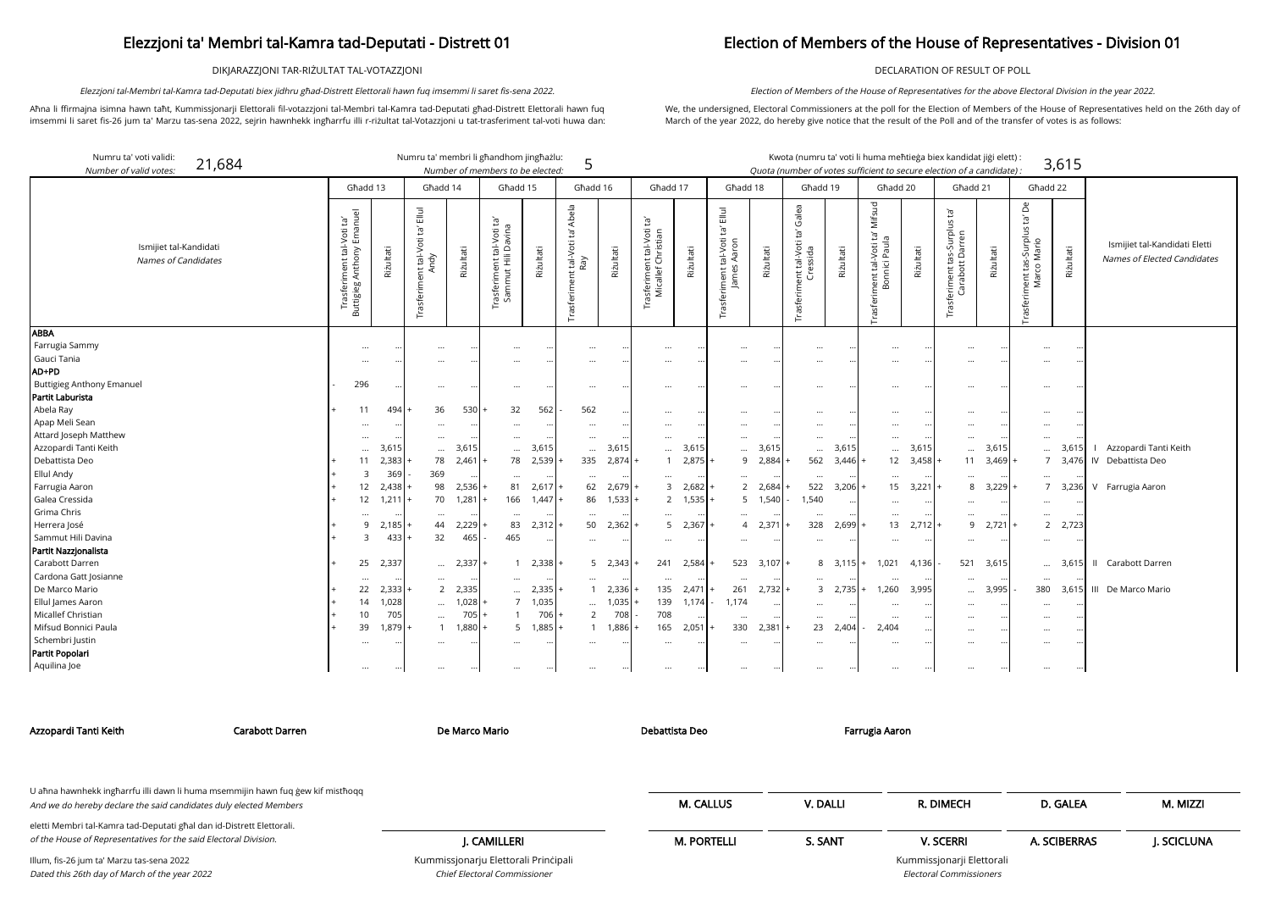DIKJARAZZJONI TAR-RIŻULTAT TAL-VOTAZZJONI

Aħna li ffirmajna isimna hawn taħt, Kummissjonarji Elettorali fil-votazzjoni tal-Membri tal-Kamra tad-Deputati għad-Distrett Elettorali hawn fuq imsemmi li saret fis-26 jum ta' Marzu tas-sena 2022, sejrin hawnhekk ingħarrfu illi r-riżultat tal-Votazzjoni u tat-trasferiment tal-voti huwa dan:

Elezzjoni tal-Membri tal-Kamra tad-Deputati biex jidhru għad-Distrett Elettorali hawn fuq imsemmi li saret fis-sena 2022.

### Election of Members of the House of Representatives - Division 01

DECLARATION OF RESULT OF POLL

We, the undersigned, Electoral Commissioners at the poll for the Election of Members of the House of Representatives held on the 26th day of March of the year 2022, do hereby give notice that the result of the Poll and of the transfer of votes is as follows:

Election of Members of the House of Representatives for the above Electoral Division in the year 2022.

| Numru ta' voti validi:<br>21,684<br>Number of valid votes. |                                                              |           | Numru ta' membri li għandhom jingħażlu:                 |           | Number of members to be elected:                    |           | 5                                           |           |                                                 |                 |                                                     |            | Kwota (numru ta' voti li huma meħtieġa biex kandidat jiġi elett) :<br>Quota (number of votes sufficient to secure election of a candidate). |                   |                                                                                     |           |                                                                        |               |                                                            | 3,615     |                                                |
|------------------------------------------------------------|--------------------------------------------------------------|-----------|---------------------------------------------------------|-----------|-----------------------------------------------------|-----------|---------------------------------------------|-----------|-------------------------------------------------|-----------------|-----------------------------------------------------|------------|---------------------------------------------------------------------------------------------------------------------------------------------|-------------------|-------------------------------------------------------------------------------------|-----------|------------------------------------------------------------------------|---------------|------------------------------------------------------------|-----------|------------------------------------------------|
|                                                            | Ghadd 13                                                     |           | Għadd 14                                                |           | Ghadd 15                                            |           | Għadd 16                                    |           | Għadd 17                                        |                 | Ghadd 18                                            |            | Għadd 19                                                                                                                                    |                   | Għadd 20                                                                            |           | Ghadd 21                                                               |               | Għadd 22                                                   |           |                                                |
| Ismijiet tal-Kandidati<br>Names of Candidates              | nuel<br>Ē,<br>Trasferiment tal-Voti<br>Buttigieg Anthony Ema | Rizultati | $\bar{\Xi}$<br>$\Xi$<br>nt tal-Voti<br>Andy<br>rasferim | Riżultati | ję,<br>rasferiment tal-Voti t<br>Sammut Hili Davina | Riżultati | Abela<br>Ĭg<br>tal-Voti<br>Ray<br>Trasferim | Riżultati | `ra<br>sferiment tal-Voti<br>Micallef Christian | Riżultati       | $\Xi$<br>īg<br>tal-Voti<br>iment<br>mel<br>Trasferi | Riżultati  | Galea<br>Ĭā,<br>tal-Voti<br>essida<br>anti<br>Cre<br>rasferi                                                                                | Riżultati         | Mifsud<br>$\mathbb{E}^1$<br>l-Voti ta<br>i Paula<br>ment tal-<br>Bonnici<br>Trasfer | Riżultati | Ĭā,<br>-Surplus<br>tas-Surpli<br>tt Darren<br>Carabott<br>Trasferiment | Riżultati     | Å<br>'n,<br>riment tas-Surplus t<br>Marco Mario<br>Trasfer | Riżultati | Ismijiet tal-Kandidati<br>Names of Elected Can |
| <b>ABBA</b>                                                |                                                              |           |                                                         |           |                                                     |           |                                             |           |                                                 |                 |                                                     |            |                                                                                                                                             |                   |                                                                                     |           |                                                                        |               |                                                            |           |                                                |
| Farrugia Sammy<br>Gauci Tania                              | $\ddotsc$                                                    |           |                                                         |           | $\ddotsc$                                           |           |                                             |           | $\cdots$                                        |                 | $\ddotsc$                                           |            | $\cdots$                                                                                                                                    |                   |                                                                                     |           | $\cdots$                                                               |               | $\cdots$                                                   | $\ddots$  |                                                |
| AD+PD                                                      |                                                              |           |                                                         |           | $\ddotsc$                                           |           |                                             |           | $\cdots$                                        |                 |                                                     |            |                                                                                                                                             |                   | $\cdots$                                                                            |           | $\cdots$                                                               |               | $\cdots$                                                   |           |                                                |
| <b>Buttigieg Anthony Emanuel</b>                           | 296                                                          |           |                                                         |           |                                                     |           |                                             |           |                                                 |                 |                                                     |            |                                                                                                                                             |                   |                                                                                     |           |                                                                        |               |                                                            |           |                                                |
| Partit Laburista                                           |                                                              |           | $\cdots$                                                |           | $\ddotsc$                                           |           |                                             |           | $\cdots$                                        |                 | $\ddotsc$                                           |            | $\cdots$                                                                                                                                    |                   | $\cdots$                                                                            |           | $\cdots$                                                               |               | $\cdots$                                                   |           |                                                |
| Abela Ray                                                  | 11                                                           | 494       | 36                                                      | $530+$    | 32                                                  | 562       | 562                                         |           | $\cdots$                                        |                 | $\ddotsc$                                           |            | $\cdots$                                                                                                                                    |                   | $\cdots$                                                                            |           | $\cdots$                                                               |               |                                                            |           |                                                |
| Apap Meli Sean                                             |                                                              |           |                                                         |           |                                                     |           |                                             |           | $\cdots$                                        |                 |                                                     |            |                                                                                                                                             |                   | $\cdots$                                                                            |           | $\cdots$                                                               |               | $\cdots$                                                   |           |                                                |
| Attard Joseph Matthew                                      | $\cdots$                                                     |           | $\cdots$                                                | $\cdots$  | $\cdots$                                            |           | $\cdots$                                    |           | $\cdots$                                        |                 | $\cdots$                                            | $\ddotsc$  | $\cdots$                                                                                                                                    |                   | $\cdots$                                                                            |           | $\cdots$                                                               | $\cdot \cdot$ | $\cdots$                                                   |           |                                                |
| Azzopardi Tanti Keith                                      | $\ddotsc$                                                    | 3.615     | $\cdots$                                                | 3,615     | $\cdots$                                            | 3,615     | $\cdots$                                    | 3,615     | $\cdots$                                        | 3,615           |                                                     | 3,615      | $\cdots$                                                                                                                                    | 3,615             | $\ddotsc$                                                                           | 3,615     | $\cdots$                                                               | 3,615         |                                                            | 3.615     | Azzopardi Tanti Keith                          |
| Debattista Deo                                             | 11                                                           | 2,383     | 78                                                      | $2,461$ + |                                                     | 78 2,539  | 335                                         | 2,874     |                                                 | 1 2,875         | 9                                                   | 2,884      | 562                                                                                                                                         | 3,446             | 12                                                                                  | 3,458     | 11                                                                     | 3,469         | $\overline{7}$                                             |           | 3,476 IV Debattista Deo                        |
| <b>Ellul Andy</b>                                          | 3                                                            | 369       | 369                                                     |           | $\cdots$                                            |           | $\cdots$                                    |           | $\cdots$                                        |                 | $\cdots$                                            |            | $\cdots$                                                                                                                                    |                   | $\cdots$                                                                            |           | $\cdots$                                                               |               | $\cdots$                                                   |           |                                                |
| Farrugia Aaron                                             | 12                                                           | 2,438     | 98                                                      | $2,536$ + | 81                                                  | 2,617     | 62                                          | 2,679     | $\mathbf{3}$                                    | 2,682           | $\overline{2}$                                      | 2,684      | 522                                                                                                                                         | $3,206 +$         | 15                                                                                  | 3,221     | 8                                                                      | 3,229         | $\overline{7}$                                             |           | 3,236 V Farrugia Aaron                         |
| Galea Cressida                                             | 12                                                           | 1,211     | 70                                                      | 1,281     |                                                     | 166 1,447 | 86                                          | 1,533     |                                                 | $2 \quad 1,535$ |                                                     | 1,540<br>5 | 1,540                                                                                                                                       |                   | $\cdots$                                                                            |           | $\cdots$                                                               | $\cdot \cdot$ | $\cdots$                                                   |           |                                                |
| Grima Chris                                                | $\cdots$                                                     |           | $\cdots$                                                |           |                                                     |           | $\cdots$                                    |           | $\cdots$                                        |                 | $\cdots$                                            |            | $\cdots$                                                                                                                                    |                   | $\cdots$                                                                            |           | $\cdots$                                                               |               | $\cdots$                                                   |           |                                                |
| Herrera José                                               | 9                                                            | 2,185     | 44                                                      | $2,229$ + | 83                                                  | 2,312     | 50                                          | 2,362     | 5 <sup>1</sup>                                  | 2,367           | $\overline{4}$                                      | 2,371      | 328                                                                                                                                         | $2,699 +$         | 13                                                                                  | 2,712     | 9                                                                      | 2,721         | $\overline{2}$                                             | 2,723     |                                                |
| Sammut Hili Davina                                         | 3                                                            | 433       | 32                                                      | 465       | 465                                                 |           |                                             |           | $\cdots$                                        | $\cdots$        | $\cdots$                                            | $\cdots$   | $\cdots$                                                                                                                                    |                   | $\cdots$                                                                            |           | $\cdots$                                                               |               | $\cdots$                                                   |           |                                                |
| Partit Nazzjonalista                                       |                                                              |           |                                                         |           |                                                     |           |                                             |           |                                                 |                 |                                                     |            |                                                                                                                                             |                   |                                                                                     |           |                                                                        |               |                                                            |           |                                                |
| Carabott Darren                                            | 25                                                           | 2,337     | $\cdots$                                                | $2,337$ + | $\overline{1}$                                      | 2,338     | 5                                           | 2,343     | 241                                             | 2,584           | 523                                                 | 3,107      |                                                                                                                                             | $8 \quad 3,115$ + | 1,021                                                                               | 4,136     | 521                                                                    | 3,615         |                                                            |           | 3,615 II Carabott Darren                       |
| Cardona Gatt Josianne                                      | $\cdots$                                                     |           | $\cdots$                                                |           | $\cdots$                                            |           |                                             |           | $\cdots$                                        |                 | $\ddotsc$                                           | $\ddotsc$  | $\cdots$                                                                                                                                    |                   |                                                                                     |           | $\cdots$                                                               | $\cdot \cdot$ | $\cdots$                                                   |           |                                                |
| De Marco Mario                                             | 22                                                           | 2,333     | 2                                                       | 2,335     | $\cdots$                                            | 2,335     | $\mathbf{1}$                                | 2,336     | 135                                             | 2,471           | 261                                                 | 2,732      |                                                                                                                                             | $3 \quad 2,735$ + | 1,260                                                                               | 3,995     | $\cdots$                                                               | 3,995         | 380                                                        |           | 3,615 III De Marco Mario                       |
| Ellul James Aaron                                          | 14                                                           | 1,028     | $\cdots$                                                | $1,028$ + | $7^{\circ}$                                         | 1,035     | $\cdots$                                    | 1,035     | 139                                             | 1,174           | 1,174                                               | $\cdots$   | $\cdots$                                                                                                                                    |                   | $\cdots$                                                                            |           | $\cdots$                                                               |               | $\cdots$                                                   |           |                                                |
| Micallef Christian                                         | 10                                                           | 705       | $\cdots$                                                | $705$ +   |                                                     | 706       | $\overline{2}$                              | 708       | 708                                             |                 | $\cdots$                                            | $\cdots$   | $\cdots$                                                                                                                                    |                   | $\cdots$                                                                            |           | $\cdots$                                                               |               | $\cdots$                                                   |           |                                                |
| Mifsud Bonnici Paula                                       | 39                                                           | 1,879     | $\mathbf{1}$                                            | $1,880$ + | $5^{\circ}$                                         | 1,885     | $\mathbf{1}$                                | 1,886     | 165                                             | $2,051$ +       | 330                                                 | $2,381$ +  | 23                                                                                                                                          | $2,404 -$         | 2,404                                                                               |           | $\cdots$                                                               |               |                                                            | $\cdots$  |                                                |

| Numru ta' voti validi:<br>21,684<br>Number of valid votes: |                                                                               |           | Numru ta' membri li ghandhom jinghazlu:              |           | Number of members to be elected:                                            |                   | 5                                             |                 |                                                              |           |                                                           |                 | " Kwota (numru ta' voti li huma meħtieġa biex kandidat jiġi elett)<br>Quota (number of votes sufficient to secure election of a candidate): |                   |                                                           |           |                                                                        |                  |                                                                   | 3,615     |                                                              |
|------------------------------------------------------------|-------------------------------------------------------------------------------|-----------|------------------------------------------------------|-----------|-----------------------------------------------------------------------------|-------------------|-----------------------------------------------|-----------------|--------------------------------------------------------------|-----------|-----------------------------------------------------------|-----------------|---------------------------------------------------------------------------------------------------------------------------------------------|-------------------|-----------------------------------------------------------|-----------|------------------------------------------------------------------------|------------------|-------------------------------------------------------------------|-----------|--------------------------------------------------------------|
|                                                            | Ghadd 13                                                                      |           | Għadd 14                                             |           | Ghadd 15                                                                    |                   | Għadd 16                                      |                 | Ghadd 17                                                     |           | Għadd 18                                                  |                 | Għadd 19                                                                                                                                    |                   | Għadd 20                                                  |           | Għadd 21                                                               |                  | Għadd 22                                                          |           |                                                              |
| Ismijiet tal-Kandidati<br><b>Names of Candidates</b>       | Emanuel<br>$\tilde{E}$<br>tal-Voti<br>≽<br>Trasferiment t<br>Buttigieg Anthon | Riżultati | $\Xi$<br>Ĭā,<br>nent tal-Voti 1<br>Andy<br>Trasferim | Riżultati | $\Xi^{\prime}$<br>avina<br>tal-Voti<br>$\cap$<br>rasferiment<br>Sammut Hill | Riżultati         | Abela<br>'n,<br>tal-Voti<br>Ray<br>asferiment | Riżultati       | Ē,<br>tal-Voti<br>hristian<br>끝 운<br>isferimer<br>Micallef ( | Riżultati | $\Xi$<br>Ĭď<br>tal-Voti<br>Aaron<br>James<br>Trasferiment | Riżultati       | Galea<br>Ĭd,<br>tal-Voti<br>essida<br>្ត ដូ<br>Trasferim                                                                                    | Riżultati         | Mifsud<br>ē,<br>Trasferiment tal-Voti ta<br>Bonnici Paula | Riżultati | $\Xi$<br>urplus<br>Ten<br>ร.<<br>Dari<br>Trasferiment ta<br>Carabott I | Riżultati        | ൧ഀ<br>Ğ,<br>nent tas-Surplus t<br>Marco Mario<br>iment<br>Trasfer | Riżultati | Ismijiet tal-Kandidati Eletti<br>Names of Elected Candidates |
| <b>ABBA</b>                                                |                                                                               |           |                                                      |           |                                                                             |                   |                                               |                 |                                                              |           |                                                           |                 |                                                                                                                                             |                   |                                                           |           |                                                                        |                  |                                                                   |           |                                                              |
| Farrugia Sammy                                             | $\cdots$                                                                      |           | $\ddotsc$                                            |           | $\cdots$                                                                    |                   | $\ddotsc$                                     | $\cdot \cdot$   | $\cdots$                                                     |           | $\cdots$                                                  | $\ddotsc$       | $\cdots$                                                                                                                                    |                   | $\cdots$                                                  | $\cdots$  | $\cdots$                                                               |                  | $\cdots$                                                          |           |                                                              |
| Gauci Tania                                                | $\cdots$                                                                      |           | $\cdots$                                             |           | $\cdots$                                                                    |                   | $\cdots$                                      | $\cdot \cdot$   | $\cdots$                                                     |           | $\cdots$                                                  |                 | $\cdots$                                                                                                                                    |                   | $\cdots$                                                  |           |                                                                        |                  | $\cdots$                                                          |           |                                                              |
| <b>AD+PD</b>                                               |                                                                               |           |                                                      |           |                                                                             |                   |                                               |                 |                                                              |           |                                                           |                 |                                                                                                                                             |                   |                                                           |           |                                                                        |                  |                                                                   |           |                                                              |
| <b>Buttigieg Anthony Emanuel</b>                           | 296                                                                           |           | $\cdots$                                             |           | $\cdots$                                                                    |                   | $\ddotsc$                                     | $\cdot \cdot$   | $\cdots$                                                     |           |                                                           |                 |                                                                                                                                             |                   | $\cdots$                                                  |           |                                                                        |                  | $\cdots$                                                          |           |                                                              |
| Partit Laburista                                           |                                                                               |           |                                                      |           |                                                                             |                   |                                               |                 |                                                              |           |                                                           |                 |                                                                                                                                             |                   |                                                           |           |                                                                        |                  |                                                                   |           |                                                              |
| Abela Ray                                                  | 11                                                                            | 494       | 36                                                   | 530       | 32                                                                          | 562               | 562                                           | $\cdot \cdot$   | $\cdots$                                                     |           | $\cdots$                                                  |                 | $\cdots$                                                                                                                                    |                   | $\cdots$                                                  | $\cdots$  | $\cdots$                                                               |                  | $\cdots$                                                          |           |                                                              |
| Apap Meli Sean                                             |                                                                               | $\cdots$  | $\cdots$                                             |           |                                                                             |                   | $\cdots$                                      | $\cdot \cdot$   |                                                              |           | $\cdots$                                                  |                 | $\cdots$                                                                                                                                    |                   | $\cdots$                                                  |           | $\cdots$                                                               |                  | $\cdots$                                                          |           |                                                              |
| Attard Joseph Matthew                                      | $\cdots$                                                                      | $\ddotsc$ | $\cdots$                                             |           | $\cdots$                                                                    | $\cdots$          | $\cdots$                                      | $\cdot \cdot$   | $\cdots$                                                     |           | $\cdots$                                                  |                 | $\cdots$                                                                                                                                    |                   | $\cdots$                                                  | $\ddotsc$ | $\cdots$                                                               | ٠.               | $\cdots$                                                          |           |                                                              |
| Azzopardi Tanti Keith                                      |                                                                               | 3,615     | $\cdots$                                             | 3,615     | $\cdots$                                                                    | 3,615             | $\cdots$                                      | 3,615           | $\cdots$                                                     | 3,615     | $\cdots$                                                  | 3,615           | $\cdots$                                                                                                                                    | 3,615             | $\cdots$                                                  | 3,615     | $\cdots$                                                               | 3,615            | $\cdots$                                                          | 3,615     | Azzopardi Tanti Keith                                        |
| Debattista Deo                                             | 11                                                                            | 2,383     |                                                      | 78 2,461  |                                                                             | 78 2,539          | 335                                           | $2,874$ +       | $\overline{1}$                                               | $2,875$ + | 9                                                         | 2,884           | 562                                                                                                                                         | 3,446             | 12                                                        | 3,458     |                                                                        | $11 \quad 3,469$ |                                                                   |           | 7 3,476 IV Debattista Deo                                    |
| Ellul Andy                                                 | 3                                                                             | 369       | 369                                                  |           |                                                                             |                   | $\ldots$                                      |                 | $\cdots$                                                     |           | $\cdots$                                                  |                 | $\cdots$                                                                                                                                    |                   | $\cdots$                                                  |           | $\cdots$                                                               |                  | $\cdots$                                                          |           |                                                              |
| Farrugia Aaron                                             | 12                                                                            | 2,438     | 98                                                   | 2,536     | 81                                                                          | 2,617             | 62                                            | $2,679 +$       | 3                                                            | $2,682$ + |                                                           | 2 2,684         | 522                                                                                                                                         | 3,206             | 15                                                        | 3,221     | 8                                                                      | 3,229            |                                                                   |           | 7 3,236 V Farrugia Aaron                                     |
| Galea Cressida                                             | 12                                                                            | 1,211     | 70                                                   | 1,281     | 166                                                                         | 1,447             | 86                                            | $1,533 +$       | $\overline{2}$                                               | $1,535$ + |                                                           | 5 1,540         | 1,540                                                                                                                                       |                   | $\ldots$                                                  | $\ddotsc$ | $\cdots$                                                               |                  | $\cdots$                                                          |           |                                                              |
| Grima Chris                                                |                                                                               |           | $\cdots$                                             |           | $\cdots$                                                                    |                   | $\cdots$                                      |                 | $\cdots$                                                     |           | $\cdots$                                                  |                 |                                                                                                                                             |                   | $\cdots$                                                  |           |                                                                        |                  | $\cdots$                                                          |           |                                                              |
| Herrera José                                               | 9                                                                             | 2,185     | 44                                                   | 2,229     | 83                                                                          | $2,312$ +         | 50                                            | $2,362 +$       | 5                                                            | $2,367$ + |                                                           | 4 2,371         | 328                                                                                                                                         | 2,699             | 13                                                        | 2,712     | 9                                                                      | 2,721            |                                                                   | 2 2,723   |                                                              |
| Sammut Hili Davina                                         | 3                                                                             | 433       | 32                                                   | 465       | 465                                                                         | $\cdots$          | $\cdots$                                      | $\cdots$        | $\cdots$                                                     | $\cdots$  | $\cdots$                                                  | $\ddotsc$       | $\cdots$                                                                                                                                    |                   | $\ldots$                                                  | $\cdots$  | $\cdots$                                                               | ٠.               | $\cdots$                                                          |           |                                                              |
| Partit Nazzjonalista                                       |                                                                               |           |                                                      |           |                                                                             |                   |                                               |                 |                                                              |           |                                                           |                 |                                                                                                                                             |                   |                                                           |           |                                                                        |                  |                                                                   |           |                                                              |
| Carabott Darren                                            | 25                                                                            | 2,337     | $\cdots$                                             | 2,337     |                                                                             | $1 \quad 2,338$ + |                                               | $5 \quad 2,343$ | 241                                                          | 2,584     |                                                           | $523$ $3,107$ + |                                                                                                                                             | $8 \quad 3.115 +$ | 1,021                                                     | 4,136     |                                                                        | 521 3,615        |                                                                   |           | 3,615 II Carabott Darren                                     |
| Cardona Gatt Josianne                                      | $\cdots$                                                                      |           | $\cdots$                                             |           |                                                                             | $\cdots$          | $\cdots$                                      |                 | $\cdots$                                                     |           |                                                           |                 | $\cdots$                                                                                                                                    |                   | $\cdots$                                                  | $\cdots$  | $\cdots$                                                               |                  | $\cdots$                                                          |           |                                                              |
| De Marco Mario                                             | 22                                                                            | 2,333     | $2^{\circ}$                                          | 2,335     | $\cdots$                                                                    | $2,335$ +         | - 1                                           | $2,336 +$       | 135                                                          | $2,471$ + | 261                                                       | $2,732 +$       |                                                                                                                                             | $3 \quad 2,735$ + | 1,260                                                     | 3,995     | $\cdots$                                                               | 3,995            | 380                                                               |           | 3,615 III De Marco Mario                                     |
| Ellul James Aaron                                          | 14                                                                            | 1,028     | $\cdots$                                             | 1,028     |                                                                             | 7 1,035           | $\cdots$                                      | 1,035           | 139                                                          | 1,174     | 1,174                                                     | $\ddotsc$       | $\cdots$                                                                                                                                    |                   | $\cdots$                                                  |           | $\cdots$                                                               |                  | $\cdots$                                                          |           |                                                              |
| Micallef Christian                                         | 10 <sup>°</sup>                                                               | 705       | $\cdots$                                             | 705       |                                                                             | $706 +$           | 2                                             | 708             | 708                                                          |           | $\cdots$                                                  |                 |                                                                                                                                             |                   | $\cdots$                                                  |           | $\cdots$                                                               |                  | $\cdots$                                                          |           |                                                              |
| Mifsud Bonnici Paula                                       | 39                                                                            | 1,879     | $\overline{1}$                                       | 1,880     |                                                                             | 5 1,885           |                                               | 1,886           | 165                                                          | $2,051$ + | 330                                                       | $2,381 +$       | 23                                                                                                                                          | 2,404             | 2,404                                                     | $\cdots$  | $\cdots$                                                               | $\ddotsc$        | $\cdots$                                                          |           |                                                              |
| Schembri Justin                                            |                                                                               |           | $\cdots$                                             |           | $\cdots$                                                                    | $\cdots$          | $\ldots$                                      | $\ldots$        | $\cdots$                                                     |           | $\cdots$                                                  |                 | $\cdots$                                                                                                                                    |                   | $\cdots$                                                  | $\cdots$  | $\cdots$                                                               |                  | $\cdots$                                                          |           |                                                              |
| Partit Popolari                                            |                                                                               |           |                                                      |           |                                                                             |                   |                                               |                 |                                                              |           |                                                           |                 |                                                                                                                                             |                   |                                                           |           |                                                                        |                  |                                                                   |           |                                                              |
| Aquilina Joe                                               | $\cdots$                                                                      | $\cdots$  | $\cdots$                                             |           | $\cdots$                                                                    | $\cdots$          | $\cdots$                                      | $\cdots$        | $\cdots$                                                     |           | $\cdots$                                                  | $\cdots$        |                                                                                                                                             |                   | $\cdots$                                                  | $\cdots$  | $\cdots$                                                               |                  | $\cdots$                                                          |           |                                                              |

Partit Popolari

Azzopardi Tanti Keith Carabott Darren De Marco Mario Debattista Deo Farrugia Aaron

Kummissjonarju Elettorali Prinċipali Chief Electoral Commissioner

Kummissjonarji Elettorali Electoral Commissioners

| U aħna hawnhekk ingħarrfu illi dawn li huma msemmijin hawn fuq ġew kif mistħoqq<br>And we do hereby declare the said candidates duly elected Members                                                                                                                                                                               |                                                                                                                                                                                                                               | <b>M. CALLUS</b>   | V. DALLI | R. DIMECH                                                                                                     | D. GALEA     | M. MIZZI   |
|------------------------------------------------------------------------------------------------------------------------------------------------------------------------------------------------------------------------------------------------------------------------------------------------------------------------------------|-------------------------------------------------------------------------------------------------------------------------------------------------------------------------------------------------------------------------------|--------------------|----------|---------------------------------------------------------------------------------------------------------------|--------------|------------|
| eletti Membri tal-Kamra tad-Deputati għal dan id-Distrett Elettorali.                                                                                                                                                                                                                                                              |                                                                                                                                                                                                                               |                    |          |                                                                                                               |              |            |
| of the House of Representatives for the said Electoral Division.                                                                                                                                                                                                                                                                   | I. CAMILLERI                                                                                                                                                                                                                  | <b>M. PORTELLI</b> | S. SANT  | <b>V. SCERRI</b>                                                                                              | A. SCIBERRAS | I. SCICLUN |
| $\mathbf{u}$ $\mathbf{v}$ $\mathbf{v}$ $\mathbf{v}$ $\mathbf{v}$ $\mathbf{v}$ $\mathbf{v}$ $\mathbf{v}$ $\mathbf{v}$ $\mathbf{v}$ $\mathbf{v}$ $\mathbf{v}$ $\mathbf{v}$ $\mathbf{v}$ $\mathbf{v}$ $\mathbf{v}$ $\mathbf{v}$ $\mathbf{v}$ $\mathbf{v}$ $\mathbf{v}$ $\mathbf{v}$ $\mathbf{v}$ $\mathbf{v}$ $\mathbf{v}$ $\mathbf{$ | the company of the company of the company of the company of the company of the company of the company of the company of the company of the company of the company of the company of the company of the company of the company |                    |          | the company of the control of the first state of the first state of the first state of the first state of the |              |            |

Illum, fis-26 jum ta' Marzu tas-sena 2022 Dated this 26th day of March of the year 2022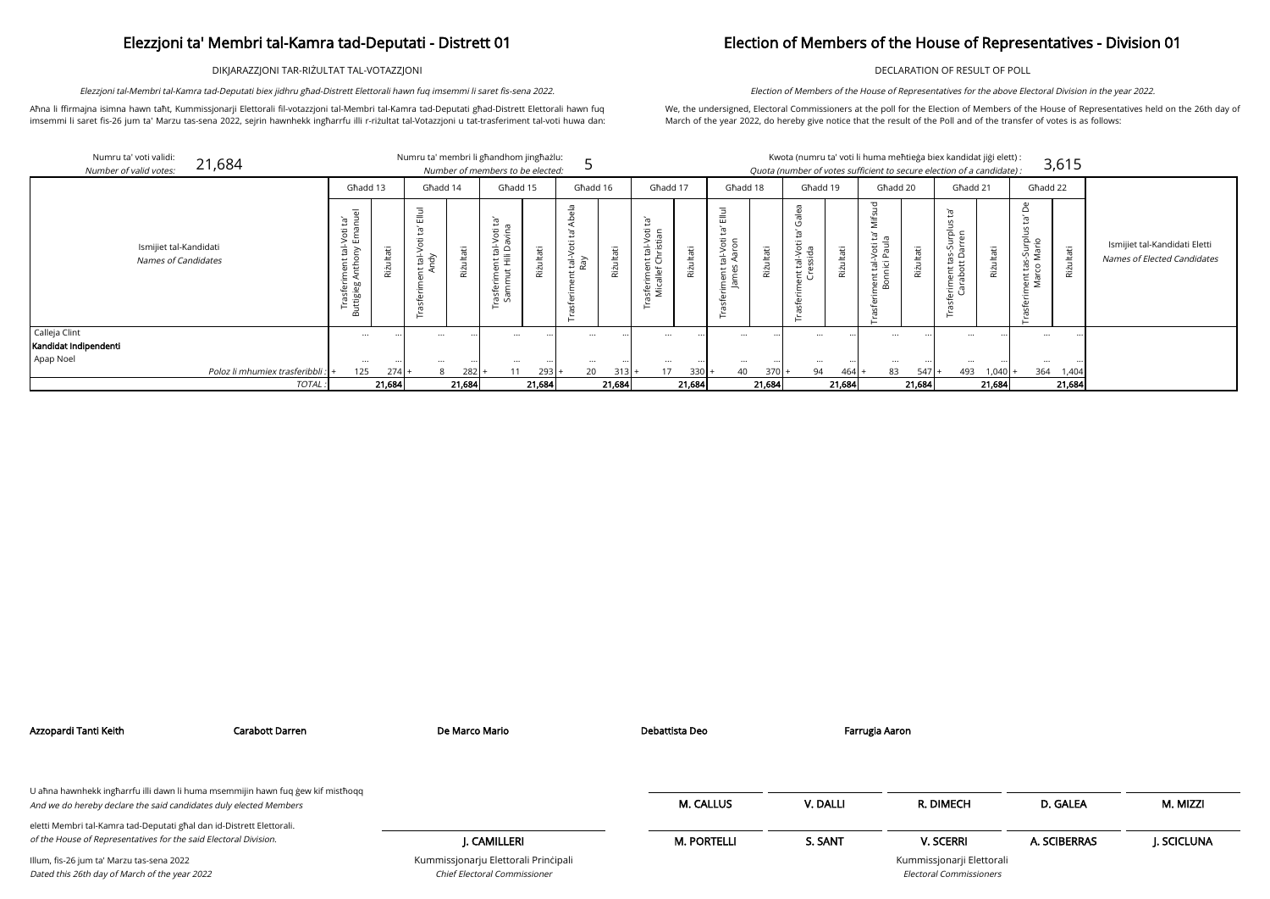DIKJARAZZJONI TAR-RIŻULTAT TAL-VOTAZZJONI

Aħna li ffirmajna isimna hawn taħt, Kummissjonarji Elettorali fil-votazzjoni tal-Membri tal-Kamra tad-Deputati għad-Distrett Elettorali hawn fuq imsemmi li saret fis-26 jum ta' Marzu tas-sena 2022, sejrin hawnhekk ingħarrfu illi r-riżultat tal-Votazzjoni u tat-trasferiment tal-voti huwa dan:

Elezzjoni tal-Membri tal-Kamra tad-Deputati biex jidhru għad-Distrett Elettorali hawn fuq imsemmi li saret fis-sena 2022.

## Election of Members of the House of Representatives - Division 01

DECLARATION OF RESULT OF POLL

We, the undersigned, Electoral Commissioners at the poll for the Election of Members of the House of Representatives held on the 26th day of March of the year 2022, do hereby give notice that the result of the Poll and of the transfer of votes is as follows:

Election of Members of the House of Representatives for the above Electoral Division in the year 2022.

| Number of valid votes:             | Numru ta' voti validi:<br>21,684              |                                                                                                                      |           | Numru ta' membri li għandhom jingħażlu:                    |           | Number of members to be elected:                                                                             |           |                                  |           |                                                                        |           |                                                   |           |                                                   |           | Kwota (numru ta' voti li huma meħtieġa biex kandidat jiġi elett) :<br>Quota (number of votes sufficient to secure election of a candidate): |           |                                                                            |                    |                                                     | 3,615     |
|------------------------------------|-----------------------------------------------|----------------------------------------------------------------------------------------------------------------------|-----------|------------------------------------------------------------|-----------|--------------------------------------------------------------------------------------------------------------|-----------|----------------------------------|-----------|------------------------------------------------------------------------|-----------|---------------------------------------------------|-----------|---------------------------------------------------|-----------|---------------------------------------------------------------------------------------------------------------------------------------------|-----------|----------------------------------------------------------------------------|--------------------|-----------------------------------------------------|-----------|
|                                    |                                               | Ghadd 13                                                                                                             |           | Għadd 14                                                   |           | Ghadd 15                                                                                                     |           | Ghadd 16                         |           | Ghadd 17                                                               |           | Ghadd 18                                          |           | Ghadd 19                                          |           | Ghadd 20                                                                                                                                    |           | Ghadd 21                                                                   |                    | Ghadd 22                                            |           |
|                                    | Ismijiet tal-Kandidati<br>Names of Candidates | $\overline{a}$<br>ia,<br>⊐<br>öť<br>ய<br>$\frac{1}{10}$<br>$\overline{c}$<br>ïГ.<br><b>bo</b><br>Φ<br>. in<br>uttigi | Rizultati | $\overline{m}$<br>ᢛ<br>Φ<br>$\circ$<br>$V$ -let<br>ġ<br>۲ŕ | Riżultati | Ē,<br>öÜ<br>$\frac{1}{2}$<br>$\frac{1}{16}$<br>≏<br>ଌ<br>본 토<br>$\overline{u}$<br>∵⊏<br>Φ<br>Ε<br>nes<br>San | Riżultati | $\frac{a}{b}$<br>tal-Voti<br>Ray | Riżultati | $\overline{c}$<br>tal-Voti<br>nristian<br>ਦ ਹੋ<br>sferimer<br>Micallef | Rizultati | Ξ<br>룹<br>tal-Voti<br>능.<br>◅<br>ent<br>$\bar{e}$ | Riżultati | $\frac{e}{a}$<br>Φ<br>$\circ$<br>ത<br>ੌ<br>言<br>ب | Riżultati | 꽁<br>≐<br>é<br>-Voti<br>Paul<br>ig<br>$\frac{1}{2}$<br>$\overline{\mathsf{r}}$<br>ω                                                         | Rizultati | Jurply<br>$\cup$<br>යි<br>$\overline{u}$<br>abot<br>abot<br>erime<br>Carat | Riżultati          | Φ<br>$\Omega$<br>모.<br>이<br>$\sqrt{ }$<br>ent<br>ιŠ | Riżultati |
| Calleja Clint                      |                                               | $\cdots$                                                                                                             |           | $\cdots$                                                   |           | $\cdots$                                                                                                     |           | $\cdots$                         |           | $\cdots$                                                               |           | $\cdots$                                          |           | $\cdots$                                          |           | $\cdots$                                                                                                                                    |           | $\cdots$                                                                   |                    |                                                     |           |
| Kandidat Indipendenti<br>Apap Noel |                                               |                                                                                                                      |           |                                                            |           |                                                                                                              |           |                                  |           |                                                                        |           |                                                   |           |                                                   |           |                                                                                                                                             |           |                                                                            |                    |                                                     |           |
|                                    | Poloz li mhumiex trasferibbli : +             | $\cdots$<br>125                                                                                                      | 274       | $\cdots$<br>8                                              | $282$ +   | $\cdots$<br>11                                                                                               | $293 +$   | $\cdots$<br>20                   | 313       | $\cdots$<br>17                                                         | $330+$    | $\cdots$<br>40                                    | $370 +$   | $\cdots$<br>94                                    | 464       | $\cdots$<br>83                                                                                                                              | 547       | 493                                                                        | $\cdot$ .<br>1,040 | 364                                                 | 1,404     |
|                                    | TOTAL                                         |                                                                                                                      | 21,684    |                                                            | 21,684    |                                                                                                              | 21,684    |                                  | 21,684    |                                                                        | 21,684    |                                                   | 21,684    |                                                   | 21,684    |                                                                                                                                             | 21,684    |                                                                            | 21,684             |                                                     | 21,684    |

|                                                 | kandidat jiģi elett) :<br>on of a candidate) : |                                                | 3,615           |                                                              |
|-------------------------------------------------|------------------------------------------------|------------------------------------------------|-----------------|--------------------------------------------------------------|
| Ghadd 21                                        |                                                | Ghadd 22                                       |                 |                                                              |
| Trasferiment tas-Surplus ta'<br>Carabott Darren | Rizultati                                      | Trasferiment tas-Surplus ta' De<br>Marco Mario | Rizultati       | Ismijiet tal-Kandidati Eletti<br>Names of Elected Candidates |
|                                                 | $\ddot{\phantom{0}}$                           |                                                |                 |                                                              |
|                                                 | $\cdots$                                       |                                                |                 |                                                              |
| 493                                             | 1,040<br>21,684                                | 364<br>$^{+}$                                  | 1,404<br>21,684 |                                                              |
|                                                 |                                                |                                                |                 |                                                              |

| CH                           | D. GALEA     | M. MIZZI    |
|------------------------------|--------------|-------------|
| RI                           | A. SCIBERRAS | J. SCICLUNA |
| rji Elettorali<br>missioners |              |             |

| Azzopardi Tanti Keith                                                                      | Carabott Darren                                                                 | De Marco Mario                                                              | Debattista Deo     | Farrugia Aaron |                                                      |              |             |
|--------------------------------------------------------------------------------------------|---------------------------------------------------------------------------------|-----------------------------------------------------------------------------|--------------------|----------------|------------------------------------------------------|--------------|-------------|
| And we do hereby declare the said candidates duly elected Members                          | U aħna hawnhekk ingħarrfu illi dawn li huma msemmijin hawn fuq gew kif mistħoqq |                                                                             | <b>M. CALLUS</b>   | V. DALLI       | R. DIMECH                                            | D. GALEA     | M. MIZZI    |
| eletti Membri tal-Kamra tad-Deputati għal dan id-Distrett Elettorali.                      |                                                                                 |                                                                             |                    |                |                                                      |              |             |
| of the House of Representatives for the said Electoral Division.                           |                                                                                 | J. CAMILLERI                                                                | <b>M. PORTELLI</b> | S. SANT        | <b>V. SCERRI</b>                                     | A. SCIBERRAS | J. SCICLUNA |
| Illum, fis-26 jum ta' Marzu tas-sena 2022<br>Dated this 26th day of March of the year 2022 |                                                                                 | Kummissjonarju Elettorali Principali<br><b>Chief Electoral Commissioner</b> |                    |                | Kummissjonarji Elettorali<br>Electoral Commissioners |              |             |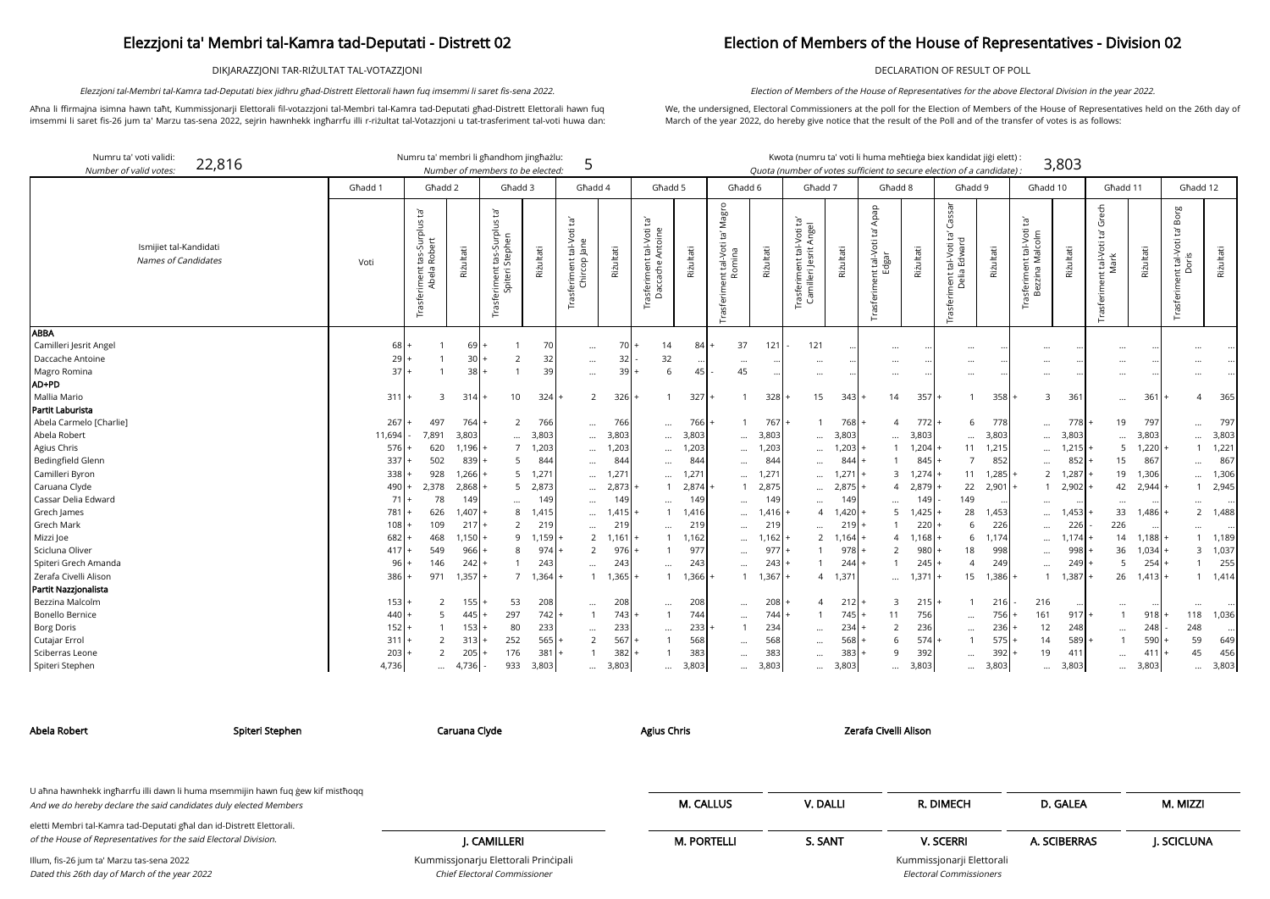DIKJARAZZJONI TAR-RIŻULTAT TAL-VOTAZZJONI

Aħna li ffirmajna isimna hawn taħt, Kummissjonarji Elettorali fil-votazzjoni tal-Membri tal-Kamra tad-Deputati għad-Distrett Elettorali hawn fuq imsemmi li saret fis-26 jum ta' Marzu tas-sena 2022, sejrin hawnhekk ingħarrfu illi r-riżultat tal-Votazzjoni u tat-trasferiment tal-voti huwa dan:

22,816 Numru ta' membri li għandhom jingħażlu: Kwota (numru ta' voti li huma meħtieġa biex kan

Elezzjoni tal-Membri tal-Kamra tad-Deputati biex jidhru għad-Distrett Elettorali hawn fuq imsemmi li saret fis-sena 2022.

### Election of Members of the House of Representatives - Division 02

DECLARATION OF RESULT OF POLL

We, the undersigned, Electoral Commissioners at the poll for the Election of Members of the House of Representatives held on the 26th day of March of the year 2022, do hereby give notice that the result of the Poll and of the transfer of votes is as follows:

Election of Members of the House of Representatives for the above Electoral Division in the year 2022.

| didat jiği elett):        |       |
|---------------------------|-------|
| rf <i>a candidate</i> ) : | 3,803 |

arji Elettorali Electoral Commissioners

| Numru ta' voti validi:<br>Number of valid votes. | 22,816                                        |         | Numru ta' membri li għandhom jingħażlu:                           |                 | Number of members to be elected:                                                 |           | 5                                              |           |                                               |           |                                                  |           | Kwota (numru ta' voti li huma meħtieġa biex kandidat jiġi elett) :<br>Quota (number of votes sufficient to secure election of a candidate) |           |                                                 |           |                                                                             |           |                                                            | 3,803     |                                                 |               |                                                 |           |
|--------------------------------------------------|-----------------------------------------------|---------|-------------------------------------------------------------------|-----------------|----------------------------------------------------------------------------------|-----------|------------------------------------------------|-----------|-----------------------------------------------|-----------|--------------------------------------------------|-----------|--------------------------------------------------------------------------------------------------------------------------------------------|-----------|-------------------------------------------------|-----------|-----------------------------------------------------------------------------|-----------|------------------------------------------------------------|-----------|-------------------------------------------------|---------------|-------------------------------------------------|-----------|
|                                                  |                                               | Għadd 1 | Għadd 2                                                           |                 | Għadd 3                                                                          |           | Għadd 4                                        |           | Ghadd 5                                       |           | Għadd 6                                          |           | Ghadd 7                                                                                                                                    |           | Ghadd 8                                         |           | Għadd 9                                                                     |           | Għadd 10                                                   |           | Għadd 11                                        |               | Għadd 12                                        |           |
|                                                  | Ismijiet tal-Kandidati<br>Names of Candidates | Voti    | $\tilde{E}$<br>tas-Surplus<br>Robert<br>Trasferiment t<br>Abela F | Rizultati       | Įą,<br>S<br>$\frac{1}{\Omega}$<br>tas-Sur<br>Stepher<br>ent<br>Spiteri<br>sferim | Riżultati | $\Xi$<br>Trasferiment tal-Voti<br>Chircop Jane | Rizultati | Trasferiment tal-Voti ta'<br>Daccache Antoine | Rizultati | Magro<br>ē,<br>nt tal-Voti<br>Romina<br>rasferim | Riżultati | -Voti ta'<br>Angel<br>$nt$ tal-<br>rasferiment tal-<br>Camilleri Jesrit <i>I</i>                                                           | Riżultati | Apap<br>$\Xi$<br>Trasferiment tal-Voti<br>Edgar | Riżultati | Cassar<br>ē,<br>$\overline{\sigma}$<br>Trasferiment tal-Voti<br>Delia Edwar | Riżultati | $\overline{c}$<br>asferiment tal-Voti t<br>Bezzina Malcolm | Rizultati | Grech<br>`g<br>nt tal-Voti<br>Mark<br>Trasferim | Riżultati     | Borg<br>nt tal-Voti ta' l<br>Doris<br>Trasferim | Riżultati |
| ABBA<br>Camilleri Jesrit Angel                   |                                               | 68      |                                                                   | 69              |                                                                                  | 70        | $\cdots$                                       | 70        | 14                                            | 84        | 37                                               | 121       | 121                                                                                                                                        |           | $\cdots$                                        |           | $\ddotsc$                                                                   |           | $\cdots$                                                   |           | $\ddotsc$                                       |               |                                                 |           |
| Daccache Antoine                                 |                                               | 29      |                                                                   | 30 <sup>1</sup> | $\overline{2}$                                                                   | 32        | $\cdots$                                       | 32        | 32                                            |           | $\cdots$                                         |           | $\cdots$                                                                                                                                   |           | $\cdots$                                        | $\cdots$  | $\ddotsc$                                                                   |           | $\cdots$                                                   |           | $\ddotsc$                                       | $\cdot \cdot$ |                                                 |           |
| Magro Romina                                     |                                               | 37      |                                                                   | 38 l            |                                                                                  | 39        | $\cdots$                                       | 39        | 6                                             |           | 45                                               |           | $\cdots$                                                                                                                                   |           | $\cdots$                                        | $\cdots$  | $\cdots$                                                                    |           | $\cdots$                                                   |           | $\ldots$                                        | $\cdots$      |                                                 |           |
| AD+PD                                            |                                               |         |                                                                   |                 |                                                                                  |           |                                                |           |                                               |           |                                                  |           |                                                                                                                                            |           |                                                 |           |                                                                             |           |                                                            |           |                                                 |               |                                                 |           |
| Mallia Mario                                     |                                               | 311     | 3                                                                 | 314             | 10                                                                               | 324       | $\overline{2}$                                 | 326       | $\mathbf{1}$                                  | 327       | $\mathbf{1}$                                     | 328       | 15                                                                                                                                         | 343       | 14                                              | 357       |                                                                             | 358       | 3                                                          | 361       |                                                 | 361           | 4                                               | 365       |
| Partit Laburista                                 |                                               |         |                                                                   |                 |                                                                                  |           |                                                |           |                                               |           |                                                  |           |                                                                                                                                            |           |                                                 |           |                                                                             |           |                                                            |           |                                                 |               |                                                 |           |
| Abela Carmelo [Charlie]                          |                                               | 267     | 497                                                               | 764             | $\overline{2}$                                                                   | 766       | $\cdots$                                       | 766       | $\cdots$                                      | 766       | $\mathbf 1$                                      | 767       |                                                                                                                                            | 768       | 4                                               | $772$  +  | -6                                                                          | 778       | $\cdots$                                                   | 778       | 19                                              | 797           | $\ddotsc$                                       | 797       |
| Abela Robert                                     |                                               | 11,694  | 7,891                                                             | 3,803           | $\cdots$                                                                         | 3,803     |                                                | 3,803     | $\cdots$                                      | 3,803     | $\cdots$                                         | 3,803     | $\cdots$                                                                                                                                   | 3,803     | $\cdots$                                        | 3,803     | $\cdots$                                                                    | 3,803     | $\cdots$                                                   | 3,803     | $\ddotsc$                                       | 3,803         |                                                 | 3,803     |
| Agius Chris                                      |                                               | 576     | 620                                                               | 1,196           | $\overline{7}$                                                                   | 1,203     | $\cdots$                                       | 1,203     | $\cdots$                                      | 1,203     | $\cdots$                                         | 1,203     | $\cdots$                                                                                                                                   | 1,203     |                                                 | 1,204     | 11                                                                          | 1,215     | $\cdots$                                                   | 1,215     | 5                                               | 1,220         |                                                 | 1,221     |
| Bedingfield Glenn                                |                                               | 337     | 502                                                               | 839             | 5                                                                                | 844       | $\cdots$                                       | 84        |                                               | 844       | $\cdots$                                         | 844       | $\cdots$                                                                                                                                   | 844       |                                                 | 845       |                                                                             | 852       | $\cdots$                                                   | 852       | 15                                              | 867           |                                                 | 867       |
| Camilleri Byron                                  |                                               | 338     | 928                                                               | 1,266           | 5                                                                                | 1,271     | $\cdots$                                       | 1,27'     | $\cdots$                                      | ,271      | $\cdots$                                         | 1,271     | $\cdots$                                                                                                                                   | 1,27      | 3                                               | 1,274     | 11                                                                          | 1,285     | $\overline{2}$                                             | 1,287     | 19                                              | 1,306         | $\ddotsc$                                       | 1,306     |
| Caruana Clyde                                    |                                               | 490     | 2,378                                                             | 2,868           | 5                                                                                | 2,873     | $\cdots$                                       | 2,873     | -1                                            | 2,874     | $\overline{1}$                                   | 2,875     | $\ddots$                                                                                                                                   | 2,87      | 4                                               | 2,879     | 22                                                                          | 2,901     | $\mathbf{1}$                                               | 2,902     | 42                                              | 2,944         |                                                 | 2,945     |
| Cassar Delia Edward                              |                                               | 71      | 78                                                                | 149             |                                                                                  | 149       | $\cdots$                                       | 149       |                                               | 149       | $\cdots$                                         | 149       | $\cdots$                                                                                                                                   | 149       | $\cdots$                                        | 149       | 149                                                                         |           | $\cdots$                                                   |           | $\cdots$                                        | $\cdots$      |                                                 |           |
| Grech James                                      |                                               | 781     | 626                                                               | ,407            | 8                                                                                | 1,415     | $\cdots$                                       | 1,415     |                                               | 1,416     | $\cdots$                                         | 1,416     | $\overline{4}$                                                                                                                             | 1,420     | 5                                               | 1,425     | 28                                                                          | 1,453     | $\cdots$                                                   | 1,453     | 33                                              | 1,486         | $\overline{2}$                                  | 1,488     |
| <b>Grech Mark</b>                                |                                               | 108     | 109                                                               | 217             | $\overline{2}$                                                                   | 219       | $\cdots$                                       | 219       | $\cdots$                                      | 219       | $\cdots$                                         | 219       | $\cdots$                                                                                                                                   | 219       |                                                 | 220       |                                                                             | 226       | $\cdots$                                                   | 226       | 226                                             |               |                                                 |           |
| Mizzi Joe                                        |                                               | 682     | 468                                                               | ,150            | 9                                                                                | 1,159     | $\overline{2}$                                 | 1,161     |                                               | 1,162     | $\cdots$                                         | 1,162     | 2                                                                                                                                          | 1,164     | 4                                               | 1.168     | 6                                                                           | 1.174     | $\cdots$                                                   | 1,174     | 14                                              | 1,188         |                                                 | 1,189     |
| Scicluna Oliver                                  |                                               | 417     | 549                                                               | 966             | 8                                                                                | 974       | 2                                              | 976       |                                               | 977       |                                                  | 977       |                                                                                                                                            | 978       | 2                                               | 980       | 18                                                                          | 998       | $\cdots$                                                   | 998       | 36                                              | 1,034         | 3                                               | 1,037     |
| Spiteri Grech Amanda                             |                                               | 96      | 146                                                               | 242             |                                                                                  | 243       | $\cdots$                                       | 243       | $\cdots$                                      | 243       |                                                  | 243       |                                                                                                                                            | 244       |                                                 | 245       | $\Delta$                                                                    | 249       | $\cdots$                                                   | 249       | 5                                               | 254           |                                                 | 255       |
| Zerafa Civelli Alison                            |                                               | 386     | 971                                                               | 1,357           | $\overline{7}$                                                                   | 1,364     |                                                | 1,365     | $\mathbf{1}$                                  | 1,366     | $\mathbf{1}$                                     | 1,367     | 4                                                                                                                                          | 1,37      | $\cdots$                                        | 1,371     | 15                                                                          | 1,386     | $\mathbf{1}$                                               | 1.387     | 26                                              | 1,413         |                                                 | 1,414     |
| Partit Nazzjonalista                             |                                               |         |                                                                   |                 |                                                                                  |           |                                                |           |                                               |           |                                                  |           |                                                                                                                                            |           |                                                 |           |                                                                             |           |                                                            |           |                                                 |               |                                                 |           |
| Bezzina Malcolm                                  |                                               | 153     | 2                                                                 | 155             | 53                                                                               | 208       | $\cdots$                                       | 208       | $\cdots$                                      | 208       |                                                  | 208       | 4                                                                                                                                          | 212       | 3                                               | 215       |                                                                             | 216       | 216                                                        |           | $\ddots$                                        |               |                                                 |           |
| <b>Bonello Bernice</b>                           |                                               | 440     | 5                                                                 | 445             | 297                                                                              | 742       |                                                | 743       | $\mathbf{1}$                                  | 744       | $\cdots$                                         | 744       |                                                                                                                                            | 745       | 11                                              | 756       |                                                                             | 756       | 161                                                        | 917       |                                                 | 918           | 118                                             | 1,036     |
| <b>Borg Doris</b>                                |                                               | 152     |                                                                   | 153             | 80                                                                               | 233       | $\cdots$                                       | 233       | $\cdots$                                      | 233       | $\mathbf{1}$                                     | 234       |                                                                                                                                            | 234       | 2                                               | 236       | $\cdots$                                                                    | 236       | 12                                                         | 248       | $\ldots$                                        | 248           | 248                                             |           |
| Cutajar Errol                                    |                                               | 311     | 2                                                                 | 313             | 252                                                                              | 565       | $\overline{2}$                                 | 567       |                                               | 568       | $\cdots$                                         | 568       | $\cdots$                                                                                                                                   | 568       | 6                                               | 574       |                                                                             | 575       | 14                                                         | 589       |                                                 | 590           | 59                                              | 649       |
| Sciberras Leone                                  |                                               | 203     | 2                                                                 | 205             | 176                                                                              | 381       |                                                | 382       |                                               | 383       |                                                  | 383       | $\cdots$                                                                                                                                   | 383       | $\mathsf{Q}$                                    | 392       |                                                                             | 392       | 19                                                         | 411       | $\ddots$                                        | 411           | 45                                              | 456       |
| Spiteri Stephen                                  |                                               | 4,736   | $\cdots$                                                          | 4,736           | 933                                                                              | 3,803     | $\cdots$                                       | 3,803     | $\cdots$                                      | 3,803     | $\cdots$                                         | 3,803     | $\cdots$                                                                                                                                   | 3,803     | $\cdots$                                        | 3,803     | $\cdots$                                                                    | 3,803     | $\cdots$                                                   | 3,803     | $\cdots$                                        | 3,803         | $\cdots$                                        | 3,803     |

Chief Electoral Commissioner

| Abela Robert                                                                                                                              | Spiteri Stephen                                                                   | Caruana Clyde                        | <b>Agius Chris</b> |          | Zerafa Civelli Alison     |              |            |
|-------------------------------------------------------------------------------------------------------------------------------------------|-----------------------------------------------------------------------------------|--------------------------------------|--------------------|----------|---------------------------|--------------|------------|
| And we do hereby declare the said candidates duly elected Members                                                                         | U afina hawnhekk ingfiarrfu illi dawn li huma msemmijin hawn fuq gew kif misthoqq |                                      | <b>M. CALLUS</b>   | V. DALLI | R. DIMECH                 | D. GALEA     | M. MIZZI   |
| eletti Membri tal-Kamra tad-Deputati għal dan id-Distrett Elettorali.<br>of the House of Representatives for the said Electoral Division. |                                                                                   | J. CAMILLERI                         | <b>M. PORTELLI</b> | S. SANT  | <b>V. SCERRI</b>          | A. SCIBERRAS | J. SCICLUN |
| Illum, fis-26 jum ta' Marzu tas-sena 2022                                                                                                 |                                                                                   | Kummissjonarju Elettorali Principali |                    |          | Kummissjonarji Elettorali |              |            |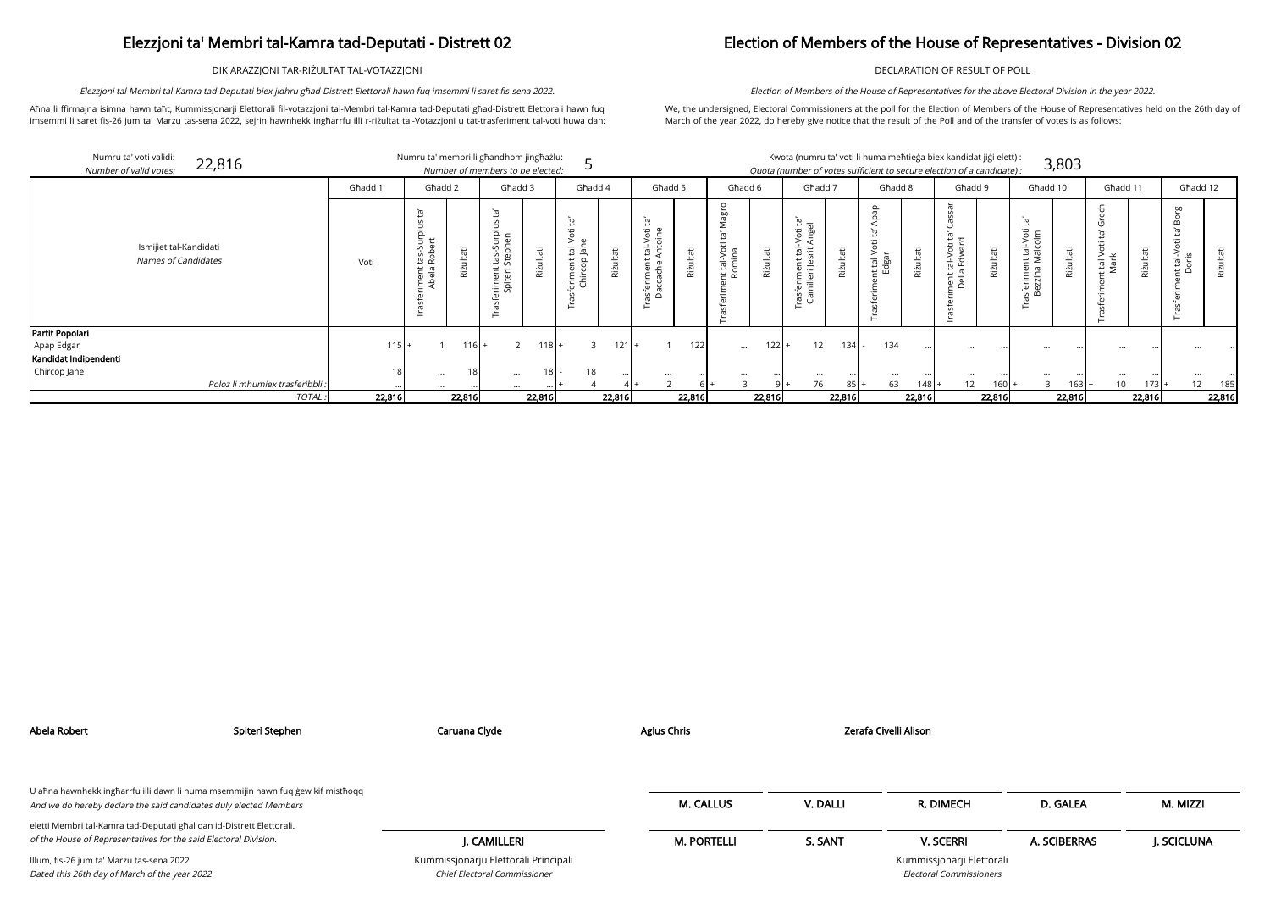DIKJARAZZJONI TAR-RIŻULTAT TAL-VOTAZZJONI

Aħna li ffirmajna isimna hawn taħt, Kummissjonarji Elettorali fil-votazzjoni tal-Membri tal-Kamra tad-Deputati għad-Distrett Elettorali hawn fuq imsemmi li saret fis-26 jum ta' Marzu tas-sena 2022, sejrin hawnhekk ingħarrfu illi r-riżultat tal-Votazzjoni u tat-trasferiment tal-voti huwa dan:

Elezzjoni tal-Membri tal-Kamra tad-Deputati biex jidhru għad-Distrett Elettorali hawn fuq imsemmi li saret fis-sena 2022.

ndidat jiġi elett) : of a candidate) : 3,803

## Election of Members of the House of Representatives - Division 02

DECLARATION OF RESULT OF POLL

We, the undersigned, Electoral Commissioners at the poll for the Election of Members of the House of Representatives held on the 26th day of March of the year 2022, do hereby give notice that the result of the Poll and of the transfer of votes is as follows:

Election of Members of the House of Representatives for the above Electoral Division in the year 2022.

| Numru ta' voti validi:<br>22,816<br>Number of valid votes: |         | Numru ta' membri li għandhom jingħażlu: | Number of members to be elected: |   |                                     |                |               |               |               | Kwota (numru ta' voti li huma meħtieġa biex kan<br>Quota (number of votes sufficient to secure election |                         |
|------------------------------------------------------------|---------|-----------------------------------------|----------------------------------|---|-------------------------------------|----------------|---------------|---------------|---------------|---------------------------------------------------------------------------------------------------------|-------------------------|
|                                                            | Ghadd 1 | Għadd 2                                 | Ghadd 3                          |   | Għadd 4                             |                | Għadd 5       | Għadd 6       | Ghadd 7       | Għadd 8                                                                                                 |                         |
| Ismijiet tal-Kandidati                                     |         | سد<br>$\Omega$                          | σ<br>۔ ب<br>후다<br>┶<br>-         | Ξ | $\sigma$<br>تد<br>$\circ$<br>C<br>— | $\overline{ }$ | ഁ൛<br>تە<br>Φ | b<br>ᠬᠣ<br>سد | $\Xi$ –<br>öť | $\Omega$<br>. .                                                                                         | $\omega$<br>᠊ᢐ<br>$\Xi$ |

| $\Omega$<br>ਨੋ<br>Apap<br>ဗ္<br>÷<br>ig,<br>$\tilde{E}_1$<br>မိ<br>$\overline{c}$<br>Ĭā,<br>tal-Voti ta'<br>srit Angel<br>$\tilde{E}$<br>$\sqrt{2}$<br>$\mathfrak{g}$<br>ಀ<br>īg<br>힢<br>tal-Voti<br>Antoine<br>Voti<br>$\tilde{E}$<br>Voti<br>alcolm<br>ہ م<br>آ<br>௨<br>Jane<br><sub>ent tal-Voti t</sub><br>Edgar<br>nt tal-Voti<br>Doris<br>$\cdot$ $-$<br>nent tal-Voti t<br>Delia Edward<br>ÌБ.<br>tas-Su<br>Stephe<br>Ismijiet tal-Kandidati<br>$\frac{1}{16}$<br>tas-Su<br>Rober<br>Riżultati<br>ultati<br>Riżultati<br>Riżultati<br>Riżultati<br>Riżultati<br>Riżultati<br>Riżultati<br>Riżultati<br>ltati<br>nt tal-Vot<br>Romina<br>tal-Vo<br><i>N</i> ark<br>Σ<br>Names of Candidates<br>asferiment t<br>Daccache A<br>$\overline{r}$<br>eriment<br>Chircop<br>$\sharp$<br>Voti<br>riment<br>illeri Je:<br>sferimer<br>Bezzina<br>Riżi<br>iment<br>Abela<br>.  nent<br>Spiteri S<br>Rizi<br>ധ<br>rasfer<br>Cami<br>asferin<br>┄<br>မှို<br>ᠬᠣ<br>$\pi$<br>는<br>⊢<br>⊢<br>$115 +$<br>122<br>134<br>2<br>$121 +$<br>12<br>134<br>Apap Edgar<br>$116$ +<br>$118 +$<br>$122 +$<br>$\cdots$<br>$\cdots$<br>$\cdots$<br>$\cdots$<br>$\cdots$<br>$\cdots$<br>Chircop Jane<br>18<br>18<br>18<br>$\cdots$<br>$\cdots$<br>$\cdots$<br>$\cdots$<br>$\cdots$<br>$\cdots$<br>$\cdots$<br>$\cdots$<br>$\cdots$<br>$\cdots$<br><br><br>$\cdot \cdot$<br>76<br>63<br>12<br>$173 +$<br>12<br>Poloz li mhumiex trasferibbli .<br>$85 +$<br>$148$ .<br>$160 -$<br>$\mathbf{3}$<br>$163 +$<br>10<br>$Q_{\parallel +}$<br>4 I ·<br>$\cdots$<br>$\cdots$<br>$\cdot$ . |              | Għadd 1 | Għadd 2 |        | Għadd 3 |        | Ghadd 4 |        | Ghadd 5 |        | Għadd 6 |        | Ghadd 7 |        | Ghadd 8 |        | Ghadd 9 |        | Għadd 10 |        | Għadd 11 |        | Għadd 12 |           |
|-------------------------------------------------------------------------------------------------------------------------------------------------------------------------------------------------------------------------------------------------------------------------------------------------------------------------------------------------------------------------------------------------------------------------------------------------------------------------------------------------------------------------------------------------------------------------------------------------------------------------------------------------------------------------------------------------------------------------------------------------------------------------------------------------------------------------------------------------------------------------------------------------------------------------------------------------------------------------------------------------------------------------------------------------------------------------------------------------------------------------------------------------------------------------------------------------------------------------------------------------------------------------------------------------------------------------------------------------------------------------------------------------------------------------------------------------------------------------------------------------------------------------------------------------------------|--------------|---------|---------|--------|---------|--------|---------|--------|---------|--------|---------|--------|---------|--------|---------|--------|---------|--------|----------|--------|----------|--------|----------|-----------|
| Partit Popolari<br>Kandidat Indipendenti                                                                                                                                                                                                                                                                                                                                                                                                                                                                                                                                                                                                                                                                                                                                                                                                                                                                                                                                                                                                                                                                                                                                                                                                                                                                                                                                                                                                                                                                                                                    |              |         |         |        |         |        |         |        |         |        |         |        |         |        |         |        |         |        |          |        |          |        |          | Riżultati |
|                                                                                                                                                                                                                                                                                                                                                                                                                                                                                                                                                                                                                                                                                                                                                                                                                                                                                                                                                                                                                                                                                                                                                                                                                                                                                                                                                                                                                                                                                                                                                             |              |         |         |        |         |        |         |        |         |        |         |        |         |        |         |        |         |        |          |        |          |        |          |           |
|                                                                                                                                                                                                                                                                                                                                                                                                                                                                                                                                                                                                                                                                                                                                                                                                                                                                                                                                                                                                                                                                                                                                                                                                                                                                                                                                                                                                                                                                                                                                                             |              |         |         |        |         |        |         |        |         |        |         |        |         |        |         |        |         |        |          |        |          |        |          |           |
|                                                                                                                                                                                                                                                                                                                                                                                                                                                                                                                                                                                                                                                                                                                                                                                                                                                                                                                                                                                                                                                                                                                                                                                                                                                                                                                                                                                                                                                                                                                                                             |              |         |         |        |         |        |         |        |         |        |         |        |         |        |         |        |         |        |          |        |          |        |          |           |
|                                                                                                                                                                                                                                                                                                                                                                                                                                                                                                                                                                                                                                                                                                                                                                                                                                                                                                                                                                                                                                                                                                                                                                                                                                                                                                                                                                                                                                                                                                                                                             |              |         |         |        |         |        |         |        |         |        |         |        |         |        |         |        |         |        |          |        |          |        |          |           |
|                                                                                                                                                                                                                                                                                                                                                                                                                                                                                                                                                                                                                                                                                                                                                                                                                                                                                                                                                                                                                                                                                                                                                                                                                                                                                                                                                                                                                                                                                                                                                             |              |         |         |        |         |        |         |        |         |        |         |        |         |        |         |        |         |        |          |        |          |        |          | 185       |
|                                                                                                                                                                                                                                                                                                                                                                                                                                                                                                                                                                                                                                                                                                                                                                                                                                                                                                                                                                                                                                                                                                                                                                                                                                                                                                                                                                                                                                                                                                                                                             | <b>TOTAL</b> | 22,816  |         | 22,816 |         | 22,816 |         | 22,816 |         | 22,816 |         | 22,816 |         | 22,816 |         | 22,816 |         | 22,816 |          | 22,816 |          | 22,816 |          | 22,816    |

| Abela Robert                                                                                                                                         | Spiteri Stephen | Caruana Clyde                                                               | Agius Chris        |          | Zerafa Civelli Alison                                       |              |            |
|------------------------------------------------------------------------------------------------------------------------------------------------------|-----------------|-----------------------------------------------------------------------------|--------------------|----------|-------------------------------------------------------------|--------------|------------|
| U aħna hawnhekk ingħarrfu illi dawn li huma msemmijin hawn fuq gew kif mistħoqq<br>And we do hereby declare the said candidates duly elected Members |                 |                                                                             | <b>M. CALLUS</b>   | V. DALLI | R. DIMECH                                                   | D. GALEA     | M. MIZZI   |
| eletti Membri tal-Kamra tad-Deputati għal dan id-Distrett Elettorali.<br>of the House of Representatives for the said Electoral Division.            |                 | J. CAMILLERI                                                                | <b>M. PORTELLI</b> | S. SANT  | <b>V. SCERRI</b>                                            | A. SCIBERRAS | J. SCICLUN |
| Illum, fis-26 jum ta' Marzu tas-sena 2022<br>Dated this 26th day of March of the year 2022                                                           |                 | Kummissjonarju Elettorali Principali<br><b>Chief Electoral Commissioner</b> |                    |          | Kummissjonarji Elettorali<br><b>Electoral Commissioners</b> |              |            |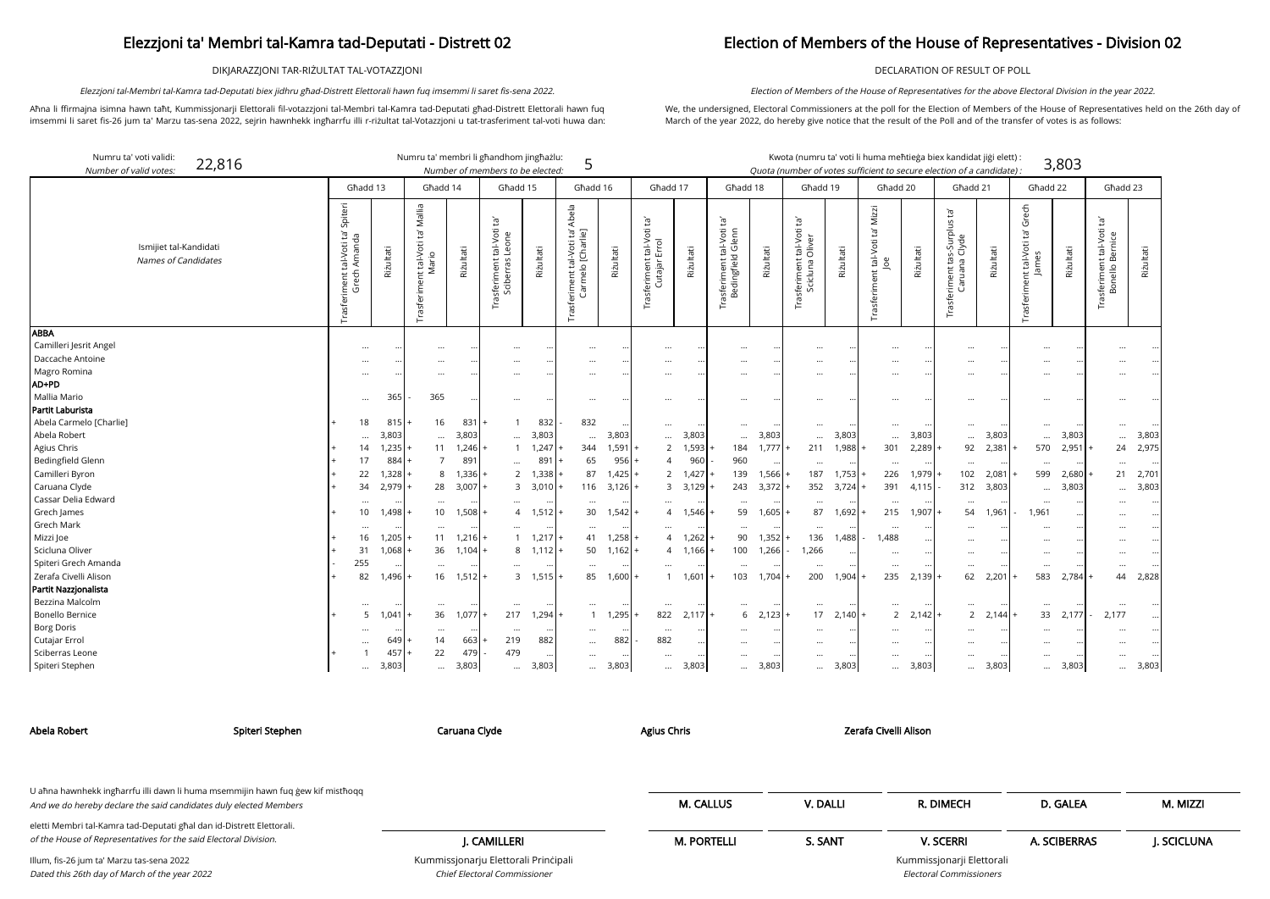DIKJARAZZJONI TAR-RIŻULTAT TAL-VOTAZZJONI

Aħna li ffirmajna isimna hawn taħt, Kummissjonarji Elettorali fil-votazzjoni tal-Membri tal-Kamra tad-Deputati għad-Distrett Elettorali hawn fuq imsemmi li saret fis-26 jum ta' Marzu tas-sena 2022, sejrin hawnhekk ingħarrfu illi r-riżultat tal-Votazzjoni u tat-trasferiment tal-voti huwa dan:

Elezzjoni tal-Membri tal-Kamra tad-Deputati biex jidhru għad-Distrett Elettorali hawn fuq imsemmi li saret fis-sena 2022.

kandidat jiġi elett) <mark>:</mark> on of a candidate) : 3,803

### Election of Members of the House of Representatives - Division 02

DECLARATION OF RESULT OF POLL

We, the undersigned, Electoral Commissioners at the poll for the Election of Members of the House of Representatives held on the 26th day of March of the year 2022, do hereby give notice that the result of the Poll and of the transfer of votes is as follows:

Election of Members of the House of Representatives for the above Electoral Division in the year 2022.

| Għadd 21                                |           |           | Għadd 22                                |           | Għadd 23                                           |           |
|-----------------------------------------|-----------|-----------|-----------------------------------------|-----------|----------------------------------------------------|-----------|
| asteriment tas-Surplus<br>Caruana Clyde | Rizultati |           | rasferiment tal-Voti ta' Grech<br>James | Rizultati | Trasferiment tal-Voti ta<br><b>Bonello Bernice</b> | Rizultati |
|                                         |           |           |                                         |           |                                                    |           |
|                                         |           |           |                                         |           |                                                    |           |
|                                         |           |           |                                         |           |                                                    |           |
|                                         |           |           |                                         |           |                                                    |           |
|                                         |           |           |                                         |           |                                                    |           |
|                                         |           |           |                                         |           |                                                    |           |
|                                         | 3,803     |           |                                         | 3,803     |                                                    | 3,803     |
| 92                                      | 2,381     |           | 570                                     | 2,951     | 24                                                 | 2,975     |
|                                         |           |           |                                         |           | $\ddots$                                           |           |
| 102                                     | 2,081     |           | 599                                     | 2,680     | 21                                                 | 2,701     |
| 312                                     | 3,803     |           |                                         | 3,803     |                                                    | 3,803     |
|                                         |           |           |                                         |           |                                                    |           |
| 54                                      | 1,961     |           | 1,961                                   |           |                                                    |           |
|                                         |           |           |                                         |           |                                                    |           |
|                                         |           |           |                                         |           |                                                    |           |
|                                         |           |           |                                         |           |                                                    |           |
|                                         |           |           |                                         |           |                                                    |           |
| 62                                      | 2,201     | $\ddot{}$ | 583                                     | 2,784     | 44                                                 | 2,828     |
|                                         |           |           |                                         |           |                                                    |           |
|                                         |           |           |                                         |           |                                                    |           |
| $\overline{c}$                          | 2,144     | $^{+}$    | 33                                      | 2,177     | 2,177                                              |           |
|                                         |           |           |                                         |           |                                                    |           |
|                                         |           |           |                                         |           |                                                    |           |
|                                         |           |           |                                         |           |                                                    |           |
|                                         | 3,803     |           |                                         | 3,803     |                                                    | 3,803     |

rji Elettorali Electoral Commissioners

| Numru ta' voti validi:<br>Number of valid votes: | 22,816                                        |                                                                                          |          |           |                                                      |                 | Numru ta' membri li għandhom jingħażlu:<br>Number of members to be elected: |                         | 5                                                      |           |                                                            |                         |                                                   |           |                                                                  |                      |                                                   |           | Kwota (numru ta' voti li huma meħtieġa biex kandidat jiġi elett) :<br>Quota (number of votes sufficient to secure election of a candidate): |                  |                                               | 3,803     |                                                                                   |           |
|--------------------------------------------------|-----------------------------------------------|------------------------------------------------------------------------------------------|----------|-----------|------------------------------------------------------|-----------------|-----------------------------------------------------------------------------|-------------------------|--------------------------------------------------------|-----------|------------------------------------------------------------|-------------------------|---------------------------------------------------|-----------|------------------------------------------------------------------|----------------------|---------------------------------------------------|-----------|---------------------------------------------------------------------------------------------------------------------------------------------|------------------|-----------------------------------------------|-----------|-----------------------------------------------------------------------------------|-----------|
|                                                  |                                               |                                                                                          | Għadd 13 |           | Għadd 14                                             |                 |                                                                             | Ghadd 15                | Ghadd 16                                               |           | Għadd 17                                                   |                         | Ghadd 18                                          |           | Ghadd 19                                                         |                      | Ghadd 20                                          |           | Ghadd 21                                                                                                                                    |                  | Għadd 22                                      |           | Għadd 23                                                                          |           |
|                                                  | Ismijiet tal-Kandidati<br>Names of Candidates | Spiteri<br>$\frac{1}{12}$ $\frac{1}{12}$<br>tal-Voti<br>Aman<br>ech<br>Trasferiment<br>σ |          | Rizultati | Mallia<br>Ĕ,<br>nt tal-Voti<br>Mario<br>Trasferiment | Rizultati       | $\tilde{E}_1$<br>tal-Voti<br>Leone<br>rasferiment<br>Sciberras              | Riżultati               | Abela<br>rasferiment tal-Voti ta'<br>Carmelo [Charlie] | Riżultati | Ĭā'<br>tal-Voti 1<br>Errol<br>ent<br>Cutaja<br>έī<br>Trasf | Riżultati               | Įą,<br>Trasferiment tal-Voti<br>Bedingfield Glenn | Riżultati | Ĭā<br>tal-Voti 1<br>Oliver<br>ent<br>σ<br>ᇹ<br>Trasferir<br>Scic | Riżultati            | Mizzi<br>'n,<br>tal-Voti t<br>Joe<br>Trasferiment | Riżultati | Ĕ,<br>s-Surplus 1<br>Clyde<br>Φ<br>ent<br>Trasferim<br>ੌ                                                                                    | Riżultati        | Grech<br>Ĕ,<br>Trasferiment tal-Voti<br>James | Riżultati | Ĕ,<br>tal-Voti<br>nice<br>둡<br>$\omega$<br>$\frac{1}{10}$<br>Trasferime<br>Bonell | Riżultati |
| <b>ABBA</b>                                      |                                               |                                                                                          |          |           |                                                      |                 |                                                                             |                         |                                                        |           |                                                            |                         |                                                   |           |                                                                  |                      |                                                   |           |                                                                                                                                             |                  |                                               |           |                                                                                   |           |
| Camilleri Jesrit Angel                           |                                               |                                                                                          |          |           |                                                      |                 |                                                                             |                         |                                                        |           |                                                            |                         |                                                   | $\cdots$  |                                                                  | $\ddotsc$            |                                                   | $\cdots$  | $\ddotsc$                                                                                                                                   | $\ddotsc$        |                                               |           |                                                                                   |           |
| Daccache Antoine                                 |                                               |                                                                                          |          |           |                                                      |                 |                                                                             |                         |                                                        |           |                                                            |                         |                                                   | $\cdots$  |                                                                  | $\cdots$             |                                                   | $\cdots$  |                                                                                                                                             | $\ddotsc$        |                                               |           |                                                                                   |           |
| Magro Romina                                     |                                               |                                                                                          | $\cdots$ |           | $\cdots$                                             |                 | $\cdots$                                                                    |                         | $\cdots$                                               |           | $\cdots$                                                   |                         | $\cdots$                                          | $\cdots$  | $\ddotsc$                                                        | $\ddotsc$            | $\ddotsc$                                         | $\cdots$  | $\cdots$                                                                                                                                    | $\ddotsc$        | $\cdots$                                      | $\ddotsc$ |                                                                                   |           |
| AD+PD                                            |                                               |                                                                                          |          |           |                                                      |                 |                                                                             |                         |                                                        |           |                                                            |                         |                                                   |           |                                                                  |                      |                                                   |           |                                                                                                                                             |                  |                                               |           |                                                                                   |           |
| Mallia Mario                                     |                                               |                                                                                          | $\cdots$ | 365       | 365                                                  |                 | $\cdots$                                                                    | $\ddotsc$               | $\cdots$                                               |           | $\cdots$                                                   |                         | $\cdots$                                          | $\cdots$  |                                                                  | $\ddotsc$            | $\ddotsc$                                         | $\cdots$  | $\cdots$                                                                                                                                    | $\ddotsc$        | $\cdots$                                      | $\cdots$  | $\cdots$                                                                          |           |
| Partit Laburista                                 |                                               |                                                                                          |          |           |                                                      |                 |                                                                             |                         |                                                        |           |                                                            |                         |                                                   |           |                                                                  |                      |                                                   |           |                                                                                                                                             |                  |                                               |           |                                                                                   |           |
| Abela Carmelo [Charlie]                          |                                               |                                                                                          | 18       | 815       | 16                                                   | 831             |                                                                             | 832                     | 832                                                    |           | $\cdots$                                                   |                         | $\cdots$                                          | $\cdots$  |                                                                  | $\cdots$             | $\cdots$                                          | $\cdots$  | $\cdots$                                                                                                                                    |                  | $\cdots$                                      |           |                                                                                   |           |
| Abela Robert                                     |                                               |                                                                                          | $\cdots$ | 3,803     | $\cdots$                                             | 3,803           |                                                                             | 3,803                   | $\cdots$                                               | 3,803     |                                                            | 3,803                   | $\ddotsc$                                         | 3,803     |                                                                  | 3,803                | $\ddotsc$                                         | 3,803     | $\cdots$                                                                                                                                    | 3,803            | $\cdots$                                      | 3,803     |                                                                                   | 3,803     |
| Agius Chris                                      |                                               |                                                                                          | 14       | 1,235     | 11                                                   | $1,246$ $\cdot$ |                                                                             | 1,247                   | 344                                                    | 1,591     |                                                            | 1,593<br>$\overline{2}$ | 184                                               | 1,777     | 211                                                              | 1,988                | 301                                               | 2,289     | 92                                                                                                                                          | 2,381            | 570                                           | 2,951     | 24                                                                                | 2,975     |
| <b>Bedingfield Glenn</b>                         |                                               |                                                                                          | 17       | 884       |                                                      | 89 <sup>°</sup> |                                                                             | 89                      | 65                                                     | 956       |                                                            | 96 <sub>C</sub>         | 960                                               | $\ddotsc$ |                                                                  |                      | $\cdots$                                          | $\cdots$  | $\cdots$                                                                                                                                    | $\bullet\bullet$ | $\cdots$                                      | $\cdots$  | $\cdots$                                                                          |           |
| Camilleri Byron                                  |                                               |                                                                                          | 22       | 1,328     | 8                                                    | , 336           |                                                                             | 1,338<br>$\overline{2}$ | 87                                                     | I.425     |                                                            | 1,427<br>$\overline{2}$ | 139                                               | 1,566     | 187                                                              | 1,753                | 226                                               | 1,979     | 102                                                                                                                                         | 2,081            | 599                                           | 2,680     | 21                                                                                | 2,701     |
| Caruana Clyde                                    |                                               |                                                                                          | 34       | 2,979     | 28                                                   | 3,007           |                                                                             | 3,010<br>3              | 116                                                    | 3,126     |                                                            | 3,129<br>3              | 243                                               | 3,372     | 352                                                              | 3,724                | 391                                               | 4,115     | 312                                                                                                                                         | 3,803            | $\cdots$                                      | 3,803     |                                                                                   | 3,803     |
| Cassar Delia Edward                              |                                               |                                                                                          | $\cdots$ |           | $\cdots$                                             |                 |                                                                             |                         | $\cdots$                                               |           |                                                            |                         | $\cdots$                                          | $\ddotsc$ | $\cdots$                                                         | $\ddotsc$            | $\cdots$                                          | $\cdots$  | $\cdots$                                                                                                                                    | $\ddotsc$        | $\ddotsc$                                     | $\ddotsc$ |                                                                                   |           |
| Grech James                                      |                                               |                                                                                          | 10       | 1,498     | 10                                                   | 1,508           |                                                                             | 1,512                   | 30                                                     | 1,542     |                                                            | 1,546                   | 59                                                | 1,605     | 87                                                               | 1,692                | 215                                               | 1,907     | 54                                                                                                                                          | 1,961            | 1,961                                         |           |                                                                                   |           |
| Grech Mark                                       |                                               |                                                                                          | $\cdots$ |           | $\cdots$                                             |                 |                                                                             |                         | $\cdots$                                               |           |                                                            |                         | $\cdots$                                          | $\cdots$  | $\cdots$                                                         | $\ddotsc$            | $\ddotsc$                                         |           |                                                                                                                                             |                  |                                               | $\cdots$  |                                                                                   |           |
| Mizzi Joe                                        |                                               |                                                                                          | 16       | 1,205     | 11                                                   | 1,216           |                                                                             | 1,217                   | 41                                                     | 1,258     |                                                            | 1,262                   | 90                                                | 1,352     | 136                                                              | 1,488                | 1,488                                             |           |                                                                                                                                             |                  |                                               | $\ddotsc$ |                                                                                   |           |
| Scicluna Oliver                                  |                                               |                                                                                          | 31       | 1,068     | 36                                                   | 1,104           |                                                                             | 1,112<br>8              | 50                                                     | 1,162     |                                                            | 1,166<br>4              | 100                                               | 1,266     | 1,266                                                            | $\cdots$             |                                                   | $\ddotsc$ | $\ddotsc$                                                                                                                                   | $\ddotsc$        |                                               | $\ddotsc$ |                                                                                   |           |
| Spiteri Grech Amanda                             |                                               |                                                                                          | 255      |           | $\cdots$                                             |                 |                                                                             |                         | $\cdots$                                               |           |                                                            |                         | $\cdots$                                          |           | $\cdots$                                                         | $\ddotsc$            | $\ddotsc$                                         | $\cdots$  | $\cdots$                                                                                                                                    | $\ddotsc$        | $\cdots$                                      | $\ddotsc$ | $\cdots$                                                                          |           |
| Zerafa Civelli Alison                            |                                               |                                                                                          | 82       | 1.496     | 16                                                   | 1,512           |                                                                             | 3<br>1,515              | 85                                                     | 1,600     |                                                            | 1,601                   | 103                                               | 1,704     | 200                                                              | 1,904                | 235                                               | 2,139     | 62                                                                                                                                          | 2,201            | 583                                           | 2,784     | 44                                                                                | 2,828     |
| Partit Nazzjonalista                             |                                               |                                                                                          |          |           |                                                      |                 |                                                                             |                         |                                                        |           |                                                            |                         |                                                   |           |                                                                  |                      |                                                   |           |                                                                                                                                             |                  |                                               |           |                                                                                   |           |
| Bezzina Malcolm                                  |                                               |                                                                                          |          |           |                                                      |                 |                                                                             |                         |                                                        |           |                                                            |                         |                                                   |           |                                                                  |                      |                                                   |           |                                                                                                                                             |                  | $\ddotsc$                                     |           |                                                                                   |           |
| <b>Bonello Bernice</b>                           |                                               |                                                                                          | 5        | 1,041     | 36                                                   | 1,077           | 217                                                                         | 1,294                   | $\overline{1}$                                         | 1,295     | 822                                                        | 2,117                   | 6                                                 | 2,123     | 17                                                               | 2,140                | $\overline{2}$                                    | $2,142$ . | $\overline{2}$                                                                                                                              | 2,144            | 33                                            | 2,177     | 2,177                                                                             |           |
| <b>Borg Doris</b>                                |                                               |                                                                                          |          |           |                                                      |                 |                                                                             |                         |                                                        |           | $\cdots$                                                   |                         |                                                   |           |                                                                  |                      |                                                   |           |                                                                                                                                             |                  |                                               |           |                                                                                   |           |
| Cutajar Errol                                    |                                               |                                                                                          |          | 649       | 14                                                   | 663             | 219                                                                         | 882                     | $\cdots$                                               | 882       | 882                                                        |                         |                                                   |           |                                                                  |                      |                                                   |           |                                                                                                                                             |                  |                                               |           |                                                                                   |           |
| Sciberras Leone                                  |                                               |                                                                                          |          | 457       | 22                                                   | 479             | 479                                                                         |                         | $\cdots$                                               |           | $\cdots$                                                   |                         | $\cdots$                                          | $\cdots$  | $\ddotsc$                                                        | $\ddot{\phantom{0}}$ | $\cdots$                                          | $\cdots$  | $\cdots$                                                                                                                                    | $\ddotsc$        | $\cdots$                                      | $\ddotsc$ |                                                                                   |           |
| Spiteri Stephen                                  |                                               |                                                                                          | $\ddots$ | 3,803     | $\cdots$                                             | 3,803           | $\cdots$                                                                    | 3,803                   | $\cdots$                                               | 3,803     | $\cdots$                                                   | 3,803                   | $\cdots$                                          | 3,803     | $\cdots$                                                         | 3,803                | $\cdots$                                          | 3,803     | $\cdots$                                                                                                                                    | 3,803            | $\ddots$                                      | 3,803     | $\cdots$                                                                          | 3,803     |

Chief Electoral Commissioner

| Abela Robert                                                                                                                              | Spiteri Stephen                                                                 | Caruana Clyde                        | Agius Chris        |          | Zerafa Civelli Alison     |              |            |
|-------------------------------------------------------------------------------------------------------------------------------------------|---------------------------------------------------------------------------------|--------------------------------------|--------------------|----------|---------------------------|--------------|------------|
|                                                                                                                                           |                                                                                 |                                      |                    |          |                           |              |            |
| And we do hereby declare the said candidates duly elected Members                                                                         | U aħna hawnhekk ingħarrfu illi dawn li huma msemmijin hawn fuq ġew kif mistħoqq |                                      | <b>M. CALLUS</b>   | V. DALLI | R. DIMECH                 | D. GALEA     | M. MIZZI   |
| eletti Membri tal-Kamra tad-Deputati għal dan id-Distrett Elettorali.<br>of the House of Representatives for the said Electoral Division. |                                                                                 | J. CAMILLERI                         | <b>M. PORTELLI</b> | S. SANT  | <b>V. SCERRI</b>          | A. SCIBERRAS | J. SCICLUN |
| Illum, fis-26 jum ta' Marzu tas-sena 2022                                                                                                 |                                                                                 | Kummissjonarju Elettorali Principali |                    |          | Kummissjonarji Elettorali |              |            |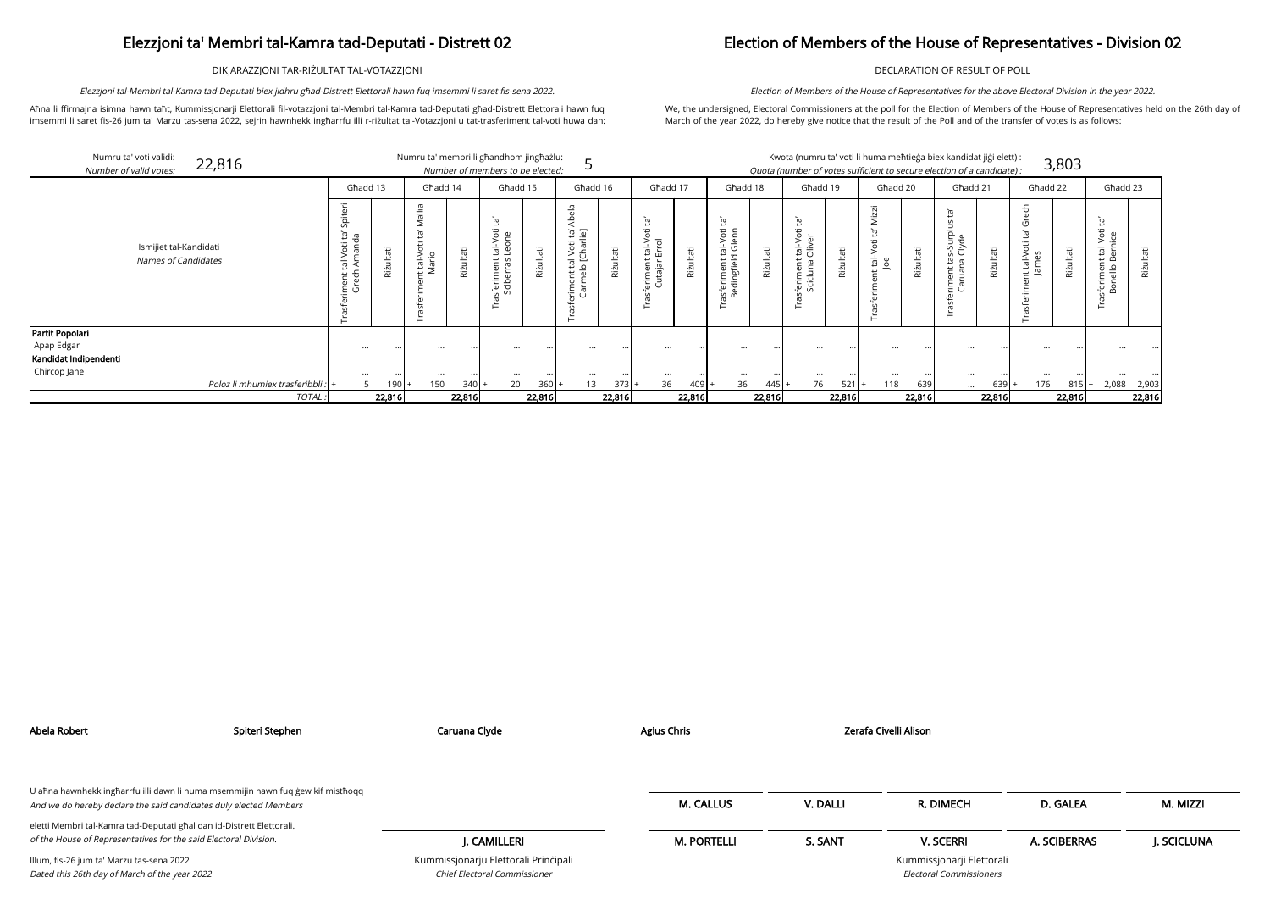DIKJARAZZJONI TAR-RIŻULTAT TAL-VOTAZZJONI

Aħna li ffirmajna isimna hawn taħt, Kummissjonarji Elettorali fil-votazzjoni tal-Membri tal-Kamra tad-Deputati għad-Distrett Elettorali hawn fuq imsemmi li saret fis-26 jum ta' Marzu tas-sena 2022, sejrin hawnhekk ingħarrfu illi r-riżultat tal-Votazzjoni u tat-trasferiment tal-voti huwa dan:

Elezzjoni tal-Membri tal-Kamra tad-Deputati biex jidhru għad-Distrett Elettorali hawn fuq imsemmi li saret fis-sena 2022.

## Election of Members of the House of Representatives - Division 02

DECLARATION OF RESULT OF POLL

We, the undersigned, Electoral Commissioners at the poll for the Election of Members of the House of Representatives held on the 26th day of March of the year 2022, do hereby give notice that the result of the Poll and of the transfer of votes is as follows:

Election of Members of the House of Representatives for the above Electoral Division in the year 2022.

| Numru ta' voti validi:<br>Number of valid votes: | 22,816                                        |                |           | Numru ta' membri li għandhom jingħażlu: |           | Number of members to be elected: |               |                                                                                 |        |                                               |               |                                                                   |            |                                                                |         |                                      |           | Kwota (numru ta' voti li huma meħtieġa biex kandidat jiġi elett) :<br>Quota (number of votes sufficient to secure election of a candidate): |            |                   | 3,803     |                          |             |
|--------------------------------------------------|-----------------------------------------------|----------------|-----------|-----------------------------------------|-----------|----------------------------------|---------------|---------------------------------------------------------------------------------|--------|-----------------------------------------------|---------------|-------------------------------------------------------------------|------------|----------------------------------------------------------------|---------|--------------------------------------|-----------|---------------------------------------------------------------------------------------------------------------------------------------------|------------|-------------------|-----------|--------------------------|-------------|
|                                                  |                                               | Ghadd 13       |           | Ghadd 14                                |           | Għadd 15                         |               | Għadd 16                                                                        |        | Ghadd 17                                      |               | Għadd 18                                                          |            | Għadd 19                                                       |         | Għadd 20                             |           | Għadd 21                                                                                                                                    |            | Għadd 22          |           | Ghadd 23                 |             |
|                                                  | Ismijiet tal-Kandidati<br>Names of Candidates | ᠊ᢆ<br><b>U</b> | Riżultati | tal-Voi<br>Iario                        | Riżultati | Ĕ,<br>È<br>6 음                   | ultati<br>Riż | 윿<br>ig ig<br>:al-Voti t<br>D. [Charli<br>$\circ$<br>$\bar{v}$<br>rimen<br>Carm | lltati | $\Xi$<br>tal-Vo<br>Errol<br>erimen<br>Cutajar | ultati<br>Riż | $\tilde{\Xi}$<br>tal-Voti<br>d Glenn<br>asferiment<br>Bedingfield | āťi<br>Riż | $\Xi$<br>$\circ$<br>tal-Ve<br>Olive<br>킁<br>$\frac{1}{2}$<br>ڡ | Φ<br>ഁ൛ | zzi<br>έ<br>$\overline{\mathcal{D}}$ | āΰ<br>Riż | ᄒ<br>ਯ ੇੇ                                                                                                                                   | āťi<br>Riż | 동<br>Φ<br>っき こうしゃ | Riżultati | $\sqrt{2}$<br>흗 음<br>$-$ | Riżultati   |
| Partit Popolari                                  |                                               |                |           |                                         |           |                                  |               |                                                                                 |        |                                               |               |                                                                   |            |                                                                |         |                                      |           |                                                                                                                                             |            |                   |           |                          |             |
| Apap Edgar                                       |                                               |                |           |                                         |           |                                  |               |                                                                                 |        |                                               |               |                                                                   |            |                                                                |         |                                      |           |                                                                                                                                             |            |                   |           |                          |             |
| Kandidat Indipendenti                            |                                               |                |           |                                         |           |                                  |               |                                                                                 |        |                                               |               |                                                                   |            |                                                                |         |                                      |           |                                                                                                                                             |            |                   |           |                          |             |
| Chircop Jane                                     |                                               | $\cdots$       |           | $\ddotsc$                               |           |                                  |               |                                                                                 |        |                                               |               |                                                                   |            |                                                                |         |                                      |           |                                                                                                                                             |            |                   |           |                          |             |
|                                                  | Poloz li mhumiex trasferibbli :               | 5              | 190       | 150                                     | 340       | 20                               | 360           | 13 <sup>2</sup>                                                                 | 373    | 36                                            | 409           | 36                                                                | $445$ .    | 76                                                             | $521 +$ | 118                                  | 639       | $\cdots$                                                                                                                                    | $639 +$    | 176               | 815       |                          | 2,088 2,903 |
|                                                  | TOTAL                                         |                | 22,816    |                                         | 22,816    |                                  | 22,816        |                                                                                 | 22,816 |                                               | 22,816        |                                                                   | 22,816     |                                                                | 22,816  |                                      | 22,816    |                                                                                                                                             | 22,816     |                   | 22,816    |                          | 22,816      |

| Abela Robert                                                                                                                                         | Spiteri Stephen | Caruana Clyde                                                               | Agius Chris        |          | Zerafa Civelli Alison                                       |              |            |
|------------------------------------------------------------------------------------------------------------------------------------------------------|-----------------|-----------------------------------------------------------------------------|--------------------|----------|-------------------------------------------------------------|--------------|------------|
| U ahna hawnhekk ingharrfu illi dawn li huma msemmijin hawn fuq gew kif misthogg<br>And we do hereby declare the said candidates duly elected Members |                 |                                                                             | <b>M. CALLUS</b>   | V. DALLI | R. DIMECH                                                   | D. GALEA     | M. MIZZI   |
| eletti Membri tal-Kamra tad-Deputati għal dan id-Distrett Elettorali.<br>of the House of Representatives for the said Electoral Division.            |                 | J. CAMILLERI                                                                | <b>M. PORTELLI</b> | S. SANT  | <b>V. SCERRI</b>                                            | A. SCIBERRAS | J. SCICLUN |
| Illum, fis-26 jum ta' Marzu tas-sena 2022<br>Dated this 26th day of March of the year 2022                                                           |                 | Kummissjonarju Elettorali Principali<br><b>Chief Electoral Commissioner</b> |                    |          | Kummissjonarji Elettorali<br><b>Electoral Commissioners</b> |              |            |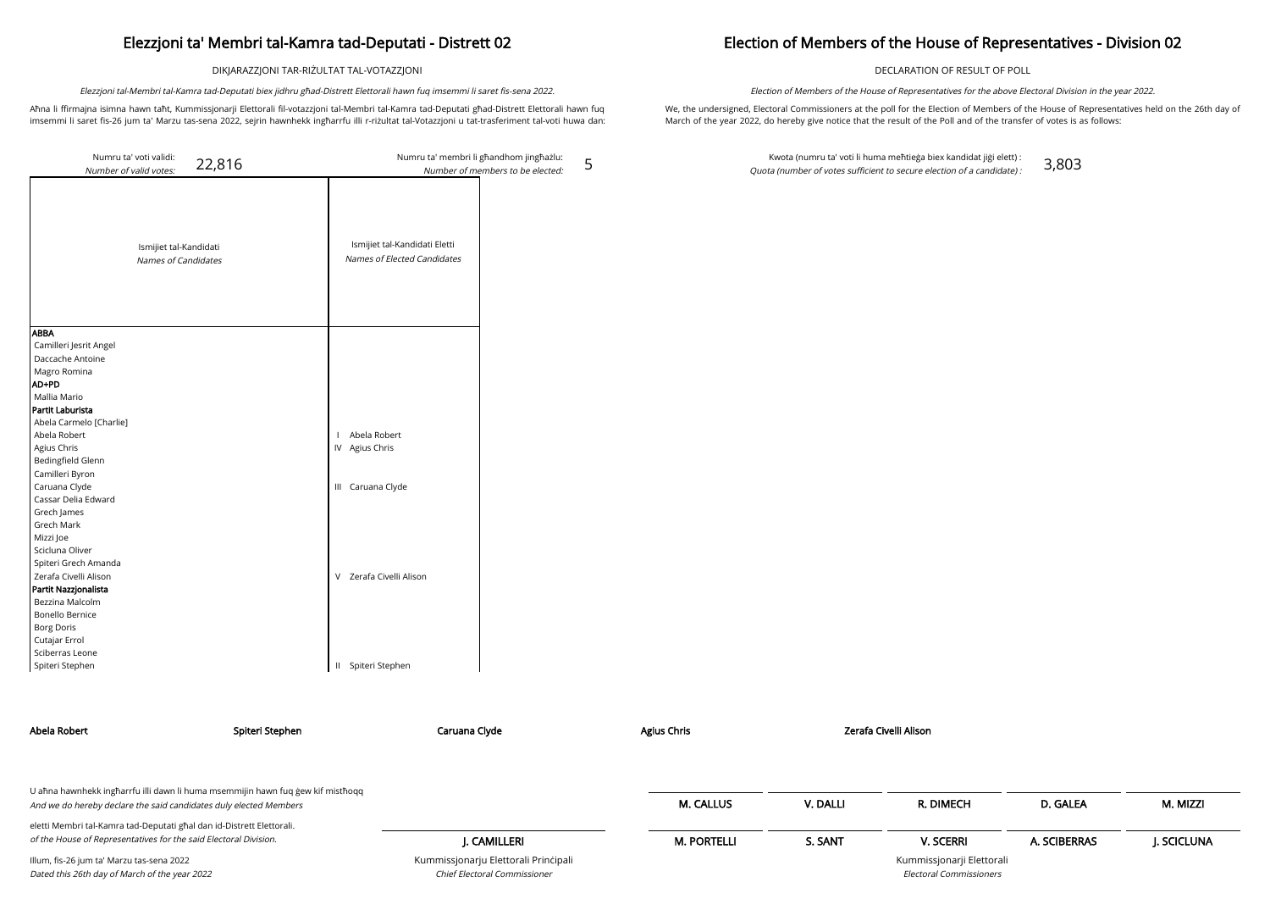DIKJARAZZJONI TAR-RIŻULTAT TAL-VOTAZZJONI

Aħna li ffirmajna isimna hawn taħt, Kummissjonarji Elettorali fil-votazzjoni tal-Membri tal-Kamra tad-Deputati għad-Distrett Elettorali hawn fuq imsemmi li saret fis-26 jum ta' Marzu tas-sena 2022, sejrin hawnhekk ingħarrfu illi r-riżultat tal-Votazzjoni u tat-trasferiment tal-voti huwa dan:

Elezzjoni tal-Membri tal-Kamra tad-Deputati biex jidhru għad-Distrett Elettorali hawn fuq imsemmi li saret fis-sena 2022.

5

## Election of Members of the House of Representatives - Division 02

DECLARATION OF RESULT OF POLL

We, the undersigned, Electoral Commissioners at the poll for the Election of Members of the House of Representatives held on the 26th day of March of the year 2022, do hereby give notice that the result of the Poll and of the transfer of votes is as follows:

Election of Members of the House of Representatives for the above Electoral Division in the year 2022.

Kwota (numru ta' voti li huma meħtieġa biex kandidat jiġi elett) : Quota (number of votes sufficient to secure election of a candidate) : 3,803

| Numru ta' voti validi:<br>22,816<br>Number of valid votes:                                                                                                 | Numru ta' membri li għandhom jingħażlu:<br>Number of members to be elected: |
|------------------------------------------------------------------------------------------------------------------------------------------------------------|-----------------------------------------------------------------------------|
| Ismijiet tal-Kandidati<br>Names of Candidates                                                                                                              | Ismijiet tal-Kandidati Eletti<br>Names of Elected Candidates                |
| <b>ABBA</b><br>Camilleri Jesrit Angel<br>Daccache Antoine<br>Magro Romina<br>AD+PD<br>Mallia Mario<br>Partit Laburista                                     |                                                                             |
| Abela Carmelo [Charlie]<br>Abela Robert<br>Agius Chris<br>Bedingfield Glenn                                                                                | Abela Robert<br>$\mathbf{I}$<br>IV Agius Chris                              |
| Camilleri Byron<br>Caruana Clyde<br>Cassar Delia Edward<br>Grech James<br>Grech Mark<br>Mizzi Joe                                                          | III Caruana Clyde                                                           |
| Scicluna Oliver<br>Spiteri Grech Amanda<br>Zerafa Civelli Alison<br>Partit Nazzjonalista<br>Bezzina Malcolm<br><b>Bonello Bernice</b><br><b>Borg Doris</b> | Zerafa Civelli Alison<br>V                                                  |
| Cutajar Errol<br>Sciberras Leone<br>Spiteri Stephen                                                                                                        | Spiteri Stephen<br>Ш                                                        |

| Abela Robert                                                                                                                                         | Spiteri Stephen | Caruana Clyde                                                        | <b>Agius Chris</b> |          | Zerafa Civelli Alison                                       |              |            |
|------------------------------------------------------------------------------------------------------------------------------------------------------|-----------------|----------------------------------------------------------------------|--------------------|----------|-------------------------------------------------------------|--------------|------------|
| U ahna hawnhekk ingharrfu illi dawn li huma msemmijin hawn fuq gew kif misthoqq<br>And we do hereby declare the said candidates duly elected Members |                 |                                                                      | <b>M. CALLUS</b>   | V. DALLI | R. DIMECH                                                   | D. GALEA     | M. MIZZI   |
| eletti Membri tal-Kamra tad-Deputati għal dan id-Distrett Elettorali.<br>of the House of Representatives for the said Electoral Division.            |                 | J. CAMILLERI                                                         | <b>M. PORTELLI</b> | S. SANT  | <b>V. SCERRI</b>                                            | A. SCIBERRAS | J. SCICLUN |
| Illum, fis-26 jum ta' Marzu tas-sena 2022<br>Dated this 26th day of March of the year 2022                                                           |                 | Kummissjonarju Elettorali Principali<br>Chief Electoral Commissioner |                    |          | Kummissjonarji Elettorali<br><b>Electoral Commissioners</b> |              |            |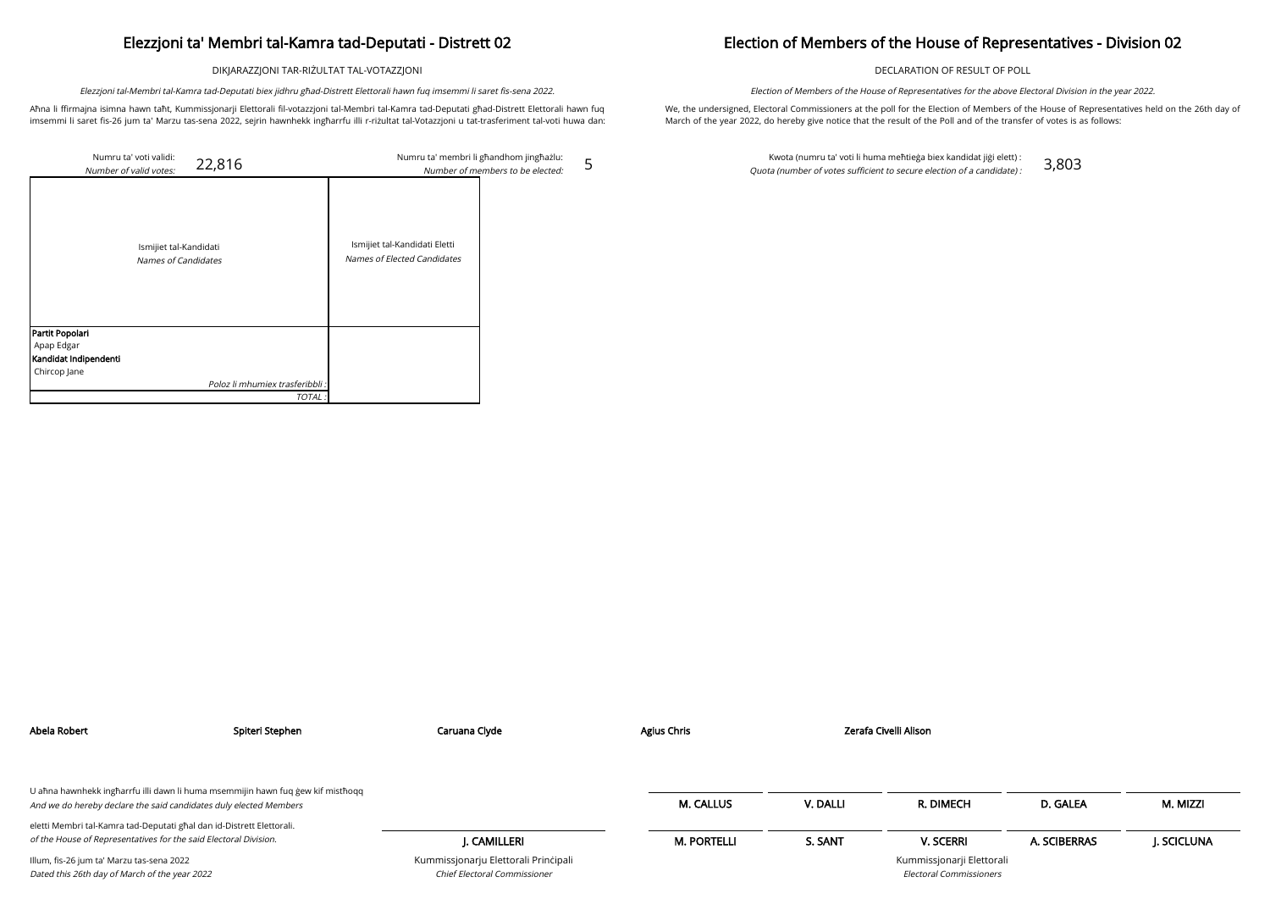DIKJARAZZJONI TAR-RIŻULTAT TAL-VOTAZZJONI

Aħna li ffirmajna isimna hawn taħt, Kummissjonarji Elettorali fil-votazzjoni tal-Membri tal-Kamra tad-Deputati għad-Distrett Elettorali hawn fuq imsemmi li saret fis-26 jum ta' Marzu tas-sena 2022, sejrin hawnhekk ingħarrfu illi r-riżultat tal-Votazzjoni u tat-trasferiment tal-voti huwa dan:

Elezzjoni tal-Membri tal-Kamra tad-Deputati biex jidhru għad-Distrett Elettorali hawn fuq imsemmi li saret fis-sena 2022.

5

## Election of Members of the House of Representatives - Division 02

DECLARATION OF RESULT OF POLL

We, the undersigned, Electoral Commissioners at the poll for the Election of Members of the House of Representatives held on the 26th day of March of the year 2022, do hereby give notice that the result of the Poll and of the transfer of votes is as follows:

| Numru ta' voti validi:<br>22,816<br>Number of valid votes: |                                                              | Numru ta' membri li għandhom jingħażlu:<br>Number of members to be elected: |
|------------------------------------------------------------|--------------------------------------------------------------|-----------------------------------------------------------------------------|
| Ismijiet tal-Kandidati<br>Names of Candidates              | Ismijiet tal-Kandidati Eletti<br>Names of Elected Candidates |                                                                             |
| Partit Popolari                                            |                                                              |                                                                             |
| Apap Edgar                                                 |                                                              |                                                                             |
| Kandidat Indipendenti                                      |                                                              |                                                                             |
| Chircop Jane                                               |                                                              |                                                                             |
| Poloz li mhumiex trasferibbli :                            |                                                              |                                                                             |
| TOTAL.                                                     |                                                              |                                                                             |

Election of Members of the House of Representatives for the above Electoral Division in the year 2022.

Kwota (numru ta' voti li huma meħtieġa biex kandidat jiġi elett) : Quota (number of votes sufficient to secure election of a candidate) : 3,803

| Abela Robert                                                                               | Spiteri Stephen | Caruana Clyde                                                        | <b>Agius Chris</b> |          | Zerafa Civelli Alison                                       |              |            |
|--------------------------------------------------------------------------------------------|-----------------|----------------------------------------------------------------------|--------------------|----------|-------------------------------------------------------------|--------------|------------|
| U aħna hawnhekk ingħarrfu illi dawn li huma msemmijin hawn fuq gew kif mistħoqq            |                 |                                                                      |                    |          |                                                             |              |            |
| And we do hereby declare the said candidates duly elected Members                          |                 |                                                                      | <b>M. CALLUS</b>   | V. DALLI | R. DIMECH                                                   | D. GALEA     | M. MIZZI   |
| eletti Membri tal-Kamra tad-Deputati għal dan id-Distrett Elettorali.                      |                 |                                                                      |                    |          |                                                             |              |            |
| of the House of Representatives for the said Electoral Division.                           |                 | J. CAMILLERI                                                         | <b>M. PORTELLI</b> | S. SANT  | <b>V. SCERRI</b>                                            | A. SCIBERRAS | J. SCICLUN |
| Illum, fis-26 jum ta' Marzu tas-sena 2022<br>Dated this 26th day of March of the year 2022 |                 | Kummissjonarju Elettorali Principali<br>Chief Electoral Commissioner |                    |          | Kummissjonarji Elettorali<br><b>Electoral Commissioners</b> |              |            |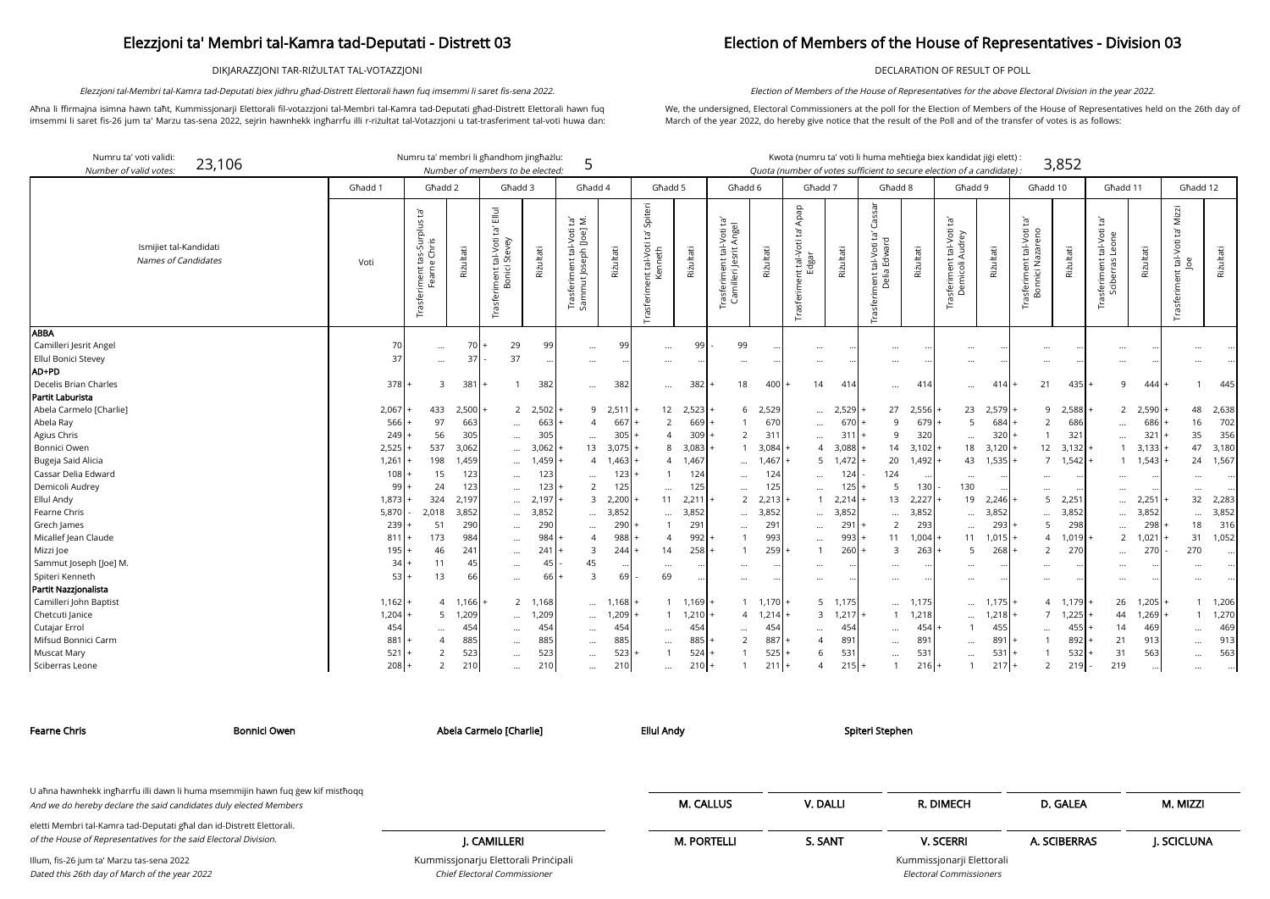DIKJARAZZJONI TAR-RIŻULTAT TAL-VOTAZZJONI

Aħna li ffirmajna isimna hawn taħt, Kummissjonarji Elettorali fil-votazzjoni tal-Membri tal-Kamra tad-Deputati għad-Distrett Elettorali hawn fuq imsemmi li saret fis-26 jum ta' Marzu tas-sena 2022, sejrin hawnhekk ingħarrfu illi r-riżultat tal-Votazzjoni u tat-trasferiment tal-voti huwa dan:

Elezzjoni tal-Membri tal-Kamra tad-Deputati biex jidhru għad-Distrett Elettorali hawn fuq imsemmi li saret fis-sena 2022.

### Election of Members of the House of Representatives - Division 03

DECLARATION OF RESULT OF POLL

We, the undersigned, Electoral Commissioners at the poll for the Election of Members of the House of Representatives held on the 26th day of March of the year 2022, do hereby give notice that the result of the Poll and of the transfer of votes is as follows:

Election of Members of the House of Representatives for the above Electoral Division in the year 2022.

arji Elettorali Electoral Commissioners

| Numru ta' voti validi:<br>23,106<br>Number of valid votes |           | Numru ta' membri li għandhom jingħażlu:      |           | Number of members to be elected:                                               |           | 5                                                                      |                |                                                      |           |                                                                          |           | Kwota (numru ta' voti li huma meħtieġa biex kandidat jiġi elett) :<br>Quota (number of votes sufficient to secure election of a candidate) : |           |                                                     |           |                                                                 |           |                                                    | 3,852     |                                                                   |               |                                                  |           |
|-----------------------------------------------------------|-----------|----------------------------------------------|-----------|--------------------------------------------------------------------------------|-----------|------------------------------------------------------------------------|----------------|------------------------------------------------------|-----------|--------------------------------------------------------------------------|-----------|----------------------------------------------------------------------------------------------------------------------------------------------|-----------|-----------------------------------------------------|-----------|-----------------------------------------------------------------|-----------|----------------------------------------------------|-----------|-------------------------------------------------------------------|---------------|--------------------------------------------------|-----------|
|                                                           | Ghadd 1   | Ghadd 2                                      |           | Għadd 3                                                                        |           | Ghadd 4                                                                |                | Ghadd 5                                              |           | Ghadd 6                                                                  |           | Ghadd 7                                                                                                                                      |           | Għadd 8                                             |           | Għadd 9                                                         |           | Għadd 10                                           |           | Għadd 11                                                          |               | Ghadd 12                                         |           |
| Ismijiet tal-Kandidati<br>Names of Candidates             | Voti      | Trasferiment tas-Surplus ta'<br>Fearne Chris | Riżultati | $\Xi$<br>$\tilde{E}$<br>tal-Voti<br>i Stevey<br>iment t.<br>Bonici<br>Trasferi | Riżultati | $\mathbb{B} \subseteq$<br>Trasferiment tal-Voti<br>Sammut Joseph [Joe] | Riżultati      | Spiteri<br>$\Xi$<br>Trasferiment tal-Voti<br>Kenneth | Rizultati | -Voti ta'<br>Angel<br>ㅎ<br>rasferiment tal-<br>Camilleri Jesrit <i>I</i> | Riżultati | Apap<br>'n,<br>nt tal-Voti t<br>Edgar<br>Trasferim                                                                                           | Riżultati | Cassar<br>Trasferiment tal-Voti ta'<br>Delia Edward | Rizultati | Įą,<br>t tal-Voti 1<br>Audrey<br>isferiment<br>Demicoli A<br>Īã | Rizultati | $\Xi$<br>Trasferiment tal-Voti<br>Bonnici Nazareno | Rizultati | $\tilde{E}$<br>tal-Voti<br>Leone<br>Trasferiment t<br>Sciberras l | Riżultati     | Mizzi<br>Ĭď<br>tal-Voti t<br>Joe<br>Trasferiment | Riżultati |
| ABBA                                                      |           |                                              |           |                                                                                |           |                                                                        |                |                                                      |           |                                                                          |           |                                                                                                                                              |           |                                                     |           |                                                                 |           |                                                    |           |                                                                   |               |                                                  |           |
| Camilleri Jesrit Angel                                    | 70        | $\cdots$                                     |           | 29                                                                             | 99        | $\cdots$                                                               | 99             | $\cdots$                                             | 99        | 99                                                                       |           | $\cdots$                                                                                                                                     |           | $\cdots$                                            |           |                                                                 |           | $\cdots$                                           |           | $\ddotsc$                                                         |               |                                                  |           |
| Ellul Bonici Stevey<br>AD+PD                              | 37        | $\cdots$                                     | -37       | 37                                                                             |           | $\cdots$                                                               |                | $\cdots$                                             |           | $\ddotsc$                                                                |           | $\ddotsc$                                                                                                                                    |           | $\cdots$                                            |           |                                                                 |           | $\cdots$                                           |           |                                                                   |               |                                                  |           |
| Decelis Brian Charles                                     | 378       | 3                                            | 381       |                                                                                | 382       |                                                                        | 382            |                                                      | 382       | 18                                                                       | 400       | 14                                                                                                                                           | 414       |                                                     | 414       |                                                                 | 414       | 21                                                 | 435       | 9                                                                 | 444           |                                                  | 445       |
| Partit Laburista                                          |           |                                              |           |                                                                                |           | $\cdots$                                                               |                | $\cdots$                                             |           |                                                                          |           |                                                                                                                                              |           | $\cdots$                                            |           | $\cdots$                                                        |           |                                                    |           |                                                                   |               |                                                  |           |
| Abela Carmelo [Charlie]                                   | 2,067     | 433                                          | $2,500$ + | $2^{\circ}$                                                                    | 2,502     |                                                                        | 9 2,511        | 12                                                   | 2,523     | 6                                                                        | 2,529     | $\cdots$                                                                                                                                     | 2,529     | 27                                                  | 2,556     | 23                                                              | 2,579     | 9                                                  | 2,588     | 2                                                                 | 2,590         | 48                                               | 2,638     |
| Abela Ray                                                 | 566       | 97                                           | 663       | $\cdots$                                                                       | 663       | 4                                                                      | 667            | 2                                                    | 669       |                                                                          | 670       | $\cdots$                                                                                                                                     | 670       | $\mathsf{q}$                                        | 679       | -5                                                              | 684       | 2                                                  | 686       | $\cdots$                                                          | 686           | 16                                               | 702       |
| Agius Chris                                               | 249       | 56                                           | 305       | $\cdots$                                                                       | 305       | $\cdots$                                                               | 305            | $\Delta$                                             | 309       | $\overline{2}$                                                           | 311       | $\cdots$                                                                                                                                     | 31        | -9                                                  | 320       | $\cdots$                                                        | 320       |                                                    | 321       | $\ddots$                                                          | 321           | 35                                               | 356       |
| Bonnici Owen                                              | 2,525     | 537                                          | 3,062     | $\cdots$                                                                       | 3,062     | 13                                                                     | 3,075          | 8                                                    | 3,083     | $\mathbf{1}$                                                             | 3,084     | 4                                                                                                                                            | 3,088     | 14                                                  | 3,102     | 18                                                              | 3,120     | 12                                                 | 3,132     |                                                                   | 3,133         | 47                                               | 3,180     |
| Bugeja Said Alicia                                        | 1,261     | 198                                          | 1,459     | $\cdots$                                                                       | 1,459     | $\overline{4}$                                                         | 1,463          | $\overline{4}$                                       | 1,467     | $\cdots$                                                                 | 1,467     | 5                                                                                                                                            | $1,472$ + | 20                                                  | 1,492     | 43                                                              | 1,535     | $\overline{7}$                                     | 1,542     |                                                                   | 1,543         | 24                                               | 1,567     |
| Cassar Delia Edward                                       | 108       | 15                                           | 123       | $\cdots$                                                                       | 123       |                                                                        | 123            |                                                      | 124       | $\cdots$                                                                 | 124       | $\cdots$                                                                                                                                     | 124       | 124                                                 |           | $\cdots$                                                        |           | $\cdots$                                           |           | $\ddotsc$                                                         |               |                                                  |           |
| Demicoli Audrey                                           | 99        | 24                                           | 123       |                                                                                | 123       | 2                                                                      | 125            | $\cdots$                                             | 125       |                                                                          | 125       | $\cdots$                                                                                                                                     | 125       | 5                                                   | 130       | 130                                                             |           | $\cdots$                                           |           | $\ddotsc$                                                         |               | $\cdots$                                         |           |
| <b>Ellul Andy</b>                                         | 1,873     | 324                                          | 2,197     | $\cdots$                                                                       | 2,197     | 3                                                                      | 2,200          | 11                                                   | 2,211     | 2                                                                        | 2,213     |                                                                                                                                              | $2,214$ + | 13                                                  | 2,227     | 19                                                              | 2,246     | 5                                                  | 2,251     | $\ddots$                                                          | 2,251         | 32                                               | 2,283     |
| Fearne Chris                                              | 5,870     | 2,018                                        | 3,852     | $\cdots$                                                                       | 3,852     |                                                                        | 3,852          | $\cdots$                                             | 3,852     |                                                                          | 3,852     | $\cdots$                                                                                                                                     | 3,852     | $\cdots$                                            | 3,852     | $\cdots$                                                        | 3,852     |                                                    | 3,852     | $\ddots$                                                          | 3,852         |                                                  | 3,852     |
| Grech James                                               | 239       | 51                                           | 290       | $\cdots$                                                                       | 290       | $\ddots$                                                               | 290            |                                                      | 291       | $\ddotsc$                                                                | 291       | $\ddotsc$                                                                                                                                    | 29'       | $\overline{2}$                                      | 293       | $\cdots$                                                        | 293       | 5                                                  | 298       | $\ddots$                                                          | 298           | 18                                               | 316       |
| Micallef Jean Claude                                      | 811       | 173                                          | 984       | $\cdots$                                                                       | 984       | $\overline{A}$                                                         | 988            | $\overline{4}$                                       | $992$ .   |                                                                          | 993       | $\cdots$                                                                                                                                     | 993       | 11                                                  | 1,004     | 11                                                              | 1,015     | $\overline{4}$                                     | $1,019$ + | $\overline{2}$                                                    | 1,021         | 31                                               | 1,052     |
| Mizzi Joe                                                 | 195       | 46                                           | 241       | $\ddotsc$                                                                      | 241       | $\overline{3}$                                                         | 244            | 14                                                   | 258       | $\mathbf{1}$                                                             | 259       | $\mathbf{1}$                                                                                                                                 | 260       | $\overline{3}$                                      | 263       | -5                                                              | 268       | 2                                                  | 270       | $\ddots$                                                          | 270           | 270                                              |           |
| Sammut Joseph [Joe] M.                                    | 34        | 11                                           | 45        |                                                                                | 45        | 45                                                                     |                | $\cdots$                                             |           |                                                                          |           | $\cdots$                                                                                                                                     |           | $\cdots$                                            |           |                                                                 |           | $\cdots$                                           |           | $\cdots$                                                          |               |                                                  |           |
| Spiteri Kenneth                                           | 53        | 13                                           | 66        | $\cdots$                                                                       | 66        | $\overline{3}$                                                         | 6 <sup>1</sup> | 69                                                   | $\cdots$  | $\ddotsc$                                                                |           | $\cdots$                                                                                                                                     |           | $\cdots$                                            | $\cdots$  | $\cdots$                                                        |           | $\cdots$                                           | $\ddotsc$ | $\cdots$                                                          | $\cdots$      | $\cdots$                                         |           |
| Partit Nazzjonalista                                      |           |                                              |           |                                                                                |           |                                                                        |                |                                                      |           |                                                                          |           |                                                                                                                                              |           |                                                     |           |                                                                 |           |                                                    |           |                                                                   |               |                                                  |           |
| Camilleri John Baptist                                    | $1,162$ + | $\overline{4}$                               | 1,166     |                                                                                | 2 1,168   |                                                                        | $\dots$ 1,168  |                                                      | $1,169$ + | 1                                                                        | 1,170     |                                                                                                                                              | 5 1,175   | $\cdots$                                            | 1,175     | $\cdots$                                                        | 1,175     |                                                    | 4 1.179   | 26                                                                | 1,205         | $\overline{1}$                                   | 1,206     |
| Chetcuti Janice                                           | 1,204     | 5                                            | 1,209     | $\ddotsc$                                                                      | 1,209     | $\cdots$                                                               | 1,209          |                                                      | 1,210     | $\overline{4}$                                                           | 1,214     | $\mathsf{3}$                                                                                                                                 | $1,217$ + |                                                     | 1,218     | $\cdots$                                                        | 1,218     | 7 <sup>7</sup>                                     | 1,225     | 44                                                                | 1,269         |                                                  | 1,270     |
| Cutajar Errol                                             | 454       |                                              | 454       | $\cdots$                                                                       | 454       | $\cdots$                                                               | 454            | $\cdots$                                             | 454       | $\ddotsc$                                                                | 454       |                                                                                                                                              | 454       | $\cdots$                                            | 454       |                                                                 | 455       | $\cdots$                                           | 455       | 14                                                                | 469           | $\ddotsc$                                        | 469       |
| Mifsud Bonnici Carm                                       | 881       | $\overline{4}$                               | 885       | $\cdots$                                                                       | 885       | $\cdots$                                                               | 885            | $\cdots$                                             | 885       | 2                                                                        | 887       | $\overline{4}$                                                                                                                               | 89'       | $\cdots$                                            | 891       |                                                                 | 891       |                                                    | 892       | 21                                                                | 913           |                                                  | 913       |
| Muscat Mary                                               | 521       | 2                                            | 523       | $\cdots$                                                                       | 523       | $\cdots$                                                               | 523            |                                                      | 524       |                                                                          | 525       | 6                                                                                                                                            | 53'       | $\cdots$                                            | 531       | $\cdots$                                                        | 531       |                                                    | 532       | 31                                                                | 563           | $\cdots$                                         | 563       |
| Sciberras Leone                                           | $208 +$   | 2                                            | 210       | $\cdots$                                                                       | 210       | $\cdots$                                                               | 210            | $\ldots$                                             | $210+$    |                                                                          | 211       | $\overline{4}$                                                                                                                               | $215 +$   |                                                     | $216$ +   |                                                                 | $217 +$   | 2                                                  | 219       | 219                                                               | $\cdot \cdot$ | $\cdots$                                         |           |

Chief Electoral Commissioner

| <b>Fearne Chris</b>                                                                                                                                  | Bonnici Owen | Abela Carmelo [Charlie]              | <b>Ellul Andy</b>  |          | Spiteri Stephen           |              |            |
|------------------------------------------------------------------------------------------------------------------------------------------------------|--------------|--------------------------------------|--------------------|----------|---------------------------|--------------|------------|
|                                                                                                                                                      |              |                                      |                    |          |                           |              |            |
| U aħna hawnhekk ingħarrfu illi dawn li huma msemmijin hawn fuq gew kif mistħoqq<br>And we do hereby declare the said candidates duly elected Members |              |                                      | <b>M. CALLUS</b>   | V. DALLI | R. DIMECH                 | D. GALEA     | M. MIZZI   |
| eletti Membri tal-Kamra tad-Deputati ghal dan id-Distrett Elettorali.<br>of the House of Representatives for the said Electoral Division.            |              | I. CAMILLERI                         | <b>M. PORTELLI</b> | S. SANT  | <b>V. SCERRI</b>          | A. SCIBERRAS | J. SCICLUN |
| Illum, fis-26 jum ta' Marzu tas-sena 2022                                                                                                            |              | Kummissjonarju Elettorali Principali |                    |          | Kummissjonarji Elettorali |              |            |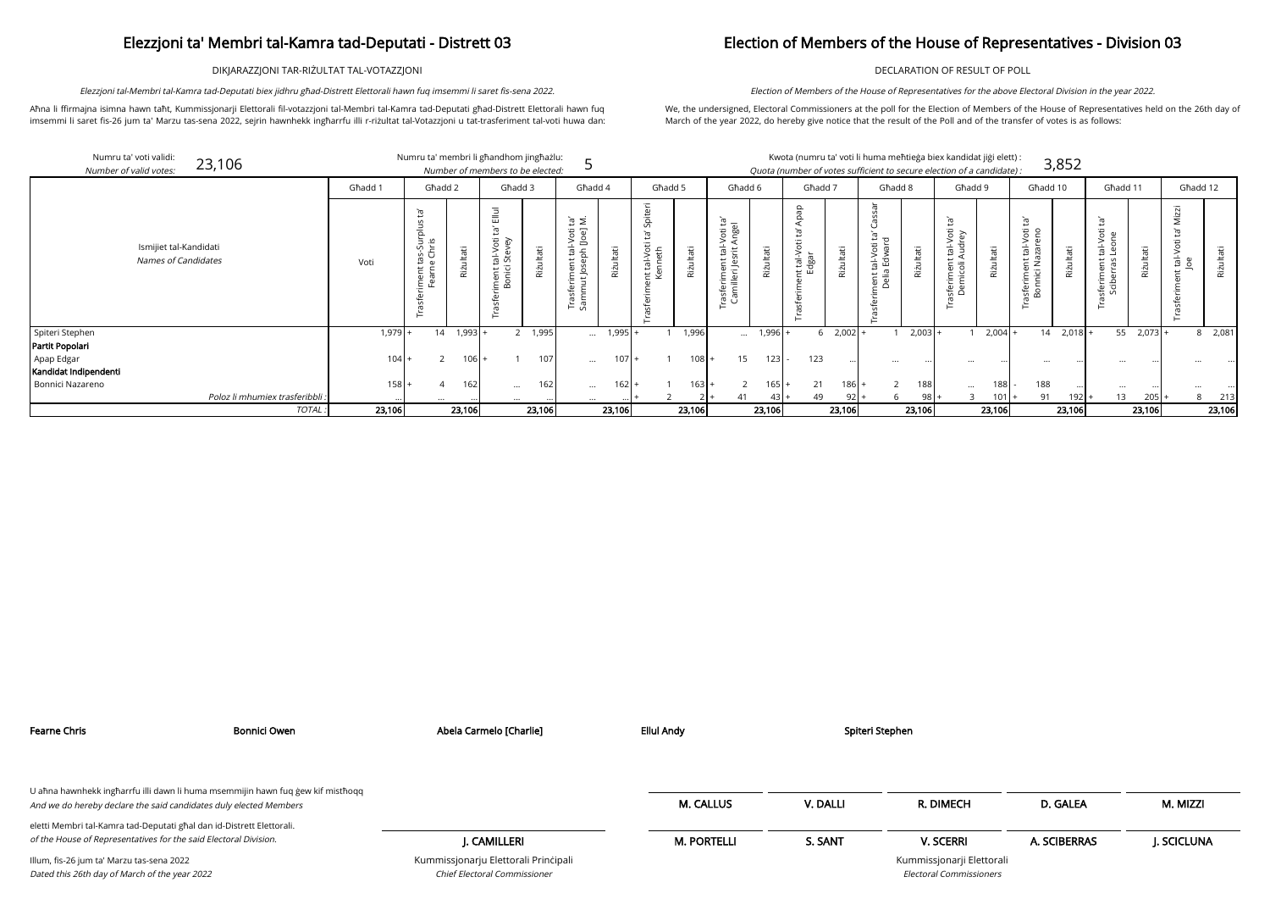DIKJARAZZJONI TAR-RIŻULTAT TAL-VOTAZZJONI

Aħna li ffirmajna isimna hawn taħt, Kummissjonarji Elettorali fil-votazzjoni tal-Membri tal-Kamra tad-Deputati għad-Distrett Elettorali hawn fuq imsemmi li saret fis-26 jum ta' Marzu tas-sena 2022, sejrin hawnhekk ingħarrfu illi r-riżultat tal-Votazzjoni u tat-trasferiment tal-voti huwa dan:

Elezzjoni tal-Membri tal-Kamra tad-Deputati biex jidhru għad-Distrett Elettorali hawn fuq imsemmi li saret fis-sena 2022.

## Election of Members of the House of Representatives - Division 03

DECLARATION OF RESULT OF POLL

We, the undersigned, Electoral Commissioners at the poll for the Election of Members of the House of Representatives held on the 26th day of March of the year 2022, do hereby give notice that the result of the Poll and of the transfer of votes is as follows:

Election of Members of the House of Representatives for the above Electoral Division in the year 2022.

| didat jiği elett) : |       |
|---------------------|-------|
| of a candidato) :   | 3,852 |

| Numru ta' voti validi:<br>23,106<br>Number of valid votes: |                                 |         |                                            |           | Numru ta' membri li għandhom jingħażlu:<br>Number of members to be elected: |                |                                               |               |                |           |                                                                          |           | Kwota (numru ta' voti li huma meħtieġa biex kandidat jiġi elett) :<br>Quota (number of votes sufficient to secure election of a candidate) : |             |                                       |           |                                                       |                |                                                   | 3,852                    |          |           |                                       |                 |
|------------------------------------------------------------|---------------------------------|---------|--------------------------------------------|-----------|-----------------------------------------------------------------------------|----------------|-----------------------------------------------|---------------|----------------|-----------|--------------------------------------------------------------------------|-----------|----------------------------------------------------------------------------------------------------------------------------------------------|-------------|---------------------------------------|-----------|-------------------------------------------------------|----------------|---------------------------------------------------|--------------------------|----------|-----------|---------------------------------------|-----------------|
|                                                            |                                 | Ghadd 1 | Ghadd 2                                    |           | Ghadd 3                                                                     |                | Għadd 4                                       |               | Għadd 5        |           | Għadd 6                                                                  |           | Għadd 7                                                                                                                                      |             | Ghadd 8                               |           | Għadd 9                                               |                | Għadd 10                                          |                          | Ghadd 11 |           | Għadd 12                              |                 |
| Ismijiet tal-Kandidati<br>Names of Candidates              |                                 | Voti    | Ĕ,<br>tas-Surplus<br>e Chris<br>iment<br>⊢ | tati      | Voti<br>al-V<br>Stev<br>nent ta<br>onici s<br>E mī                          | lltati<br>Rizu | $\geq$ $\tilde{E}$<br>ದ ಪ<br>이 rul<br>아이<br>윽 | Riżultati     | al-Vot<br>neth | Riżultati | $\mathbb{E}$ a<br>je ge<br>$\frac{1}{\overline{B}}$<br>ដ ន៊<br>eri<br>Te | Riżultati | $\circ$<br>tal-N<br>dgar                                                                                                                     | Riżultati   | ÷ τ<br>tal-V<br>Edw<br>nerië<br>Delië | Riżultati | : tal-Voti<br>Audrey<br>ment<br>icoli /<br>eri<br>emi | Itati<br>Rizul | 它<br>Voti<br>eno<br>言<br>ω<br>isferime<br>Bonnici | π<br>$\ddot{\mathbf{z}}$ |          | tati      | Φ<br>Ş<br>$\frac{1}{2}$ $\frac{8}{2}$ | Riżultati       |
| Spiteri Stephen                                            |                                 | 1,979   | 14                                         | $1,993$ + |                                                                             | 2 1,995        |                                               | $\dots$ 1,995 |                | 1,996     | $\cdots$                                                                 | $1,996 +$ |                                                                                                                                              | $6$ 2,002 + |                                       | $2,003$ + |                                                       | $2,004$ +      |                                                   | $14 \quad 2,018$ +       | 55       | $2,073$ + |                                       | $8 \quad 2,081$ |
| Partit Popolari                                            |                                 |         |                                            |           |                                                                             |                |                                               |               |                |           |                                                                          |           |                                                                                                                                              |             |                                       |           |                                                       |                |                                                   |                          |          |           |                                       |                 |
| Apap Edgar                                                 |                                 | 104     |                                            | $106 +$   |                                                                             | 107            | $\cdots$                                      | $107 +$       |                | 108       | 15                                                                       | 123       | 123                                                                                                                                          |             |                                       |           |                                                       |                |                                                   |                          |          |           |                                       |                 |
| Kandidat Indipendenti                                      |                                 |         |                                            |           |                                                                             |                |                                               |               |                |           |                                                                          |           |                                                                                                                                              |             |                                       |           |                                                       |                |                                                   |                          |          |           |                                       |                 |
| Bonnici Nazareno                                           |                                 | 158     |                                            | 162       | $\cdots$                                                                    | 162            | $\cdots$                                      | 162           |                | $163$ +   |                                                                          | $165 +$   | 21                                                                                                                                           | $186 +$     |                                       | 188       | $\cdots$                                              | 188            | 188                                               |                          | $\cdots$ |           |                                       |                 |
|                                                            | Poloz li mhumiex trasferibbli : |         |                                            |           |                                                                             |                |                                               |               |                |           | 41                                                                       | 43 +      | 49                                                                                                                                           | $92 +$      | 6                                     | 98 I      |                                                       | $101$ +        | 91                                                | 192                      | 13       | 205       | 8                                     | 213             |
|                                                            | TOTAL:                          | 23,106  |                                            | 23,106    |                                                                             | 23,106         |                                               | 23,106        |                | 23,106    |                                                                          | 23,106    |                                                                                                                                              | 23,106      |                                       | 23,106    |                                                       | 23,106         |                                                   | 23,106                   |          | 23,106    |                                       | 23,106          |

| <b>Fearne Chris</b>                                                                                                                       | <b>Bonnici Owen</b>                                                             | Abela Carmelo [Charlie]                                              | <b>Ellul Andy</b>  |          | Spiteri Stephen                                      |              |            |
|-------------------------------------------------------------------------------------------------------------------------------------------|---------------------------------------------------------------------------------|----------------------------------------------------------------------|--------------------|----------|------------------------------------------------------|--------------|------------|
| And we do hereby declare the said candidates duly elected Members                                                                         | U aħna hawnhekk ingħarrfu illi dawn li huma msemmijin hawn fuq ġew kif mistħoqq |                                                                      | <b>M. CALLUS</b>   | V. DALLI | R. DIMECH                                            | D. GALEA     | M. MIZZI   |
| eletti Membri tal-Kamra tad-Deputati għal dan id-Distrett Elettorali.<br>of the House of Representatives for the said Electoral Division. |                                                                                 | I. CAMILLERI                                                         | <b>M. PORTELLI</b> | S. SANT  | <b>V. SCERRI</b>                                     | A. SCIBERRAS | J. SCICLUN |
| Illum, fis-26 jum ta' Marzu tas-sena 2022<br>Dated this 26th day of March of the year 2022                                                |                                                                                 | Kummissjonarju Elettorali Principali<br>Chief Electoral Commissioner |                    |          | Kummissjonarji Elettorali<br>Electoral Commissioners |              |            |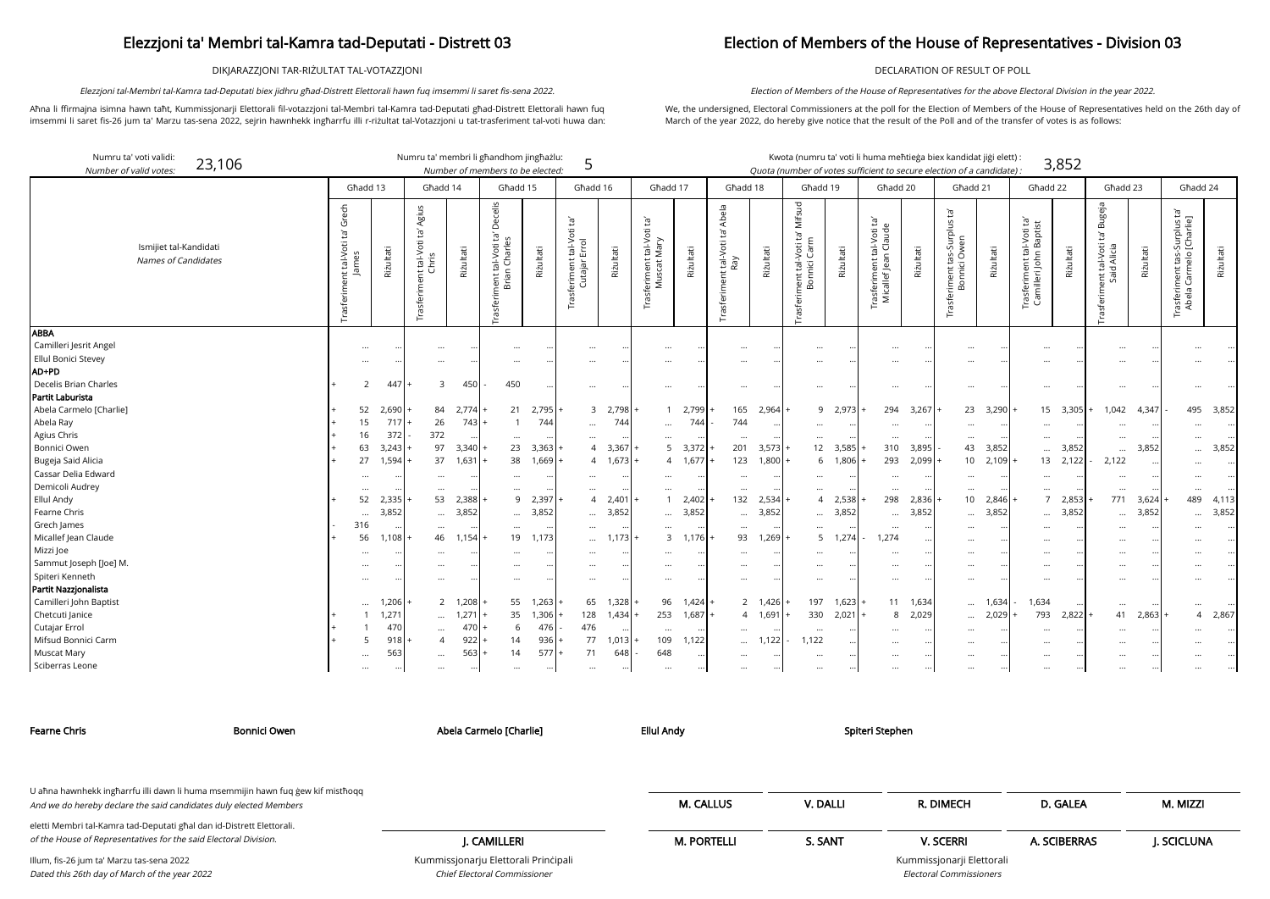DIKJARAZZJONI TAR-RIŻULTAT TAL-VOTAZZJONI

Aħna li ffirmajna isimna hawn taħt, Kummissjonarji Elettorali fil-votazzjoni tal-Membri tal-Kamra tad-Deputati għad-Distrett Elettorali hawn fuq imsemmi li saret fis-26 jum ta' Marzu tas-sena 2022, sejrin hawnhekk ingħarrfu illi r-riżultat tal-Votazzjoni u tat-trasferiment tal-voti huwa dan:

Elezzjoni tal-Membri tal-Kamra tad-Deputati biex jidhru għad-Distrett Elettorali hawn fuq imsemmi li saret fis-sena 2022.

### Election of Members of the House of Representatives - Division 03

DECLARATION OF RESULT OF POLL

We, the undersigned, Electoral Commissioners at the poll for the Election of Members of the House of Representatives held on the 26th day of March of the year 2022, do hereby give notice that the result of the Poll and of the transfer of votes is as follows:

Election of Members of the House of Representatives for the above Electoral Division in the year 2022.

| Numru ta' voti validi:<br>23,106<br>Number of valid votes.            |                                    |                            | Numru ta' membri li għandhom jingħażlu:               |                                              | Number of members to be elected:                                         |                         | 5                                                              |                |                                                     |                        |                                                |                    |                                                                          |                    |                                                                |                | Kwota (numru ta' voti li huma meħtieġa biex kandidat jiġi elett) :<br>Quota (number of votes sufficient to secure election of a candidate): |                        |                                                    | 3,852      |                                                          |                                |                                                                                                                |           |
|-----------------------------------------------------------------------|------------------------------------|----------------------------|-------------------------------------------------------|----------------------------------------------|--------------------------------------------------------------------------|-------------------------|----------------------------------------------------------------|----------------|-----------------------------------------------------|------------------------|------------------------------------------------|--------------------|--------------------------------------------------------------------------|--------------------|----------------------------------------------------------------|----------------|---------------------------------------------------------------------------------------------------------------------------------------------|------------------------|----------------------------------------------------|------------|----------------------------------------------------------|--------------------------------|----------------------------------------------------------------------------------------------------------------|-----------|
|                                                                       |                                    | Ghadd 13                   |                                                       | Għadd 14                                     |                                                                          | Għadd 15                | Għadd 16                                                       |                | Għadd 17                                            |                        | Għadd 18                                       |                    | Għadd 19                                                                 |                    | Ghadd 20                                                       |                | Għadd 21                                                                                                                                    |                        | Għadd 22                                           |            | Għadd 23                                                 |                                | Ghadd 24                                                                                                       |           |
| Ismijiet tal-Kandidati<br><b>Names of Candidates</b>                  | Grech<br>Ĕ<br>rasferiment tal-Voti | Riżultati                  | Agius<br>ig.<br>nent tal-Voti t<br>Chris<br>Trasferim | Riżultati                                    | celis<br>Ō<br>Charles<br>tal-Voti<br>Brian<br>nent <sup>-</sup><br>Trasf | Riżultati               | $\Xi^1$<br>tal-Voti<br>Errol<br>feriment<br>Cutajar l<br>Trasf | Rizultati      | $\tilde{E}$<br>Trasferiment tal-Voti<br>Muscat Mary | Riżultati              | Abela<br>Ğ<br>: tal-Voti<br>Ray<br>rasferiment | Riżultati          | Mifsud<br>-Voti ta'<br>Carm<br>nent tal-<br>Bonnici<br>nent <sup>-</sup> | Riżultati          | $\tilde{E}$<br>Trasferiment tal-Voti t<br>Micallef Jean Claude | Rizultati      | Ĕď<br>Trasferiment tas-Surplus<br>Bonnici Owen                                                                                              | Riżultati              | rasferiment tal-Voti ta'<br>Camilleri John Baptist | Rizultati  | Bugeja<br>Ĭg<br>ent tal-Voti 1<br>Said Alicia<br>asferim | Rizultati                      | plus ta'<br>arlie]<br>ਡ਼ ਦੌ<br>$\frac{\mathsf{o}}{\mathsf{e}}$<br>tas-<br>nent 1<br>Carm<br>Trasferii<br>Abela | Riżultati |
| <b>ABBA</b><br>Camilleri Jesrit Angel<br>Ellul Bonici Stevey<br>AD+PD |                                    |                            |                                                       | $\ldots$<br>$\cdots$                         |                                                                          |                         |                                                                |                | $\cdots$                                            |                        |                                                |                    |                                                                          |                    |                                                                |                |                                                                                                                                             |                        |                                                    |            |                                                          |                                |                                                                                                                |           |
| Decelis Brian Charles<br>Partit Laburista                             |                                    | 447                        |                                                       | 450<br>3                                     | 450                                                                      |                         | $\cdots$                                                       |                | $\cdots$                                            |                        |                                                |                    |                                                                          |                    | $\cdots$                                                       |                |                                                                                                                                             |                        |                                                    |            |                                                          |                                |                                                                                                                |           |
| Abela Carmelo [Charlie]                                               |                                    | 52<br>2,690                |                                                       | 84<br>2,774                                  | 21                                                                       | 2,795                   |                                                                | 3, 2,798       | $\mathbf{1}$                                        | 2,799                  | 165                                            | 2,964              |                                                                          | 9 2,973            | 294                                                            | 3,267          | 23                                                                                                                                          | 3,290                  |                                                    | 15 3,305   | 1,042                                                    | 4,347                          | 495                                                                                                            | 3,852     |
| Abela Ray<br>Agius Chris                                              |                                    | 15<br>717<br>372<br>16     | 372                                                   | 26<br>743                                    |                                                                          | 744                     | $\cdots$                                                       | 744            | $\cdots$                                            | 744                    | 744                                            |                    | <br>$\cdots$                                                             |                    | $\cdots$<br>$\cdots$                                           |                |                                                                                                                                             |                        | <br>$\cdots$                                       |            | $\cdots$<br>$\cdots$                                     |                                |                                                                                                                |           |
| <b>Bonnici Owen</b>                                                   |                                    | 63<br>3,243                |                                                       | 97<br>3,340                                  | 23                                                                       | 3,363                   | $\overline{A}$                                                 | 3,367          | 5                                                   | 3,372                  | 201                                            | 3,573              |                                                                          | 12 3,585           | 310                                                            | 3,895          | 43                                                                                                                                          | 3,852                  | $\cdots$                                           | 3,852      | $\cdots$                                                 | 3,852                          |                                                                                                                | 3,852     |
| Bugeja Said Alicia<br>Cassar Delia Edward                             |                                    | 1,594<br>27                |                                                       | 37<br>$1,631$ +<br>$\cdots$                  | 38                                                                       | 1,669                   |                                                                | 4 1,673        | $\overline{4}$<br>$\cdots$                          | 1,677                  | 123                                            | 1,800              | 6<br>$\cdots$                                                            | 1,806              | 293<br>$\cdots$                                                | 2,099          | 10                                                                                                                                          | 2,109<br>$\cdot \cdot$ | $\cdots$                                           | $13$ 2,122 | 2,122<br>$\ddotsc$                                       | $\cdot \cdot$                  |                                                                                                                |           |
| Demicoli Audrey<br><b>Ellul Andy</b>                                  |                                    | $\cdots$<br>52<br>2,335    |                                                       | $\cdots$<br>53<br>2,388                      | $\ddots$                                                                 | $\ddotsc$<br>2,397<br>9 | $\cdots$<br>$\overline{4}$                                     | 2,401          | $\cdots$<br>$\mathbf{1}$                            | 2,402                  | $\ddotsc$<br>132                               | 2,534              | $\cdots$<br>$\overline{4}$                                               | 2,538              | $\cdots$<br>298                                                | 2,836          | $\cdots$<br>10 <sup>1</sup>                                                                                                                 | 2,846                  | $\cdots$<br>$7^{\circ}$                            | 2,853      | .<br>771                                                 | 3,624                          | $\cdots$<br>489                                                                                                | 4,113     |
| Fearne Chris                                                          |                                    | 3,852<br>$\ddotsc$         |                                                       | 3,852<br>$\cdots$                            | $\ddotsc$                                                                | 3,852                   |                                                                | 3,852          |                                                     | 3,852                  |                                                | 3,852              | $\cdots$                                                                 | 3,852              | $\ddots$                                                       | 3,852          | $\cdots$                                                                                                                                    | 3,852                  | $\cdots$                                           | 3,852      | $\ddots$                                                 | 3,852                          |                                                                                                                | 3,852     |
| Grech James<br>Micallef Jean Claude                                   |                                    | 316<br>56<br>1,108         |                                                       | $\cdots$<br>46<br>1,154                      | $\cdots$                                                                 | 19<br>1,173             | $\cdots$<br>$\cdots$                                           | 1,173          | $\cdots$<br>3                                       | 1.176                  | $\ddotsc$<br>93                                | 1,269              | $\cdots$<br>5 <sup>5</sup>                                               | 1,274              | $\cdots$<br>1,274                                              |                |                                                                                                                                             |                        | $\cdots$<br>$\cdots$                               |            | $\cdot \cdot$<br>$\cdots$                                | $\cdot \cdot$<br>$\cdot \cdot$ |                                                                                                                |           |
| Mizzi Joe                                                             |                                    |                            |                                                       | $\cdots$                                     |                                                                          |                         |                                                                |                | $\cdots$                                            |                        |                                                |                    |                                                                          |                    | $\cdots$                                                       |                |                                                                                                                                             |                        | $\cdots$                                           |            | $\ddotsc$                                                |                                |                                                                                                                |           |
| Sammut Joseph [Joe] M.<br>Spiteri Kenneth                             |                                    | <br>$\ddotsc$              |                                                       | $\cdots$<br>$\cdots$                         | $\cdots$<br>$\cdots$                                                     | $\ddotsc$<br>$\ddotsc$  | $\cdots$<br>$\cdots$                                           |                | $\cdots$<br>$\cdots$                                |                        |                                                |                    | <br>                                                                     |                    | $\cdots$<br>$\cdots$                                           |                | $\cdots$                                                                                                                                    |                        | $\cdots$<br>$\cdots$                               |            | $\cdots$<br>$\ddotsc$                                    |                                |                                                                                                                |           |
| Partit Nazzjonalista                                                  |                                    |                            |                                                       |                                              |                                                                          |                         |                                                                |                |                                                     |                        |                                                |                    |                                                                          |                    |                                                                |                |                                                                                                                                             |                        |                                                    |            |                                                          |                                |                                                                                                                |           |
| Camilleri John Baptist<br>Chetcuti Janice                             |                                    | 1,206<br>$\cdots$<br>1,271 |                                                       | $\overline{2}$<br>1,208<br>1,271<br>$\cdots$ | 35                                                                       | 55<br>1,263<br>1,306    | 65<br>128                                                      | 1,328<br>1,434 | 96<br>253                                           | $1,424$ .<br>$1,687$ + |                                                | 2 1,426<br>4 1,691 | 197<br>330                                                               | $1,623$ +<br>2,021 | 11<br>8                                                        | 1,634<br>2,029 | $\cdots$<br>$\cdots$                                                                                                                        | 1,634<br>2,029         | 1,634<br>793                                       | 2,822      | .<br>41                                                  | 2,863                          | 4                                                                                                              | 2,867     |
| Cutajar Errol                                                         |                                    | 470                        |                                                       | 470<br>$\cdots$                              |                                                                          | 476<br>6                | 476                                                            |                | $\cdots$                                            |                        |                                                |                    | $\cdots$                                                                 |                    | $\cdots$                                                       |                |                                                                                                                                             |                        | $\cdots$                                           |            | $\ddotsc$                                                |                                |                                                                                                                |           |
| Mifsud Bonnici Carm<br><b>Muscat Mary</b>                             |                                    | 918<br>563<br>$\ddotsc$    |                                                       | 922<br>$\overline{4}$<br>563<br>$\cdots$     | 14<br>14                                                                 | 936<br>577              | 77<br>71                                                       | 1,013<br>648   | 109<br>648                                          | 1,122                  | $\cdots$                                       | 1,122              | 1,122<br>$\cdots$                                                        |                    | $\cdots$<br>$\cdots$                                           |                |                                                                                                                                             |                        | $\cdots$<br>$\cdots$                               |            | $\ddotsc$<br>$\cdots$                                    |                                |                                                                                                                |           |
| Sciberras Leone                                                       |                                    |                            |                                                       | $\cdots$                                     | $\cdots$                                                                 | $\ddotsc$               | $\cdots$                                                       |                | $\cdots$                                            |                        |                                                |                    | $\ddotsc$                                                                |                    |                                                                |                |                                                                                                                                             |                        | $\cdots$                                           |            | $\ddotsc$                                                |                                |                                                                                                                |           |

Kummissjonarju Elettorali Prinċipali Chief Electoral Commissioner

Kummissjonarji Elettorali Electoral Commissioners

| Bonnici Owen<br>Fearne Chris                                                                                                                         | Abela Carmelo [Charlie]              | <b>Ellul Andy</b>  | Spiteri Stephen |                           |              |            |
|------------------------------------------------------------------------------------------------------------------------------------------------------|--------------------------------------|--------------------|-----------------|---------------------------|--------------|------------|
|                                                                                                                                                      |                                      |                    |                 |                           |              |            |
| U aħna hawnhekk ingħarrfu illi dawn li huma msemmijin hawn fuq gew kif mistħoqq<br>And we do hereby declare the said candidates duly elected Members |                                      | <b>M. CALLUS</b>   | V. DALLI        | R. DIMECH                 | D. GALEA     | M. MIZZI   |
| eletti Membri tal-Kamra tad-Deputati għal dan id-Distrett Elettorali.<br>of the House of Representatives for the said Electoral Division.            | J. CAMILLERI                         | <b>M. PORTELLI</b> | S. SANT         | <b>V. SCERRI</b>          | A. SCIBERRAS | J. SCICLUN |
|                                                                                                                                                      | Kummiccionariu Eletterali Drinčinali |                    |                 | Kummiccionarii Elottorali |              |            |

Illum, fis-26 jum ta' Marzu tas-sena 2022 Dated this 26th day of March of the year 2022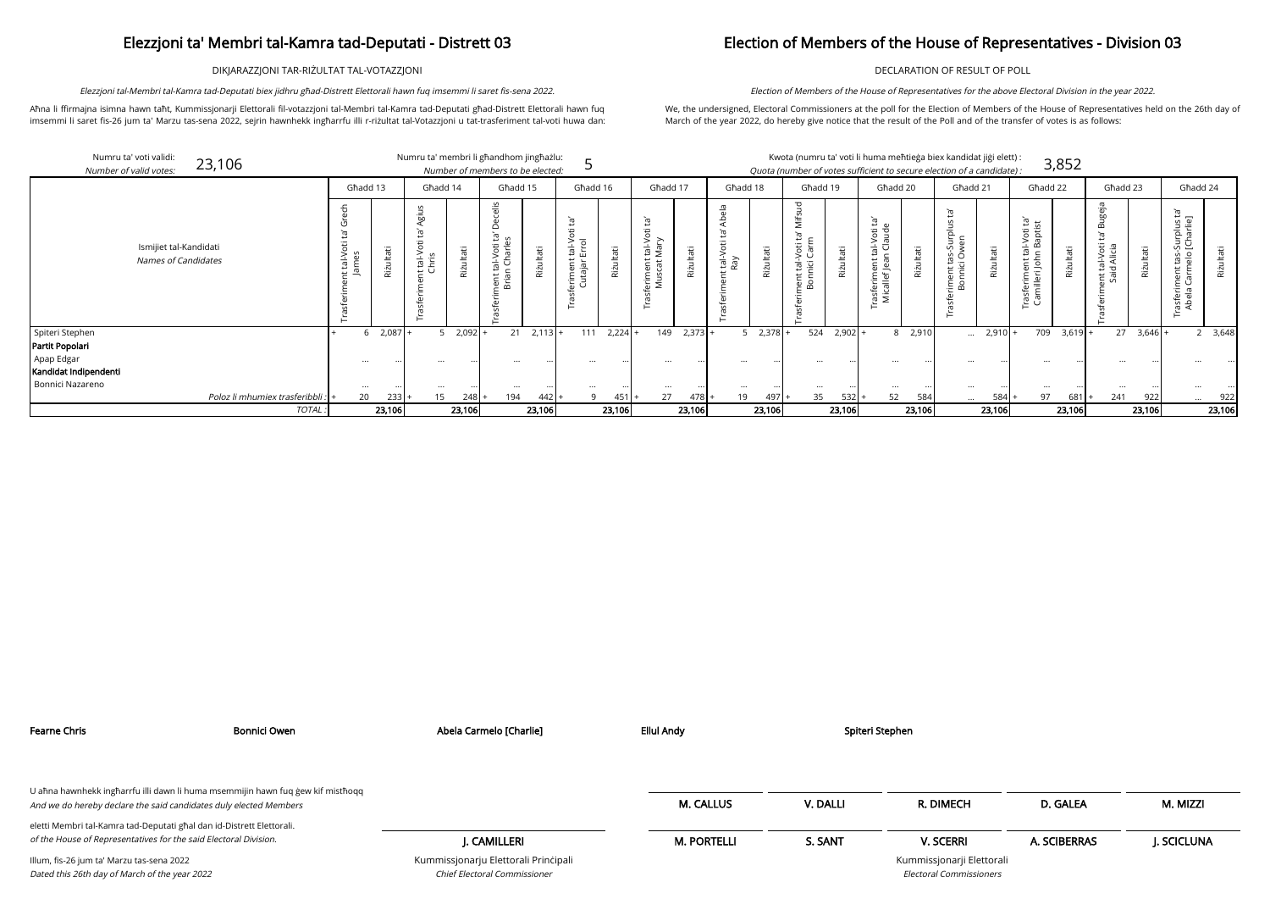DIKJARAZZJONI TAR-RIŻULTAT TAL-VOTAZZJONI

Aħna li ffirmajna isimna hawn taħt, Kummissjonarji Elettorali fil-votazzjoni tal-Membri tal-Kamra tad-Deputati għad-Distrett Elettorali hawn fuq imsemmi li saret fis-26 jum ta' Marzu tas-sena 2022, sejrin hawnhekk ingħarrfu illi r-riżultat tal-Votazzjoni u tat-trasferiment tal-voti huwa dan:

Elezzjoni tal-Membri tal-Kamra tad-Deputati biex jidhru għad-Distrett Elettorali hawn fuq imsemmi li saret fis-sena 2022.

### Election of Members of the House of Representatives - Division 03

DECLARATION OF RESULT OF POLL

We, the undersigned, Electoral Commissioners at the poll for the Election of Members of the House of Representatives held on the 26th day of March of the year 2022, do hereby give notice that the result of the Poll and of the transfer of votes is as follows:

Election of Members of the House of Representatives for the above Electoral Division in the year 2022.

| didat jiği elett) : |       |
|---------------------|-------|
| of a candidato) :   | 3,852 |

| Numru ta' voti validi:<br>23,106<br>Number of valid votes: |                               |           |                                |               | Numru ta' membri li għandhom jingħażlu:<br>Number of members to be elected: |           |                                                         |           |                                    |           |                 |           | Kwota (numru ta' voti li huma meħtieġa biex kandidat jiġi elett) :<br>Quota (number of votes sufficient to secure election of a candidate): |           |                                                    |           |                                               |           |                                                                                                    | 3,852         |                                                                    |                 |                                                                                                 |                                                                       |
|------------------------------------------------------------|-------------------------------|-----------|--------------------------------|---------------|-----------------------------------------------------------------------------|-----------|---------------------------------------------------------|-----------|------------------------------------|-----------|-----------------|-----------|---------------------------------------------------------------------------------------------------------------------------------------------|-----------|----------------------------------------------------|-----------|-----------------------------------------------|-----------|----------------------------------------------------------------------------------------------------|---------------|--------------------------------------------------------------------|-----------------|-------------------------------------------------------------------------------------------------|-----------------------------------------------------------------------|
|                                                            |                               | Ghadd 13  |                                | Ghadd 14      | Għadd 15                                                                    |           | Ghadd 16                                                |           | Ghadd 17                           |           | Ghadd 18        |           | Ghadd 19                                                                                                                                    |           | Ghadd 20                                           |           | Għadd 21                                      |           | Ghadd 22                                                                                           |               | Ghadd 23                                                           |                 | Ghadd 24                                                                                        |                                                                       |
| Ismijiet tal-Kandidati<br><b>Names of Candidates</b>       | $\mathsf{v}$<br>$\frac{1}{2}$ | Riżultati | S<br>Agiu<br>tal-Voti<br>:hris | Riżultati     | $rac{2}{10}$<br>Ë,<br>tal-Voti<br>1 Charle<br>ਜ਼ ਦ<br>ier<br>Brië           | Riżultati | Φ<br>$\Omega$<br>tal-V<br>Errol<br>eriment<br>Cutajar l | Riżultati | ᠤ<br>tal-Vot<br>Mary<br>ិ ថ<br>를 혹 | Riżultati | tal-Voti<br>Ray | Riżultati | Ē,<br>Voti<br>Carn<br>$\sum_{i=1}^{n}$<br>亩<br>မြိ                                                                                          | Riżultati | Ĕ,<br>းစ<br>al-Vot<br>Clau<br>rasferim<br>Micallef | Riżultati | ت<br>$\frac{3}{5}$<br>nt tas-Sur<br>mici Ower | Riżultati | ិថ<br>ដ<br>Voti<br>apti:<br>نه ۾<br>ج<br>$\subset$<br><sup>-</sup> rasferiment t<br>Camilleri Johr | iżultati      | ണ<br>ΈL,<br>al-Voti<br>Alicia<br>$\overline{\sigma}$<br>ೆ ರ<br>ដ ឌ | Riżultati       | σĩ<br>້ລ້ີ<br>-Surplus<br>[Charlie<br>ds<br>de<br>d<br>ent<br>arm<br>asfer<br>Abel <sub>e</sub> | Riżultati                                                             |
| Spiteri Stephen                                            |                               | $2,087 +$ |                                | $2,092$ +     | 21                                                                          | 2,113     | 111                                                     | $2,224$ + | 149                                | 2,373     |                 | 2,378     | 524                                                                                                                                         | $2,902 +$ | 8                                                  | 2,910     | $\cdots$                                      | $2,910 +$ |                                                                                                    | $709$ 3,619 + | 27                                                                 | $3,646$ $\cdot$ |                                                                                                 | 2, 3,648                                                              |
| Partit Popolari                                            |                               |           |                                |               |                                                                             |           |                                                         |           |                                    |           |                 |           |                                                                                                                                             |           |                                                    |           |                                               |           |                                                                                                    |               |                                                                    |                 |                                                                                                 |                                                                       |
| Apap Edgar<br>Kandidat Indipendenti                        |                               |           |                                |               |                                                                             |           |                                                         |           |                                    |           |                 |           |                                                                                                                                             |           |                                                    |           |                                               |           |                                                                                                    |               | $\cdots$                                                           |                 |                                                                                                 |                                                                       |
| Bonnici Nazareno                                           |                               |           |                                | $\cdots$<br>  |                                                                             |           | $\ddotsc$                                               |           | $\cdots$                           |           |                 |           | $\cdots$                                                                                                                                    |           | $\cdots$                                           |           |                                               |           | $\cdots$                                                                                           |               | $\cdots$                                                           |                 |                                                                                                 |                                                                       |
| Poloz li mhumiex trasferibbli :                            |                               | 20<br>233 |                                | 15<br>$248$ + | 194                                                                         | 442       |                                                         | $451 +$   | 27                                 | 478       | 19              | $497 +$   | 35                                                                                                                                          | $532 +$   | 52                                                 | 584       | $\cdots$                                      | $584 +$   | 97                                                                                                 | 681           | 241                                                                | 922             |                                                                                                 | 922<br>$\cdots$ .<br><br><br><br><br><br><br><br><br><br><br><br><br> |
|                                                            | TOTAL:                        | 23,106    |                                | 23,106        |                                                                             | 23,106    |                                                         | 23,106    |                                    | 23,106    |                 | 23,106    |                                                                                                                                             | 23,106    |                                                    | 23,106    |                                               | 23,106    |                                                                                                    | 23,106        |                                                                    | 23,106          |                                                                                                 | 23,106                                                                |

| Bonnici Owen<br>Fearne Chris                                                                                                                         |  | Abela Carmelo [Charlie]                                              | <b>Ellul Andy</b>  | Spiteri Stephen |                                                             |              |            |
|------------------------------------------------------------------------------------------------------------------------------------------------------|--|----------------------------------------------------------------------|--------------------|-----------------|-------------------------------------------------------------|--------------|------------|
|                                                                                                                                                      |  |                                                                      |                    |                 |                                                             |              |            |
| U aħna hawnhekk ingħarrfu illi dawn li huma msemmijin hawn fuq ġew kif mistħoqq<br>And we do hereby declare the said candidates duly elected Members |  |                                                                      | <b>M. CALLUS</b>   | V. DALLI        | R. DIMECH                                                   | D. GALEA     | M. MIZZI   |
| eletti Membri tal-Kamra tad-Deputati għal dan id-Distrett Elettorali.                                                                                |  |                                                                      |                    |                 |                                                             |              |            |
| of the House of Representatives for the said Electoral Division.                                                                                     |  | J. CAMILLERI                                                         | <b>M. PORTELLI</b> | S. SANT         | <b>V. SCERRI</b>                                            | A. SCIBERRAS | J. SCICLUN |
| Illum, fis-26 jum ta' Marzu tas-sena 2022<br>Dated this 26th day of March of the year 2022                                                           |  | Kummissjonarju Elettorali Principali<br>Chief Electoral Commissioner |                    |                 | Kummissjonarji Elettorali<br><b>Electoral Commissioners</b> |              |            |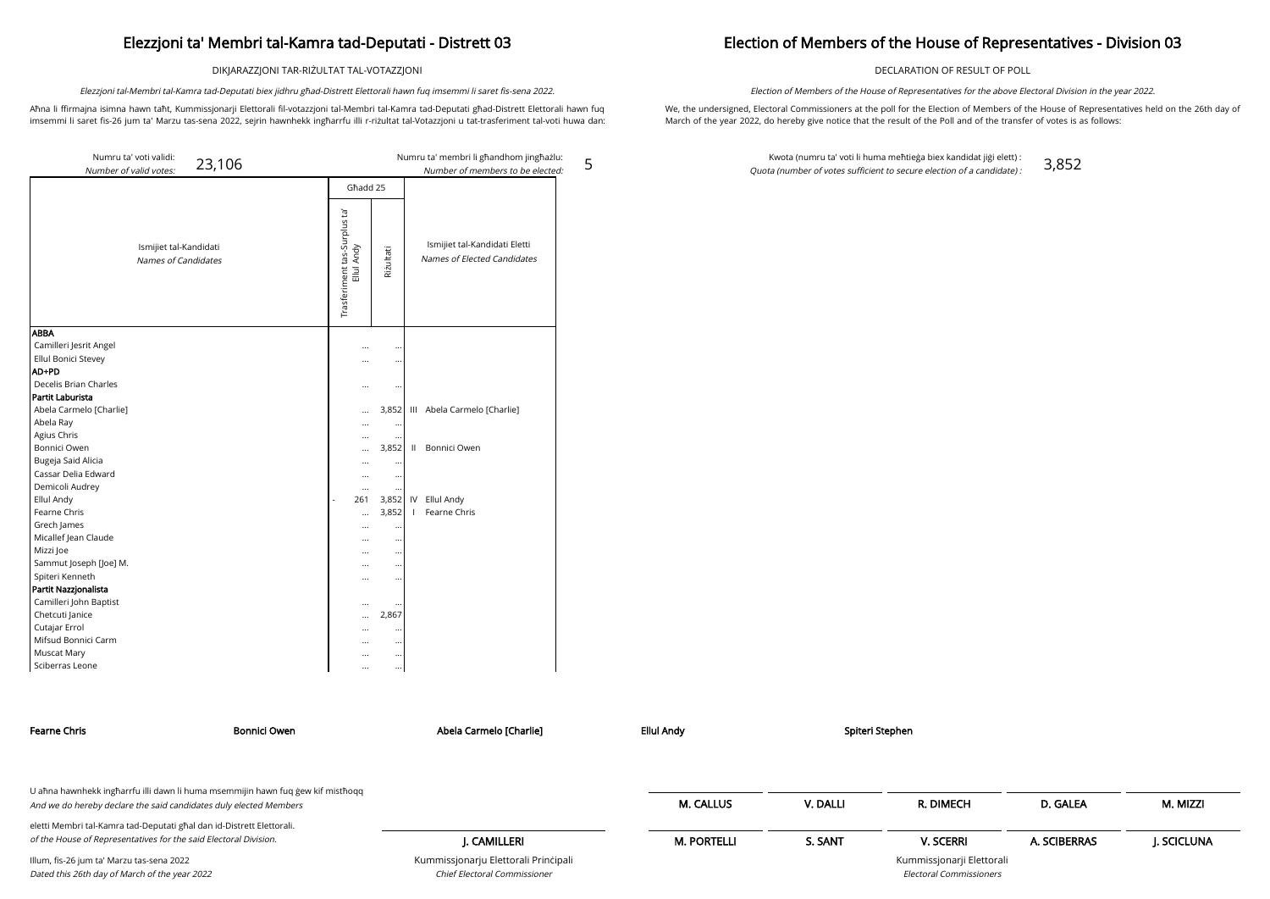DIKJARAZZJONI TAR-RIŻULTAT TAL-VOTAZZJONI

Aħna li ffirmajna isimna hawn taħt, Kummissjonarji Elettorali fil-votazzjoni tal-Membri tal-Kamra tad-Deputati għad-Distrett Elettorali hawn fuq imsemmi li saret fis-26 jum ta' Marzu tas-sena 2022, sejrin hawnhekk ingħarrfu illi r-riżultat tal-Votazzjoni u tat-trasferiment tal-voti huwa dan:

Elezzjoni tal-Membri tal-Kamra tad-Deputati biex jidhru għad-Distrett Elettorali hawn fuq imsemmi li saret fis-sena 2022.

5

### Election of Members of the House of Representatives - Division 03

DECLARATION OF RESULT OF POLL

We, the undersigned, Electoral Commissioners at the poll for the Election of Members of the House of Representatives held on the 26th day of March of the year 2022, do hereby give notice that the result of the Poll and of the transfer of votes is as follows:

Election of Members of the House of Representatives for the above Electoral Division in the year 2022.

Kwota (numru ta' voti li huma meħtieġa biex kandidat jiġi elett) : Quota (number of votes sufficient to secure election of a candidate) : 3,852

| Numru ta' voti validi:<br>23,106                     |                                            |                      | Numru ta' membri li għandhom jingħażlu:                      |
|------------------------------------------------------|--------------------------------------------|----------------------|--------------------------------------------------------------|
| Number of valid votes:                               |                                            |                      | Number of members to be elected:                             |
|                                                      | Għadd 25                                   |                      |                                                              |
| Ismijiet tal-Kandidati<br><b>Names of Candidates</b> | Trasferiment tas-Surplus ta'<br>Ellul Andy | Rizultati            | Ismijiet tal-Kandidati Eletti<br>Names of Elected Candidates |
| <b>ABBA</b>                                          |                                            |                      |                                                              |
| Camilleri Jesrit Angel                               |                                            |                      |                                                              |
| Ellul Bonici Stevey                                  |                                            |                      |                                                              |
| AD+PD                                                |                                            |                      |                                                              |
| Decelis Brian Charles                                |                                            |                      |                                                              |
| Partit Laburista                                     |                                            |                      |                                                              |
| Abela Carmelo [Charlie]                              |                                            | 3,852                | III Abela Carmelo [Charlie]                                  |
| Abela Ray                                            |                                            | $\ddot{\phantom{0}}$ |                                                              |
| Agius Chris                                          | $\cdots$                                   | $\ddotsc$            |                                                              |
| Bonnici Owen                                         |                                            | 3,852                | Bonnici Owen<br>$\mathbf{H}$                                 |
| Bugeja Said Alicia                                   |                                            |                      |                                                              |
| Cassar Delia Edward                                  |                                            | $\ddotsc$            |                                                              |
| Demicoli Audrey                                      |                                            |                      |                                                              |
| Ellul Andy                                           | 261<br>L,                                  | 3,852                | Ellul Andy<br>IV                                             |
| Fearne Chris                                         |                                            | 3,852                | Fearne Chris<br>$\mathbf{I}$                                 |
| Grech James                                          |                                            |                      |                                                              |
| Micallef Jean Claude                                 |                                            |                      |                                                              |
| Mizzi Joe                                            |                                            |                      |                                                              |
| Sammut Joseph [Joe] M.                               |                                            | $\ddot{\phantom{0}}$ |                                                              |
| Spiteri Kenneth                                      |                                            | $\ddot{\phantom{0}}$ |                                                              |
| Partit Nazzjonalista                                 |                                            |                      |                                                              |
| Camilleri John Baptist                               |                                            |                      |                                                              |
| Chetcuti Janice                                      |                                            | 2,867                |                                                              |
| Cutajar Errol                                        |                                            | $\ddotsc$            |                                                              |
| Mifsud Bonnici Carm                                  |                                            | $\cdots$             |                                                              |
| Muscat Mary                                          |                                            | $\cdots$             |                                                              |
| Sciberras Leone                                      |                                            | $\ldots$             |                                                              |

| Fearne Chris                                                                                                                                         | Bonnici Owen | Abela Carmelo [Charlie]              | Ellul Andy         |          | Spiteri Stephen           |              |            |
|------------------------------------------------------------------------------------------------------------------------------------------------------|--------------|--------------------------------------|--------------------|----------|---------------------------|--------------|------------|
| U ahna hawnhekk ingharrfu illi dawn li huma msemmijin hawn fuq gew kif misthoqq<br>And we do hereby declare the said candidates duly elected Members |              |                                      | <b>M. CALLUS</b>   | V. DALLI | R. DIMECH                 | D. GALEA     | M. MIZZI   |
| eletti Membri tal-Kamra tad-Deputati għal dan id-Distrett Elettorali.                                                                                |              |                                      |                    |          |                           |              |            |
| of the House of Representatives for the said Electoral Division.                                                                                     |              | J. CAMILLERI                         | <b>M. PORTELLI</b> | S. SANT  | <b>V. SCERRI</b>          | A. SCIBERRAS | J. SCICLUN |
| Illum, fis-26 jum ta' Marzu tas-sena 2022                                                                                                            |              | Kummissjonarju Elettorali Principali |                    |          | Kummissjonarji Elettorali |              |            |
| Dated this 26th day of March of the year 2022                                                                                                        |              | <b>Chief Electoral Commissioner</b>  |                    |          | Electoral Commissioners   |              |            |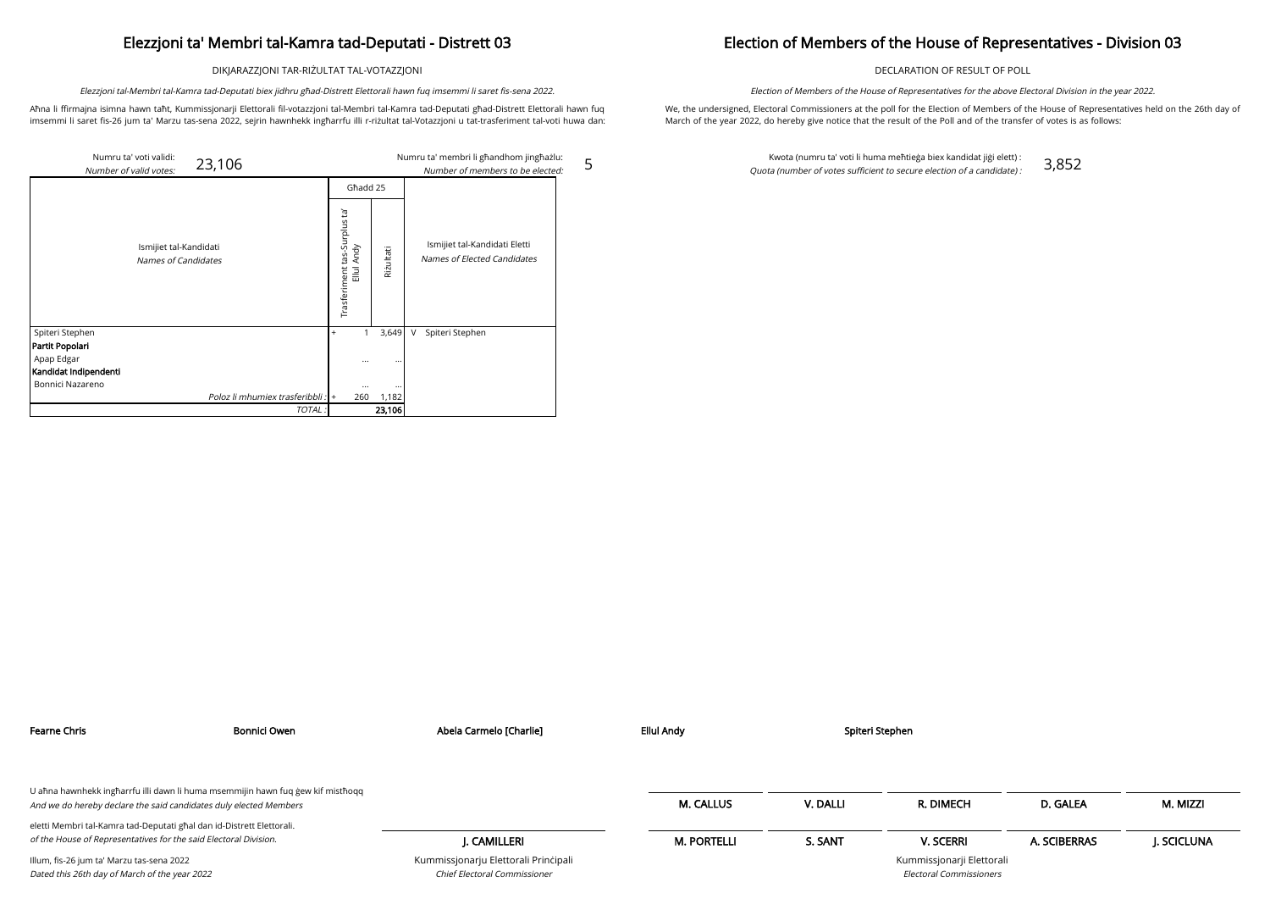DIKJARAZZJONI TAR-RIŻULTAT TAL-VOTAZZJONI

Aħna li ffirmajna isimna hawn taħt, Kummissjonarji Elettorali fil-votazzjoni tal-Membri tal-Kamra tad-Deputati għad-Distrett Elettorali hawn fuq imsemmi li saret fis-26 jum ta' Marzu tas-sena 2022, sejrin hawnhekk ingħarrfu illi r-riżultat tal-Votazzjoni u tat-trasferiment tal-voti huwa dan:

Elezzjoni tal-Membri tal-Kamra tad-Deputati biex jidhru għad-Distrett Elettorali hawn fuq imsemmi li saret fis-sena 2022.

5

### Election of Members of the House of Representatives - Division 03

DECLARATION OF RESULT OF POLL

We, the undersigned, Electoral Commissioners at the poll for the Election of Members of the House of Representatives held on the 26th day of March of the year 2022, do hereby give notice that the result of the Poll and of the transfer of votes is as follows:

Election of Members of the House of Representatives for the above Electoral Division in the year 2022.

| Numru ta' voti validi: | 23,106                                        |                                              |           | Numru ta' membri li għandhom jingħażlu:                      |
|------------------------|-----------------------------------------------|----------------------------------------------|-----------|--------------------------------------------------------------|
| Number of valid votes: |                                               |                                              |           | Number of members to be elected:                             |
|                        |                                               | Ghadd 25                                     |           |                                                              |
|                        | Ismijiet tal-Kandidati<br>Names of Candidates | īg<br>Trasferiment tas-Surplus<br>Ellul Andy | Rizultati | Ismijiet tal-Kandidati Eletti<br>Names of Elected Candidates |
| Spiteri Stephen        |                                               | 1<br>$^{+}$                                  | 3,649     | Spiteri Stephen<br>V                                         |
| Partit Popolari        |                                               |                                              |           |                                                              |
| Apap Edgar             |                                               | $\cdots$                                     | $\cdots$  |                                                              |
| Kandidat Indipendenti  |                                               |                                              |           |                                                              |
| Bonnici Nazareno       |                                               |                                              | $\cdots$  |                                                              |
|                        | Poloz li mhumiex trasferibbli : +             | 260                                          | 1,182     |                                                              |
|                        | TOTAL:                                        |                                              | 23,106    |                                                              |

Kwota (numru ta' voti li huma meħtieġa biex kandidat jiġi elett) : Quota (number of votes sufficient to secure election of a candidate) : 3,852

| Bonnici Owen<br>Fearne Chris                                                                                                                         |  | Abela Carmelo [Charlie]                                              | <b>Ellul Andy</b>  |          | Spiteri Stephen                                      |              |            |
|------------------------------------------------------------------------------------------------------------------------------------------------------|--|----------------------------------------------------------------------|--------------------|----------|------------------------------------------------------|--------------|------------|
|                                                                                                                                                      |  |                                                                      |                    |          |                                                      |              |            |
| U ahna hawnhekk ingharrfu illi dawn li huma msemmijin hawn fuq gew kif misthoqq<br>And we do hereby declare the said candidates duly elected Members |  |                                                                      | M. CALLUS          | V. DALLI | R. DIMECH                                            | D. GALEA     | M. MIZZI   |
| eletti Membri tal-Kamra tad-Deputati għal dan id-Distrett Elettorali.                                                                                |  |                                                                      |                    |          |                                                      |              |            |
| of the House of Representatives for the said Electoral Division.                                                                                     |  | I. CAMILLERI                                                         | <b>M. PORTELLI</b> | S. SANT  | <b>V. SCERRI</b>                                     | A. SCIBERRAS | J. SCICLUN |
| Illum, fis-26 jum ta' Marzu tas-sena 2022<br>Dated this 26th day of March of the year 2022                                                           |  | Kummissjonarju Elettorali Principali<br>Chief Electoral Commissioner |                    |          | Kummissjonarji Elettorali<br>Electoral Commissioners |              |            |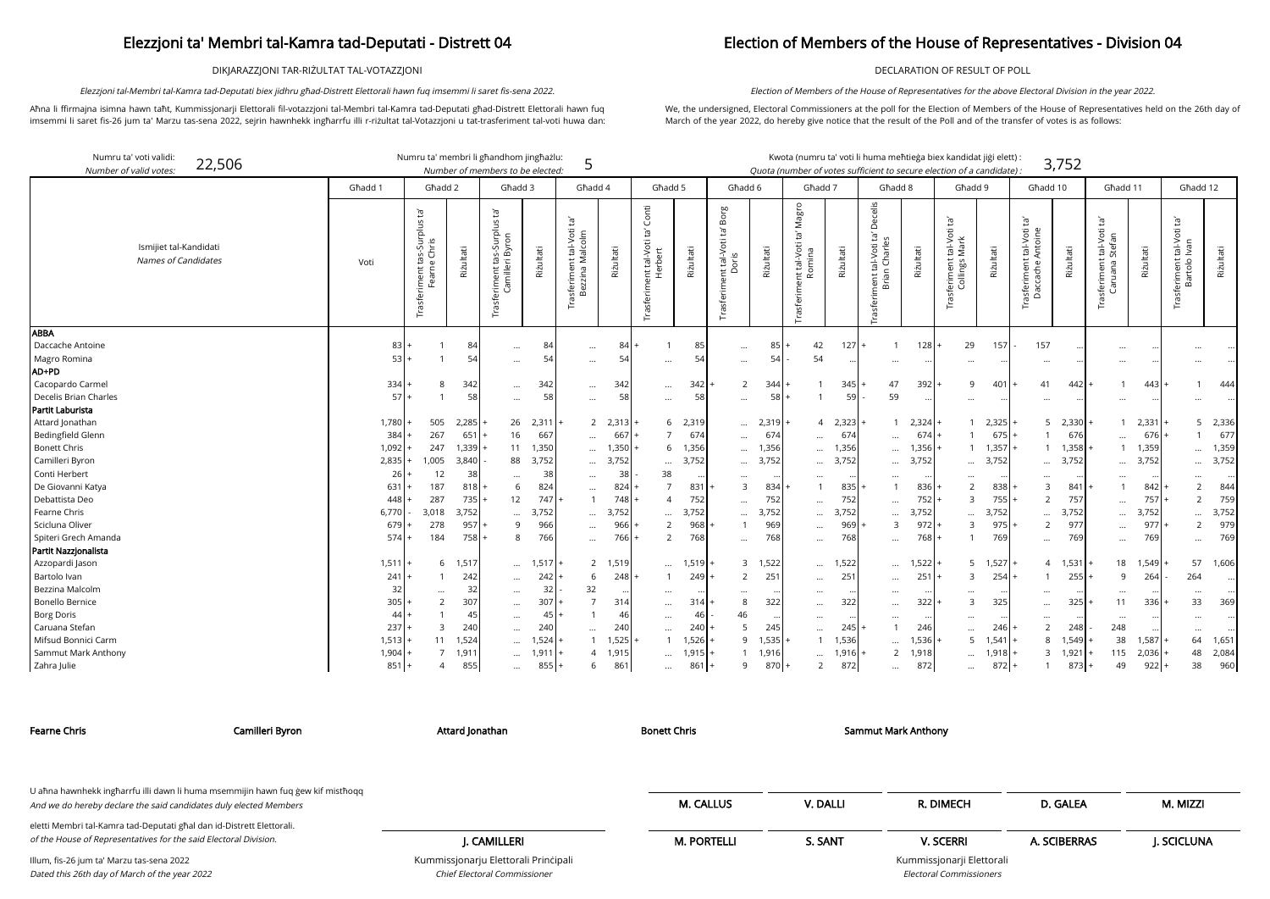DIKJARAZZJONI TAR-RIŻULTAT TAL-VOTAZZJONI

Aħna li ffirmajna isimna hawn taħt, Kummissjonarji Elettorali fil-votazzjoni tal-Membri tal-Kamra tad-Deputati għad-Distrett Elettorali hawn fuq imsemmi li saret fis-26 jum ta' Marzu tas-sena 2022, sejrin hawnhekk ingħarrfu illi r-riżultat tal-Votazzjoni u tat-trasferiment tal-voti huwa dan:

Elezzjoni tal-Membri tal-Kamra tad-Deputati biex jidhru għad-Distrett Elettorali hawn fuq imsemmi li saret fis-sena 2022.

## Election of Members of the House of Representatives - Division 04

DECLARATION OF RESULT OF POLL

We, the undersigned, Electoral Commissioners at the poll for the Election of Members of the House of Representatives held on the 26th day of March of the year 2022, do hereby give notice that the result of the Poll and of the transfer of votes is as follows:

Election of Members of the House of Representatives for the above Electoral Division in the year 2022.

arji Elettorali Electoral Commissioners

| Numru ta' voti validi:<br>22,506<br>Number of valid votes. |           | Numru ta' membri li għandhom jingħażlu:                        |             | Number of members to be elected:                                            |           | 5                                                                |                 |                                               |           |                                                           |           |                                                           |                |                                                                     |           | Kwota (numru ta' voti li huma meħtieġa biex kandidat jiġi elett) :<br>Quota (number of votes sufficient to secure election of a candidate) |           |                                                                                    | 3,752           |                                                                               |               |                                                        |           |
|------------------------------------------------------------|-----------|----------------------------------------------------------------|-------------|-----------------------------------------------------------------------------|-----------|------------------------------------------------------------------|-----------------|-----------------------------------------------|-----------|-----------------------------------------------------------|-----------|-----------------------------------------------------------|----------------|---------------------------------------------------------------------|-----------|--------------------------------------------------------------------------------------------------------------------------------------------|-----------|------------------------------------------------------------------------------------|-----------------|-------------------------------------------------------------------------------|---------------|--------------------------------------------------------|-----------|
|                                                            | Ghadd 1   | Ghadd 2                                                        |             | Għadd 3                                                                     |           | Ghadd 4                                                          |                 | Ghadd 5                                       |           | Ghadd 6                                                   |           | Ghadd 7                                                   |                | Ghadd 8                                                             |           | Ghadd 9                                                                                                                                    |           | Għadd 10                                                                           |                 | Għadd 11                                                                      |               | Ghadd 12                                               |           |
| Ismijiet tal-Kandidati<br>Names of Candidates              | Voti      | : tas-Surplus ta'<br>ne Chris<br>iment ta<br>Fearne<br>Trasfer | Riżultati   | tā'<br><b>suld.</b><br>$\overline{5}$<br>თ<br>ЪĂ<br>tas<br>rasferiment<br>Ğ | Riżultati | $\overline{c}$<br>nt tal-Voti<br>Malcolm<br>isferimer<br>Bezzina | Riżultati       | Conti<br>Trasferiment tal-Voti ta'<br>Herbert | Riżultati | Borg<br>ρŕ<br>ent tal-Voti 1<br>Doris<br><b>Trasferim</b> | Riżultati | Magro<br>$\tilde{E}^{\prime}$<br>nt tal-Voti<br>Trasferim | Riżultati      | Decelis<br>Įą,<br>Charles<br>tal-Voti<br>Trasferiment ta<br>Brian ( | Riżultati | Įą,<br>tal-Voti<br>Mark<br>Trasferiment t<br>Collings M                                                                                    | Riżultati | $\tilde{E}_1$<br>: tal-Voti<br>Antoine<br>- <sub>rasferiment t</sub><br>Daccache A | Riżultati       | $\tilde{E}$<br>: tal-Voti<br>Stefan<br>Trasferiment <del>1</del><br>Caruana S | Riżultati     | Įą,<br>tal-Voti<br>Ivan<br>Trasferiment t<br>Bartolo I | Riżultati |
| <b>ABBA</b>                                                |           |                                                                |             |                                                                             |           |                                                                  |                 |                                               |           |                                                           |           |                                                           |                |                                                                     |           |                                                                                                                                            |           |                                                                                    |                 |                                                                               |               |                                                        |           |
| Daccache Antoine                                           | 83<br>53  |                                                                | 84          | $\ldots$                                                                    | 84<br>54  | $\cdots$                                                         | 84              | -1                                            | 85        | $\cdots$                                                  | 85<br>54  | 42                                                        | $127 +$        | $\overline{1}$                                                      | $128$ $+$ | 29                                                                                                                                         | 157       | 157                                                                                |                 | $\ddots$                                                                      |               |                                                        |           |
| Magro Romina<br>AD+PD                                      |           |                                                                | 54          | $\cdots$                                                                    |           | $\cdots$                                                         | 54              | $\cdots$                                      | 54        | $\ddotsc$                                                 |           | 54                                                        |                | $\cdots$                                                            |           |                                                                                                                                            |           |                                                                                    |                 | $\ddotsc$                                                                     |               |                                                        |           |
| Cacopardo Carmel                                           | 334       | 8                                                              | 342         |                                                                             | 342       |                                                                  | 342             |                                               | 342       | 2                                                         | 344       |                                                           | 345            | 47                                                                  | 392       | q                                                                                                                                          | 401       | 41                                                                                 | 442             |                                                                               | 443           |                                                        | 444       |
| Decelis Brian Charles                                      | 57        |                                                                | 58          | $\cdots$                                                                    | 58        | $\cdots$                                                         | 58              | $\cdots$                                      | 58        |                                                           | 58        |                                                           | 5 <sup>°</sup> | 59                                                                  |           |                                                                                                                                            |           |                                                                                    |                 |                                                                               |               |                                                        |           |
| Partit Laburista                                           |           |                                                                |             | $\ldots$                                                                    |           | $\cdots$                                                         |                 | $\ldots$                                      |           | $\cdots$                                                  |           |                                                           |                |                                                                     |           |                                                                                                                                            |           | $\cdots$                                                                           |                 | $\cdots$                                                                      |               |                                                        |           |
| Attard Jonathan                                            | 1,780     | 505                                                            | 2,285       | 26                                                                          | 2,311     |                                                                  | 2, 2, 313       | 6                                             | 2,319     | $\cdots$                                                  | 2,319     | $\overline{4}$                                            | 2,323          |                                                                     | 2,324     |                                                                                                                                            | 2,325     |                                                                                    | $5$ 2,330       |                                                                               | 2,331         | 5                                                      | 2,336     |
| Bedingfield Glenn                                          | 384       | 267                                                            | 651         | 16                                                                          | 667       | $\cdots$                                                         | 667             | $\overline{7}$                                | 674       | $\cdots$                                                  | 674       | $\ddots$                                                  | 674            | $\cdots$                                                            | 674       |                                                                                                                                            | 675       | $\mathbf{1}$                                                                       | 676             | $\ddotsc$                                                                     | 676           |                                                        | 677       |
| <b>Bonett Chris</b>                                        | 1,092     | 247                                                            | $1,339$ $+$ | 11                                                                          | 1,350     | $\cdots$                                                         | 1,350           | 6                                             | 1,356     | $\cdots$                                                  | 1,356     | $\cdots$                                                  | 1,356          | $\cdots$                                                            | 1,356     |                                                                                                                                            | 1,357     | $\mathbf{1}$                                                                       | 1,358           |                                                                               | 1,359         |                                                        | 1,359     |
| Camilleri Byron                                            | 2,835     | 1,005                                                          | 3,840       | 88                                                                          | 3,752     | $\cdots$                                                         | 3,752           | $\cdots$                                      | 3,752     | $\cdots$                                                  | 3,752     | $\cdots$                                                  | 3,752          | $\cdots$                                                            | 3,752     | $\cdots$                                                                                                                                   | 3,752     | $\cdots$                                                                           | 3,752           | $\cdots$                                                                      | 3,752         |                                                        | 3,752     |
| Conti Herbert                                              | 26        | 12                                                             | 38          | $\ddots$                                                                    | 38        | $\cdots$                                                         | 38              | 38                                            |           | $\ddotsc$                                                 |           |                                                           |                | $\cdots$                                                            |           |                                                                                                                                            |           | $\cdots$                                                                           |                 | $\ddotsc$                                                                     |               |                                                        |           |
| De Giovanni Katya                                          | 631       | 187                                                            | 818         | 6                                                                           | 824       | $\cdots$                                                         | 824             |                                               | 831       | 3                                                         | 834       |                                                           | 835            |                                                                     | 836       |                                                                                                                                            | 838       | 3                                                                                  | 841             |                                                                               | 842           | $\overline{2}$                                         | 844       |
| Debattista Deo                                             | 448       | 287                                                            | 735         | 12                                                                          | 747       |                                                                  | 748             | $\Delta$                                      | 752       | $\cdots$                                                  | 752       |                                                           | 752            | $\cdots$                                                            | 752       | 3                                                                                                                                          | 755       | $\overline{2}$                                                                     | 757             | $\ddots$                                                                      | 757           | 2                                                      | 759       |
| Fearne Chris                                               | 6,770     | 3,018                                                          | 3,752       | $\ddotsc$                                                                   | 3,752     | $\cdots$                                                         | 3,752           |                                               | 3,752     | $\ddotsc$                                                 | 3,752     | $\cdots$                                                  | 3,752          | $\cdots$                                                            | 3,752     |                                                                                                                                            | 3,752     | $\cdots$                                                                           | 3,752           | $\cdots$                                                                      | 3,752         |                                                        | 3,752     |
| Scicluna Oliver                                            | 679       | 278                                                            | 957         | 9                                                                           | 966       | $\cdots$                                                         | 966             | $\overline{2}$                                | 968       |                                                           | 969       | $\cdots$                                                  | 969            | $\overline{3}$                                                      | 972       | $\mathbf{B}$                                                                                                                               | 975       | $\overline{2}$                                                                     | 977             | $\cdots$                                                                      | 977           | $\overline{2}$                                         | 979       |
| Spiteri Grech Amanda                                       | $574 +$   | 184                                                            | 758         | 8                                                                           | 766       | $\cdots$                                                         | 766             | 2                                             | 768       | $\ddotsc$                                                 | 768       | $\cdots$                                                  | 768            | $\cdots$                                                            | 768       |                                                                                                                                            | 769       | $\cdots$                                                                           | 769             |                                                                               | 769           | $\cdots$                                               | 769       |
| Partit Nazzjonalista                                       |           |                                                                |             |                                                                             |           |                                                                  |                 |                                               |           |                                                           |           |                                                           |                |                                                                     |           |                                                                                                                                            |           |                                                                                    |                 |                                                                               |               |                                                        |           |
| Azzopardi Jason                                            | 1,511     | 6                                                              | 1,517       | $\cdots$                                                                    | 1,517     | $\overline{2}$                                                   | 1,51            | $\cdots$                                      | 1,519     |                                                           | 3 1,522   | $\cdots$                                                  | 1,522          | $\cdots$                                                            | 1,522     |                                                                                                                                            | 1,527     | $\overline{4}$                                                                     | 1,531           | 18                                                                            | 1,549         | 57                                                     | 1,606     |
| Bartolo Ivan                                               | 241       |                                                                | 242         | $\ldots$                                                                    | 242       | 6                                                                | 248             | $\overline{1}$                                | 249       | $\mathcal{P}$                                             | 251       | $\cdots$                                                  | $25^{\circ}$   | $\cdots$                                                            | 251       | 3                                                                                                                                          | 254       | $\mathbf{1}$                                                                       | 255             | 9                                                                             | 264           | 264                                                    |           |
| Bezzina Malcolm                                            | 32        | $\cdots$                                                       | 32          | $\cdots$                                                                    | 32        | 32                                                               |                 | $\cdots$                                      | $\cdots$  | $\cdots$                                                  |           | $\cdots$                                                  |                | $\cdots$                                                            |           |                                                                                                                                            |           | $\cdots$                                                                           |                 | $\cdots$                                                                      |               | $\cdots$                                               |           |
| Bonello Bernice                                            | 305       | $\overline{2}$                                                 | 307         | $\cdots$                                                                    | 307       |                                                                  | 314             | $\cdots$                                      | 314       | 8                                                         | 322       | $\cdots$                                                  | 322            | $\cdots$                                                            | 322       |                                                                                                                                            | 325       | $\cdots$                                                                           | 325             | 11                                                                            | 336           | 33                                                     | 369       |
| <b>Borg Doris</b>                                          | 44        |                                                                | 45          | $\cdots$                                                                    | 45        |                                                                  | 46              |                                               | 46        | 46                                                        | $\cdots$  |                                                           |                |                                                                     |           |                                                                                                                                            |           |                                                                                    |                 | $\cdots$                                                                      | $\cdot \cdot$ |                                                        |           |
| Caruana Stefan                                             | 237       | 3                                                              | 240         | $\cdots$                                                                    | 240       | $\cdots$                                                         | 240             | $\cdots$                                      | 240       | 5                                                         | 245       | $\cdots$                                                  | 245            |                                                                     | 246       | $\cdots$                                                                                                                                   | 246       | 2                                                                                  | 248             | 248                                                                           |               | $\cdots$                                               |           |
| Mifsud Bonnici Carm                                        | $1,513$ + | 11                                                             | 1,524       | $\ddotsc$                                                                   | 1,524     |                                                                  | 1,525           |                                               | 1,526     | 9                                                         | 1,535     |                                                           | 1,536          | $\cdots$                                                            | 1,536     | 5                                                                                                                                          | 1,541     | 8                                                                                  | 1,549           | 38                                                                            | 1,587         | 64                                                     | 1,651     |
| Sammut Mark Anthony                                        | 1,904     | $\overline{7}$                                                 | 1,911       | $\cdots$                                                                    | 1,911     | $\Delta$                                                         | 1,91!           | $\cdots$                                      | 1,915     |                                                           | 1,916     | $\cdots$                                                  | 1,916          | $\overline{2}$                                                      | 1,918     | $\cdots$                                                                                                                                   | 1,918     |                                                                                    | $3 \quad 1,921$ | 115                                                                           | 2,036         | 48                                                     | 2,084     |
| Zahra Julie                                                | 851       | $\overline{A}$                                                 | 855         | $\cdots$                                                                    | $855 +$   | 6                                                                | 86 <sup>′</sup> | $\cdots$                                      | 861       | 9                                                         | 870       | 2                                                         | 872            | $\cdots$                                                            | 872       | $\cdots$                                                                                                                                   | 872       | $\mathbf{1}$                                                                       | 873             | 49                                                                            | 922           | 38                                                     | 960       |

Chief Electoral Commissioner

| Camilleri Byron<br>Fearne Chris                                                                                                           |  | Attard Jonathan                      | <b>Bonett Chris</b> |          | Sammut Mark Anthony       |              |            |
|-------------------------------------------------------------------------------------------------------------------------------------------|--|--------------------------------------|---------------------|----------|---------------------------|--------------|------------|
| U ahna hawnhekk ingharrfu illi dawn li huma msemmijin hawn fuq gew kif misthoqq                                                           |  |                                      |                     |          |                           |              |            |
| And we do hereby declare the said candidates duly elected Members                                                                         |  |                                      | <b>M. CALLUS</b>    | V. DALLI | R. DIMECH                 | D. GALEA     | M. MIZZI   |
| eletti Membri tal-Kamra tad-Deputati għal dan id-Distrett Elettorali.<br>of the House of Representatives for the said Electoral Division. |  |                                      |                     |          |                           |              |            |
|                                                                                                                                           |  | . CAMILLERI                          | <b>M. PORTELLI</b>  | S. SANT  | <b>V. SCERRI</b>          | A. SCIBERRAS | J. SCICLUN |
| Illum, fis-26 jum ta' Marzu tas-sena 2022                                                                                                 |  | Kummissjonarju Elettorali Principali |                     |          | Kummissjonarji Elettorali |              |            |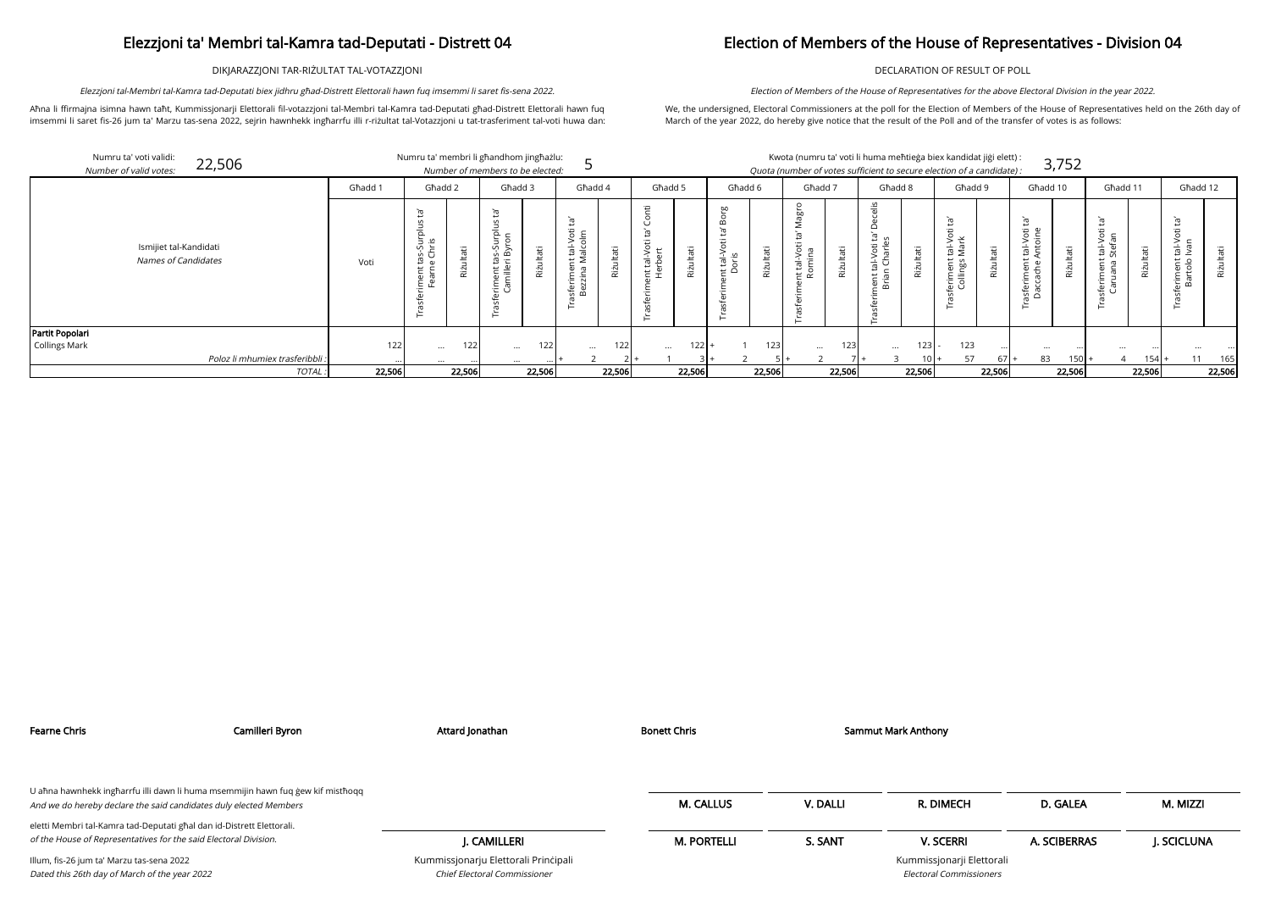DIKJARAZZJONI TAR-RIŻULTAT TAL-VOTAZZJONI

Aħna li ffirmajna isimna hawn taħt, Kummissjonarji Elettorali fil-votazzjoni tal-Membri tal-Kamra tad-Deputati għad-Distrett Elettorali hawn fuq imsemmi li saret fis-26 jum ta' Marzu tas-sena 2022, sejrin hawnhekk ingħarrfu illi r-riżultat tal-Votazzjoni u tat-trasferiment tal-voti huwa dan:

Elezzjoni tal-Membri tal-Kamra tad-Deputati biex jidhru għad-Distrett Elettorali hawn fuq imsemmi li saret fis-sena 2022.

## Election of Members of the House of Representatives - Division 04

DECLARATION OF RESULT OF POLL

We, the undersigned, Electoral Commissioners at the poll for the Election of Members of the House of Representatives held on the 26th day of March of the year 2022, do hereby give notice that the result of the Poll and of the transfer of votes is as follows:

Election of Members of the House of Representatives for the above Electoral Division in the year 2022.

| ۰  |  |  |  |
|----|--|--|--|
|    |  |  |  |
|    |  |  |  |
| ۰. |  |  |  |
|    |  |  |  |

| Numru ta' voti validi:<br>22,506<br>Number of valid votes: |                 | Numru ta' membri li għandhom jingħażlu: |            | Number of members to be elected:              |                  |                                            |         |                         |               |                   |           |                    |                  | Kwota (numru ta' voti li huma meħtieġa biex kandidat jiġi elett) :<br>Quota (number of votes sufficient to secure election of a candidate): |         |                                                     |              |                                                            | 3,752         |                             |            |                                       |           |
|------------------------------------------------------------|-----------------|-----------------------------------------|------------|-----------------------------------------------|------------------|--------------------------------------------|---------|-------------------------|---------------|-------------------|-----------|--------------------|------------------|---------------------------------------------------------------------------------------------------------------------------------------------|---------|-----------------------------------------------------|--------------|------------------------------------------------------------|---------------|-----------------------------|------------|---------------------------------------|-----------|
|                                                            | Ghadd 1         | Għadd 2                                 |            | Ghadd 3                                       |                  | Għadd 4                                    |         | Ghadd 5                 |               | Ghadd 6           |           | Ghadd 7            |                  | Ghadd 8                                                                                                                                     |         | Għadd 9                                             |              | Għadd 10                                                   |               | Ghadd 11                    |            | Għadd 12                              |           |
| Ismijiet tal-Kandidati<br>Names of Candidates              | Voti            | $\Omega$<br>as-Si<br>Chr<br>Ē 뿐         | аťі<br>Riż | $\vec{a}$<br>ىدى.<br>ھ<br>ロー<br>$\frac{1}{2}$ | ultati<br>Riż    | Ġ<br>tal-Voti<br>alcolm<br>ىب<br>Ë.<br>യ പ | π<br>۰N | $\overline{\mathbb{E}}$ | āΰ<br>Rizulta | it tal-N<br>Doris | Riżultati | Φ<br>თ G<br>≻<br>亩 | Riżultati        | $rac{16}{10}$<br>ى<br>∵≔<br>゙゙゠<br>는 호                                                                                                      | ъ<br>ξï | ミミ<br>$\frac{1}{2}$<br>ent<br>ngs<br>erim<br>Collir | π<br>Rizulta | Ĕ,<br>tal-Voti<br>Antoine<br>ferimer.<br>accach<br>្ទុ ក្ន | tati<br>Riz   | $\circ$ $\circ$<br>노<br>$-$ | θĖ<br>Riżu | $\frac{1}{2}$<br>nent<br>rtolo<br>$-$ | Riżultati |
| Partit Popolari                                            |                 |                                         |            |                                               |                  |                                            |         |                         |               |                   |           |                    |                  |                                                                                                                                             |         |                                                     |              |                                                            |               |                             |            |                                       |           |
| Collings Mark                                              | 122             | $\cdots$                                | 122        | $\cdots$                                      | 122 <sub>1</sub> | $\cdots$                                   | 1221    | $\cdots$                | $122$ +       |                   | 123       | $\cdots$           | 123 <sub>1</sub> | $\cdots$                                                                                                                                    | 123     | 123                                                 |              | $\cdots$                                                   |               | $\cdots$                    |            |                                       |           |
| Poloz li mhumiex trasferibbli :                            |                 | $\cdots$                                |            | $\cdots$                                      |                  |                                            |         |                         |               |                   |           |                    |                  |                                                                                                                                             | $10+$   | 57                                                  | $67 +$       | 83                                                         | $150$ $\cdot$ | 4                           | 154        | 11                                    | 165       |
|                                                            | 22,506<br>TOTAL |                                         | 22,506     |                                               | 22,506           |                                            | 22,506  |                         | 22,506        |                   | 22,506    |                    | 22,506           |                                                                                                                                             | 22,506  |                                                     | 22,506       |                                                            | 22,506        |                             | 22,506     |                                       | 22,506    |

| Fearne Chris                                                                                                                                         | Camilleri Byron | Attard Jonathan                                                      | Bonett Chris       |          | Sammut Mark Anthony                                  |              |            |
|------------------------------------------------------------------------------------------------------------------------------------------------------|-----------------|----------------------------------------------------------------------|--------------------|----------|------------------------------------------------------|--------------|------------|
| U ahna hawnhekk ingharrfu illi dawn li huma msemmijin hawn fuq gew kif misthoqq<br>And we do hereby declare the said candidates duly elected Members |                 |                                                                      | <b>M. CALLUS</b>   | V. DALLI | R. DIMECH                                            | D. GALEA     | M. MIZZI   |
| eletti Membri tal-Kamra tad-Deputati ghal dan id-Distrett Elettorali.<br>of the House of Representatives for the said Electoral Division.            |                 | I. CAMILLERI                                                         | <b>M. PORTELLI</b> | S. SANT  | <b>V. SCERRI</b>                                     | A. SCIBERRAS | J. SCICLUN |
| Illum, fis-26 jum ta' Marzu tas-sena 2022<br>Dated this 26th day of March of the year 2022                                                           |                 | Kummissjonarju Elettorali Principali<br>Chief Electoral Commissioner |                    |          | Kummissjonarji Elettorali<br>Electoral Commissioners |              |            |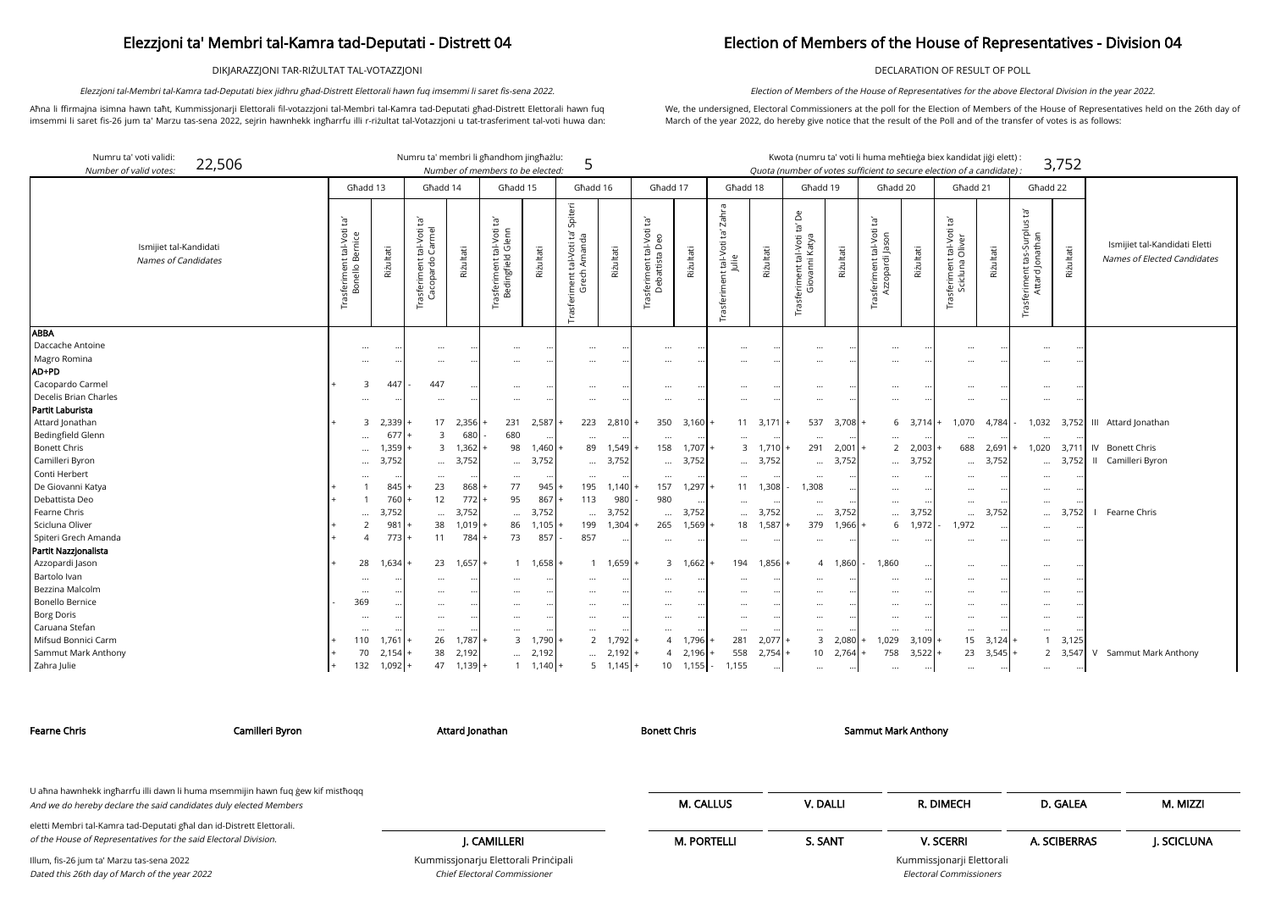DIKJARAZZJONI TAR-RIŻULTAT TAL-VOTAZZJONI

Aħna li ffirmajna isimna hawn taħt, Kummissjonarji Elettorali fil-votazzjoni tal-Membri tal-Kamra tad-Deputati għad-Distrett Elettorali hawn fuq imsemmi li saret fis-26 jum ta' Marzu tas-sena 2022, sejrin hawnhekk ingħarrfu illi r-riżultat tal-Votazzjoni u tat-trasferiment tal-voti huwa dan:

Elezzjoni tal-Membri tal-Kamra tad-Deputati biex jidhru għad-Distrett Elettorali hawn fuq imsemmi li saret fis-sena 2022.

## Election of Members of the House of Representatives - Division 04

DECLARATION OF RESULT OF POLL

We, the undersigned, Electoral Commissioners at the poll for the Election of Members of the House of Representatives held on the 26th day of March of the year 2022, do hereby give notice that the result of the Poll and of the transfer of votes is as follows:

Election of Members of the House of Representatives for the above Electoral Division in the year 2022.

ssjonarji Elettorali Electoral Commissioners

| Numru ta' voti validi:<br>Number of valid votes: | 22,506 |                                                |           |           |                                                         |           | Numru ta' membri li għandhom jingħażlu:<br>Number of members to be elected: |           | 5                                                                     |                   |                                                                  |                  |                                                   |           |                                                        |           | Kwota (numru ta' voti li huma meħtieġa biex kandidat jiġi elett) :<br>Quota (number of votes sufficient to secure election of a candidate) : |           |                                                             |           |                                                                       | 3,752     |                                                              |
|--------------------------------------------------|--------|------------------------------------------------|-----------|-----------|---------------------------------------------------------|-----------|-----------------------------------------------------------------------------|-----------|-----------------------------------------------------------------------|-------------------|------------------------------------------------------------------|------------------|---------------------------------------------------|-----------|--------------------------------------------------------|-----------|----------------------------------------------------------------------------------------------------------------------------------------------|-----------|-------------------------------------------------------------|-----------|-----------------------------------------------------------------------|-----------|--------------------------------------------------------------|
|                                                  |        |                                                | Ghadd 13  |           | Ghadd 14                                                |           | Ghadd 15                                                                    |           | Għadd 16                                                              |                   | Ghadd 17                                                         |                  | Ghadd 18                                          |           | Għadd 19                                               |           | Ghadd 20                                                                                                                                     |           | Ghadd 21                                                    |           | Għadd 22                                                              |           |                                                              |
| Ismijiet tal-Kandidati<br>Names of Candidates    |        | īg<br>Trasferiment tal-Voti<br>Bonello Bernice |           | Rizultati | tal-Voti ta'<br>Carmel<br>Trasferiment t<br>Cacopardo ( | Rizultati | $\Xi^1$<br>asferiment tal-Voti<br>Bedingfield Glenn<br>E                    | Rizultati | Spiteri<br>ΡĹ,<br>Amanda<br>tal-Voti<br>ech<br>iment<br>ចិ<br>Trasfer | Riżultati         | $\tilde{E}$<br>tal-Voti<br>Trasferiment tal-Vo<br>Debattista Deo | Riżultati        | Zahra<br>t tal-Voti ta'.<br>Julie<br>Trasferiment | Riżultati | Åe<br>Trasferiment tal-Voti ta'<br>Katya<br>Giovanni l | Riżultati | Ē,<br>tal-Voti<br>Azzopardi Jason<br>Trasferiment                                                                                            | Riżultati | Ĭā,<br>: tal-Voti<br>Oliver<br>Trasferiment t<br>Scicluna C | Riżultati | $\Xi$<br>$\overline{a}$<br>Trasferiment tas-Surplu<br>Attard Jonathan | Riżultati | Ismijiet tal-Kandidati Eletti<br>Names of Elected Candidates |
| <b>ABBA</b>                                      |        |                                                |           |           |                                                         |           |                                                                             |           |                                                                       |                   |                                                                  |                  |                                                   |           |                                                        |           |                                                                                                                                              |           |                                                             |           |                                                                       |           |                                                              |
| Daccache Antoine                                 |        |                                                |           |           | $\cdots$                                                |           |                                                                             |           | $\cdots$                                                              |                   | $\cdots$                                                         |                  |                                                   |           | $\cdots$                                               |           | $\cdots$                                                                                                                                     |           |                                                             |           | $\cdots$                                                              |           |                                                              |
| Magro Romina                                     |        |                                                |           |           |                                                         |           |                                                                             |           |                                                                       |                   |                                                                  |                  |                                                   |           |                                                        |           | $\cdots$                                                                                                                                     |           |                                                             |           |                                                                       |           |                                                              |
| AD+PD                                            |        |                                                |           |           |                                                         |           |                                                                             |           |                                                                       |                   |                                                                  |                  |                                                   |           |                                                        |           |                                                                                                                                              |           |                                                             |           |                                                                       |           |                                                              |
| Cacopardo Carmel                                 |        |                                                |           | 447       | 447                                                     |           |                                                                             |           | $\cdots$                                                              |                   | $\cdots$                                                         |                  |                                                   |           | $\cdots$                                               |           | $\cdots$                                                                                                                                     |           |                                                             |           |                                                                       |           |                                                              |
| Decelis Brian Charles                            |        |                                                |           |           | $\cdots$                                                |           |                                                                             |           |                                                                       |                   |                                                                  |                  |                                                   |           |                                                        |           | $\ddotsc$                                                                                                                                    |           |                                                             |           |                                                                       |           |                                                              |
| Partit Laburista                                 |        |                                                |           |           |                                                         |           |                                                                             |           |                                                                       |                   |                                                                  |                  |                                                   |           |                                                        |           |                                                                                                                                              |           |                                                             |           |                                                                       |           |                                                              |
| Attard Jonathan                                  |        |                                                |           | 2,339     | 17                                                      | 2,356     | 231                                                                         | 2,587     | 223                                                                   | 2,810             | 350                                                              | 3,160            | 11                                                | 3,171     | 537                                                    | 3,708     | 6                                                                                                                                            | $3,714$ + | 1,070                                                       | 4,784     | 1,032                                                                 | 3,752     | III Attard Jonathan                                          |
| Bedingfield Glenn                                |        |                                                |           | 677       | $\mathcal{R}$                                           | 680       | 680                                                                         |           | $\cdots$                                                              |                   | $\cdots$                                                         |                  | $\ddotsc$                                         |           | $\cdots$                                               |           | $\ddotsc$                                                                                                                                    |           |                                                             |           |                                                                       |           |                                                              |
| <b>Bonett Chris</b>                              |        |                                                |           | 1,359     | 3                                                       | 1,362     | 98                                                                          | 1,460     | 89                                                                    | 1,549             | 158                                                              | $1,707$ +        | $\mathbf{3}$                                      | 1,710     | 291                                                    | $2,001 +$ | 2                                                                                                                                            | 2,003     | 688                                                         | 2,691     | 1,020                                                                 | 3,711     | IV Bonett Chris                                              |
| Camilleri Byron                                  |        |                                                |           | 3,752     | $\cdots$                                                | 3,752     | $\cdots$                                                                    | 3,752     | $\cdots$                                                              | 3,752             | $\cdots$                                                         | 3,752            | $\cdots$                                          | 3,752     | $\cdots$                                               | 3,752     | $\cdots$                                                                                                                                     | 3,752     | $\ddotsc$                                                   | 3,752     | $\cdots$                                                              | 3,752     | Camilleri Byron<br>$\mathbf{H}$                              |
| Conti Herbert                                    |        |                                                |           |           | $\cdots$                                                |           |                                                                             |           |                                                                       |                   | $\cdots$                                                         |                  |                                                   | $\ddots$  | $\ddotsc$                                              |           | $\ddotsc$                                                                                                                                    |           |                                                             |           |                                                                       |           |                                                              |
| De Giovanni Katya                                |        |                                                |           | 845       | 23                                                      | 868       | 77                                                                          | 945       | 195                                                                   | 1,140             | 157                                                              | 1,297            | 11                                                | 1,308     | 1,308                                                  |           | $\cdots$                                                                                                                                     |           |                                                             |           | $\cdots$                                                              |           |                                                              |
| Debattista Deo                                   |        |                                                |           | 760       | 12                                                      | 772       | 95                                                                          | 867       | 113                                                                   | 980               | 980                                                              |                  | $\cdots$                                          |           | $\cdots$                                               |           | $\cdots$                                                                                                                                     |           | $\cdots$                                                    |           | $\cdots$                                                              |           |                                                              |
| Fearne Chris                                     |        |                                                | $\ddotsc$ | 3,752     | $\cdots$                                                | 3,752     | $\cdots$                                                                    | 3,752     | $\cdots$                                                              | 3,752             | $\ddotsc$                                                        | 3,752            | $\cdots$                                          | 3,752     | $\cdots$                                               | 3,752     | $\cdots$                                                                                                                                     | 3,752     | $\cdots$                                                    | 3,752     | $\cdots$                                                              | 3.752     | Fearne Chris<br>$\Box$                                       |
| Scicluna Oliver                                  |        |                                                |           | 981       | 38                                                      | 1,019     | 86                                                                          | 1,105     | 199                                                                   | 1,304             | 265                                                              | 1,569            | 18                                                | 1,587     | 379                                                    | 1,966     | 6                                                                                                                                            | 1,972     | 1,972                                                       |           | $\cdots$                                                              |           |                                                              |
| Spiteri Grech Amanda                             |        |                                                |           | 773       | 11                                                      | 784       | 73                                                                          | 857       | 857                                                                   |                   | $\cdots$                                                         |                  | $\cdots$                                          |           | $\cdots$                                               |           | $\cdots$                                                                                                                                     |           |                                                             |           |                                                                       |           |                                                              |
| Partit Nazzjonalista                             |        |                                                |           |           |                                                         |           |                                                                             |           |                                                                       |                   |                                                                  |                  |                                                   |           |                                                        |           |                                                                                                                                              |           |                                                             |           |                                                                       |           |                                                              |
| Azzopardi Jason                                  |        |                                                | 28        | 1,634     | 23                                                      | 1,657     | $\mathbf{1}$                                                                | 1,658     |                                                                       | 1 1,659           | 3                                                                | 1.662            | 194                                               | 1,856     |                                                        | 4 1,860   | 1,860                                                                                                                                        |           |                                                             |           | $\cdots$                                                              |           |                                                              |
| Bartolo Ivan                                     |        |                                                |           |           | $\cdots$                                                |           |                                                                             |           |                                                                       |                   | $\cdots$                                                         |                  |                                                   |           | $\cdots$                                               |           | $\cdots$                                                                                                                                     |           |                                                             |           | $\cdots$                                                              |           |                                                              |
| Bezzina Malcolm                                  |        |                                                | $\cdots$  |           | $\cdots$                                                |           |                                                                             |           | $\cdots$                                                              |                   | $\cdots$                                                         |                  |                                                   |           | $\cdots$                                               |           | $\cdots$                                                                                                                                     |           | $\cdots$                                                    |           | $\cdots$                                                              |           |                                                              |
| <b>Bonello Bernice</b>                           |        |                                                | 369       |           | $\cdots$                                                |           | $\cdots$                                                                    |           |                                                                       |                   | $\cdots$                                                         | $\cdots$         |                                                   |           | $\cdots$                                               |           | $\cdots$                                                                                                                                     |           |                                                             |           | $\cdots$                                                              |           |                                                              |
| <b>Borg Doris</b>                                |        |                                                | $\cdots$  |           | $\cdots$                                                |           | $\cdots$                                                                    |           | $\cdots$                                                              |                   | $\cdots$                                                         |                  |                                                   | $\ddotsc$ | $\cdots$                                               |           | $\cdots$                                                                                                                                     |           |                                                             |           |                                                                       |           |                                                              |
| Caruana Stefan                                   |        |                                                |           |           | $\cdots$                                                |           | $\cdots$                                                                    |           |                                                                       |                   | $\cdots$                                                         |                  | $\cdots$                                          |           | $\cdots$                                               |           | $\cdots$                                                                                                                                     |           |                                                             |           | $\cdots$                                                              |           |                                                              |
| Mifsud Bonnici Carm                              |        |                                                | 110       | 1,761     | 26                                                      | ,787      | $\mathsf{3}$                                                                | 1,790     | $2^{\circ}$                                                           | $1,792 +$         | $\overline{4}$                                                   | 1,796            | 281                                               | $2,077$ + |                                                        | 3 2,080   | 1,029                                                                                                                                        | 3,109     | 15                                                          | 3,124     | $\overline{1}$                                                        | 3,125     |                                                              |
| Sammut Mark Anthony                              |        |                                                | 70        | 2,154     | 38                                                      | 2,192     | $\cdots$                                                                    | 2,192     | $\cdots$                                                              | $2,192 +$         | $\overline{4}$                                                   | 2,196            | 558                                               | $2,754$ + |                                                        | 10 2,764  | 758                                                                                                                                          | 3,522     | 23                                                          | 3,545     |                                                                       | 2 3,547   | V Sammut Mark Anthony                                        |
| Zahra Julie                                      |        |                                                | 132       | $1,092 +$ | 47                                                      | $1,139$ + |                                                                             | 1,140     |                                                                       | $5 \quad 1.145 +$ |                                                                  | $10 \quad 1,155$ | 1,155                                             | $\cdots$  | $\cdots$                                               |           | $\cdots$                                                                                                                                     | $\cdots$  | $\cdots$                                                    |           | $\cdots$                                                              | $\cdots$  |                                                              |

Kummissjonarju Elettorali Prinċipali Chief Electoral Commissioner

| <b>Fearne Chris</b>                                                                                                                                  | Camilleri Byron | Attard Jonathan                      | Bonett Chris       |          | <b>Sammut Mark Anthony</b> |              |            |
|------------------------------------------------------------------------------------------------------------------------------------------------------|-----------------|--------------------------------------|--------------------|----------|----------------------------|--------------|------------|
| U ahna hawnhekk ingharrfu illi dawn li huma msemmijin hawn fuq gew kif misthoqq<br>And we do hereby declare the said candidates duly elected Members |                 |                                      | <b>M. CALLUS</b>   | V. DALLI | R. DIMECH                  | D. GALEA     | M. MIZZI   |
| eletti Membri tal-Kamra tad-Deputati għal dan id-Distrett Elettorali.<br>of the House of Representatives for the said Electoral Division.            |                 | J. CAMILLERI                         | <b>M. PORTELLI</b> | S. SANT  | <b>V. SCERRI</b>           | A. SCIBERRAS | J. SCICLUN |
| Illum, fis-26 jum ta' Marzu tas-sena 2022                                                                                                            |                 | Kummissjonarju Elettorali Principali |                    |          | Kummissjonarji Elettorali  |              |            |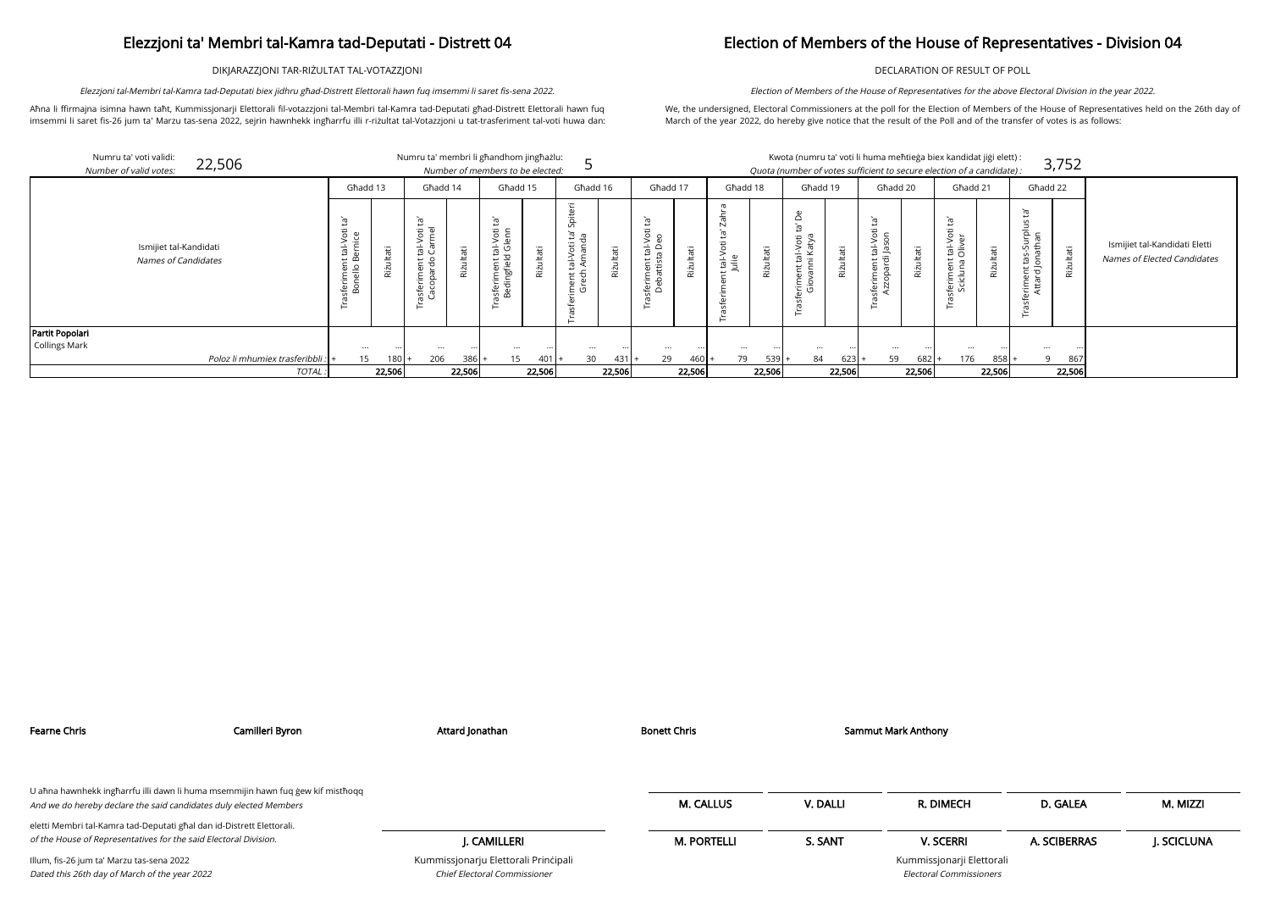DIKJARAZZJONI TAR-RIŻULTAT TAL-VOTAZZJONI

Aħna li ffirmajna isimna hawn taħt, Kummissjonarji Elettorali fil-votazzjoni tal-Membri tal-Kamra tad-Deputati għad-Distrett Elettorali hawn fuq imsemmi li saret fis-26 jum ta' Marzu tas-sena 2022, sejrin hawnhekk ingħarrfu illi r-riżultat tal-Votazzjoni u tat-trasferiment tal-voti huwa dan:

Elezzjoni tal-Membri tal-Kamra tad-Deputati biex jidhru għad-Distrett Elettorali hawn fuq imsemmi li saret fis-sena 2022.

## Election of Members of the House of Representatives - Division 04

DECLARATION OF RESULT OF POLL

We, the undersigned, Electoral Commissioners at the poll for the Election of Members of the House of Representatives held on the 26th day of March of the year 2022, do hereby give notice that the result of the Poll and of the transfer of votes is as follows:

> andidat jiġi elett<mark>) :</mark> 3,752 n of a candidate) : Għadd 21 Għadd 22 Trasferiment tas-Surplus ta'<br>Attard Jonathan<br>Riżultati Scicluna Oliver Scicluna Oliver Ismijiet tal-Kandidati Eletti Riżultati Names of Elected Candidates

| сн                           | D. GALEA     | M. MIZZI    |
|------------------------------|--------------|-------------|
| RI                           | A. SCIBERRAS | J. SCICLUNA |
| rji Elettorali<br>missioners |              |             |

Election of Members of the House of Representatives for the above Electoral Division in the year 2022.

|                      | Numru ta' voti validi:<br>22,506<br>Number of valid votes: |                                                    |           | Numru ta' membri li għandhom jingħażlu:                                                                     |            | Number of members to be elected:                                    |           |                                                                               |           |                                                     |           |                     |           |                                                                              |           |                                                                                                                                   |                     | Kwota (numru ta' voti li huma meħtieġa biex kandidat jiġi elett) :<br>Quota (number of votes sufficient to secure election of a candidate): |           |                                       | 3,752     |
|----------------------|------------------------------------------------------------|----------------------------------------------------|-----------|-------------------------------------------------------------------------------------------------------------|------------|---------------------------------------------------------------------|-----------|-------------------------------------------------------------------------------|-----------|-----------------------------------------------------|-----------|---------------------|-----------|------------------------------------------------------------------------------|-----------|-----------------------------------------------------------------------------------------------------------------------------------|---------------------|---------------------------------------------------------------------------------------------------------------------------------------------|-----------|---------------------------------------|-----------|
|                      |                                                            | Ghadd 13                                           |           | Għadd 14                                                                                                    |            | Għadd 15                                                            |           | Għadd 16                                                                      |           | Ghadd 17                                            |           | Ghadd 18            |           | Għadd 19                                                                     |           | Ghadd 20                                                                                                                          |                     | Ghadd 21                                                                                                                                    |           | Għadd 22                              |           |
|                      | Ismijiet tal-Kandidati<br>Names of Candidates              | Ìg<br>tal-Voti<br>jice<br>ഄ<br>sferimen<br>Bonello | Riżultati | ē,<br>$\overline{\omega}$<br>Ì.<br>l–Vo<br>arme<br>$\frac{1}{E}$ $\frac{1}{C}$<br>asferiment t<br>Cacopardo | äË<br>Rizi | 它<br>al-Voti<br>Glenn<br>亩<br>riment.<br>dingfield<br>isfer<br>Bedi | Riżultati | piteri<br>$\overline{u}$<br>ia<br>la<br>Voti<br>$\overline{E}$<br>ent<br>rech | Rizultati | Ē<br>tal-Vot<br>a Deo<br>ത<br>feriment<br>Debattist | Riżultati | t tal-Voti<br>Julie | Riżultati | $\Omega$<br>᠊ᢐ<br>ö<br>Š<br>ঔ<br>$\frac{1}{\sigma}$<br>$\cdot$ $-$<br>⊭<br>Φ | Riżultati | Ĕ,<br>Ì.<br>$\bar{\mathsf{S}}$<br>င္တ<br>$\frac{1}{\overline{E}}$<br>흑<br>$\overline{\omega}$ $\overline{\omega}$<br>Ē<br>8<br>.Φ | θÉ<br><b>Rizult</b> | Ġ<br>tal-Vot<br>Oliver<br>$\overline{a}$<br>ferimer<br>Scicluna                                                                             | Riżultati | 'n,<br>n<br>힏<br>⇆<br>Έ τ<br>CD.<br>£ | Rizultati |
| Partit Popolari      |                                                            |                                                    |           |                                                                                                             |            |                                                                     |           |                                                                               |           |                                                     |           |                     |           |                                                                              |           |                                                                                                                                   |                     |                                                                                                                                             |           |                                       |           |
| <b>Collings Mark</b> |                                                            |                                                    | $\cdots$  | $\ddotsc$                                                                                                   |            | $\cdots$                                                            |           |                                                                               |           | $\cdots$                                            |           |                     |           |                                                                              |           | $\cdots$                                                                                                                          |                     |                                                                                                                                             |           |                                       |           |
|                      | Poloz li mhumiex trasferibbli :                            |                                                    |           | 206<br>$180 +$                                                                                              | 386        | 15                                                                  | $401 +$   | 30                                                                            | 431       | 29                                                  | $460+$    | 79                  | 539       | 84                                                                           | 623       | 59                                                                                                                                | 682                 | 176                                                                                                                                         | 858       | $\Omega$                              | 867       |
|                      | TOTAL:                                                     |                                                    | 22,506    |                                                                                                             | 22,506     |                                                                     | 22,506    |                                                                               | 22,506    |                                                     | 22,506    |                     | 22,506    |                                                                              | 22,506    |                                                                                                                                   | 22,506              |                                                                                                                                             | 22,506    |                                       | 22,506    |

| U ahna hawnhekk ingharrfu illi dawn li huma msemmijin hawn fuq gew kif misthoqq<br>And we do hereby declare the said candidates duly elected Members |                                                                             | <b>M. CALLUS</b>   | V. DALLI | R. DIMECH                                                   | D. GALEA     | M. MIZZI    |
|------------------------------------------------------------------------------------------------------------------------------------------------------|-----------------------------------------------------------------------------|--------------------|----------|-------------------------------------------------------------|--------------|-------------|
| eletti Membri tal-Kamra tad-Deputati għal dan id-Distrett Elettorali.<br>of the House of Representatives for the said Electoral Division.            | I. CAMILLERI                                                                | <b>M. PORTELLI</b> | S. SANT  | <b>V. SCERRI</b>                                            | A. SCIBERRAS | J. SCICLUNA |
| Illum, fis-26 jum ta' Marzu tas-sena 2022<br>Dated this 26th day of March of the year 2022                                                           | Kummissjonarju Elettorali Principali<br><b>Chief Electoral Commissioner</b> |                    |          | Kummissjonarji Elettorali<br><b>Electoral Commissioners</b> |              |             |

Fearne Chris **Example 20 The Camilleri Byron** Camilleri Byron Attard Jonathan Bonett Chris Bonett Chris Sammut Mark Anthony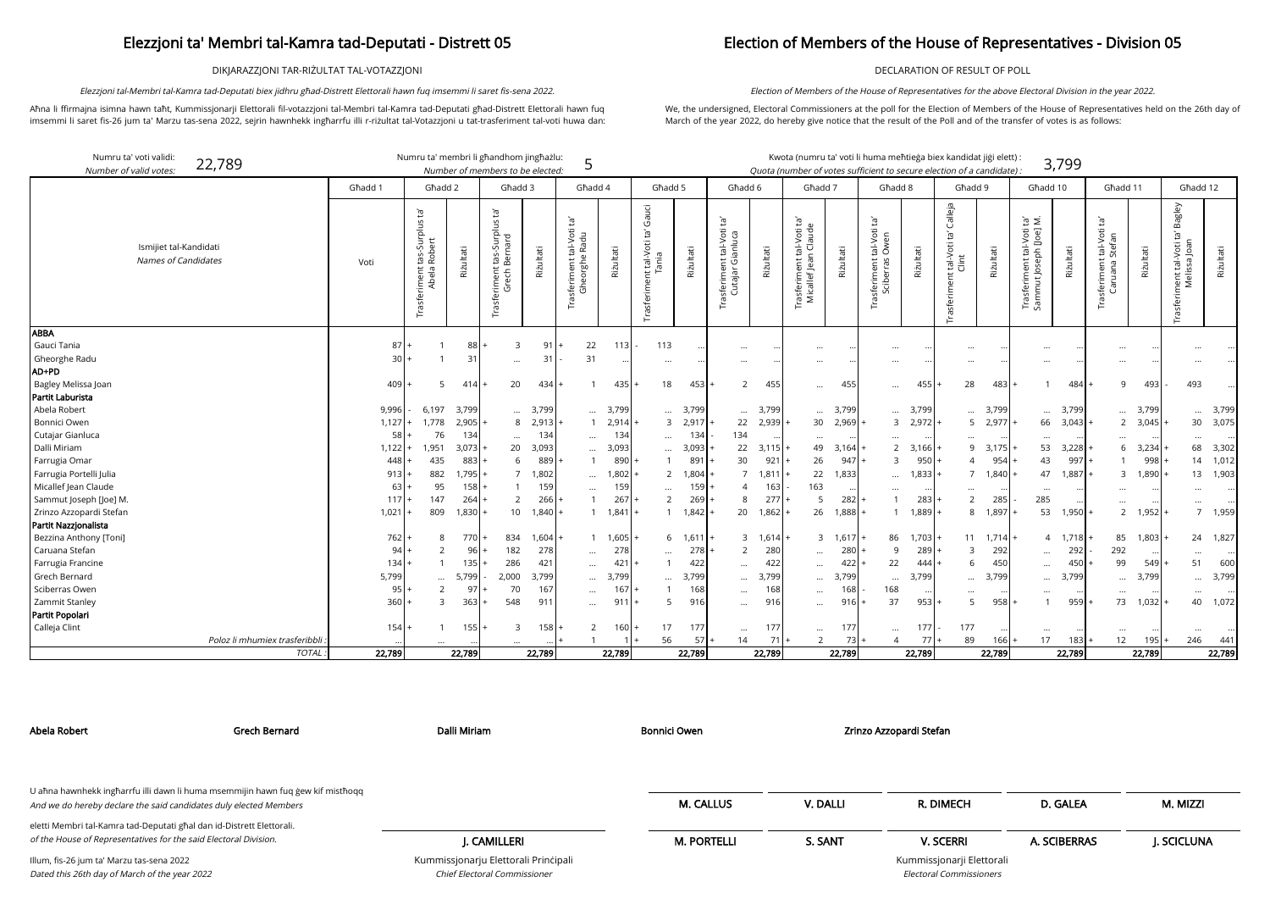DIKJARAZZJONI TAR-RIŻULTAT TAL-VOTAZZJONI

Aħna li ffirmajna isimna hawn taħt, Kummissjonarji Elettorali fil-votazzjoni tal-Membri tal-Kamra tad-Deputati għad-Distrett Elettorali hawn fuq imsemmi li saret fis-26 jum ta' Marzu tas-sena 2022, sejrin hawnhekk ingħarrfu illi r-riżultat tal-Votazzjoni u tat-trasferiment tal-voti huwa dan:

Elezzjoni tal-Membri tal-Kamra tad-Deputati biex jidhru għad-Distrett Elettorali hawn fuq imsemmi li saret fis-sena 2022.

## Election of Members of the House of Representatives - Division 05

DECLARATION OF RESULT OF POLL

We, the undersigned, Electoral Commissioners at the poll for the Election of Members of the House of Representatives held on the 26th day of March of the year 2022, do hereby give notice that the result of the Poll and of the transfer of votes is as follows:

Election of Members of the House of Representatives for the above Electoral Division in the year 2022.

| didat jiği elett):        |       |
|---------------------------|-------|
| rf <i>a candidate</i> ) : | 3,799 |

| Numru ta' voti validi:<br>Number of valid votes:     | 22,789                        |         | Numru ta' membri li ghandhom jinghażlu:                    |              | Number of members to be elected:                                                      |           | 5                                                        |                   |                                             |           |                                                |                   | Kwota (numru ta' voti li huma meħtieġa biex kandidat jiġi elett) :<br>Quota (number of votes sufficient to secure election of a candidate): |                    |                                                       |           |                                                    |           |                                                             | 3,799             |                                                         |           |                                                             |           |
|------------------------------------------------------|-------------------------------|---------|------------------------------------------------------------|--------------|---------------------------------------------------------------------------------------|-----------|----------------------------------------------------------|-------------------|---------------------------------------------|-----------|------------------------------------------------|-------------------|---------------------------------------------------------------------------------------------------------------------------------------------|--------------------|-------------------------------------------------------|-----------|----------------------------------------------------|-----------|-------------------------------------------------------------|-------------------|---------------------------------------------------------|-----------|-------------------------------------------------------------|-----------|
|                                                      |                               | Ghadd 1 | Għadd 2                                                    |              | Għadd 3                                                                               |           | Ghadd 4                                                  |                   | Ghadd 5                                     |           | Ghadd 6                                        |                   | Ghadd 7                                                                                                                                     |                    | Ghadd 8                                               |           | Ghadd 9                                            |           | Għadd 10                                                    |                   | Għadd 11                                                |           | Ghadd 12                                                    |           |
| Ismijiet tal-Kandidati<br><b>Names of Candidates</b> |                               | Voti    | : tas-Surplus ta'<br>n Robert<br>Trasferiment t<br>Abela F | Riżultati    | $\tilde{E}$<br>S<br>$\overline{P}$<br>hard<br>tas<br>Beri<br>sferiment<br>Grech<br>Гã | Riżultati | Ĭā,<br>tal-Voti<br>e Radu<br>asferiment ta<br>Gheorghe l | Riżultati         | Gauci<br>Trasferiment tal-Voti ta'<br>Tania | Rizultati | ē,<br>rasferiment tal-Voti<br>Cutajar Gianluca | Rizultati         | : tal-Voti ta'<br>n Claude<br>rasferiment ta<br>Micallef Jean (                                                                             | Riżultati          | tal-Voti ta'<br>Owen<br>Trasferiment t<br>Sciberras ( | Riżultati | Calleja<br>Ĕ,<br>tal-Voti<br>Clint<br>Trasferiment | Riżultati | $\Xi$ $\Xi$<br>Trasferiment tal-Voti<br>Sammut Joseph [Joe] | Riżultati         | t tal-Voti ta'<br>Stefan<br>Trasferiment<br>uana<br>້ຕັ | Riżultati | Bagley<br>Ğ,<br>nent tal-Voti ta<br>Melissa Joan<br>Trasfer | Riżultati |
| <b>ABBA</b>                                          |                               |         |                                                            |              |                                                                                       |           |                                                          |                   |                                             |           |                                                |                   |                                                                                                                                             |                    |                                                       |           |                                                    |           |                                                             |                   |                                                         |           |                                                             |           |
| Gauci Tania                                          |                               | 87      |                                                            | 88           | 3                                                                                     | 91        | 22                                                       | 113               | 113                                         |           | $\cdots$                                       |                   | $\cdots$                                                                                                                                    |                    | $\cdots$                                              |           |                                                    |           | $\cdots$                                                    |                   | $\ddots$                                                |           |                                                             |           |
| Gheorghe Radu                                        |                               | 30      |                                                            | 31           | $\cdots$                                                                              | 31        | 31                                                       |                   | $\cdots$                                    | $\cdots$  |                                                |                   | $\cdots$                                                                                                                                    |                    | $\cdots$                                              |           |                                                    |           | $\cdots$                                                    |                   |                                                         |           |                                                             |           |
| AD+PD                                                |                               |         |                                                            |              |                                                                                       |           |                                                          |                   |                                             |           |                                                |                   |                                                                                                                                             |                    |                                                       |           |                                                    |           |                                                             |                   |                                                         |           |                                                             |           |
| Bagley Melissa Joan                                  |                               | 409     | 5                                                          | 414          | 20                                                                                    | 434       |                                                          | 435               | 18                                          | 453       | 2                                              | 455               | $\cdots$                                                                                                                                    | 455                | $\cdots$                                              | 455       | 28                                                 | 483       | $\mathbf{1}$                                                | 484               | 9                                                       | 493       | 493                                                         |           |
| Partit Laburista                                     |                               |         |                                                            |              |                                                                                       |           |                                                          |                   |                                             |           |                                                |                   |                                                                                                                                             |                    |                                                       |           |                                                    |           |                                                             |                   |                                                         |           |                                                             |           |
| Abela Robert                                         |                               | 9,996   | 6,197                                                      | 3,799        | $\cdots$                                                                              | 3,799     | $\cdots$                                                 | 3,799             | $\cdots$                                    | 3,799     | $\cdots$                                       | 3,799             | $\cdots$                                                                                                                                    | 3,799              | $\cdots$                                              | 3,799     | $\cdots$                                           | 3,799     | $\cdots$                                                    | 3,799             | $\ddots$                                                | 3,799     | $\cdots$                                                    | 3,799     |
| Bonnici Owen                                         |                               | 1,127   | 1,778                                                      | 2,905        |                                                                                       | 8 2,913   |                                                          | 2,914             | $\overline{3}$                              | 2,917     | 22                                             | 2,939             |                                                                                                                                             | $30 \quad 2,969$ + | $\overline{3}$                                        | 2,972     | 5                                                  | 2,977     | 66                                                          | 3,043             | $\overline{2}$                                          | 3,045     | 30 <sup>°</sup>                                             | 3,075     |
| Cutajar Gianluca                                     |                               | 58      | 76                                                         | 134          | $\ddotsc$                                                                             | 134       | $\ddotsc$                                                | 134               | $\cdots$                                    | 134       | 134                                            |                   | $\cdots$                                                                                                                                    |                    | $\cdots$                                              |           |                                                    |           | $\cdots$                                                    |                   | $\ddots$                                                |           |                                                             |           |
| Dalli Miriam                                         |                               | 1,122   | 1,951                                                      | 3,073        | 20                                                                                    | 3,093     |                                                          | 3,093             | $\cdots$                                    | 3,093     | 22                                             | $3,115$ +         | 49                                                                                                                                          | $3,164$ +          | $\overline{2}$                                        | $3,166$ + | 9                                                  | $3,175$ + | 53                                                          | $3,228$ +         | 6                                                       | 3,234     | 68                                                          | 3,302     |
| Farrugia Omar                                        |                               | 448     | 435                                                        | 883          | 6                                                                                     | 889       |                                                          | 890               |                                             | 891       | 30                                             | 921               | 26                                                                                                                                          | $947 +$            | 3                                                     | 950       |                                                    | 954       | 43                                                          | 997               |                                                         | 998       | 14                                                          | 1,012     |
| Farrugia Portelli Julia                              |                               | 913     | 882                                                        | - 795.,      | $\overline{7}$                                                                        | 1,802     | $\cdots$                                                 | 1,802             | 2                                           | 1,804     |                                                | 1,811             | 22                                                                                                                                          | 1,833              | $\cdots$                                              | 1,833     |                                                    | 1,840     | 47                                                          | 1,887             | $\overline{3}$                                          | 1,890     | 13                                                          | 1,903     |
| Micallef Jean Claude                                 |                               | 63      | 95                                                         | 158          |                                                                                       | 159       |                                                          | 159               | $\cdots$                                    | 159       |                                                | 163               | 163                                                                                                                                         |                    | $\cdots$                                              |           |                                                    |           | $\cdots$                                                    |                   | $\ddotsc$                                               |           |                                                             |           |
| Sammut Joseph [Joe] M.                               |                               | 117     | 147                                                        | 264          | 2                                                                                     | 266       |                                                          | 267               | $\overline{2}$                              | 269       | 8                                              | 277               | 5                                                                                                                                           | 282                |                                                       | 283       | $\mathcal{L}$                                      | 285       | 285                                                         |                   | $\ddotsc$                                               |           |                                                             |           |
| Zrinzo Azzopardi Stefan                              |                               | 1,021   | 809                                                        | 1,830        | 10 <sup>1</sup>                                                                       | 1,840     |                                                          | 1,841             |                                             | 1,842     | 20                                             | 1,862             | 26                                                                                                                                          | $1,888 +$          |                                                       | 1,889     | 8                                                  | 1,897     |                                                             | 53 1,950          | $\overline{2}$                                          | 1,952     | $\overline{7}$                                              | 1,959     |
| Partit Nazzjonalista                                 |                               |         |                                                            |              |                                                                                       |           |                                                          |                   |                                             |           |                                                |                   |                                                                                                                                             |                    |                                                       |           |                                                    |           |                                                             |                   |                                                         |           |                                                             |           |
| Bezzina Anthony [Toni]                               |                               | 762     | 8                                                          | 770 <b>1</b> | 834                                                                                   | 1,604     |                                                          | $1 \quad 1,605$ + | 6                                           | $1,611$ + |                                                | $3 \quad 1,614$ + |                                                                                                                                             | $3 \t1,617$ +      | 86                                                    | $1,703$ + | 11                                                 | $1,714 +$ |                                                             | $4 \quad 1.718 +$ | 85                                                      | 1,803     | 24                                                          | 1,827     |
| Caruana Stefan                                       |                               | 94      | 2                                                          | 96 l         | 182                                                                                   | 278       | $\cdots$                                                 | 278               | $\cdots$                                    | 278       | 2                                              | 280               | $\cdots$                                                                                                                                    | $280 +$            | 9                                                     | 289       | 3                                                  | 292       | $\cdots$                                                    | 292               | 292                                                     | $\ldots$  |                                                             |           |
| Farrugia Francine                                    |                               | 134     | $\mathbf{1}$                                               | 135          | 286                                                                                   | 421       |                                                          | 421               |                                             | 422       | $\ddotsc$                                      | 422               | $\cdots$                                                                                                                                    | 422                | 22                                                    | 444       | 6                                                  | 450       | $\cdots$                                                    | 450               | 99                                                      | 549       | 51                                                          | 600       |
| Grech Bernard                                        |                               | 5,799   | $\cdots$                                                   | 5,799        | 2,000                                                                                 | 3,799     | $\cdots$                                                 | 3,799             | $\cdots$                                    | 3,799     | $\cdots$                                       | 3,799             | $\cdots$                                                                                                                                    | 3,799              | $\cdots$                                              | 3,799     |                                                    | 3,799     | $\cdots$                                                    | 3,799             | $\ddotsc$                                               | 3,799     |                                                             | 3,799     |
| Sciberras Owen                                       |                               | 95      | 2                                                          | -97          | 70                                                                                    | 167       | $\cdots$                                                 | 167               |                                             | 168       | $\cdots$                                       | 168               | $\cdots$                                                                                                                                    | 168                | 168                                                   | $\cdots$  | $\cdots$                                           |           | $\cdots$                                                    |                   | $\ddotsc$                                               |           | $\cdots$                                                    |           |
| Zammit Stanley                                       |                               | 360     | 3                                                          | 363          | 548                                                                                   | 911       | $\cdots$                                                 | 91                | 5                                           | 916       | $\cdots$                                       | 916               | $\cdots$                                                                                                                                    | 91                 | 37                                                    | 953       |                                                    | 958       |                                                             | 959               | 73                                                      | 1,032     | 40                                                          | 1,072     |
| Partit Popolari                                      |                               |         |                                                            |              |                                                                                       |           |                                                          |                   |                                             |           |                                                |                   |                                                                                                                                             |                    |                                                       |           |                                                    |           |                                                             |                   |                                                         |           |                                                             |           |
| Calleja Clint                                        |                               | 154     |                                                            | 155          | 3                                                                                     | 158       | $\overline{2}$                                           | 160               | 17                                          | 177       | $\cdots$                                       | 177               | $\cdots$                                                                                                                                    | 177                | $\cdots$                                              | 177       | 177                                                |           | $\cdots$                                                    |                   | $\cdots$                                                |           |                                                             |           |
|                                                      | Poloz li mhumiex trasferibbli |         |                                                            |              |                                                                                       |           |                                                          |                   | 56                                          | 57        | 14                                             | 71                | 2                                                                                                                                           | $73 +$             | $\overline{4}$                                        | 77        | 89                                                 | 166       | 17                                                          | 183               | 12                                                      | 195       | 246                                                         | 441       |
|                                                      | <b>TOTAL</b>                  | 22,789  |                                                            | 22,789       |                                                                                       | 22,789    |                                                          | 22,789            |                                             | 22,789    |                                                | 22,789            |                                                                                                                                             | 22,789             |                                                       | 22,789    |                                                    | 22,789    |                                                             | 22,789            |                                                         | 22,789    |                                                             | 22,789    |

| Abela Robert                                                                    | Grech Bernard | Dalli Miriam                         | <b>Bonnici Owen</b> |          | Zrinzo Azzopardi Stefan        |              |            |
|---------------------------------------------------------------------------------|---------------|--------------------------------------|---------------------|----------|--------------------------------|--------------|------------|
| U ahna hawnhekk ingharrfu illi dawn li huma msemmijin hawn fuq gew kif misthoqq |               |                                      |                     |          |                                |              |            |
| And we do hereby declare the said candidates duly elected Members               |               |                                      | <b>M. CALLUS</b>    | V. DALLI | R. DIMECH                      | D. GALEA     | M. MIZZI   |
| eletti Membri tal-Kamra tad-Deputati għal dan id-Distrett Elettorali.           |               |                                      |                     |          |                                |              |            |
| of the House of Representatives for the said Electoral Division.                |               | J. CAMILLERI                         | <b>M. PORTELLI</b>  | S. SANT  | <b>V. SCERRI</b>               | A. SCIBERRAS | J. SCICLUN |
| Illum, fis-26 jum ta' Marzu tas-sena 2022                                       |               | Kummissjonarju Elettorali Principali |                     |          | Kummissjonarji Elettorali      |              |            |
| Dated this 26th day of March of the year 2022                                   |               | Chief Electoral Commissioner         |                     |          | <b>Electoral Commissioners</b> |              |            |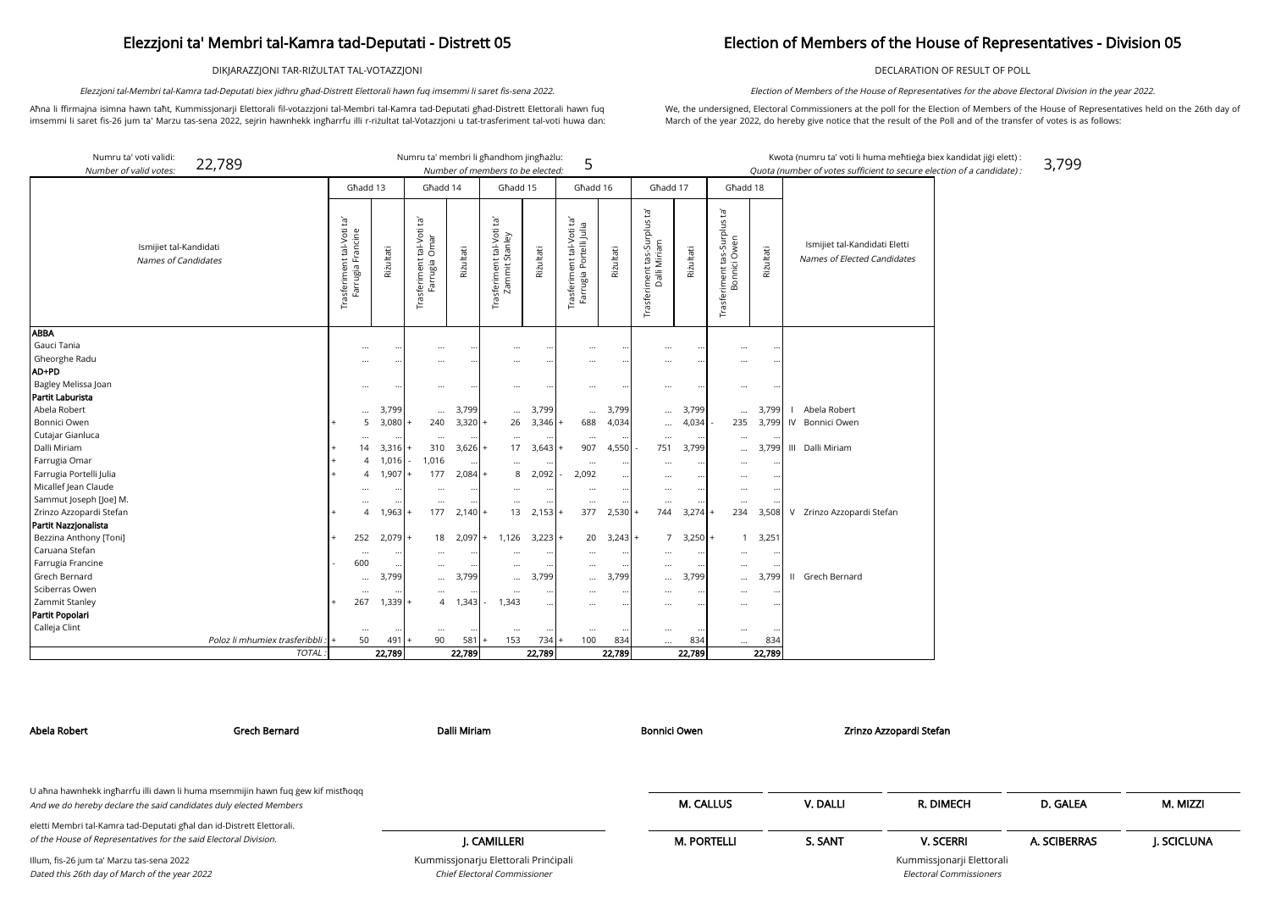DIKJARAZZJONI TAR-RIŻULTAT TAL-VOTAZZJONI

Aħna li ffirmajna isimna hawn taħt, Kummissjonarji Elettorali fil-votazzjoni tal-Membri tal-Kamra tad-Deputati għad-Distrett Elettorali hawn fuq imsemmi li saret fis-26 jum ta' Marzu tas-sena 2022, sejrin hawnhekk ingħarrfu illi r-riżultat tal-Votazzjoni u tat-trasferiment tal-voti huwa dan:

Elezzjoni tal-Membri tal-Kamra tad-Deputati biex jidhru għad-Distrett Elettorali hawn fuq imsemmi li saret fis-sena 2022.

kandidat jiġi elett) :  $\mathcal{L}$  of a candidate) : 3,799

## Election of Members of the House of Representatives - Division 05

DECLARATION OF RESULT OF POLL

We, the undersigned, Electoral Commissioners at the poll for the Election of Members of the House of Representatives held on the 26th day of March of the year 2022, do hereby give notice that the result of the Poll and of the transfer of votes is as follows:

Election of Members of the House of Representatives for the above Electoral Division in the year 2022.

| Numru ta' voti validi:                        | 22,789                          |                                                |           | Numru ta' membri li għandhom jingħażlu:                |                        |                                             |                   | 5                                                    |           |                                              |                    |                                                 |                           | Kwota (numru ta' voti li huma meħtieġa biex l                |
|-----------------------------------------------|---------------------------------|------------------------------------------------|-----------|--------------------------------------------------------|------------------------|---------------------------------------------|-------------------|------------------------------------------------------|-----------|----------------------------------------------|--------------------|-------------------------------------------------|---------------------------|--------------------------------------------------------------|
| Number of valid votes:                        |                                 |                                                |           |                                                        |                        | Number of members to be elected:            |                   |                                                      |           |                                              |                    |                                                 |                           | Quota (number of votes sufficient to secure election         |
|                                               |                                 | Għadd 13                                       |           | Għadd 14                                               |                        | Ghadd 15                                    |                   | Għadd 16                                             |           | Għadd 17                                     |                    | Għadd 18                                        |                           |                                                              |
| Ismijiet tal-Kandidati<br>Names of Candidates |                                 | Trasferiment tal-Voti ta'<br>Farrugia Francine | Riżultati | : tal-Voti ta'<br>Omar<br>Trasferiment t<br>Farrugia ( | Riżultati              | Trasferiment tal-Voti ta'<br>Zammit Stanley | Riżultati         | Trasferiment tal-Voti ta'<br>Farrugia Portelli Julia | Riżultati | Trasferiment tas-Surplus ta'<br>Dalli Miriam | Riżultati          | Trasferiment tas-Surplus ta'<br>Owen<br>Bonnici | Riżultati                 | Ismijiet tal-Kandidati Eletti<br>Names of Elected Candidates |
| <b>ABBA</b>                                   |                                 |                                                |           |                                                        |                        |                                             |                   |                                                      |           |                                              |                    |                                                 |                           |                                                              |
| Gauci Tania                                   |                                 |                                                | $\cdots$  |                                                        | $\bullet\bullet$       |                                             | $\cdots$          | $\cdots$                                             | $\cdots$  | $\cdots$                                     | $\ldots$           | $\cdots$                                        | $\ddotsc$                 |                                                              |
| Gheorghe Radu<br>AD+PD                        |                                 | $\cdots$                                       |           |                                                        | $\bullet\bullet$       | $\cdots$                                    | $\ddotsc$         |                                                      | $\ddotsc$ | $\cdots$                                     | $\cdots$           | $\cdots$                                        |                           |                                                              |
| Bagley Melissa Joan                           |                                 |                                                |           |                                                        |                        |                                             |                   |                                                      |           |                                              |                    |                                                 |                           |                                                              |
| Partit Laburista                              |                                 |                                                |           |                                                        |                        |                                             |                   |                                                      |           |                                              | $\ddotsc$          |                                                 |                           |                                                              |
| Abela Robert                                  |                                 |                                                | 3,799     |                                                        | 3,799                  |                                             | 3,799             |                                                      | 3,799     |                                              | 3,799              |                                                 | 3,799                     | Abela Robert<br>$\perp$                                      |
| Bonnici Owen                                  |                                 | $\ldots$<br>5                                  | 3,080     | $\ldots$<br>240                                        | $3,320$ +              | $\cdots$<br>26                              | 3,346             | $\cdots$<br>688                                      | 4,034     | $\ldots$                                     | 4,034              | $\ddotsc$<br>235                                | 3,799                     | IV<br>Bonnici Owen                                           |
| Cutajar Gianluca                              |                                 |                                                |           |                                                        |                        |                                             |                   |                                                      |           |                                              |                    |                                                 |                           |                                                              |
| Dalli Miriam                                  |                                 | $\cdots$<br>14                                 | 3,316     | $\cdots$<br>310                                        | $\cdots$<br>$3,626$ +  | $\cdots$<br>17                              | 3,643             | $\cdots$<br>907                                      | 4,550     | <br>751                                      | $\ddotsc$<br>3,799 | $\cdots$                                        | 3,799                     | III Dalli Miriam                                             |
| Farrugia Omar                                 |                                 | $\overline{4}$                                 | 1,016     | 1,016                                                  |                        |                                             |                   |                                                      |           |                                              |                    | $\cdots$                                        |                           |                                                              |
| Farrugia Portelli Julia                       |                                 | $\overline{4}$                                 | 1,907     | 177                                                    | $\ddotsc$<br>$2,084$ + | $\cdots$<br>8                               | $\cdots$<br>2,092 | 2,092                                                | $\ddotsc$ | $\cdots$                                     | $\ddotsc$          | $\cdots$                                        |                           |                                                              |
| Micallef Jean Claude                          |                                 |                                                |           |                                                        |                        |                                             |                   |                                                      | $\cdots$  |                                              | $\ddotsc$          | $\cdots$                                        |                           |                                                              |
| Sammut Joseph [Joe] M.                        |                                 |                                                |           |                                                        | $\bullet\bullet$       | $\cdots$                                    | $\cdots$          | $\cdots$                                             | $\cdots$  | $\cdots$                                     | $\ddotsc$          | $\cdots$                                        | $\bullet\bullet$          |                                                              |
| Zrinzo Azzopardi Stefan                       |                                 | $\cdots$<br>$\overline{A}$                     | 1,963     | <br>177                                                | $\cdots$<br>$2,140$ +  | $\cdots$<br>13                              | 2,153             | <br>377                                              | 2,530     | <br>744                                      | $\bullet$<br>3,274 | $\ddotsc$<br>234                                | 3,508                     | V Zrinzo Azzopardi Stefan                                    |
| Partit Nazzjonalista                          |                                 |                                                |           |                                                        |                        |                                             |                   |                                                      |           |                                              |                    |                                                 |                           |                                                              |
| Bezzina Anthony [Toni]                        |                                 | 252                                            | 2,079     | 18                                                     | $2,097$ +              | 1,126                                       | $3,223$ +         | 20                                                   | $3,243 +$ | 7                                            | $3,250+$           | $\mathbf{1}$                                    | 3,251                     |                                                              |
| Caruana Stefan                                |                                 | $\cdots$                                       |           |                                                        | $\ddotsc$              | $\ddotsc$                                   |                   |                                                      |           | $\cdots$                                     | $\ddotsc$          | $\ddotsc$                                       | $\ddot{\phantom{0}}\cdot$ |                                                              |
| Farrugia Francine                             |                                 | 600                                            |           | $\cdots$                                               | $\cdots$               | $\cdots$                                    | $\cdots$          | $\cdots$                                             |           | $\cdots$                                     | $\ddotsc$          | $\cdots$                                        |                           |                                                              |
| Grech Bernard                                 |                                 | $\ldots$                                       | 3,799     |                                                        | 3,799                  | $\cdots$                                    | 3,799             | $\cdots$                                             | 3,799     |                                              | 3,799              | $\cdots$                                        | 3,799                     | Grech Bernard<br>$\mathbf{H}$                                |
| Sciberras Owen                                |                                 | $\cdots$                                       |           | $\cdots$                                               | $\ddotsc$              | $\cdots$                                    | $\cdots$          | $\cdots$                                             | $\ddotsc$ |                                              | $\cdots$           | $\cdots$                                        |                           |                                                              |
| Zammit Stanley                                |                                 | 267                                            | 1,339     | $\overline{4}$<br>$\ddot{}$                            | 1,343                  | 1,343                                       | $\cdots$          |                                                      | $\ddotsc$ |                                              | $\cdots$           | $\cdots$                                        | $\ddotsc$                 |                                                              |
| Partit Popolari                               |                                 |                                                |           |                                                        |                        |                                             |                   |                                                      |           |                                              |                    |                                                 |                           |                                                              |
| Calleja Clint                                 |                                 | $\cdots$                                       |           | $\cdots$                                               |                        | $\cdots$                                    |                   | $\cdots$                                             |           |                                              | $\ddotsc$          | $\ddotsc$                                       |                           |                                                              |
|                                               | Poloz li mhumiex trasferibbli : | 50                                             | 491       | 90                                                     | 581                    | 153                                         | 734               | 100                                                  | 834       |                                              | 834                | $\cdots$                                        | 834                       |                                                              |
|                                               | TOTAL:                          |                                                | 22,789    |                                                        | 22,789                 |                                             | 22,789            |                                                      | 22,789    |                                              | 22,789             |                                                 | 22,789                    |                                                              |

| Abela Robert                                                                                                                                         | Grech Bernard | Dalli Miriam                                                         | <b>Bonnici Owen</b> |          | Zrinzo Azzopardi Stefan                                     |              |            |
|------------------------------------------------------------------------------------------------------------------------------------------------------|---------------|----------------------------------------------------------------------|---------------------|----------|-------------------------------------------------------------|--------------|------------|
|                                                                                                                                                      |               |                                                                      |                     |          |                                                             |              |            |
| U aħna hawnhekk ingħarrfu illi dawn li huma msemmijin hawn fuq gew kif mistħoqq<br>And we do hereby declare the said candidates duly elected Members |               |                                                                      | <b>M. CALLUS</b>    | V. DALLI | R. DIMECH                                                   | D. GALEA     | M. MIZZI   |
| eletti Membri tal-Kamra tad-Deputati għal dan id-Distrett Elettorali.<br>of the House of Representatives for the said Electoral Division.            |               | I. CAMILLERI                                                         | <b>M. PORTELLI</b>  | S. SANT  | <b>V. SCERRI</b>                                            | A. SCIBERRAS | J. SCICLUN |
| Illum, fis-26 jum ta' Marzu tas-sena 2022<br>Dated this 26th day of March of the year 2022                                                           |               | Kummissjonarju Elettorali Principali<br>Chief Electoral Commissioner |                     |          | Kummissjonarji Elettorali<br><b>Electoral Commissioners</b> |              |            |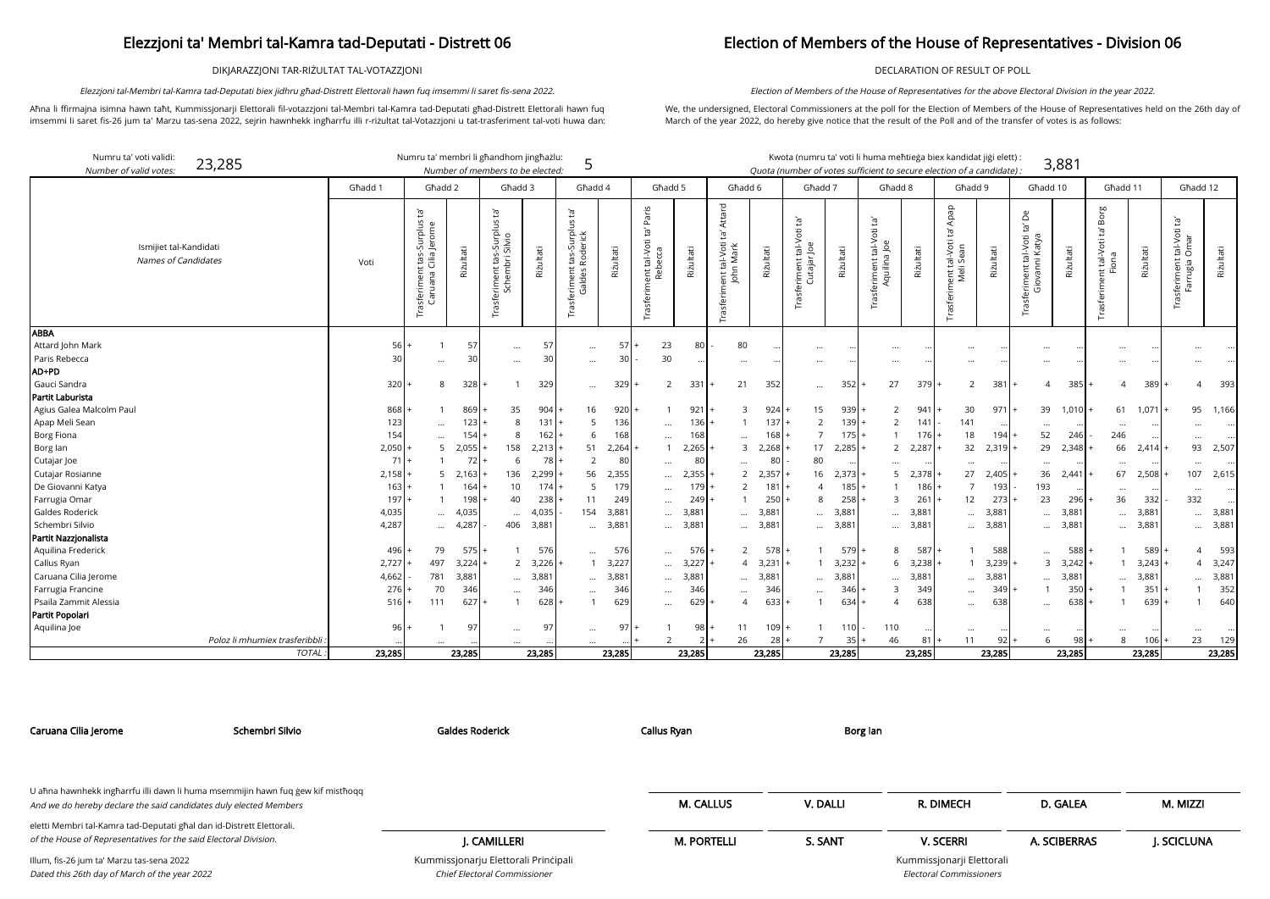DIKJARAZZJONI TAR-RIŻULTAT TAL-VOTAZZJONI

Aħna li ffirmajna isimna hawn taħt, Kummissjonarji Elettorali fil-votazzjoni tal-Membri tal-Kamra tad-Deputati għad-Distrett Elettorali hawn fuq imsemmi li saret fis-26 jum ta' Marzu tas-sena 2022, sejrin hawnhekk ingħarrfu illi r-riżultat tal-Votazzjoni u tat-trasferiment tal-voti huwa dan:

Elezzjoni tal-Membri tal-Kamra tad-Deputati biex jidhru għad-Distrett Elettorali hawn fuq imsemmi li saret fis-sena 2022.

## Election of Members of the House of Representatives - Division 06

rji Elettorali missioners

DECLARATION OF RESULT OF POLL

We, the undersigned, Electoral Commissioners at the poll for the Election of Members of the House of Representatives held on the 26th day of March of the year 2022, do hereby give notice that the result of the Poll and of the transfer of votes is as follows:

Election of Members of the House of Representatives for the above Electoral Division in the year 2022.

| Numru ta' voti validi:<br>Number of valid votes:     | 23,285                        |         | Numru ta' membri li għandhom jingħażlu:                            |           | Number of members to be elected:                            |           | 5                                              |             |                                                                 |           |                                                          |           |                                          |                        |                                                         |           | Kwota (numru ta' voti li huma meħtieġa biex kandidat jiġi elett) :<br>Quota (number of votes sufficient to secure election of a candidate) : |                 |                                                                                                  | 3,881           |                                                                   |           |                                                  |                   |
|------------------------------------------------------|-------------------------------|---------|--------------------------------------------------------------------|-----------|-------------------------------------------------------------|-----------|------------------------------------------------|-------------|-----------------------------------------------------------------|-----------|----------------------------------------------------------|-----------|------------------------------------------|------------------------|---------------------------------------------------------|-----------|----------------------------------------------------------------------------------------------------------------------------------------------|-----------------|--------------------------------------------------------------------------------------------------|-----------------|-------------------------------------------------------------------|-----------|--------------------------------------------------|-------------------|
|                                                      |                               | Għadd 1 | Ghadd 2                                                            |           | Ghadd 3                                                     |           | Għadd 4                                        |             | Ghadd 5                                                         |           | Ghadd 6                                                  |           | Għadd 7                                  |                        | Ghadd 8                                                 |           | Ghadd 9                                                                                                                                      |                 | Għadd 10                                                                                         |                 | Għadd 11                                                          |           | Ghadd 12                                         |                   |
| Ismijiet tal-Kandidati<br><b>Names of Candidates</b> |                               | Voti    | $\mathbb{E}^1$<br>Trasferiment tas-Surplus<br>Caruana Cilia Jerome | Rizultati | Ĭd'<br>s-Surplus<br>Silvio<br>asferiment tas:<br>Schembri s | Riżultati | Ē,<br>sferiment tas-Surplus<br>Galdes Roderick | Riżultati   | Paris<br>`ra<br>tal-Voti<br>nent tal-Vo<br>Rebecca<br>Trasferim | Riżultati | Attard<br>Į,<br>ient tal-Voti t<br>John Mark<br>Trasferi | Riżultati | Trasferiment tal-Voti ta'<br>Cutajar Joe | Riżultati              | $\Xi^1$<br>.Voti<br>Trasferiment tal-Vo<br>Aquilina Joe | Riżultati | Apap<br>可<br>ent tal-Voti<br>Б<br>Meli<br>Trasferi                                                                                           | Rizultati       | $\mathsf{D}^{\mathsf{e}}$<br>ρŕ<br>tal-Voti<br>Katya<br>rasferiment tal<br>Giovanni <del>l</del> | Riżultati       | Borg<br>Ē,<br>tal-Voti<br>$\overline{5}$<br>Trasferiment t<br>Fic | Riżultati | tal-Voti ta'<br>Omar<br>Trasferiment<br>Farrugia | Riżultati         |
| <b>ABBA</b>                                          |                               |         |                                                                    |           |                                                             |           |                                                |             |                                                                 |           |                                                          |           |                                          |                        |                                                         |           |                                                                                                                                              |                 |                                                                                                  |                 |                                                                   |           |                                                  |                   |
| Attard John Mark<br>Paris Rebecca                    |                               | 56      |                                                                    | 57        | $\ddotsc$                                                   | 57        | $\cdots$                                       | $5^{\circ}$ | 23                                                              | 80        | 80                                                       |           | $\cdots$                                 |                        | $\cdots$                                                |           |                                                                                                                                              |                 | $\cdots$                                                                                         |                 |                                                                   |           |                                                  |                   |
| AD+PD                                                |                               | 30      | $\cdots$                                                           | 30        | $\ddotsc$                                                   | 30        | $\cdots$                                       | 30          | 30                                                              | $\ddotsc$ | $\cdots$                                                 |           | $\cdots$                                 | $\cdots$               | $\cdots$                                                |           |                                                                                                                                              |                 | $\cdots$                                                                                         |                 |                                                                   |           |                                                  |                   |
| Gauci Sandra                                         |                               |         | 8                                                                  | 328       |                                                             |           |                                                |             | $\overline{2}$                                                  | 331       | 21                                                       |           |                                          |                        |                                                         | 379       |                                                                                                                                              |                 | $\overline{4}$                                                                                   |                 | 4                                                                 |           | 4                                                | 393               |
| Partit Laburista                                     |                               | 320     |                                                                    |           |                                                             | 329       | $\cdots$                                       | 329         |                                                                 |           |                                                          | 352       | $\cdots$                                 | 352                    | 27                                                      |           | $\overline{2}$                                                                                                                               | 38 <sup>°</sup> |                                                                                                  | 385             |                                                                   | 389       |                                                  |                   |
| Agius Galea Malcolm Paul                             |                               | 868     |                                                                    | 869       | 35                                                          | 904       | 16                                             | $920 +$     |                                                                 | 921       | 3                                                        | 924       | 15                                       | 939                    |                                                         | 941       | 30                                                                                                                                           | 971             | 39                                                                                               | 1,010           | 61                                                                | $1,071$ + | 95                                               | 1,166             |
| Apap Meli Sean                                       |                               | 123     |                                                                    | 123       | 8                                                           | 131       | 5                                              | 136         |                                                                 | 136       |                                                          | $137 +$   | 2                                        | $139 +$                | 2                                                       | 141       | 141                                                                                                                                          |                 |                                                                                                  |                 |                                                                   |           |                                                  |                   |
| <b>Borg Fiona</b>                                    |                               | 154     | $\cdots$                                                           | 154       | 8                                                           | 162       | 6                                              | 168         | $\ddots$                                                        | 168       |                                                          | 168       | $\overline{7}$                           | $175 +$                |                                                         | $176$ +   | 18                                                                                                                                           | 194             | $\cdots$<br>52                                                                                   | 246             | $\cdots$<br>246                                                   |           |                                                  |                   |
| Borg lan                                             |                               | 2,050   | $\cdots$<br>5                                                      | 2,055     | 158                                                         | 2,213     | 51                                             | $2,264$ +   |                                                                 | 2,265     | 3                                                        | 2,268     | 17                                       | 2,285                  | $\overline{2}$                                          | 2,287     | 32                                                                                                                                           | 2,319           | 29                                                                                               | 2,348           | 66                                                                | 2,414     | 93                                               | 2,507             |
| Cutajar Joe                                          |                               | 71      |                                                                    | 72 I      | 6                                                           | 78        | $\overline{2}$                                 | 80          |                                                                 | 80        |                                                          | 80        | 80                                       |                        |                                                         |           |                                                                                                                                              |                 |                                                                                                  |                 |                                                                   |           |                                                  |                   |
| Cutajar Rosianne                                     |                               | 2,158   |                                                                    | 2,163     | 136                                                         | 2,299     | 56                                             | 2,355       |                                                                 | 2,355     | 2                                                        | 2,357     | 16                                       | $\ddotsc$<br>$2.373$ - | $\cdots$<br>-5                                          | 2,378     | $\cdots$<br>27                                                                                                                               | 2,405           | <br>36                                                                                           | 2,441           | $\cdots$<br>67                                                    | 2,508     | $\cdots$<br>107                                  | 2,615             |
| De Giovanni Katya                                    |                               | 163     |                                                                    | 164       | 10 <sup>°</sup>                                             | 174       | 5                                              | 179         | $\cdots$                                                        | 179       |                                                          | 181       | $\overline{4}$                           | 185                    |                                                         | 186       | $\overline{7}$                                                                                                                               | 193             | 193                                                                                              |                 |                                                                   |           |                                                  |                   |
| Farrugia Omar                                        |                               | 197     |                                                                    | 198       | 40                                                          | 238       | 11                                             | 249         | $\ddotsc$                                                       | 249       |                                                          | 250       | $\mathsf{R}$                             | 258                    | 3                                                       | 261       | 12                                                                                                                                           | 273             | 23                                                                                               | $\cdots$<br>296 | $\cdots$<br>36                                                    | 332       | $\cdots$<br>332                                  | $\ddotsc$         |
| Galdes Roderick                                      |                               | 4,035   |                                                                    | 4,035     |                                                             | 4,035     | 154                                            | 3,881       | $\ddotsc$                                                       | 3,881     |                                                          | 3,881     |                                          | 3,881                  |                                                         | 3,881     | $\cdots$                                                                                                                                     | 3,881           |                                                                                                  | 3,881           |                                                                   | 3,881     |                                                  | $\ddots$<br>3,881 |
| Schembri Silvio                                      |                               | 4,287   | $\cdots$<br>$\cdots$                                               | 4,287     | $\cdots$<br>406                                             | 3,881     |                                                | 3,88        | $\ddotsc$<br>$\cdots$                                           | 3,88'     |                                                          | 3,881     | $\cdots$                                 | 3,881                  | $\ddotsc$<br>$\cdots$                                   | 3,88'     | $\cdots$                                                                                                                                     | 3,881           | $\ddotsc$<br>$\cdots$                                                                            | 3,881           | $\cdots$                                                          | 3,881     | $\cdots$<br>$\cdots$                             | 3,88              |
| Partit Nazzjonalista                                 |                               |         |                                                                    |           |                                                             |           |                                                |             |                                                                 |           | $\cdots$                                                 |           |                                          |                        |                                                         |           |                                                                                                                                              |                 |                                                                                                  |                 |                                                                   |           |                                                  |                   |
| Aquilina Frederick                                   |                               | 496     | 79                                                                 | $575+$    |                                                             | 576       | $\cdots$                                       | 576         | $\cdots$                                                        | 576       | 2                                                        | 578       |                                          | 579                    | 8                                                       | $587+$    |                                                                                                                                              | 588             | $\ddotsc$                                                                                        | 588             |                                                                   | 589       | $\overline{4}$                                   | 593               |
| Callus Ryan                                          |                               | 2,727   | 497                                                                | 3,224     |                                                             | 2, 3, 226 |                                                | 3,227       |                                                                 | 3,227     | $\overline{4}$                                           | 3,231     |                                          | $1 \quad 3,232$        | 6                                                       | $3,238$ + | $\mathbf{1}$                                                                                                                                 | 3,239           | $\mathbf{3}$                                                                                     | 3,242           |                                                                   | $3,243$ + | $\overline{4}$                                   | 3,247             |
| Caruana Cilia Jerome                                 |                               | 4,662   | 781                                                                | 3,881     | $\cdots$                                                    | 3,881     | $\cdots$                                       | 3,88'       | $\ddotsc$                                                       | 3,881     | $\cdots$                                                 | 3,881     |                                          | 3,881<br>$\cdots$      | $\ddotsc$                                               | 3,881     | $\cdots$                                                                                                                                     | 3,881           | $\ddots$                                                                                         | 3,881           |                                                                   | 3,881     |                                                  | 3,881             |
| Farrugia Francine                                    |                               | 276     | 70                                                                 | 346       | $\ddots$                                                    | 346       | $\cdots$                                       | 346         |                                                                 | 346       | $\cdots$                                                 | 346       | $\cdots$                                 | 346                    | 3                                                       | 349       | $\cdots$                                                                                                                                     | 349             | $\overline{1}$                                                                                   | 350             |                                                                   | 351       |                                                  | 352               |
| Psaila Zammit Alessia                                |                               | 516     | 111                                                                | 627       | $\mathbf{1}$                                                | 628       |                                                | 629         | $\cdots$                                                        | 629       | 4                                                        | 633       | $\mathbf{1}$                             | 634                    |                                                         | 638       | $\cdots$                                                                                                                                     | 638             | $\cdots$                                                                                         | 638             |                                                                   | 639       |                                                  | 640               |
| Partit Popolari                                      |                               |         |                                                                    |           |                                                             |           |                                                |             |                                                                 |           |                                                          |           |                                          |                        |                                                         |           |                                                                                                                                              |                 |                                                                                                  |                 |                                                                   |           |                                                  |                   |
| Aquilina Joe                                         |                               | 96      |                                                                    | 97        | $\cdots$                                                    | 97        | $\cdots$                                       | 97          |                                                                 | 98        | 11                                                       | 109       |                                          | 110                    | 110                                                     |           | $\cdots$                                                                                                                                     |                 | $\ddots$                                                                                         |                 | $\cdots$                                                          |           |                                                  | $\ddotsc$         |
|                                                      | Poloz li mhumiex trasferibbli |         |                                                                    |           |                                                             |           |                                                |             | 2                                                               |           | 26                                                       | 28        |                                          | 35                     | 46                                                      | 81        | 11                                                                                                                                           | 92              | 6                                                                                                | 98              | 8                                                                 | 106       | 23                                               | 129               |
|                                                      | <b>TOTAL</b>                  | 23,285  |                                                                    | 23,285    |                                                             | 23,285    |                                                | 23,285      |                                                                 | 23,285    |                                                          | 23,285    |                                          | 23,285                 |                                                         | 23,285    |                                                                                                                                              | 23,285          |                                                                                                  | 23,285          |                                                                   | 23,285    |                                                  | 23,285            |

| Caruana Cilia Jerome                                                  | Schembri Silvio                                                                 | <b>Galdes Roderick</b>               | Callus Ryan        | Borg lan |                           |              |                   |
|-----------------------------------------------------------------------|---------------------------------------------------------------------------------|--------------------------------------|--------------------|----------|---------------------------|--------------|-------------------|
|                                                                       | U ahna hawnhekk ingharrfu illi dawn li huma msemmijin hawn fuq gew kif misthoqq |                                      |                    |          |                           |              |                   |
| And we do hereby declare the said candidates duly elected Members     |                                                                                 |                                      | <b>M. CALLUS</b>   | V. DALLI | R. DIMECH                 | D. GALEA     | M. MIZZI          |
| eletti Membri tal-Kamra tad-Deputati għal dan id-Distrett Elettorali. |                                                                                 |                                      |                    |          |                           |              |                   |
| of the House of Representatives for the said Electoral Division.      |                                                                                 | I. CAMILLERI                         | <b>M. PORTELLI</b> | S. SANT  | <b>V. SCERRI</b>          | A. SCIBERRAS | <b>J. SCICLUN</b> |
| Illum, fis-26 jum ta' Marzu tas-sena 2022                             |                                                                                 | Kummissjonarju Elettorali Principali |                    |          | Kummissjonarji Elettorali |              |                   |
| Dated this 26th day of March of the year 2022                         |                                                                                 | Chief Electoral Commissioner         |                    |          | Electoral Commissioners   |              |                   |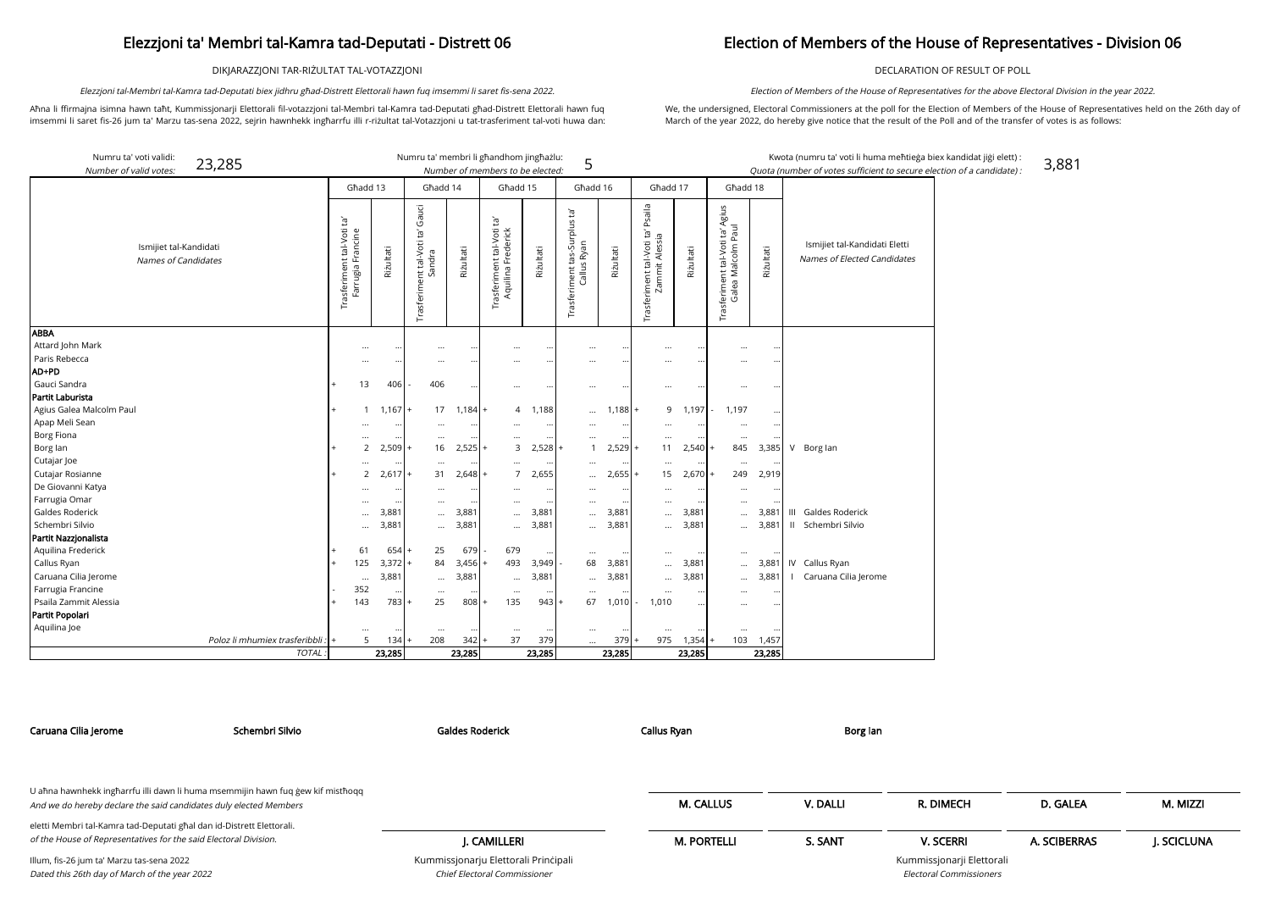DIKJARAZZJONI TAR-RIŻULTAT TAL-VOTAZZJONI

Aħna li ffirmajna isimna hawn taħt, Kummissjonarji Elettorali fil-votazzjoni tal-Membri tal-Kamra tad-Deputati għad-Distrett Elettorali hawn fuq imsemmi li saret fis-26 jum ta' Marzu tas-sena 2022, sejrin hawnhekk ingħarrfu illi r-riżultat tal-Votazzjoni u tat-trasferiment tal-voti huwa dan:

Elezzjoni tal-Membri tal-Kamra tad-Deputati biex jidhru għad-Distrett Elettorali hawn fuq imsemmi li saret fis-sena 2022.

kandidat jiġi elett) <mark>:</mark> on of a candidate) : 3,881

## Election of Members of the House of Representatives - Division 06

DECLARATION OF RESULT OF POLL

We, the undersigned, Electoral Commissioners at the poll for the Election of Members of the House of Representatives held on the 26th day of March of the year 2022, do hereby give notice that the result of the Poll and of the transfer of votes is as follows:

Election of Members of the House of Representatives for the above Electoral Division in the year 2022.

| Numru ta' voti validi:<br>23,285              |                                                |           | Numru ta' membri li għandhom jingħażlu:         |                     |                                                    |              | 5                                           |           |                                                    |                     |                                                       |                  | Kwota (numru ta' voti li huma meħtieġa biex k                |
|-----------------------------------------------|------------------------------------------------|-----------|-------------------------------------------------|---------------------|----------------------------------------------------|--------------|---------------------------------------------|-----------|----------------------------------------------------|---------------------|-------------------------------------------------------|------------------|--------------------------------------------------------------|
| Number of valid votes:                        |                                                |           |                                                 |                     | Number of members to be elected:                   |              |                                             |           |                                                    |                     |                                                       |                  | Quota (number of votes sufficient to secure electic          |
|                                               | Għadd 13                                       |           | Għadd 14                                        |                     | Ghadd 15                                           |              | Ghadd 16                                    |           | Għadd 17                                           |                     | Ghadd 18                                              |                  |                                                              |
| Ismijiet tal-Kandidati<br>Names of Candidates | Trasferiment tal-Voti ta'<br>Farrugia Francine | Riżultati | Gauci<br>Ĭd,<br>Trasferiment tal-Voti<br>Sandra | Rizultati           | Įą,<br>Trasferiment tal-Voti<br>Aquilina Frederick | Riżultati    | Trasferiment tas-Surplus ta'<br>Callus Ryan | Riżultati | Trasferiment tal-Voti ta' Psaila<br>Zammit Alessia | Riżultati           | Trasferiment tal-Voti ta' Agius<br>Galea Malcolm Paul | Riżultati        | Ismijiet tal-Kandidati Eletti<br>Names of Elected Candidates |
| <b>ABBA</b>                                   |                                                |           |                                                 |                     |                                                    |              |                                             |           |                                                    |                     |                                                       |                  |                                                              |
| Attard John Mark                              | $\cdots$                                       | $\cdots$  | $\cdots$                                        | $\cdots$            | $\cdots$                                           | $\cdots$     | $\cdots$                                    | $\cdots$  | $\cdots$                                           | $\cdots$            |                                                       | $\ddotsc$        |                                                              |
| Paris Rebecca                                 |                                                | $\cdots$  |                                                 | $\bullet$ $\bullet$ | $\ddotsc$                                          |              |                                             |           | $\cdots$                                           | $\cdots$            |                                                       | $\bullet\bullet$ |                                                              |
| AD+PD                                         |                                                |           |                                                 |                     |                                                    |              |                                             |           |                                                    |                     |                                                       |                  |                                                              |
| Gauci Sandra                                  | 13                                             | 406       | 406                                             | $\ddotsc$           | $\cdots$                                           |              | $\cdots$                                    |           | $\cdots$                                           | $\cdots$            |                                                       | $\ddotsc$        |                                                              |
| Partit Laburista                              |                                                |           |                                                 |                     |                                                    |              |                                             |           |                                                    |                     |                                                       |                  |                                                              |
| Agius Galea Malcolm Paul                      | -1                                             | $1,167$ + | 17                                              | $1,184$ +           | 4                                                  | 1,188        | $\cdots$                                    | $1,188 +$ | 9                                                  | 1,197               | 1,197                                                 | $\ldots$         |                                                              |
| Apap Meli Sean                                |                                                |           |                                                 | $\bullet$ $\bullet$ | $\ddotsc$                                          | $\cdot\cdot$ | $\cdots$                                    |           |                                                    | $\bullet$ $\bullet$ | $\cdots$                                              | $\ddotsc$        |                                                              |
| Borg Fiona                                    |                                                |           | $\cdots$                                        |                     | $\cdots$                                           |              | $\cdots$                                    |           | $\cdots$                                           |                     | $\cdots$                                              |                  |                                                              |
| Borg lan                                      | 2                                              | 2,509     | 16                                              | 2,525               | $\overline{3}$                                     | $2,528 +$    |                                             | 2,529     | 11                                                 | 2,540               | 845                                                   | 3,385            | Borg lan<br>V                                                |
| Cutajar Joe                                   | $\cdots$                                       | $\cdots$  | $\cdots$                                        | $\bullet$ .         |                                                    |              | $\cdots$                                    | $\cdots$  | $\cdots$                                           | $\cdots$            | $\cdots$                                              |                  |                                                              |
| Cutajar Rosianne                              | $\overline{2}$                                 | $2,617$ + | 31                                              | 2,648               | $\overline{7}$<br>$^{+}$                           | 2,655        | $\ddotsc$                                   | 2,655     | 15                                                 | 2,670               | 249<br>$+$                                            | 2,919            |                                                              |
| De Giovanni Katya                             |                                                | $\cdots$  | $\cdots$                                        | $\bullet\bullet$    |                                                    | $\ddotsc$    | $\cdots$                                    |           | $\cdots$                                           | $\cdots$            |                                                       | $\cdot\cdot$     |                                                              |
| Farrugia Omar                                 |                                                | $\cdots$  | $\cdots$                                        | $\ddotsc$           | $\ddotsc$                                          |              | $\cdots$                                    |           | $\cdots$                                           | $\cdots$            |                                                       | $\ddotsc$        |                                                              |
| <b>Galdes Roderick</b>                        |                                                | 3,881     | $\cdots$                                        | 3,881               | $\cdots$                                           | 3,881        | $\ddotsc$                                   | 3,881     | $\cdots$                                           | 3,881               |                                                       | 3,881            | III Galdes Roderick                                          |
| Schembri Silvio                               | $\cdots$                                       | 3,881     | $\cdots$                                        | 3,881               | $\ddotsc$                                          | 3,881        |                                             | 3,881     | $\cdots$                                           | 3,881               | $\cdots$                                              | 3,881            | II Schembri Silvio                                           |
| Partit Nazzjonalista                          |                                                |           |                                                 |                     |                                                    |              |                                             |           |                                                    |                     |                                                       |                  |                                                              |
| Aquilina Frederick                            | 61                                             | $654 +$   | 25                                              | 679                 | 679                                                |              | $\cdots$                                    |           | $\cdots$                                           | $\cdots$            |                                                       | $\ddotsc$        |                                                              |
| Callus Ryan                                   | 125                                            | 3,372     | 84                                              | 3,456               | 493                                                | 3,949        | 68                                          | 3,881     | $\cdots$                                           | 3,881               |                                                       | 3,881            | IV Callus Ryan                                               |
| Caruana Cilia Jerome                          | $\cdots$                                       | 3,881     | $\cdots$                                        | 3,881               | $\cdots$                                           | 3,881        | $\cdots$                                    | 3,881     | $\cdots$                                           | 3,881               |                                                       | 3,881            | Caruana Cilia Jerome                                         |
| Farrugia Francine                             | 352                                            | $\cdots$  | $\cdots$                                        | $\bullet$ .         | $\cdots$                                           |              | $\cdots$                                    |           | $\cdots$                                           | $\cdots$            | $\cdots$                                              | $\cdot \cdot$    |                                                              |
| Psaila Zammit Alessia                         | 143                                            | 783 +     | 25                                              | 808                 | 135                                                | 943          | 67                                          | 1,010     | 1,010                                              | $\cdots$            |                                                       | $\cdot\cdot$     |                                                              |
| Partit Popolari                               |                                                |           |                                                 |                     |                                                    |              |                                             |           |                                                    |                     |                                                       |                  |                                                              |
| Aquilina Joe                                  |                                                |           | $\cdots$                                        |                     | $\cdots$                                           |              |                                             |           | $\cdots$                                           |                     |                                                       |                  |                                                              |
| Poloz li mhumiex trasferibbli :               | 5                                              | 134       | 208                                             | 342                 | 37                                                 | 379          |                                             | 379       | 975                                                | 1,354               | 103                                                   | 1,457            |                                                              |
| TOTAL:                                        |                                                | 23,285    |                                                 | 23,285              |                                                    | 23,285       |                                             | 23,285    |                                                    | 23,285              |                                                       | 23,285           |                                                              |

| Caruana Cilia Jerome                                                                                                                                 | Schembri Silvio | <b>Galdes Roderick</b>               | Callus Ryan        | Borg lan |                                |              |            |
|------------------------------------------------------------------------------------------------------------------------------------------------------|-----------------|--------------------------------------|--------------------|----------|--------------------------------|--------------|------------|
|                                                                                                                                                      |                 |                                      |                    |          |                                |              |            |
| U ahna hawnhekk ingharrfu illi dawn li huma msemmijin hawn fuq gew kif misthoqq<br>And we do hereby declare the said candidates duly elected Members |                 |                                      | <b>M. CALLUS</b>   | V. DALLI | R. DIMECH                      | D. GALEA     | M. MIZZI   |
| eletti Membri tal-Kamra tad-Deputati għal dan id-Distrett Elettorali.                                                                                |                 |                                      |                    |          |                                |              |            |
| of the House of Representatives for the said Electoral Division.                                                                                     |                 | J. CAMILLERI                         | <b>M. PORTELLI</b> | S. SANT  | <b>V. SCERRI</b>               | A. SCIBERRAS | J. SCICLUN |
| Illum, fis-26 jum ta' Marzu tas-sena 2022                                                                                                            |                 | Kummissjonarju Elettorali Principali |                    |          | Kummissjonarji Elettorali      |              |            |
| Dated this 26th day of March of the year 2022                                                                                                        |                 | Chief Electoral Commissioner         |                    |          | <b>Electoral Commissioners</b> |              |            |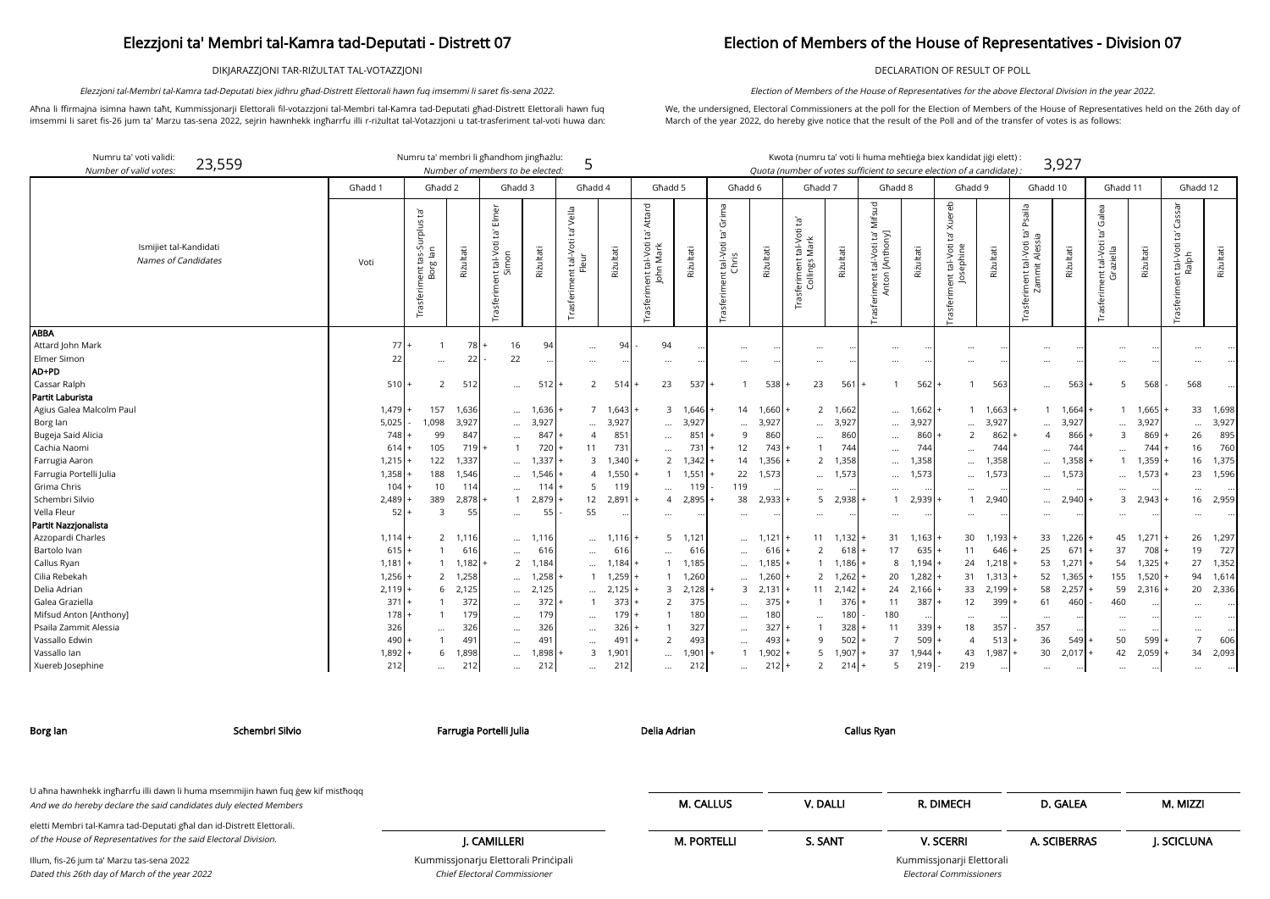DIKJARAZZJONI TAR-RIŻULTAT TAL-VOTAZZJONI

Aħna li ffirmajna isimna hawn taħt, Kummissjonarji Elettorali fil-votazzjoni tal-Membri tal-Kamra tad-Deputati għad-Distrett Elettorali hawn fuq imsemmi li saret fis-26 jum ta' Marzu tas-sena 2022, sejrin hawnhekk ingħarrfu illi r-riżultat tal-Votazzjoni u tat-trasferiment tal-voti huwa dan:

23,559 Numru ta' membri li għandhom jingħażlu: Kwota (numru ta' voti li huma meħtieġa biex kandidat jiġi elett) :

Elezzjoni tal-Membri tal-Kamra tad-Deputati biex jidhru għad-Distrett Elettorali hawn fuq imsemmi li saret fis-sena 2022.

## Election of Members of the House of Representatives - Division 07

DECLARATION OF RESULT OF POLL

We, the undersigned, Electoral Commissioners at the poll for the Election of Members of the House of Representatives held on the 26th day of March of the year 2022, do hereby give notice that the result of the Poll and of the transfer of votes is as follows:

Election of Members of the House of Representatives for the above Electoral Division in the year 2022.

ssjonarji Elettorali Electoral Commissioners

| Numru ta' voti validi<br>23,559<br>Number of valid votes. |           |                                          |               |                                                    | Numru ta' membri li għandhom jingħażlu:<br>Number of members to be elected: | 5                                                |                   |                                                             |           |                                                    |                         |                                                  | Kwota (numru ta' voti li huma meħtieġa biex kandidat jiġi elett) :<br>Quota (number of votes sufficient to secure election of a candidate) . |                                                              |           |                                                                             |           |                                                                          | 3,927     |                                                       |                   |                                                                   |           |
|-----------------------------------------------------------|-----------|------------------------------------------|---------------|----------------------------------------------------|-----------------------------------------------------------------------------|--------------------------------------------------|-------------------|-------------------------------------------------------------|-----------|----------------------------------------------------|-------------------------|--------------------------------------------------|----------------------------------------------------------------------------------------------------------------------------------------------|--------------------------------------------------------------|-----------|-----------------------------------------------------------------------------|-----------|--------------------------------------------------------------------------|-----------|-------------------------------------------------------|-------------------|-------------------------------------------------------------------|-----------|
|                                                           | Għadd 1   | Ghadd 2                                  |               | Ghadd 3                                            |                                                                             | Ghadd 4                                          |                   | Ghadd 5                                                     |           |                                                    | Ghadd 6                 |                                                  | Għadd 7                                                                                                                                      | Ghadd 8                                                      |           | Għadd 9                                                                     |           | Għadd 10                                                                 |           | Ghadd 11                                              |                   | Għadd 12                                                          |           |
| Ismijiet tal-Kandidati<br>Names of Candidates             | Voti      | Trasferiment tas-Surplus ta'<br>Borg lan | Rizultati     | Elmer<br>Ĕ,<br>nt tal-Voti 1<br>Simon<br>Trasferim | Riżultati                                                                   | Vella<br>Ĭa<br>nt tal-Voti<br>Fleur<br>Trasferim | Riżultati         | Attard<br>`ra<br>tal-Voti<br>Mark<br>John<br>ent<br>Trasfer | Rizultati | Grima<br>ē,<br>t tal-Voti 1<br>Chris<br>Trasferime | Rizultati               | ig,<br>Frasferiment tal-Voti t.<br>Collings Mark | Riżultati                                                                                                                                    | Mifsud<br>[Anthony]<br>ρŕ<br>tal-Voti<br>Anton<br>Trasferime | Rizultati | lereb<br>⋜<br>Ĭā,<br>tal-Voti<br>$\tilde{\mathsf{e}}$<br>idas<br>asferiment | Riżultati | Psaila<br>ē,<br>ā<br>ent tal-Voti t<br>ammit Alessia<br>Гā<br>Trasferime | Riżultati | Galea<br>Ĕ,<br>ent tal-Voti<br>Graziella<br>Trasferim | Riżultati         | Cassar<br>$\overline{c}$<br>int tal-Voti t<br>Ralph<br>Trasferime | Riżultati |
| <b>ABBA</b><br>Attard John Mark                           | 77        |                                          |               |                                                    |                                                                             |                                                  |                   |                                                             |           |                                                    |                         |                                                  |                                                                                                                                              |                                                              |           |                                                                             |           |                                                                          |           |                                                       |                   |                                                                   |           |
| Elmer Simon                                               | 22        |                                          | $78$  +<br>22 | 16<br>22                                           | 94                                                                          | $\ldots$                                         | 94                | 94                                                          |           |                                                    |                         |                                                  |                                                                                                                                              | $\cdots$                                                     |           |                                                                             |           |                                                                          |           |                                                       |                   |                                                                   |           |
| AD+PD                                                     |           | $\cdots$                                 |               |                                                    |                                                                             | $\cdots$                                         |                   | $\cdots$                                                    |           | $\cdots$                                           |                         |                                                  | $\cdots$                                                                                                                                     | $\cdots$                                                     |           |                                                                             |           | $\cdots$                                                                 |           |                                                       |                   |                                                                   |           |
| Cassar Ralph                                              | 510       | 2                                        | 512           |                                                    | 512                                                                         | $\overline{2}$                                   | 514               | 23                                                          | 537       |                                                    | 538                     |                                                  | 23<br>561                                                                                                                                    |                                                              | 562       |                                                                             | 563       |                                                                          | 563       | -5                                                    | 568               | 568                                                               |           |
| Partit Laburista                                          |           |                                          |               | $\cdots$                                           |                                                                             |                                                  |                   |                                                             |           |                                                    |                         |                                                  |                                                                                                                                              |                                                              |           |                                                                             |           | $\cdots$                                                                 |           |                                                       |                   |                                                                   |           |
| Agius Galea Malcolm Paul                                  | $1,479 +$ | 157                                      | 1,636         | $\cdots$                                           | 1,636                                                                       |                                                  | $7 \quad 1,643 +$ | $\overline{3}$                                              | 1,646     | 14                                                 | 1,660                   |                                                  | 2 1,662                                                                                                                                      | $\cdots$                                                     | 1,662     | $\mathbf{1}$                                                                | 1,663     |                                                                          | 1 1,664   |                                                       | $1 \quad 1,665$ + | 33                                                                | 1,698     |
| Borg lan                                                  | 5,025     | 1,098                                    | 3,927         | $\cdots$                                           | 3,927                                                                       | $\cdots$                                         | 3,927             | $\cdots$                                                    | 3,927     |                                                    | 3,927                   |                                                  | 3,927<br>$\cdots$                                                                                                                            |                                                              | 3,927     | $\ddotsc$                                                                   | 3,927     | $\cdots$                                                                 | 3,927     | $\ddotsc$                                             | 3,927             | $\cdots$                                                          | 3,927     |
| Bugeja Said Alicia                                        | 748       | 99                                       | 847           | $\cdots$                                           | 847                                                                         | $\overline{4}$                                   | 85'               | $\cdots$                                                    | 851       | 9                                                  | 860                     |                                                  | 860<br>$\cdots$                                                                                                                              | $\cdots$                                                     | 860       | 2                                                                           | 862       | $\overline{4}$                                                           | 866       | 3                                                     | 869               | 26                                                                | 895       |
| Cachia Naomi                                              | 614       | 105                                      | 719 <b>1</b>  | $\mathbf{1}$                                       | 720                                                                         | 11                                               | 731               | $\cdots$                                                    | 731       | 12                                                 | 743                     |                                                  | 744                                                                                                                                          | $\ddotsc$                                                    | 744       | $\cdots$                                                                    | 744       | $\cdots$                                                                 | 744       |                                                       | 744               | 16                                                                | 760       |
| Farrugia Aaron                                            | 1,215     | 122                                      | 1,337         | $\cdots$                                           | 1,337                                                                       | 3                                                | $1,340 +$         | $\overline{2}$                                              | 1,342     | 14                                                 | 1,356                   |                                                  | 2 1,358                                                                                                                                      |                                                              | 1,358     | $\cdots$                                                                    | 1,358     | $\cdots$                                                                 | 1,358     |                                                       | 1,359             | 16                                                                | 1,375     |
| Farrugia Portelli Julia                                   | 1,358     | 188                                      | 1,546         | $\cdots$                                           | 1,546                                                                       | $\overline{4}$                                   | $1,550 +$         | $\overline{1}$                                              | 1,551     | 22                                                 | 1,573                   |                                                  | 1,573<br>$\cdots$                                                                                                                            | $\cdots$                                                     | 1,573     | $\cdots$                                                                    | 1,573     | $\cdots$                                                                 | 1,573     | $\cdots$                                              | 1,573             | 23                                                                | 1,596     |
| Grima Chris                                               | 104       | 10                                       | 114           |                                                    | 114                                                                         | 5                                                | 119               | $\cdots$                                                    | 119       | 119                                                |                         |                                                  | $\cdots$                                                                                                                                     | $\ddotsc$                                                    |           |                                                                             |           | $\cdots$                                                                 |           |                                                       |                   | $\cdots$                                                          |           |
| Schembri Silvio                                           | 2,489     | 389                                      | 2,878         | $\overline{1}$                                     | 2,879                                                                       | 12                                               | $2,891 +$         | $\overline{4}$                                              | 2,895     | 38                                                 | 2,933                   |                                                  | $5$ 2,938                                                                                                                                    |                                                              | 2,939     | $\mathbf{1}$                                                                | 2,940     | $\cdots$                                                                 | 2,940     | 3                                                     | 2,943             | 16 <sup>1</sup>                                                   | 2,959     |
| Vella Fleur                                               | 52        | -3                                       | 55            | $\cdots$                                           | 55                                                                          | 55                                               |                   | $\cdots$                                                    |           |                                                    |                         |                                                  | $\cdots$                                                                                                                                     | $\cdots$                                                     |           |                                                                             |           | $\cdots$                                                                 |           |                                                       |                   |                                                                   |           |
| Partit Nazzjonalista                                      |           |                                          |               |                                                    |                                                                             |                                                  |                   |                                                             |           |                                                    |                         |                                                  |                                                                                                                                              |                                                              |           |                                                                             |           |                                                                          |           |                                                       |                   |                                                                   |           |
| Azzopardi Charles                                         | 1,114     | $\overline{2}$                           | 1,116         | $\cdots$                                           | 1,116                                                                       | $\cdots$                                         | $1,116$ +         | 5                                                           | 1,121     |                                                    | 1,121<br>$\cdots$       |                                                  | $11 \quad 1,132$                                                                                                                             | 31                                                           | 1,163     | 30                                                                          | 1,193     | 33                                                                       | 1,226     | 45                                                    | 1,271             | 26                                                                | 1,297     |
| Bartolo Ivan                                              | $615 +$   |                                          | 616           | $\cdots$                                           | 616                                                                         | $\cdots$                                         | 616               | $\cdots$                                                    | 616       | $\cdots$                                           | 616                     |                                                  | $\overline{2}$<br>$618$ +                                                                                                                    | 17                                                           | 635       | 11                                                                          | $646 +$   | 25                                                                       | 671       | 37                                                    | $708+$            | 19                                                                | 727       |
| Callus Ryan                                               | $1,181$ + |                                          | 1,182         |                                                    | 2 1,184                                                                     | $\cdots$                                         | 1,184 +           |                                                             | 1,185     | $\cdots$                                           | 1,185                   |                                                  | $1 \quad 1,186$                                                                                                                              | 8                                                            | 1,194     | 24                                                                          | $1,218$ + | 53                                                                       | 1,271     | 54                                                    | $1,325$ +         | 27                                                                | 1,352     |
| Cilia Rebekah                                             | $1,256$ + | 2                                        | 1,258         | $\cdots$                                           | 1,258                                                                       | $\mathbf{1}$                                     | $1,259$ +         |                                                             | 1,260     |                                                    | 1,260<br>$\cdots$       |                                                  | 2, 1, 262                                                                                                                                    | 20                                                           | 1,282     | 31                                                                          | 1,313     | 52                                                                       | 1,365     | 155                                                   | $1,520$ +         | 94                                                                | 1,614     |
| Delia Adrian                                              | 2,119     | 6                                        | 2,125         | $\cdots$                                           | 2,125                                                                       | $\cdots$                                         | $2,125$ +         | 3                                                           | 2,128     |                                                    | 2,131<br>$\overline{3}$ |                                                  | $11 \quad 2,142$                                                                                                                             | 24                                                           | 2,166     | 33                                                                          | 2,199     | 58                                                                       | 2,257     | 59                                                    | $2,316$ +         | 20                                                                | 2,336     |
| Galea Graziella                                           | 371       |                                          | 372           | $\cdots$                                           | 372                                                                         | $\mathbf{1}$                                     | $373 +$           | $\overline{2}$                                              | 375       | $\cdots$                                           | 375                     |                                                  | 376<br>$\mathbf{1}$                                                                                                                          | 11                                                           | 387       | 12                                                                          | 399       | 61                                                                       | 460       | 460                                                   |                   |                                                                   |           |
| Mifsud Anton [Anthony]                                    | 178       |                                          | 179           | $\cdots$                                           | 179                                                                         | $\cdots$                                         | $179 +$           |                                                             | 180       | $\cdots$                                           | 180                     |                                                  | 180<br>$\cdots$                                                                                                                              | 180                                                          |           | $\cdots$                                                                    |           | $\cdots$                                                                 |           | $\cdots$                                              |                   |                                                                   |           |
| Psaila Zammit Alessia                                     | 326       | $\cdots$                                 | 326           | $\cdots$                                           | 326                                                                         | $\cdots$                                         | $326 +$           |                                                             | 327       | $\cdots$                                           | 327                     |                                                  | 328                                                                                                                                          | 11                                                           | 339       | 18                                                                          | 357       | 357                                                                      |           | $\cdots$                                              |                   | $\cdots$                                                          |           |
| Vassallo Edwin                                            | 490       |                                          | 491           | $\cdots$                                           | 491                                                                         | $\cdots$                                         | $491 +$           | $\overline{2}$                                              | 493       | $\cdots$                                           | 493                     |                                                  | 502<br>9                                                                                                                                     | $\overline{7}$                                               | 509       | $\overline{4}$                                                              | $513 +$   | 36                                                                       | 549       | 50                                                    | 599               | $\overline{7}$                                                    | 606       |
| Vassallo lan                                              | $1,892 +$ | 6                                        | 1,898         | $\cdots$                                           | 1,898                                                                       | 3                                                | 1,901             | $\cdots$                                                    | 1,901     |                                                    | 1,902                   |                                                  | 5<br>1,907                                                                                                                                   | 37                                                           | 1,944     | 43                                                                          | $1,987 +$ | 30                                                                       | 2,017     | 42                                                    | $2,059$ +         | 34                                                                | 2,093     |
| Xuereb Josephine                                          | 212       | $\cdots$                                 | 212           | $\cdots$                                           | 212                                                                         | $\cdots$                                         | 212               | $\cdots$                                                    | 212       | $\cdots$                                           | $212 +$                 |                                                  | $\overline{2}$<br>$214 +$                                                                                                                    | 5                                                            | 219       | 219                                                                         | $\cdots$  | $\cdots$                                                                 | $\cdots$  | $\cdots$                                              | $\cdots$          | $\cdots$                                                          |           |

Kummissjonarju Elettorali Prinċipali Chief Electoral Commissioner

| Schembri Silvio<br>Borg lan                                                                                                                          | Farrugia Portelli Julia              | Delia Adrian       |          | Callus Ryan               |              |            |
|------------------------------------------------------------------------------------------------------------------------------------------------------|--------------------------------------|--------------------|----------|---------------------------|--------------|------------|
|                                                                                                                                                      |                                      |                    |          |                           |              |            |
| U aħna hawnhekk ingħarrfu illi dawn li huma msemmijin hawn fuq ġew kif mistħoqq<br>And we do hereby declare the said candidates duly elected Members |                                      | <b>M. CALLUS</b>   | V. DALLI | R. DIMECH                 | D. GALEA     | M. MIZZI   |
| eletti Membri tal-Kamra tad-Deputati għal dan id-Distrett Elettorali.<br>of the House of Representatives for the said Electoral Division.            | I. CAMILLERI                         | <b>M. PORTELLI</b> | S. SANT  | <b>V. SCERRI</b>          | A. SCIBERRAS | I. SCICLUN |
| Illum, fis-26 jum ta' Marzu tas-sena 2022                                                                                                            | Kummissjonarju Elettorali Principali |                    |          | Kummissjonarji Elettorali |              |            |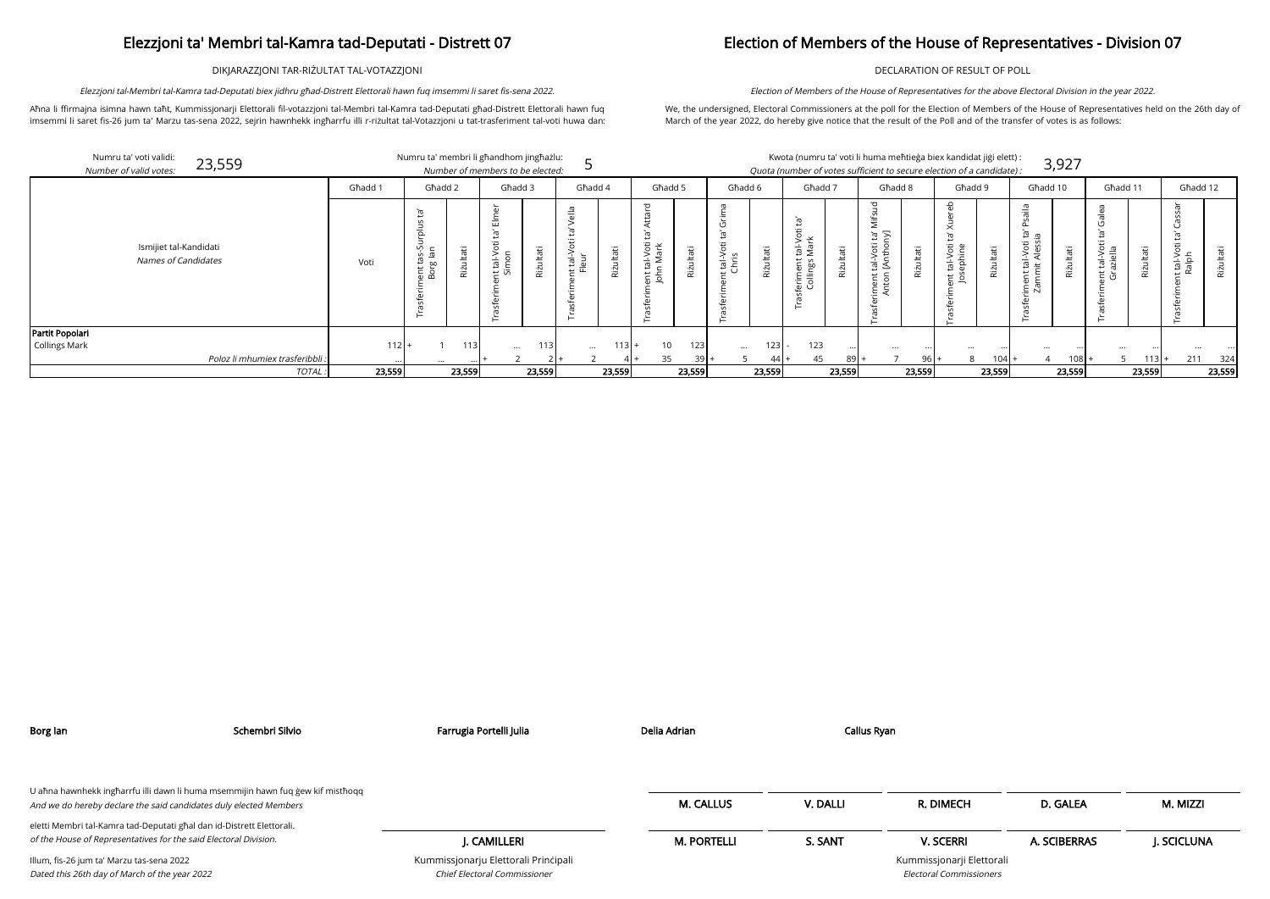DIKJARAZZJONI TAR-RIŻULTAT TAL-VOTAZZJONI

Aħna li ffirmajna isimna hawn taħt, Kummissjonarji Elettorali fil-votazzjoni tal-Membri tal-Kamra tad-Deputati għad-Distrett Elettorali hawn fuq imsemmi li saret fis-26 jum ta' Marzu tas-sena 2022, sejrin hawnhekk ingħarrfu illi r-riżultat tal-Votazzjoni u tat-trasferiment tal-voti huwa dan:

Elezzjoni tal-Membri tal-Kamra tad-Deputati biex jidhru għad-Distrett Elettorali hawn fuq imsemmi li saret fis-sena 2022.

## Election of Members of the House of Representatives - Division 07

DECLARATION OF RESULT OF POLL

We, the undersigned, Electoral Commissioners at the poll for the Election of Members of the House of Representatives held on the 26th day of March of the year 2022, do hereby give notice that the result of the Poll and of the transfer of votes is as follows:

Election of Members of the House of Representatives for the above Electoral Division in the year 2022.

| Numru ta' voti validi:<br>23,559<br>Number of valid votes: |         | Numru ta' membri li għandhom jingħażlu:<br>Number of members to be elected: |                 |                            |                             |               |                                   |        |                              |                 | Kwota (numru ta' voti li huma meħtieġa biex kandidat jiġi elett) :<br>Quota (number of votes sufficient to secure election of a candidate): |        |                                              |        |                                   |               |                                                   | 3,927     |                                            |              |                      |           |
|------------------------------------------------------------|---------|-----------------------------------------------------------------------------|-----------------|----------------------------|-----------------------------|---------------|-----------------------------------|--------|------------------------------|-----------------|---------------------------------------------------------------------------------------------------------------------------------------------|--------|----------------------------------------------|--------|-----------------------------------|---------------|---------------------------------------------------|-----------|--------------------------------------------|--------------|----------------------|-----------|
|                                                            | Għadd 1 | Ghadd 2                                                                     |                 | Għadd 3                    | Għadd 4                     |               | Ghadd 5                           |        | Għadd 6                      |                 | Għadd 7                                                                                                                                     |        | Għadd 8                                      |        | Għadd 9                           |               | Għadd 10                                          |           | Għadd 11                                   |              | Għadd 12             |           |
| Ismijiet tal-Kandidati<br><b>Names of Candidates</b>       | Voti    | ņ<br>cas-S<br>g<br>lan<br>10<br><b>bo</b><br>$rac{1}{2}$<br>$\ddot{\alpha}$ | it tal-<br>Simo | Φ<br>$\frac{1}{2}$<br>Rizi | $\frac{1}{5}$ $\frac{1}{5}$ | Itati<br>Riżu | ਨ<br>al-Voti<br>Mark<br>듦 등<br>G) | tati   | ä<br>$t$ al-V $\overline{v}$ | Ħ<br>£,<br>Rizt | 冲击<br>$\circ$<br>āκ<br>$\frac{1}{2}$<br>eriment<br>Collings                                                                                 | Φ      | $\sum$<br>÷.<br>$\overline{a}$<br>_≤<br>តូ ខ | Þ      | tal-Voti<br>ephine<br>$E_{\rm s}$ | Itati<br>Riżu | თ ღ<br>tal-Voti<br>iit Alessi<br>$E \overline{N}$ | āťi<br>٠N | $rac{5}{2}$<br>$\overline{N}$<br>요<br>ים ⊃ | ltati<br>Riz | öti<br>ndler<br>Meta | Riżultati |
| Partit Popolari                                            |         |                                                                             |                 |                            |                             |               |                                   |        |                              |                 |                                                                                                                                             |        |                                              |        |                                   |               |                                                   |           |                                            |              |                      |           |
| Collings Mark                                              | $112$ + |                                                                             | 113             | 1131<br>$\cdots$           | $\cdots$                    | 113           | 10                                | 123    | $\cdots$                     | 123             | 123                                                                                                                                         |        |                                              |        |                                   |               |                                                   |           |                                            |              |                      |           |
| Poloz li mhumiex trasferibbli.                             |         | $\cdots$                                                                    |                 |                            |                             |               | 35                                | $39$ . |                              | $44 +$          | 45                                                                                                                                          | 89 I   |                                              | $96+$  | 8                                 | $104$ +       |                                                   | $108 +$   |                                            | 113          | 211                  | 324       |
| <b>TOTAL</b>                                               | 23,559  | 23,559                                                                      |                 | 23,559                     |                             | 23,559        |                                   | 23,559 |                              | 23,559          |                                                                                                                                             | 23,559 |                                              | 23,559 |                                   | 23,559        |                                                   | 23,559    |                                            | 23,559       |                      | 23,559    |

| Borg lan                                                                                                                                             | Schembri Silvio | Farrugia Portelli Julia                                              | Delia Adrian       | Callus Ryan |                                                             |              |            |
|------------------------------------------------------------------------------------------------------------------------------------------------------|-----------------|----------------------------------------------------------------------|--------------------|-------------|-------------------------------------------------------------|--------------|------------|
| U aħna hawnhekk ingħarrfu illi dawn li huma msemmijin hawn fuq ġew kif mistħoqq<br>And we do hereby declare the said candidates duly elected Members |                 |                                                                      | <b>M. CALLUS</b>   | V. DALLI    | R. DIMECH                                                   | D. GALEA     | M. MIZZI   |
| eletti Membri tal-Kamra tad-Deputati għal dan id-Distrett Elettorali.<br>of the House of Representatives for the said Electoral Division.            |                 | J. CAMILLERI                                                         | <b>M. PORTELLI</b> | S. SANT     | <b>V. SCERRI</b>                                            | A. SCIBERRAS | J. SCICLUN |
| Illum, fis-26 jum ta' Marzu tas-sena 2022<br>Dated this 26th day of March of the year 2022                                                           |                 | Kummissjonarju Elettorali Principali<br>Chief Electoral Commissioner |                    |             | Kummissjonarji Elettorali<br><b>Electoral Commissioners</b> |              |            |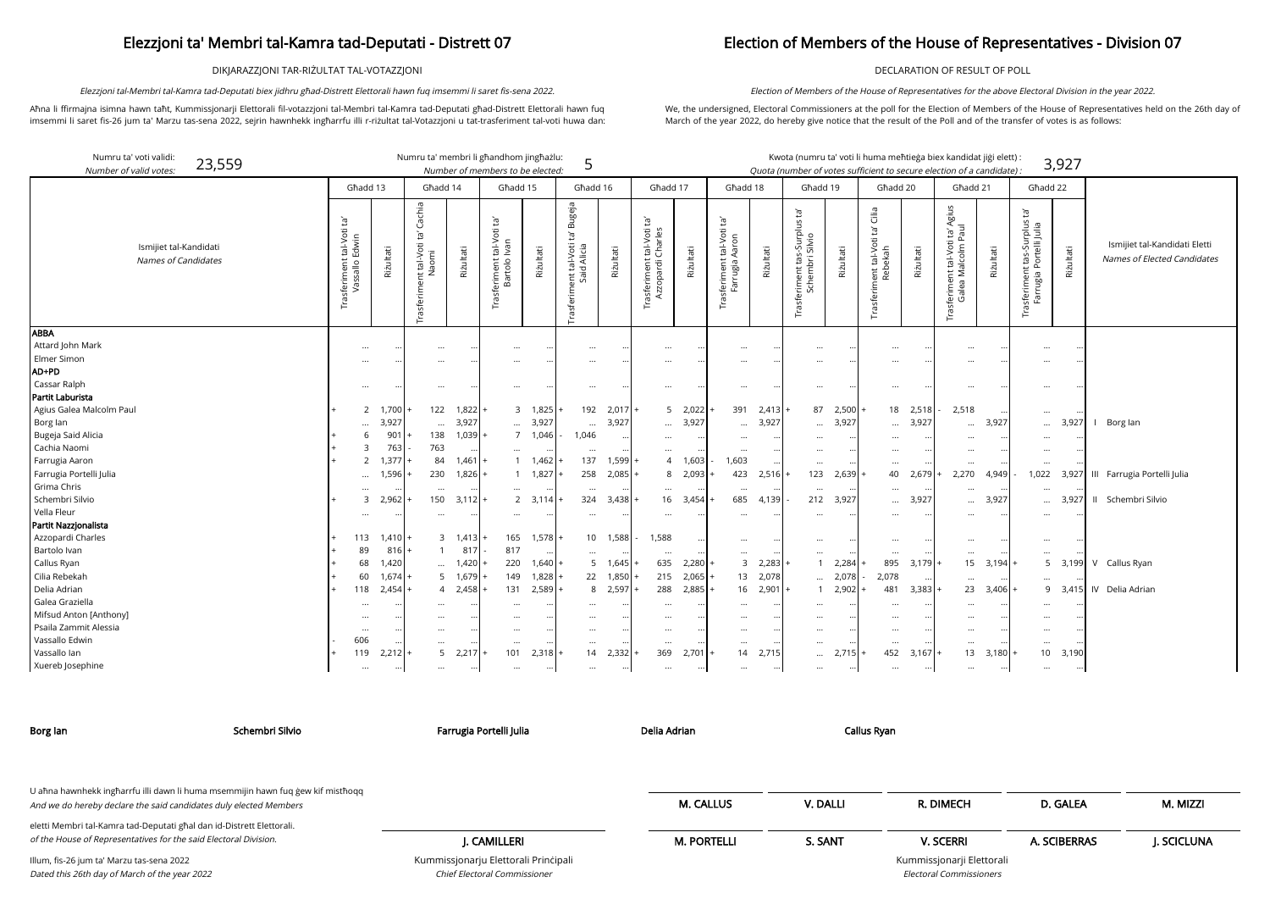DIKJARAZZJONI TAR-RIŻULTAT TAL-VOTAZZJONI

Aħna li ffirmajna isimna hawn taħt, Kummissjonarji Elettorali fil-votazzjoni tal-Membri tal-Kamra tad-Deputati għad-Distrett Elettorali hawn fuq imsemmi li saret fis-26 jum ta' Marzu tas-sena 2022, sejrin hawnhekk ingħarrfu illi r-riżultat tal-Votazzjoni u tat-trasferiment tal-voti huwa dan:

Elezzjoni tal-Membri tal-Kamra tad-Deputati biex jidhru għad-Distrett Elettorali hawn fuq imsemmi li saret fis-sena 2022.

| Numru ta' voti validi:<br>23,559<br>Number of valid votes: |                                                                 |                      | Numru ta' membri li għandhom jingħażlu:         |                     | Number of members to be elected:                   |                   | 5                                                                   |               |                                                             |                 |                                                              |                     | Kwota (numru ta' voti li huma meħtieġa biex kandidat jiġi elett) :<br>Quota (number of votes sufficient to secure election of a candidate) : |           |                                                |           |                                                                             |           |                                                                      | 3,927     |                                                              |
|------------------------------------------------------------|-----------------------------------------------------------------|----------------------|-------------------------------------------------|---------------------|----------------------------------------------------|-------------------|---------------------------------------------------------------------|---------------|-------------------------------------------------------------|-----------------|--------------------------------------------------------------|---------------------|----------------------------------------------------------------------------------------------------------------------------------------------|-----------|------------------------------------------------|-----------|-----------------------------------------------------------------------------|-----------|----------------------------------------------------------------------|-----------|--------------------------------------------------------------|
|                                                            |                                                                 | Għadd 13             | Għadd 14                                        |                     | Ghadd 15                                           |                   | Għadd 16                                                            |               | Għadd 17                                                    |                 | Għadd 18                                                     |                     | Għadd 19                                                                                                                                     |           | Ghadd 20                                       |           | Ghadd 21                                                                    |           | Għadd 22                                                             |           |                                                              |
| Ismijiet tal-Kandidati<br><b>Names of Candidates</b>       | 可<br>tal-Voti<br>Edwin<br>Trasferiment<br>$\stackrel{\circ}{=}$ | Rizultati            | Cachia<br>É<br>nt tal-Voti<br>Naomi<br>$\sharp$ | Riżultati           | Ĭā,<br>$tal-Voti$<br>Ivan<br>ment<br>artolo<br>ഥറ് | Riżultati         | Bugeja<br>Ĭgʻ<br>nent tal-Voti 1<br>Said Alicia<br><b>Trasferim</b> | Riżultati     | ĮP.<br>tal-Voti<br>Charles<br>Trasferiment t<br>Azzopardi ( | Riżultati       | $\tilde{E}$<br>tal-Voti<br>Aaron<br>Trasferiment<br>Farrugia | Riżultati           | Ĕ,<br>S<br>onns-s<br>Silvio<br>feriment tas<br>Schembri :<br>rasfi                                                                           | Riżultati | Cilia<br>Ğ<br>Trasferiment tal-Voti<br>Rebekah | Riżultati | Agius<br>i ta' A<br>Paul<br>nt tal-Voti<br>Malcolm F<br>sferimer<br>Galea l | Riżultati | ρſ,<br>riment tas-Surplus t<br>rugia Portelli Julia<br>sferi<br>Farr | Riżultati | Ismijiet tal-Kandidati Eletti<br>Names of Elected Candidates |
| <b>ABBA</b>                                                |                                                                 |                      |                                                 |                     |                                                    |                   |                                                                     |               |                                                             |                 |                                                              |                     |                                                                                                                                              |           |                                                |           |                                                                             |           |                                                                      |           |                                                              |
| Attard John Mark                                           |                                                                 |                      |                                                 |                     |                                                    |                   |                                                                     |               |                                                             |                 |                                                              |                     |                                                                                                                                              |           |                                                |           |                                                                             |           |                                                                      |           |                                                              |
| Elmer Simon                                                |                                                                 | $\cdots$             | $\cdots$                                        |                     | $\cdots$                                           |                   | $\cdots$                                                            | $\cdots$      | $\cdots$                                                    |                 |                                                              | $\ddotsc$           | $\cdots$                                                                                                                                     |           | $\cdots$                                       |           | $\cdots$                                                                    |           |                                                                      |           |                                                              |
| <b>AD+PD</b>                                               |                                                                 |                      |                                                 |                     |                                                    |                   |                                                                     |               |                                                             |                 |                                                              |                     |                                                                                                                                              |           |                                                |           |                                                                             |           |                                                                      |           |                                                              |
| Cassar Ralph                                               |                                                                 |                      | $\cdots$                                        |                     | $\cdots$                                           |                   | $\cdots$                                                            |               | $\cdots$                                                    |                 |                                                              |                     | $\cdots$                                                                                                                                     |           | $\cdots$                                       |           |                                                                             |           |                                                                      |           |                                                              |
| Partit Laburista                                           |                                                                 |                      |                                                 |                     |                                                    |                   |                                                                     |               |                                                             |                 |                                                              |                     |                                                                                                                                              |           |                                                |           |                                                                             |           |                                                                      |           |                                                              |
| Agius Galea Malcolm Paul                                   |                                                                 | 1.700<br>2           |                                                 | $122 \quad 1,822$ + |                                                    | $3 \t1,825 +$     |                                                                     | $192$ 2,017 + |                                                             | $5 \quad 2,022$ |                                                              | $391 \quad 2,413$ + | 87                                                                                                                                           | $2,500 +$ | 18                                             | 2,518     | 2,518                                                                       |           | $\cdots$                                                             |           |                                                              |
| Borg lan                                                   |                                                                 | 3,927                | $\cdots$                                        | 3,927               | $\cdots$                                           | 3,927             | $\cdots$                                                            | 3,927         | $\cdots$                                                    | 3,927           | $\cdots$                                                     | 3,927               | $\cdots$                                                                                                                                     | 3,927     | $\cdots$                                       | 3,927     | $\cdots$                                                                    | 3,927     | $\cdots$                                                             | 3,927     | I Borglan                                                    |
| Bugeja Said Alicia                                         |                                                                 | 901                  | 138                                             | $1,039$ +           |                                                    | 7 1,046           | 1,046                                                               |               | $\cdots$                                                    |                 |                                                              |                     |                                                                                                                                              |           | $\ddotsc$                                      |           |                                                                             |           |                                                                      |           |                                                              |
| Cachia Naomi                                               |                                                                 | 763                  | 763                                             | $\cdot \cdot$       |                                                    |                   | $\cdots$                                                            |               | $\cdots$                                                    | $\cdots$        | $\cdots$                                                     | $\cdots$            |                                                                                                                                              |           | $\cdots$                                       |           | $\cdots$                                                                    | $\cdots$  | $\cdots$                                                             |           |                                                              |
| Farrugia Aaron                                             |                                                                 | 1,377                | 84                                              | 1,461               |                                                    | $1 \quad 1,462$   | 137                                                                 | 1,599         | 4                                                           | 1,603           | 1,603                                                        |                     | $\cdots$                                                                                                                                     |           | $\cdots$                                       | $\cdots$  | $\cdots$                                                                    | $\cdots$  | $\cdots$                                                             |           |                                                              |
| Farrugia Portelli Julia                                    |                                                                 | 1,596<br>            | 230                                             | $1,826$ +           |                                                    | $1 \quad 1,827 +$ | 258                                                                 | 2,085         | 8                                                           | 2,093           | 423                                                          | 2,516               | 123                                                                                                                                          | 2,639     | 40                                             | $2,679$ + | 2,270                                                                       | 4,949     | 1,022                                                                |           | 3,927 III Farrugia Portelli Julia                            |
| Grima Chris                                                |                                                                 |                      | $\cdots$                                        | $\cdots$            | $\cdots$                                           |                   | $\cdots$                                                            | $\cdots$      | $\cdots$                                                    | $\cdots$        | $\cdots$                                                     | $\cdots$            | $\cdots$                                                                                                                                     |           | $\cdots$                                       | $\cdots$  | $\cdots$                                                                    | $\cdots$  | $\cdots$                                                             |           |                                                              |
| Schembri Silvio                                            |                                                                 | 2,962<br>3           | 150                                             | $3,112$ +           |                                                    | $2 \quad 3,114$ + | 324                                                                 | 3,438         | 16                                                          | 3,454           | 685                                                          | 4,139               | 212                                                                                                                                          | 3,927     | $\cdots$                                       | 3,927     | $\cdots$                                                                    | 3,927     |                                                                      |           | 3,927 II Schembri Silvio                                     |
| Vella Fleur                                                |                                                                 |                      | $\cdots$                                        | $\cdot \cdot$       | $\cdots$                                           |                   | $\cdots$                                                            | $\cdots$      | $\cdots$                                                    |                 |                                                              |                     |                                                                                                                                              |           | $\cdots$                                       |           |                                                                             | $\cdots$  | $\cdots$                                                             |           |                                                              |
| Partit Nazzjonalista                                       |                                                                 |                      |                                                 |                     |                                                    |                   |                                                                     |               |                                                             |                 |                                                              |                     |                                                                                                                                              |           |                                                |           |                                                                             |           |                                                                      |           |                                                              |
| Azzopardi Charles                                          | 113                                                             | 1.410                |                                                 | $3 \quad 1,413$  +  | 165                                                | $1,578 +$         |                                                                     | 10 1,588      | 1,588                                                       |                 |                                                              | $\cdots$            |                                                                                                                                              |           | $\cdots$                                       |           |                                                                             | $\cdots$  |                                                                      |           |                                                              |
| Bartolo Ivan                                               | 89                                                              | 816                  |                                                 | 817                 | 817                                                |                   |                                                                     |               | $\cdots$                                                    | $\cdots$        | $\cdots$                                                     | $\ddotsc$           | $\cdots$                                                                                                                                     |           | $\cdots$                                       | $\cdots$  | $\cdots$                                                                    |           |                                                                      |           |                                                              |
| Callus Ryan                                                |                                                                 | 68<br>1,420          | $\cdots$                                        | 1,420               | 220                                                | $1,640 +$         |                                                                     | 5 1,645       | 635                                                         | $2,280$ +       |                                                              | 3, 2,283            | $\overline{1}$                                                                                                                               | 2,284     | 895                                            | $3,179$ + |                                                                             | 15 3,194  |                                                                      | 5, 3, 199 | V Callus Ryan                                                |
| Cilia Rebekah                                              | 60                                                              | 1.674                |                                                 | $5 \quad 1,679$     | 149                                                | $1,828$ +         |                                                                     | 22 1,850      | 215                                                         | $2,065$ -       |                                                              | 13 2,078            | $\cdots$                                                                                                                                     | 2,078     | 2,078                                          |           |                                                                             | $\cdots$  |                                                                      |           |                                                              |
| Delia Adrian                                               | 118                                                             | 2,454                | $\overline{4}$                                  | 2,458               | 131                                                | $2,589 +$         |                                                                     | 8 2,597       | 288                                                         | 2,885           |                                                              | 16 2,901            | $\overline{1}$                                                                                                                               | 2,902     | 481                                            | $3,383+$  | 23                                                                          | 3,406     | 9                                                                    |           | 3,415 IV Delia Adrian                                        |
| Galea Graziella                                            |                                                                 |                      |                                                 |                     |                                                    |                   |                                                                     |               |                                                             |                 |                                                              | $\cdots$            |                                                                                                                                              |           |                                                |           |                                                                             | $\ddotsc$ |                                                                      |           |                                                              |
| Mifsud Anton [Anthony]                                     |                                                                 | $\cdots$             | $\cdots$                                        | $\cdot \cdot$       | $\cdots$                                           |                   |                                                                     | $\cdots$      | $\cdots$                                                    |                 | $\cdots$                                                     | $\cdots$            | $\cdots$                                                                                                                                     |           | $\cdots$                                       | $\cdots$  | $\cdots$                                                                    | $\cdots$  |                                                                      |           |                                                              |
| Psaila Zammit Alessia                                      |                                                                 |                      | $\ddotsc$                                       | $\cdot \cdot$       | $\cdots$                                           |                   |                                                                     | $\cdots$      | $\cdots$                                                    |                 |                                                              |                     | $\cdots$                                                                                                                                     |           | $\cdots$                                       |           |                                                                             | $\ddotsc$ |                                                                      |           |                                                              |
| Vassallo Edwin                                             | 606                                                             |                      | $\cdots$                                        | $\cdot \cdot$       |                                                    |                   |                                                                     |               | $\cdots$                                                    | $\cdots$        |                                                              | $\cdots$            |                                                                                                                                              |           | $\cdots$                                       | $\cdots$  | $\cdots$                                                                    | $\ddotsc$ |                                                                      |           |                                                              |
| Vassallo lan                                               | 119                                                             | 2,212                | 5 <sup>5</sup>                                  | $2,217$ +           | 101                                                | $2,318$ +         | 14                                                                  | 2,332         | 369                                                         | $2,701$ +       |                                                              | 14 2,715            | $\cdots$                                                                                                                                     | 2,715     | 452                                            | $3,167$ + | 13                                                                          | 3,180     |                                                                      | 10 3,190  |                                                              |
| Xuereb Josephine                                           |                                                                 | $\cdots$<br>$\cdots$ | $\ldots$                                        | $\cdots$            | $\cdots$                                           | $\cdots$          | $\cdots$                                                            | $\cdots$      | $\cdots$                                                    | ┄               | $\cdots$                                                     | $\cdots$            | $\cdots$                                                                                                                                     | $\cdots$  | $\cdots$                                       | $\cdots$  | $\cdots$                                                                    | $\cdots$  | $\cdots$                                                             |           |                                                              |

### Election of Members of the House of Representatives - Division 07

DECLARATION OF RESULT OF POLL

We, the undersigned, Electoral Commissioners at the poll for the Election of Members of the House of Representatives held on the 26th day of March of the year 2022, do hereby give notice that the result of the Poll and of the transfer of votes is as follows:

Election of Members of the House of Representatives for the above Electoral Division in the year 2022.

| Numru ta' voti validi:<br>23,559<br>Number of valid votes: |                                                         |               | Numru ta' membri li għandhom jingħażlu:                          |                 | Number of members to be elected:                    |           | 5                                                           |           |                                                                       |                 |                                                             |               |                                                                |                 |                                                       |            | Kwota (numru ta' voti li huma meħtieġa biex kandidat jiġi elett) :<br>Quota (number of votes sufficient to secure election of a candidate): |           |                                                                                 | 3,927     |                                               |
|------------------------------------------------------------|---------------------------------------------------------|---------------|------------------------------------------------------------------|-----------------|-----------------------------------------------------|-----------|-------------------------------------------------------------|-----------|-----------------------------------------------------------------------|-----------------|-------------------------------------------------------------|---------------|----------------------------------------------------------------|-----------------|-------------------------------------------------------|------------|---------------------------------------------------------------------------------------------------------------------------------------------|-----------|---------------------------------------------------------------------------------|-----------|-----------------------------------------------|
|                                                            |                                                         | Għadd 13      | Għadd 14                                                         |                 | Ghadd 15                                            |           | Għadd 16                                                    |           | Għadd 17                                                              |                 | Għadd 18                                                    |               | Għadd 19                                                       |                 | Għadd 20                                              |            | Għadd 21                                                                                                                                    |           | Għadd 22                                                                        |           |                                               |
| Ismijiet tal-Kandidati<br>Names of Candidates              | Ìā<br>tal-Voti<br>Edwin<br>Trasferiment t<br>Vassallo E | Riżultati     | Cachia<br>`g<br>it tal-Voti<br>Naomi<br>$\overline{t}$<br>rasfer | Rizultati       | tal-Voti ta'<br>Ivan<br>Trasferiment t<br>Bartolo l | Riżultati | Bugeja<br>Ġ<br>tal-Voti<br>Alicia<br>Said<br>ent<br>asferim | Riżultati | $\tilde{E}$<br>tal-Voti t<br>Charles<br>Trasferiment t<br>Azzopardi ( | Riżultati       | $\tilde{E}$<br>tal-Voti<br>Aaron<br>rasferiment<br>Farrugia | Riżultati     | $\tilde{E}$<br>urplus<br>onliS-s<br>eriment tas-<br>Schembri S | Riżultati       | Cilia<br>Ğ<br>ient tal-Voti t<br>Rebekah<br>Trasferin | Riżultati  | Agius<br>$\frac{1}{2}$ Tay $\frac{A}{D}$<br>nt tal-Voti<br>Malcolm P<br>ea<br>Tea<br>rasferime<br>Galea                                     | Riżultati | $\tilde{\Xi}$<br>nt tas-Surplus t<br>Portelli Julia<br>Trasferiment<br>Farrugia | Riżultati | Ismijiet tal-Kandidat<br>Names of Elected Can |
| <b>ABBA</b>                                                |                                                         |               |                                                                  |                 |                                                     |           |                                                             |           |                                                                       |                 |                                                             |               |                                                                |                 |                                                       |            |                                                                                                                                             |           |                                                                                 |           |                                               |
| Attard John Mark                                           | $\cdots$                                                |               | $\cdots$                                                         |                 |                                                     |           |                                                             |           |                                                                       |                 |                                                             |               |                                                                |                 |                                                       |            | $\ddotsc$                                                                                                                                   |           | $\cdots$                                                                        |           |                                               |
| Elmer Simon                                                | $\cdots$                                                |               | $\cdots$                                                         |                 | $\cdots$                                            |           |                                                             |           | $\ddotsc$                                                             |                 | $\ddotsc$                                                   |               | $\cdots$                                                       | $\ddotsc$       | $\cdots$                                              |            | $\cdots$                                                                                                                                    |           | $\cdots$                                                                        |           |                                               |
| AD+PD                                                      |                                                         |               |                                                                  |                 |                                                     |           |                                                             |           |                                                                       |                 |                                                             |               |                                                                |                 |                                                       |            |                                                                                                                                             |           |                                                                                 |           |                                               |
| Cassar Ralph                                               | $\cdots$                                                |               | $\cdots$                                                         | $\ddotsc$       |                                                     |           |                                                             |           | $\ddotsc$                                                             |                 |                                                             |               | $\cdots$                                                       | $\ddotsc$       | $\cdots$                                              |            | $\ddotsc$                                                                                                                                   |           | $\cdots$                                                                        |           |                                               |
| Partit Laburista                                           |                                                         |               |                                                                  |                 |                                                     |           |                                                             |           |                                                                       |                 |                                                             |               |                                                                |                 |                                                       |            |                                                                                                                                             |           |                                                                                 |           |                                               |
| Agius Galea Malcolm Paul                                   |                                                         | 2<br>1,700    | 122                                                              | 1,822           | $\mathbf{3}$                                        | $1,825$ + | 192                                                         | $2,017$ + |                                                                       | $5 \quad 2,022$ | 391                                                         | 2,413         |                                                                | 87 2,500        |                                                       | $18$ 2,518 | 2,518                                                                                                                                       |           | $\ddots$                                                                        |           |                                               |
| Borg lan                                                   | $\ddotsc$                                               | 3,927         | $\cdots$                                                         | 3,927           | $\ddotsc$                                           | 3,927     | $\cdots$                                                    | 3,927     | $\cdots$                                                              | 3,927           | $\cdots$                                                    | 3,927         | $\cdots$                                                       | 3,927           |                                                       | 3,927      | $\ddotsc$                                                                                                                                   | 3,927     | $\cdots$                                                                        | 3,927     | Borg lan                                      |
| Bugeja Said Alicia                                         |                                                         | 6<br>901      | 138                                                              | 1,039           | $\overline{7}$                                      | 1,046     | 1.046                                                       |           | $\cdots$                                                              |                 |                                                             | $\ldots$      |                                                                |                 |                                                       |            | $\ddotsc$                                                                                                                                   |           | $\cdots$                                                                        |           |                                               |
| Cachia Naomi                                               |                                                         | 3<br>763      | 763                                                              | $\cdots$        | $\cdots$                                            |           | $\cdots$                                                    |           | $\cdots$                                                              |                 | $\cdots$                                                    | $\ldots$      | $\cdots$                                                       | $\cdots$        | $\cdots$                                              | $\cdots$   | $\cdots$                                                                                                                                    |           | $\cdots$                                                                        |           |                                               |
| Farrugia Aaron                                             |                                                         | 1,377<br>2    | 84                                                               | 1,461           |                                                     | 1,462     | 137                                                         | 1,599     | $\overline{4}$                                                        | 1,603           | 1,603                                                       | $\ldots$      | $\cdots$                                                       | $\cdots$        |                                                       |            | $\cdots$                                                                                                                                    |           | $\ddots$                                                                        |           |                                               |
| Farrugia Portelli Julia                                    | $\cdots$                                                | 1,596         | 230                                                              | 1,826           | $\mathbf{1}$                                        | 1,827     | 258                                                         | $2,085$ + | 8                                                                     | 2,093           | 423                                                         | 2,516         | 123                                                            | 2,639           | 40                                                    | 2,679      | 2,270                                                                                                                                       | 4,949     | 1,022                                                                           |           | 3,927 III Farrugia Portelli Julia             |
| Grima Chris                                                |                                                         |               |                                                                  |                 | $\cdots$                                            |           |                                                             |           | $\cdots$                                                              |                 | $\ddotsc$                                                   | $\cdot \cdot$ | $\cdots$                                                       | $\ddotsc$       | $\cdots$                                              |            | $\ddotsc$                                                                                                                                   |           |                                                                                 |           |                                               |
| Schembri Silvio                                            |                                                         | 3<br>2,962    | 150                                                              | 3,112           | $\overline{2}$                                      | 3,114     | 324                                                         | 3,438     | 16                                                                    | 3,454           | 685                                                         | 4,139         | 212                                                            | 3,927           |                                                       | 3,927      | $\cdots$                                                                                                                                    | 3,927     | $\ddotsc$                                                                       | 3,927     | II Schembri Silvio                            |
| Vella Fleur                                                | $\cdots$                                                |               |                                                                  |                 | $\cdots$                                            |           |                                                             |           | $\ddotsc$                                                             |                 |                                                             |               |                                                                |                 |                                                       |            |                                                                                                                                             |           | $\cdots$                                                                        |           |                                               |
| Partit Nazzjonalista                                       |                                                         |               |                                                                  |                 |                                                     |           |                                                             |           |                                                                       |                 |                                                             |               |                                                                |                 |                                                       |            |                                                                                                                                             |           |                                                                                 |           |                                               |
| Azzopardi Charles                                          | 113                                                     | 1,410         |                                                                  | $3 \quad 1,413$ | 165                                                 | $1,578$ + | 10 <sup>1</sup>                                             | 1,588     | 1,588                                                                 |                 | $\cdots$                                                    | $\cdot \cdot$ | $\cdots$                                                       | $\ddotsc$       | $\cdots$                                              |            | $\cdots$                                                                                                                                    |           | $\cdots$                                                                        |           |                                               |
| Bartolo Ivan                                               | 89                                                      | 816           | $\overline{1}$                                                   | 817             | 817                                                 |           |                                                             |           |                                                                       |                 | $\cdots$                                                    | $\ldots$      | $\cdots$                                                       | $\cdots$        |                                                       |            |                                                                                                                                             |           | $\cdots$                                                                        |           |                                               |
| Callus Ryan                                                | 68                                                      | 1,420         |                                                                  | 1,420           | 220                                                 | $1,640 +$ | 5                                                           | 1,645     | 635                                                                   | $2,280+$        | $\mathbf{3}$                                                | 2,283         |                                                                | $1 \quad 2,284$ | 895                                                   | 3,179      | 15                                                                                                                                          | $3,194$ + | 5                                                                               |           | 3,199 V Callus Ryan                           |
| Cilia Rebekah                                              | 60                                                      | 1,674         | 5 <sup>1</sup>                                                   | 1,679           | 149                                                 | $1,828 +$ | 22                                                          | 1,850     | 215                                                                   | $2,065$ +       | 13                                                          | 2,078         |                                                                | $\dots$ 2,078   | 2,078                                                 |            | $\cdots$                                                                                                                                    |           |                                                                                 |           |                                               |
| Delia Adrian                                               | 118                                                     | 2,454         | $\overline{4}$                                                   | 2,458           | 131                                                 | $2,589$ + | 8                                                           | $2,597 +$ | 288                                                                   | 2,885           |                                                             | 16 2,901      |                                                                | 1 2,902         | 481                                                   | 3,383      | 23                                                                                                                                          | $3,406 +$ | $\mathsf{q}$                                                                    |           | 3,415 IV Delia Adrian                         |
| Galea Graziella                                            |                                                         |               |                                                                  |                 |                                                     |           |                                                             |           |                                                                       |                 |                                                             |               |                                                                |                 |                                                       |            |                                                                                                                                             |           |                                                                                 |           |                                               |
| Mifsud Anton [Anthony]                                     | $\ddotsc$                                               |               |                                                                  | $\cdots$        | $\cdots$                                            |           |                                                             |           | $\ddotsc$                                                             |                 | $\ddotsc$                                                   | $\ldots$      | $\cdots$                                                       | $\ddotsc$       |                                                       |            |                                                                                                                                             |           |                                                                                 |           |                                               |
| Psaila Zammit Alessia                                      | $\cdots$                                                | $\cdot \cdot$ | $\cdots$                                                         | $\cdots$        | $\cdots$                                            |           | $\cdots$                                                    |           | $\cdots$                                                              |                 | $\cdots$                                                    | $\cdot \cdot$ | $\cdots$                                                       | $\cdots$        | $\cdots$                                              |            | $\cdots$                                                                                                                                    |           | $\cdots$                                                                        |           |                                               |
| Vassallo Edwin                                             | 606                                                     | $\cdots$      | $\cdots$                                                         | $\cdots$        | $\cdots$                                            |           | $\cdots$                                                    |           | $\ddots$                                                              |                 | $\cdots$                                                    | $\ldots$      | $\cdots$                                                       | $\cdots$        |                                                       |            | $\cdots$                                                                                                                                    |           | $\cdots$                                                                        |           |                                               |
|                                                            |                                                         |               |                                                                  |                 |                                                     |           |                                                             |           |                                                                       |                 |                                                             |               |                                                                |                 |                                                       |            |                                                                                                                                             |           |                                                                                 |           |                                               |

Borg Ian Shuman Schembri Silvio New Schembri Silvio Real Delia Portelli Julia New Delia Adrian Delia Adrian Callus Ryan

rji Elettorali Electoral Commissioners

Chief Electoral Commissioner

| U ahna hawnhekk ingharrfu illi dawn li huma msemmijin hawn fuq gew kif misthoqq<br>And we do hereby declare the said candidates duly elected Members |                                      | M. CALLUS          | V. DALLI | R. DIMECH                 | D. GALEA     | M. MIZZI   |
|------------------------------------------------------------------------------------------------------------------------------------------------------|--------------------------------------|--------------------|----------|---------------------------|--------------|------------|
| eletti Membri tal-Kamra tad-Deputati għal dan id-Distrett Elettorali.                                                                                |                                      |                    |          |                           |              |            |
| of the House of Representatives for the said Electoral Division.                                                                                     | I. CAMILLERI                         | <b>M. PORTELLI</b> | S. SANT  | <b>V. SCERRI</b>          | A. SCIBERRAS | I. SCICLUN |
| Illum, fis-26 jum ta' Marzu tas-sena 2022                                                                                                            | Kummissjonarju Elettorali Principali |                    |          | Kummissjonarji Elettorali |              |            |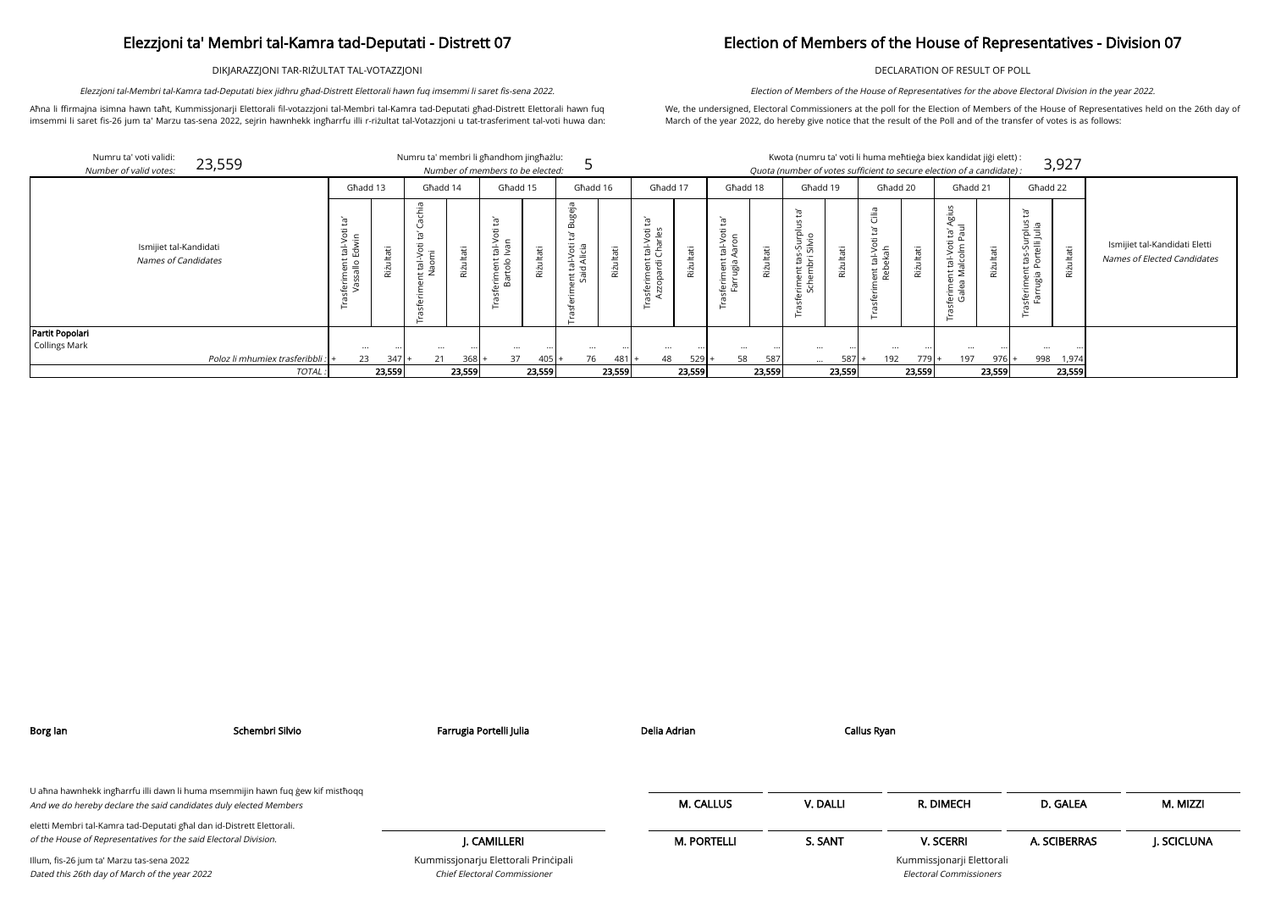DIKJARAZZJONI TAR-RIŻULTAT TAL-VOTAZZJONI

Aħna li ffirmajna isimna hawn taħt, Kummissjonarji Elettorali fil-votazzjoni tal-Membri tal-Kamra tad-Deputati għad-Distrett Elettorali hawn fuq imsemmi li saret fis-26 jum ta' Marzu tas-sena 2022, sejrin hawnhekk ingħarrfu illi r-riżultat tal-Votazzjoni u tat-trasferiment tal-voti huwa dan:

Elezzjoni tal-Membri tal-Kamra tad-Deputati biex jidhru għad-Distrett Elettorali hawn fuq imsemmi li saret fis-sena 2022.

## Election of Members of the House of Representatives - Division 07

DECLARATION OF RESULT OF POLL

We, the undersigned, Electoral Commissioners at the poll for the Election of Members of the House of Representatives held on the 26th day of March of the year 2022, do hereby give notice that the result of the Poll and of the transfer of votes is as follows:

Election of Members of the House of Representatives for the above Electoral Division in the year 2022.

| Numru ta' voti validi:<br>23,559<br>Number of valid votes: |                                                                                   |               | Numru ta' membri li għandhom jingħażlu: |                    | Number of members to be elected:                   |           |                                                          |           |                                                                |                                  |                                                              |           |                                                 |                     | Kwota (numru ta' voti li huma meħtieġa biex kandidat jiġi elett) :<br>Quota (number of votes sufficient to secure election of a candidate): |           |                                                           |                           |                                                                                       | 3,927     |
|------------------------------------------------------------|-----------------------------------------------------------------------------------|---------------|-----------------------------------------|--------------------|----------------------------------------------------|-----------|----------------------------------------------------------|-----------|----------------------------------------------------------------|----------------------------------|--------------------------------------------------------------|-----------|-------------------------------------------------|---------------------|---------------------------------------------------------------------------------------------------------------------------------------------|-----------|-----------------------------------------------------------|---------------------------|---------------------------------------------------------------------------------------|-----------|
|                                                            | Ghadd 13                                                                          |               | Għadd 14                                |                    | Ghadd 15                                           |           | Ghadd 16                                                 |           | Għadd 17                                                       |                                  | Għadd 18                                                     |           | Għadd 19                                        |                     | Għadd 20                                                                                                                                    |           | Għadd 21                                                  |                           | Għadd 22                                                                              |           |
| Ismijiet tal-Kandidati<br>Names of Candidates              | `ra'<br>$\overline{5}$<br>tal-Vo<br>Edwin<br>nent<br>allo E<br>ferimei<br>Vassall | ੌਰ<br>Rizulta | د:.<br>ť<br>tal-Vot<br>aomi             | Φ<br>ഁ൛<br>Rizulta | ā<br>ى<br>Φ<br>$\frac{1}{2}$<br>eriment<br>Bartolo | Riżultati | ்<br>ōο<br>$\mathbf{a}$<br>ent tal-Voti 1<br>Said Alicia | Riżultati | ć<br>tal-Voti<br>Charles<br>riment<br>opardi (<br>isfei<br>Azz | Þ<br>$\overline{\sigma}$<br>Riżi | സ<br>Ö<br>亩<br>$\overline{r}$<br>ugia<br>Φ<br>Ε<br>Ē<br>ē. ā | Riżultati | ъŕ.<br>ى<br>흔으<br>។ តិ<br>$\cdot$ -<br>ent<br>⊢ | άİ<br><b>Rizult</b> | $\frac{1}{2}$<br>Σ<br>$\overline{\sigma}$<br>ent tal-Vo<br>Rebekah<br>G                                                                     | Riżultati | āō<br>ά<br>nt tal-Vot<br>Malcolm<br>Tilis<br>alea<br>ن ھ. | Riżultati                 | `ത<br>piluj<br>Zulia<br>$\frac{1}{2}$<br>$\leftarrow$<br>iga<br>┕<br>Φ<br>운 호<br>10 명 | Riżultati |
| Partit Popolari<br><b>Collings Mark</b>                    |                                                                                   |               |                                         |                    |                                                    |           |                                                          |           |                                                                |                                  |                                                              |           |                                                 |                     |                                                                                                                                             |           |                                                           |                           |                                                                                       |           |
|                                                            |                                                                                   | $\cdots$      |                                         |                    | $\cdots$                                           | $\cdots$  | $\cdots$                                                 | $\cdots$  | $\cdots$                                                       |                                  | $\cdots$                                                     | $\cdots$  |                                                 |                     | $\cdots$                                                                                                                                    | $\cdots$  | $\cdots$                                                  | $\bullet \bullet \bullet$ |                                                                                       |           |

Poloz li mhumiex trasferibbli :  $\ket{+}$  23 347  $\ket{+}$  21 368  $\ket{+}$  37 405  $\ket{+}$  76 481  $\ket{+}$  48 529  $\ket{+}$  58 587 ... 587  $\ket{+}$  192 779

|            |                                                         |           | Numru ta' membri li għandhom jingħażlu:   |           | Number of members to be elected:          |               |                                                   |           |                                                                                       |           |                                                                 |               |                                                                            |           |                                                                                                                     |           | Kwota (numru ta' voti li huma meħtieġa biex kandidat jiġi elett) :<br>Quota (number of votes sufficient to secure election of a candidate): |           |                                                                                                             | 3,927         |                                                              |
|------------|---------------------------------------------------------|-----------|-------------------------------------------|-----------|-------------------------------------------|---------------|---------------------------------------------------|-----------|---------------------------------------------------------------------------------------|-----------|-----------------------------------------------------------------|---------------|----------------------------------------------------------------------------|-----------|---------------------------------------------------------------------------------------------------------------------|-----------|---------------------------------------------------------------------------------------------------------------------------------------------|-----------|-------------------------------------------------------------------------------------------------------------|---------------|--------------------------------------------------------------|
|            | Ghadd 13                                                |           | Għadd 14                                  |           | Ghadd 15                                  |               | Ghadd 16                                          |           | Ghadd 17                                                                              |           | Għadd 18                                                        |               | Ghadd 19                                                                   |           | Ghadd 20                                                                                                            |           | Ghadd 21                                                                                                                                    |           | Ghadd 22                                                                                                    |               |                                                              |
|            | Ĕ,<br>öť<br>tal-Vo<br>Edwin<br>asferiment<br>Vassallo E | Riżultati | chia<br>tal-Voti<br>Vaomi<br>$\leftarrow$ | Riżultati | ā<br>Φ<br>Iuev<br>。<br>eriment<br>Bartolo | ΨĘ<br>Rizulta | ugeja<br>m<br>Ϊg<br>ent tal-Voti 1<br>Said Alicia | Rizultati | Ĭā,<br>tal-Voti<br>Charles<br>eriment<br>:opardi<br>sfe<br>$\boldsymbol{\mathcal{Z}}$ | Rizultati | Ĭā,<br>Φ<br>tal-Vot<br>Aaron<br>ť<br>ugia<br>ferimer<br>Φ<br>ΠÚ | izultati<br>æ | īg<br>$\mathsf{v}$<br>s-Surplus<br>Silvio<br>tas<br>'n<br>riment<br>Schemk | Riżultati | $\stackrel{\text{\tiny def}}{=}$<br>$\cup$<br>Ē<br>$\overline{\sigma}$<br>ent tal-Vc<br>Rebekah<br>erir<br>asf<br>⊢ | Riżultati | S<br>Á§i<br>lur<br>Ĕ,<br>tal-Voti<br>alcolm P<br>feriment t<br>Galea Ma                                                                     | Rizultati | Ē,<br>allur<br>Sulia<br>tas-Sur<br><sup>oortelli</sup> .<br>S<br>tas<br>ent<br>iggu<br>sferime<br>Farr<br>⊢ | izultati<br>æ | Ismijiet tal-Kandidati Eletti<br>Names of Elected Candidates |
|            | $\cdots$                                                | $\cdots$  | $\cdots$                                  | $\cdots$  | $\cdots$                                  | $\cdots$      | $\cdots$                                          | $\cdots$  | $\cdots$                                                                              | $\cdots$  | $\cdots$                                                        | $\cdot$ .     | $\cdots$                                                                   |           | $\cdots$                                                                                                            |           | $\cdots$                                                                                                                                    |           |                                                                                                             |               |                                                              |
| feribbli : | 23                                                      | $347 +$   | 21                                        | 368       | 37                                        | 405           | 76                                                | $481 +$   | 48                                                                                    | $529$ +   | 58                                                              | 587           | $\cdots$                                                                   | 587       | 192                                                                                                                 | $779$  +  | 197                                                                                                                                         | $976 +$   | 998                                                                                                         | 1,974         |                                                              |
| TOTAL.     |                                                         | 23,559    |                                           | 23,559    |                                           | 23,559        |                                                   | 23,559    |                                                                                       | 23,559    |                                                                 | 23,559        |                                                                            | 23,559    |                                                                                                                     | 23,559    |                                                                                                                                             | 23,559    |                                                                                                             | 23,559        |                                                              |

| ЮH                                    | D. GALEA     | M. MIZZI    |
|---------------------------------------|--------------|-------------|
| रRI                                   | A. SCIBERRAS | J. SCICLUNA |
| <b>irji Elettorali</b><br>nmissioners |              |             |

| Borg lan                                                                                                                                             | Schembri Silvio | Farrugia Portelli Julia                                              | Delia Adrian       | Callus Ryan |                                                             |              |             |
|------------------------------------------------------------------------------------------------------------------------------------------------------|-----------------|----------------------------------------------------------------------|--------------------|-------------|-------------------------------------------------------------|--------------|-------------|
| U aħna hawnhekk ingħarrfu illi dawn li huma msemmijin hawn fuq ġew kif mistħoqq<br>And we do hereby declare the said candidates duly elected Members |                 |                                                                      | <b>M. CALLUS</b>   | V. DALLI    | R. DIMECH                                                   | D. GALEA     | M. MIZZI    |
| eletti Membri tal-Kamra tad-Deputati għal dan id-Distrett Elettorali.<br>of the House of Representatives for the said Electoral Division.            |                 | I. CAMILLERI                                                         | <b>M. PORTELLI</b> | S. SANT     | <b>V. SCERRI</b>                                            | A. SCIBERRAS | J. SCICLUNA |
| Illum, fis-26 jum ta' Marzu tas-sena 2022<br>Dated this 26th day of March of the year 2022                                                           |                 | Kummissjonarju Elettorali Principali<br>Chief Electoral Commissioner |                    |             | Kummissjonarji Elettorali<br><b>Electoral Commissioners</b> |              |             |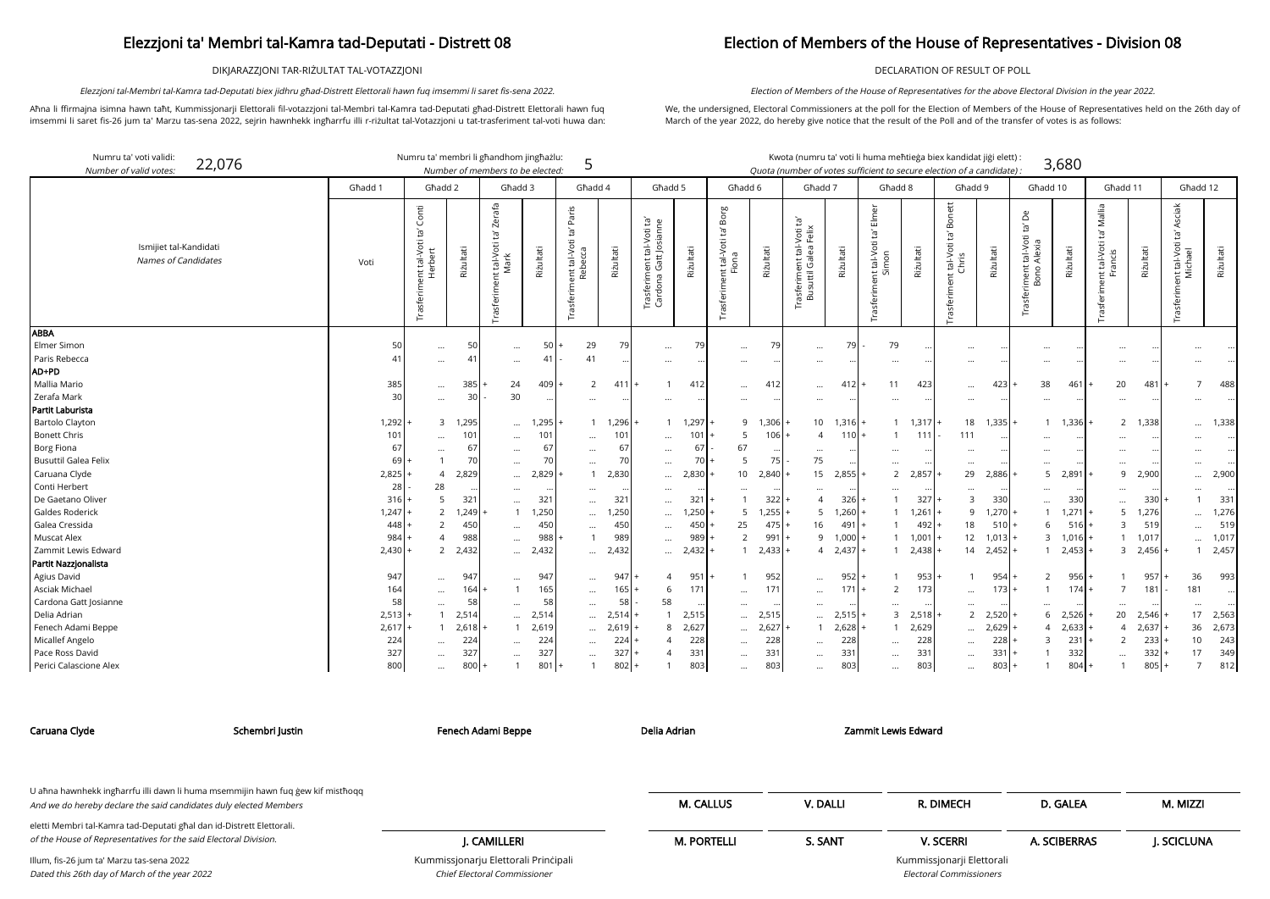DIKJARAZZJONI TAR-RIŻULTAT TAL-VOTAZZJONI

Aħna li ffirmajna isimna hawn taħt, Kummissjonarji Elettorali fil-votazzjoni tal-Membri tal-Kamra tad-Deputati għad-Distrett Elettorali hawn fuq imsemmi li saret fis-26 jum ta' Marzu tas-sena 2022, sejrin hawnhekk ingħarrfu illi r-riżultat tal-Votazzjoni u tat-trasferiment tal-voti huwa dan:

Elezzjoni tal-Membri tal-Kamra tad-Deputati biex jidhru għad-Distrett Elettorali hawn fuq imsemmi li saret fis-sena 2022.

### Election of Members of the House of Representatives - Division 08

DECLARATION OF RESULT OF POLL

We, the undersigned, Electoral Commissioners at the poll for the Election of Members of the House of Representatives held on the 26th day of March of the year 2022, do hereby give notice that the result of the Poll and of the transfer of votes is as follows:

Election of Members of the House of Representatives for the above Electoral Division in the year 2022.

arji Elettorali Electoral Commissioners

| Numru ta' voti validi:<br>22,076<br>Number of valid votes: |          | Numru ta' membri li għandhom jingħażlu:             |              | Number of members to be elected:              |           | 5                                                     |                 |                                                    |           |                                                                   |                   | Kwota (numru ta' voti li huma meħtieġa biex kandidat jiġi elett) :<br>Quota (number of votes sufficient to secure election of a candidate) |           |                                                                  |           |                                                       |           |                                                                  | 3,680             |                                           |           |                                                                    |           |
|------------------------------------------------------------|----------|-----------------------------------------------------|--------------|-----------------------------------------------|-----------|-------------------------------------------------------|-----------------|----------------------------------------------------|-----------|-------------------------------------------------------------------|-------------------|--------------------------------------------------------------------------------------------------------------------------------------------|-----------|------------------------------------------------------------------|-----------|-------------------------------------------------------|-----------|------------------------------------------------------------------|-------------------|-------------------------------------------|-----------|--------------------------------------------------------------------|-----------|
|                                                            | Ghadd 1  | Għadd 2                                             |              | Ghadd 3                                       |           | Għadd 4                                               |                 | Għadd 5                                            |           | Għadd 6                                                           |                   | Ghadd 7                                                                                                                                    |           | Ghadd 8                                                          |           | Għadd 9                                               |           | Għadd 10                                                         |                   | Għadd 11                                  |           | Ghadd 12                                                           |           |
| Ismijiet tal-Kandidati<br>Names of Candidates              | Voti     | Conti<br>Ĭā<br>tal-Voti 1<br>erbert<br>Trasferiment | Rizultati    | Zerafa<br>Ĭg<br>tal-Voti<br>Mark<br>Trasferim | Riżultati | Paris<br>Ĕ,<br>ent tal-Voti 1<br>Rebecca<br>Trasferin | Riżultati       | Trasferiment tal-Voti ta'<br>Cardona Gatt Josianne | Rizultati | Borg<br>$\tilde{\Xi}$<br>nt tal-Voti<br>Fiona<br>ent<br>Trasferim | Riżultati         | Ĭā<br>-Voti t<br>$\frac{1}{5}$<br>rasferiment tal-\<br>Busuttil Galea I                                                                    | Riżultati | Elmer<br>$\tilde{E}$<br>tal-Voti<br>mon<br>Trasferiment t<br>Sir | Rizultati | Bonett<br>`g<br>: tal-Voti 1<br>Chris<br>Trasferiment | Riżultati | Δ<br>$\mathbb{E}$<br>riment tal-Voti t<br>Bono Alexia<br>Trasfer | Rizultati         | Mallia<br>`ra<br>tal-Voti<br>ancis<br>는 도 | Rizultati | <b>Asciak</b><br>ent tal-Voti ta' <i>l</i><br>Michael<br>Trasferim | Riżultati |
| <b>ABBA</b><br>Elmer Simon<br>Paris Rebecca                | 50<br>41 | $\cdots$<br>$\cdots$                                | 50<br>41     | $\cdots$<br>$\ldots$                          | 50<br>41  | 29<br>41                                              | 79              | $\ldots$<br>$\cdots$                               | 79        | $\cdots$<br>$\cdots$                                              | 79                | $\cdots$<br>$\cdots$                                                                                                                       | 79        | 79<br>$\cdots$                                                   |           | $\ddot{\phantom{a}}$<br>                              |           | $\ddotsc$<br>                                                    |                   | $\ddotsc$<br>$\ddotsc$                    |           |                                                                    |           |
| AD+PD                                                      |          |                                                     |              |                                               |           |                                                       |                 |                                                    |           |                                                                   |                   |                                                                                                                                            |           |                                                                  |           |                                                       |           |                                                                  |                   |                                           |           |                                                                    |           |
| Mallia Mario                                               | 385      | $\cdots$                                            | 385          | 24                                            | 409       | 2                                                     | 411             |                                                    | 412       |                                                                   | 412               | $\cdots$                                                                                                                                   | 412       | 11                                                               | 423       | $\cdots$                                              | 423       | 38                                                               | 461               | 20                                        | 481       |                                                                    | 488       |
| Zerafa Mark                                                | 30       | $\cdots$                                            | $\mathsf{B}$ | 30                                            | $\ddotsc$ | $\cdots$                                              |                 | $\cdots$                                           | $\cdots$  | $\cdots$                                                          | $\ddotsc$         | $\cdots$                                                                                                                                   |           | $\cdots$                                                         | $\cdots$  | $\cdots$                                              |           | $\cdots$                                                         |                   | $\ddots$                                  |           |                                                                    |           |
| Partit Laburista                                           |          |                                                     |              |                                               |           |                                                       |                 |                                                    |           |                                                                   |                   |                                                                                                                                            |           |                                                                  |           |                                                       |           |                                                                  |                   |                                           |           |                                                                    |           |
| <b>Bartolo Clayton</b>                                     | 1,292    | 3                                                   | 1,295        | $\cdots$                                      | 1,295     |                                                       | $1 \quad 1,296$ | -1                                                 | 1,297     |                                                                   | 1,306<br>9        | 10 <sup>1</sup>                                                                                                                            | $1,316$ + | -1                                                               | 1,317     | 18                                                    | 1,335     |                                                                  | 1 1,336           | 2                                         | 1,338     | $\cdots$                                                           | 1,338     |
| <b>Bonett Chris</b>                                        | 101      | $\cdots$                                            | 101          | $\cdots$                                      | 101       | $\cdots$                                              | 101             | $\cdots$                                           | 101       | 5                                                                 | 106               | $\Delta$                                                                                                                                   | 110       |                                                                  | 111       | 111                                                   |           |                                                                  |                   | $\cdots$                                  |           |                                                                    |           |
| Borg Fiona                                                 | 67       |                                                     | 67           | $\cdots$                                      | 67        | $\cdots$                                              | 67              | $\cdots$                                           | 67        | 67                                                                |                   | $\cdots$                                                                                                                                   |           | $\cdots$                                                         |           |                                                       |           |                                                                  |                   | $\ddotsc$                                 |           |                                                                    |           |
| <b>Busuttil Galea Felix</b>                                | 69       |                                                     | 70           | $\cdots$                                      | 70        | $\cdots$                                              | 70              | $\ldots$                                           | 70        | 5                                                                 | 75                | 75                                                                                                                                         |           | $\cdots$                                                         |           | $\cdots$                                              |           | $\cdots$                                                         |                   | $\ddots$                                  |           |                                                                    |           |
| Caruana Clyde                                              | 2,825    | $\overline{4}$                                      | 2,829        | $\cdots$                                      | 2,829     |                                                       | 2,830           | $\cdots$                                           | 2,830     | 10 <sup>1</sup>                                                   | 2,840             | 15                                                                                                                                         | 2,855     | 2                                                                | 2,857     | 29                                                    | 2,886     | 5                                                                | 2,891             | 9                                         | 2,900     |                                                                    | 2,900     |
| Conti Herbert                                              | 28       | 28                                                  |              | $\cdots$                                      |           | $\cdots$                                              |                 |                                                    |           |                                                                   |                   |                                                                                                                                            |           | $\cdots$                                                         |           |                                                       |           | $\cdots$                                                         |                   | $\ddotsc$                                 |           |                                                                    |           |
| De Gaetano Oliver                                          | 316      | 5                                                   | 321          | $\ddotsc$                                     | 321       | $\cdots$                                              | 321             | $\cdots$                                           | 321       |                                                                   | 322               | $\overline{4}$                                                                                                                             | 326       |                                                                  | 327       | 3                                                     | 330       | $\cdots$                                                         | 330               | $\ddots$                                  | 330       |                                                                    | 331       |
| Galdes Roderick                                            | 1,247    | $\overline{2}$                                      | 1,249        | 1                                             | 1,250     | $\cdots$                                              | 1,250           | $\cdots$                                           | 1,250     |                                                                   | 1,255<br>5        | 5                                                                                                                                          | $1,260 +$ |                                                                  | 1,261     | 9                                                     | 1,270     | $\mathbf{1}$                                                     | 1,271             | 5                                         | 1,276     |                                                                    | 1,276     |
| Galea Cressida                                             | 448      | $\overline{2}$                                      | 450          | $\cdots$                                      | 450       |                                                       | 450             |                                                    | 450       | 25                                                                | 475               | 16                                                                                                                                         | 491       |                                                                  | 492       | 18                                                    | 510       | 6                                                                | 516               | 3                                         | 519       |                                                                    | 519       |
| Muscat Alex                                                | 984      | $\overline{4}$                                      | 988          | $\cdots$                                      | 988       |                                                       | 989             | $\cdots$                                           | 989       | $\overline{2}$                                                    | 991               | 9                                                                                                                                          | 1,000     |                                                                  | 1,001     | 12                                                    | 1,013     |                                                                  | $3 \quad 1,016$ + |                                           | 1,017     | $\cdots$                                                           | 1,017     |
| Zammit Lewis Edward                                        | 2,430    | 2                                                   | 2,432        | $\cdots$                                      | 2,432     | $\cdots$                                              | 2,432           | $\cdots$                                           | 2,432     |                                                                   | 2,433             | $\overline{4}$                                                                                                                             | 2,437     |                                                                  | 2,438     | 14                                                    | 2,452     | $\mathbf{1}$                                                     | 2,453             | 3                                         | 2,456     |                                                                    | 2,457     |
| Partit Nazzjonalista                                       |          |                                                     |              |                                               |           |                                                       |                 |                                                    |           |                                                                   |                   |                                                                                                                                            |           |                                                                  |           |                                                       |           |                                                                  |                   |                                           |           |                                                                    |           |
| Agius David                                                | 947      | $\cdots$                                            | 947          | $\cdots$                                      | 947       | $\cdots$                                              | 947             | 4                                                  | 951       |                                                                   | 952               | $\cdots$                                                                                                                                   | 952       |                                                                  | 953       | $\overline{1}$                                        | 954       | 2                                                                | 956               |                                           | 957       | 36                                                                 | 993       |
| Asciak Michael                                             | 164      | $\cdots$                                            | 164          | 1                                             | 165       | $\cdots$                                              | 165             | 6                                                  | 171       | $\cdots$                                                          | 171               | $\cdots$                                                                                                                                   | 171       | $\overline{2}$                                                   | 173       | $\ddotsc$                                             | 173       | $\overline{1}$                                                   | 174               | $\overline{7}$                            | 181       | 181                                                                |           |
| Cardona Gatt Josianne                                      | 58       | $\cdots$                                            | 58           | $\cdots$                                      | 58        | $\cdots$                                              | 58              | 58                                                 |           |                                                                   |                   |                                                                                                                                            |           | $\cdots$                                                         |           |                                                       |           |                                                                  |                   | $\ddotsc$                                 |           |                                                                    |           |
| Delia Adrian                                               | 2,513    |                                                     | 2,514        | $\cdots$                                      | 2,514     | $\cdots$                                              | 2,51            |                                                    | 2,515     |                                                                   | 2,515<br>$\cdots$ | $\cdots$                                                                                                                                   | 2,51!     | $\overline{3}$                                                   | 2,518     | 2                                                     | 2,520     | 6                                                                | 2,526             | 20                                        | 2,546     | 17                                                                 | 2,563     |
| Fenech Adami Beppe                                         | 2,617    |                                                     | 2,618        |                                               | 2,619     | $\cdots$                                              | 2,619           | 8                                                  | 2,627     | $\cdots$                                                          | 2,627             |                                                                                                                                            | 2,628     |                                                                  | 2,629     | $\cdots$                                              | 2,629     | $\overline{4}$                                                   | 2,633             | $\overline{4}$                            | 2,637     | 36                                                                 | 2,673     |
| Micallef Angelo                                            | 224      | $\ddotsc$                                           | 224          | $\ddots$                                      | 224       | $\cdots$                                              | 224             |                                                    | 228       | $\cdots$                                                          | 228               |                                                                                                                                            | 228       | $\cdots$                                                         | 228       | $\cdots$                                              | 228       | 3                                                                | 231               | $\overline{2}$                            | 233       | 10                                                                 | 243       |
| Pace Ross David                                            | 327      | $\cdots$                                            | 327          | $\cdots$                                      | 327       | $\cdots$                                              | 327             |                                                    | 331       | $\cdots$                                                          | 331               | $\cdots$                                                                                                                                   | 331       | $\cdots$                                                         | 331       | $\cdots$                                              | 331       |                                                                  | 332               | $\ddotsc$                                 | 332       | 17                                                                 | 349       |
| Perici Calascione Alex                                     | 800      | $\cdots$                                            | 800          |                                               | 801       |                                                       | 802             |                                                    | 803       | $\cdots$                                                          | 803               | $\cdots$                                                                                                                                   | 803       | $\cdots$                                                         | 803       | $\cdots$                                              | 803       |                                                                  | 804               | $\overline{1}$                            | 805       | $\overline{7}$                                                     | 812       |

Chief Electoral Commissioner

| Caruana Clyde                                                                                                                             | Schembri Justin                                                                 | Fenech Adami Beppe                   | Delia Adrian       |          | Zammit Lewis Edward       |              |            |
|-------------------------------------------------------------------------------------------------------------------------------------------|---------------------------------------------------------------------------------|--------------------------------------|--------------------|----------|---------------------------|--------------|------------|
| And we do hereby declare the said candidates duly elected Members                                                                         | U ahna hawnhekk ingharrfu illi dawn li huma msemmijin hawn fuq gew kif misthoqq |                                      | <b>M. CALLUS</b>   | V. DALLI | R. DIMECH                 | D. GALEA     | M. MIZZI   |
| eletti Membri tal-Kamra tad-Deputati għal dan id-Distrett Elettorali.<br>of the House of Representatives for the said Electoral Division. |                                                                                 | I. CAMILLERI                         | <b>M. PORTELLI</b> | S. SANT  | <b>V. SCERRI</b>          | A. SCIBERRAS | J. SCICLUN |
| Illum, fis-26 jum ta' Marzu tas-sena 2022                                                                                                 |                                                                                 | Kummissjonarju Elettorali Principali |                    |          | Kummissjonarji Elettorali |              |            |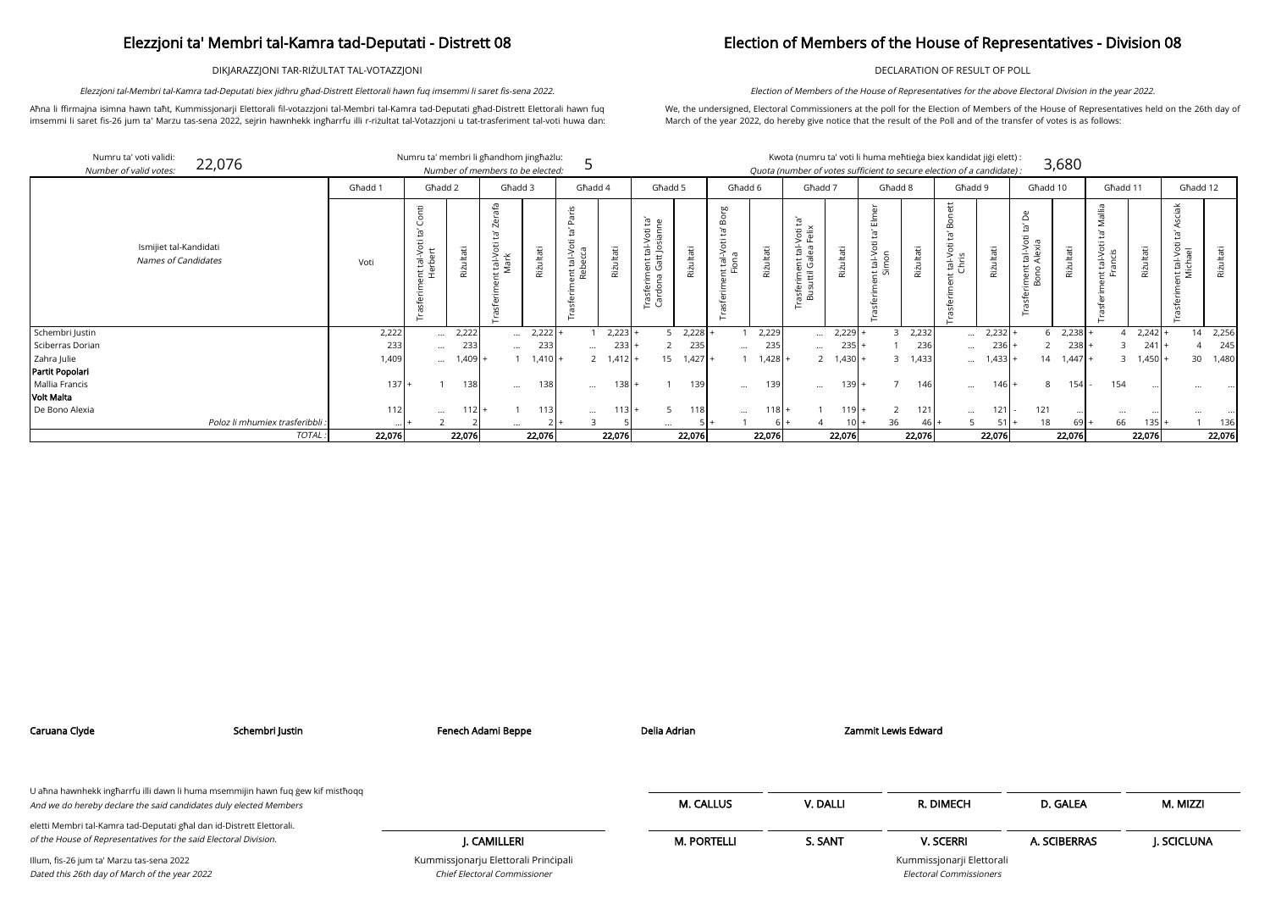DIKJARAZZJONI TAR-RIŻULTAT TAL-VOTAZZJONI

Aħna li ffirmajna isimna hawn taħt, Kummissjonarji Elettorali fil-votazzjoni tal-Membri tal-Kamra tad-Deputati għad-Distrett Elettorali hawn fuq imsemmi li saret fis-26 jum ta' Marzu tas-sena 2022, sejrin hawnhekk ingħarrfu illi r-riżultat tal-Votazzjoni u tat-trasferiment tal-voti huwa dan:

Elezzjoni tal-Membri tal-Kamra tad-Deputati biex jidhru għad-Distrett Elettorali hawn fuq imsemmi li saret fis-sena 2022.

## Election of Members of the House of Representatives - Division 08

DECLARATION OF RESULT OF POLL

We, the undersigned, Electoral Commissioners at the poll for the Election of Members of the House of Representatives held on the 26th day of March of the year 2022, do hereby give notice that the result of the Poll and of the transfer of votes is as follows:

Election of Members of the House of Representatives for the above Electoral Division in the year 2022.

| Numru ta' voti validi:<br>22,076<br>Number of valid votes: |         |                     |                  | Numru ta' membri li għandhom jingħażlu:<br>Number of members to be elected: |           | E                                                     |               |                                                                           |           |                                                     |           |                                                                                                         |           |                                           |           | Kwota (numru ta' voti li huma meħtieġa biex kandidat jiġi elett) :<br>Quota (number of votes sufficient to secure election of a candidate): |           |                                                                | 3,680          |                                    |                   |                                  |           |
|------------------------------------------------------------|---------|---------------------|------------------|-----------------------------------------------------------------------------|-----------|-------------------------------------------------------|---------------|---------------------------------------------------------------------------|-----------|-----------------------------------------------------|-----------|---------------------------------------------------------------------------------------------------------|-----------|-------------------------------------------|-----------|---------------------------------------------------------------------------------------------------------------------------------------------|-----------|----------------------------------------------------------------|----------------|------------------------------------|-------------------|----------------------------------|-----------|
|                                                            | Ghadd 1 | Ghadd 2             |                  | Ghadd 3                                                                     |           | Għadd 4                                               |               | Ghadd 5                                                                   |           | Għadd 6                                             |           | Għadd 7                                                                                                 |           | Għadd 8                                   |           | Ghadd 9                                                                                                                                     |           | Għadd 10                                                       |                | Ghadd 11                           |                   | Għadd 12                         |           |
| Ismijiet tal-Kandidati<br>Names of Candidates              | Voti    | Φ<br>tal-Vot<br>는 운 | Riżultati        | ey<br>Le<br>Ñ<br>ρŕ<br>: tal-Voti<br>Mark                                   | Riżultati | ήS<br>൹<br>$\Omega$<br>`σ<br>tal-Voti<br>becca<br>t g | Riżultati     | ja o<br>nent tal-Voti<br>Gatt Josianr<br>$\sigma$<br>Trasferin<br>Cardona | Riżultati | <b>bo</b><br>൶<br>ته<br>nt tal-Voti 1<br>Fiona<br>돇 | Riżultati | $\Xi^1$<br>Voti t<br>Felix<br>$\frac{1}{\sqrt{2}}$<br>ത<br>ent ta<br>Galea<br>asferime<br>Busuttil<br>ത | Riżultati | 훕<br>$\overline{\overline{c}}$<br>$\pm$ 5 | Riżultati | Ξt<br>$\mathbf{m}$<br>tal-Voti<br>Chris<br>ᡃᢛ                                                                                               | Riżultati | ധ<br>$\Omega$<br>ថ<br>tal-Voti<br>Alexia<br>t<br>iment<br>Bono | Riżultati      | Mallia<br>tal-Voti<br>ancis<br>로 토 | Riżultati         | ciak<br>nt tal-Voti 1<br>Michael | Riżultati |
| Schembri Justin                                            | 2,222   | $\cdots$            | 2,222            | $\cdots$                                                                    | 2,222     |                                                       | $2,223$ +     |                                                                           | 2,228     |                                                     | 2,229     |                                                                                                         | $$ 2,229  |                                           | 2,232     | $\cdots$                                                                                                                                    | 2,232     | 6                                                              | 2,238          |                                    | $2,242$ +         | 14                               | 2,256     |
| Sciberras Dorian                                           | 233     | $\cdots$            | 233              | $\cdots$                                                                    | 233       | $\cdots$                                              | $233 +$       |                                                                           | 235       | $\cdots$                                            | 235       | $\cdots$                                                                                                | 235       |                                           | 236       | $\cdots$                                                                                                                                    | 236       |                                                                | 238            |                                    | $241$ +           |                                  | 245       |
| Zahra Julie                                                | 1,409   | $\cdots$            | 1,409            |                                                                             | $1,410+$  |                                                       | $2 \t1,412 +$ | 15                                                                        | $1,427$ + |                                                     | $1,428$ + |                                                                                                         | 2 1,430   | 3                                         | 1,433     | $\cdots$                                                                                                                                    | 1,433     |                                                                | $14$ $1,447$ + |                                    | $3 \quad 1,450$ + | 30 <sup>°</sup>                  | 1,480     |
| Partit Popolari                                            |         |                     |                  |                                                                             |           |                                                       |               |                                                                           |           |                                                     |           |                                                                                                         |           |                                           |           |                                                                                                                                             |           |                                                                |                |                                    |                   |                                  |           |
| Mallia Francis                                             | 137     |                     | 138              | $\cdots$                                                                    | 138       | $\cdots$                                              | $138 +$       |                                                                           | 139       | $\cdots$                                            | 139       | $\cdots$                                                                                                | 139       |                                           | 146       | $\cdots$                                                                                                                                    | 146       | 8                                                              | 154            | 154                                | $\cdot$ .         |                                  |           |
| Volt Malta                                                 |         |                     |                  |                                                                             |           |                                                       |               |                                                                           |           |                                                     |           |                                                                                                         |           |                                           |           |                                                                                                                                             |           |                                                                |                |                                    |                   |                                  |           |
| De Bono Alexia                                             | 112     | $\cdots$            | 112 <sup>1</sup> |                                                                             | 113       | $\cdots$                                              | 113           |                                                                           | 118.      | $\cdots$                                            | $118$ +   |                                                                                                         | 119       |                                           | 121       | $\cdots$                                                                                                                                    | 121       | 121                                                            | $\cdots$       | $\cdots$                           |                   |                                  |           |
| Poloz li mhumiex trasferibbli                              |         |                     |                  | $\cdots$                                                                    |           |                                                       |               | $\cdots$                                                                  |           |                                                     |           |                                                                                                         |           | 36                                        | 46        |                                                                                                                                             | $51 +$    | 18                                                             | 691            | 66                                 | $135$ +           |                                  | 136       |
| <b>TOTAL</b>                                               | 22,076  |                     | 22,076           |                                                                             | 22,076    |                                                       | 22,076        |                                                                           | 22,076    |                                                     | 22,076    |                                                                                                         | 22,076    |                                           | 22,076    |                                                                                                                                             | 22,076    |                                                                | 22,076         |                                    | 22,076            |                                  | 22,076    |

| Caruana Clyde                                                                                                                                        | Schembri Justin | Fenech Adami Beppe                                                   | Delia Adrian       |          | Zammit Lewis Edward                                         |              |            |
|------------------------------------------------------------------------------------------------------------------------------------------------------|-----------------|----------------------------------------------------------------------|--------------------|----------|-------------------------------------------------------------|--------------|------------|
| U ahna hawnhekk ingharrfu illi dawn li huma msemmijin hawn fuq gew kif misthoqq<br>And we do hereby declare the said candidates duly elected Members |                 |                                                                      | <b>M. CALLUS</b>   | V. DALLI | R. DIMECH                                                   | D. GALEA     | M. MIZZI   |
| eletti Membri tal-Kamra tad-Deputati għal dan id-Distrett Elettorali.<br>of the House of Representatives for the said Electoral Division.            |                 | I. CAMILLERI                                                         | <b>M. PORTELLI</b> | S. SANT  | <b>V. SCERRI</b>                                            | A. SCIBERRAS | J. SCICLUN |
| Illum, fis-26 jum ta' Marzu tas-sena 2022<br>Dated this 26th day of March of the year 2022                                                           |                 | Kummissjonarju Elettorali Principali<br>Chief Electoral Commissioner |                    |          | Kummissjonarji Elettorali<br><b>Electoral Commissioners</b> |              |            |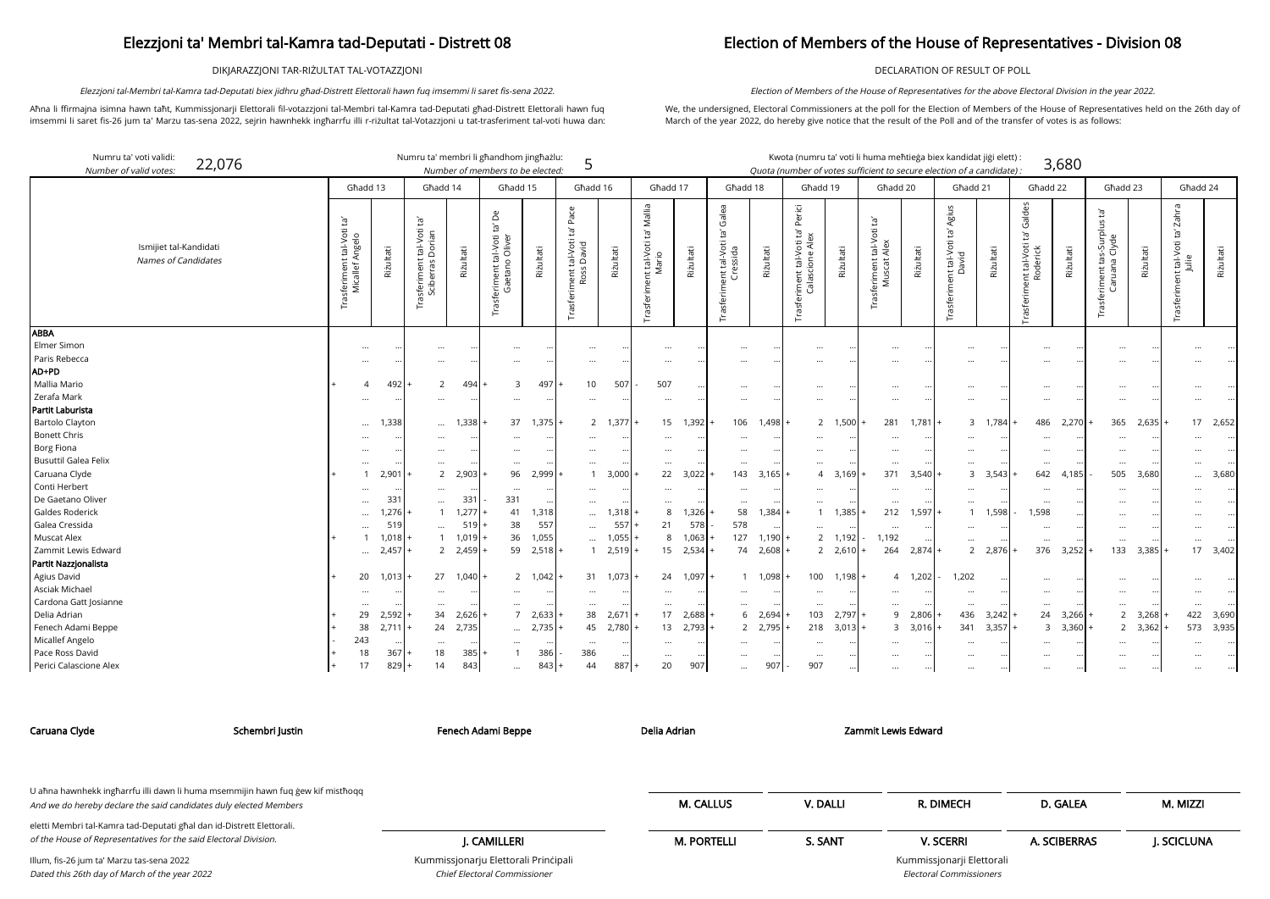DIKJARAZZJONI TAR-RIŻULTAT TAL-VOTAZZJONI

Aħna li ffirmajna isimna hawn taħt, Kummissjonarji Elettorali fil-votazzjoni tal-Membri tal-Kamra tad-Deputati għad-Distrett Elettorali hawn fuq imsemmi li saret fis-26 jum ta' Marzu tas-sena 2022, sejrin hawnhekk ingħarrfu illi r-riżultat tal-Votazzjoni u tat-trasferiment tal-voti huwa dan:

Elezzjoni tal-Membri tal-Kamra tad-Deputati biex jidhru għad-Distrett Elettorali hawn fuq imsemmi li saret fis-sena 2022.

### Election of Members of the House of Representatives - Division 08

DECLARATION OF RESULT OF POLL

We, the undersigned, Electoral Commissioners at the poll for the Election of Members of the House of Representatives held on the 26th day of March of the year 2022, do hereby give notice that the result of the Poll and of the transfer of votes is as follows:

Election of Members of the House of Representatives for the above Electoral Division in the year 2022.

arji Elettorali Electoral Commissioners

| Numru ta' voti validi:<br>22,076<br>Number of valid votes: |                                                             |                   | Numru ta' membri li ghandhom jinghażlu:                             |           | Number of members to be elected:                                  |               | 5                                                              |           |                                                                   |           |                                                     |           |                                                                       |           | Kwota (numru ta' voti li huma meħtieġa biex kandidat jiġi elett):<br>Quota (number of votes sufficient to secure election of a candidate): |           |                                                      |           |                                                           | 3,680     |                                                                           |               |                                                      |           |
|------------------------------------------------------------|-------------------------------------------------------------|-------------------|---------------------------------------------------------------------|-----------|-------------------------------------------------------------------|---------------|----------------------------------------------------------------|-----------|-------------------------------------------------------------------|-----------|-----------------------------------------------------|-----------|-----------------------------------------------------------------------|-----------|--------------------------------------------------------------------------------------------------------------------------------------------|-----------|------------------------------------------------------|-----------|-----------------------------------------------------------|-----------|---------------------------------------------------------------------------|---------------|------------------------------------------------------|-----------|
|                                                            |                                                             | Għadd 13          | Għadd 14                                                            |           | Għadd 15                                                          |               | Għadd 16                                                       |           | Għadd 17                                                          |           | Għadd 18                                            |           | Għadd 19                                                              |           | Għadd 20                                                                                                                                   |           | Ghadd 21                                             |           | Ghadd 22                                                  |           | Għadd 23                                                                  |               | Għadd 24                                             |           |
| Ismijiet tal-Kandidati<br>Names of Candidates              | ē,<br>it tal-Voti<br>Mngelo<br>Trasferiment t<br>Micallef A | Riżultati         | $\mathbf{E}$<br>tal-Voti<br>Dorian<br>Trasferiment t<br>Sciberras [ | Rizultati | Δe<br>tal-Voti<br>Oliver<br>$\circ$<br>sferiment<br>Gaetan<br>Гrа | Rizultati     | Pace<br>Įą,<br>tal-Voti<br>5 David<br>Trasferiment t<br>Ross l | Riżultati | Mallia<br>$\overline{c}$<br>ient tal-Voti t<br>Mario<br>Trasferim | Rizultati | Galea<br>Ĕ,<br>ient tal-Voti<br>Cressida<br>rasferi | Riżultati | Perici<br>$\tilde{E}$<br>iment tal-Voti t<br>Calascione Ale:<br>iment | Riżultati | $\tilde{E}$<br>tal-Voti<br>Alex<br>Trasferiment t<br>Muscat A                                                                              | Riżultati | Agius<br>ē,<br>ient tal-Voti t<br>David<br>Trasferim | Riżultati | Galdes<br>Ĕ,<br>nt tal-Voti<br>Roderick<br>ent<br>Trasfer | Riżultati | $\tilde{E}$<br>$\leq$<br>urplu<br>Clyde<br>Ō.<br>ar<br>Trasferiment<br>වී | Riżultati     | Zahra<br>Ĭā,<br>tal-Voti<br>$\frac{1}{2}$<br>Trasfer | Riżultati |
| ABBA                                                       |                                                             |                   |                                                                     |           |                                                                   |               |                                                                |           |                                                                   |           |                                                     |           |                                                                       |           |                                                                                                                                            |           |                                                      |           |                                                           |           |                                                                           |               |                                                      |           |
| Elmer Simon                                                | $\cdots$                                                    |                   | $\cdots$                                                            |           | $\cdots$                                                          | $\ddotsc$     | $\cdots$                                                       |           | $\cdots$                                                          |           | $\ddotsc$                                           |           | $\ddotsc$                                                             |           | $\cdots$                                                                                                                                   |           |                                                      |           | $\cdots$                                                  |           | $\ddotsc$                                                                 |               |                                                      |           |
| Paris Rebecca                                              |                                                             |                   | $\cdots$                                                            |           |                                                                   |               |                                                                |           | $\ddotsc$                                                         |           |                                                     |           |                                                                       |           |                                                                                                                                            |           |                                                      |           |                                                           |           |                                                                           |               |                                                      |           |
| AD+PD                                                      |                                                             |                   |                                                                     |           |                                                                   |               |                                                                |           |                                                                   |           |                                                     |           |                                                                       |           |                                                                                                                                            |           |                                                      |           |                                                           |           |                                                                           |               |                                                      |           |
| Mallia Mario                                               |                                                             | 492               | 2                                                                   | 494       | 3                                                                 | 497           | 10                                                             | 507       | 507                                                               |           | $\ddotsc$                                           |           |                                                                       |           | $\cdots$                                                                                                                                   |           |                                                      |           | $\cdots$                                                  |           | $\cdots$                                                                  | $\cdot \cdot$ |                                                      |           |
| Zerafa Mark                                                |                                                             |                   | $\cdots$                                                            |           |                                                                   | $\ddotsc$     |                                                                |           | $\cdots$                                                          |           |                                                     |           |                                                                       |           |                                                                                                                                            |           |                                                      |           | $\cdots$                                                  |           | $\ddotsc$                                                                 |               |                                                      |           |
| Partit Laburista                                           |                                                             |                   |                                                                     |           |                                                                   |               |                                                                |           |                                                                   |           |                                                     |           |                                                                       |           |                                                                                                                                            |           |                                                      |           |                                                           |           |                                                                           |               |                                                      |           |
| <b>Bartolo Clayton</b>                                     |                                                             | 1,338<br>$\cdots$ | $\cdots$                                                            | 1,338     | 37                                                                | 1,375         |                                                                | 2 1,377   | 15                                                                | 1,392     | 106                                                 | 1,498     |                                                                       | 2 1,500   | 281                                                                                                                                        | $1.781 +$ | $\mathbf{3}$                                         | 1,784     | 486                                                       | $2,270 +$ | 365                                                                       | 2,635         | 17                                                   | 2,652     |
| <b>Bonett Chris</b>                                        |                                                             |                   |                                                                     |           |                                                                   |               |                                                                |           |                                                                   |           |                                                     |           |                                                                       |           |                                                                                                                                            |           |                                                      |           |                                                           |           |                                                                           |               |                                                      |           |
| <b>Borg Fiona</b>                                          |                                                             |                   |                                                                     |           |                                                                   |               |                                                                |           |                                                                   |           |                                                     |           |                                                                       |           |                                                                                                                                            |           |                                                      |           |                                                           |           |                                                                           |               |                                                      |           |
| <b>Busuttil Galea Felix</b>                                | $\cdots$                                                    |                   | $\cdots$                                                            |           | $\cdots$                                                          | $\cdots$      | $\cdots$                                                       |           | $\cdots$                                                          |           | $\ddotsc$                                           |           |                                                                       |           | $\cdots$                                                                                                                                   |           |                                                      |           | $\cdots$                                                  |           | .                                                                         | $\cdot \cdot$ |                                                      |           |
| Caruana Clyde                                              |                                                             | 2,901             | 2                                                                   | 2,903     | 96                                                                | 2,999         |                                                                | 3,000     | 22                                                                | 3,022     | 143                                                 | 3,165     | $\overline{A}$                                                        | 3,169     | 371                                                                                                                                        | 3,540     | 3                                                    | 3,543     | 642                                                       | 4,185     | 505                                                                       | 3,680         |                                                      | 3,680     |
| Conti Herbert                                              |                                                             |                   | $\cdots$                                                            |           |                                                                   |               |                                                                |           | $\cdots$                                                          |           |                                                     |           |                                                                       |           |                                                                                                                                            |           |                                                      |           | $\cdots$                                                  |           |                                                                           |               |                                                      |           |
| De Gaetano Oliver                                          | $\ddotsc$                                                   | 331               | $\cdots$                                                            | 331       | 331                                                               |               |                                                                |           | $\cdots$                                                          |           | $\ddot{\phantom{a}}$                                |           |                                                                       |           | $\cdots$                                                                                                                                   |           |                                                      |           | $\cdots$                                                  |           |                                                                           |               |                                                      |           |
| Galdes Roderick                                            |                                                             | 1,276.            | $\mathbf{1}$                                                        | 1,277     | 41                                                                | 1,318         | $\cdots$                                                       | 1,318     | 8                                                                 | 1,326     | 58                                                  | 1,384     | $\mathbf{1}$                                                          | 1,385     | 212                                                                                                                                        | 1,597     |                                                      | 1,598     | 1,598                                                     |           | $\cdots$                                                                  | $\cdot \cdot$ |                                                      |           |
| Galea Cressida                                             | $\ddotsc$                                                   | 519               | $\cdots$                                                            | 519       | 38                                                                | 557           | $\cdots$                                                       | 557       | 21                                                                | 578       | 578                                                 |           |                                                                       |           | $\cdots$                                                                                                                                   |           |                                                      |           | $\cdots$                                                  |           | $\ddotsc$                                                                 | $\cdot \cdot$ |                                                      |           |
| <b>Muscat Alex</b>                                         |                                                             | 1,018             | $\mathbf{1}$                                                        | 1,019     | 36                                                                | 1,055         |                                                                | 1,055     | 8                                                                 | 1,063     | 127                                                 | 1,190     |                                                                       | 2 1,192   | 1,192                                                                                                                                      |           |                                                      |           | $\cdots$                                                  |           |                                                                           |               |                                                      |           |
| Zammit Lewis Edward                                        |                                                             | 2,457<br>$\cdots$ | $\overline{2}$                                                      | 2,459     | 59                                                                | 2,518         |                                                                | 1 2,519   | 15                                                                | 2,534     | 74                                                  | 2,608     |                                                                       | 2 2,610   | 264                                                                                                                                        | 2,874     | $\overline{2}$                                       | 2,876     |                                                           | 376 3,252 | 133                                                                       | 3,385         | 17                                                   | 3,402     |
| Partit Nazzjonalista                                       |                                                             |                   |                                                                     |           |                                                                   |               |                                                                |           |                                                                   |           |                                                     |           |                                                                       |           |                                                                                                                                            |           |                                                      |           |                                                           |           |                                                                           |               |                                                      |           |
| Agius David                                                | 20                                                          | 1,013             | 27                                                                  | 1,040     |                                                                   | 2 1,042       | 31                                                             | 1,073     | 24                                                                | 1,097     |                                                     | 1 1,098   |                                                                       | 100 1,198 | 4                                                                                                                                          | 1,202     | 1,202                                                |           |                                                           |           |                                                                           |               |                                                      |           |
| Asciak Michael                                             |                                                             |                   | $\cdots$                                                            |           | $\cdots$                                                          | $\ddotsc$     |                                                                |           | $\cdots$                                                          |           |                                                     |           |                                                                       |           | $\cdots$                                                                                                                                   |           |                                                      |           | $\cdots$                                                  |           |                                                                           |               |                                                      |           |
| Cardona Gatt Josianne                                      | $\ddotsc$                                                   |                   | $\cdots$                                                            |           | $\cdots$                                                          | $\ddotsc$     |                                                                |           | $\cdots$                                                          |           |                                                     |           | $\cdots$                                                              |           | $\cdots$                                                                                                                                   |           | $\cdots$                                             | $\ddotsc$ | $\cdots$                                                  |           | $\ddotsc$                                                                 |               |                                                      |           |
| Delia Adrian                                               | 29                                                          | 2,592             | 34                                                                  | 2,626     | $\overline{7}$                                                    | 2,633         | 38                                                             | 2,671     | 17                                                                | 2,688     | 6                                                   | 2,694     | 103                                                                   | 2,797     | 9                                                                                                                                          | 2,806     | 436                                                  | 3,242     | 24                                                        | 3,266     | $\overline{2}$                                                            | 3,268         | 422                                                  | 3,690     |
| Fenech Adami Beppe                                         | 38                                                          | 2,711             | 24                                                                  | 2,735     | $\ddotsc$                                                         | 2,735         | 45                                                             | 2,780     | 13                                                                | 2,793     |                                                     | 2 2,795   | 218                                                                   | $3,013$ + | 3                                                                                                                                          | 3,016     | 341                                                  | 3,357     |                                                           | 3 3,360   | 2                                                                         | 3,362         | 573                                                  | 3,935     |
| Micallef Angelo                                            | 243                                                         |                   | $\cdots$                                                            |           |                                                                   | $\cdot \cdot$ |                                                                |           | $\cdots$                                                          |           |                                                     |           |                                                                       |           |                                                                                                                                            |           |                                                      |           |                                                           |           | $\ddotsc$                                                                 |               |                                                      |           |
| Pace Ross David                                            | 18                                                          | 367               | 18                                                                  | 385       |                                                                   | 386           | 386                                                            |           | $\cdots$                                                          |           |                                                     |           |                                                                       |           |                                                                                                                                            |           |                                                      |           |                                                           |           |                                                                           |               |                                                      |           |
| Perici Calascione Alex                                     | 17                                                          | $829 +$           | 14                                                                  | 843       | $\cdots$                                                          | 843           | 44                                                             | 887       | 20                                                                | 907       | $\cdots$                                            | 907       | 907                                                                   |           | $\cdots$                                                                                                                                   | $\cdots$  |                                                      |           | $\cdots$                                                  | $\cdots$  | $\cdots$                                                                  | $\cdots$      |                                                      |           |

Chief Electoral Commissioner

| Caruana Clyde                                                                                                                             | Schembri Justin | Fenech Adami Beppe                   | Delia Adrian       |          | Zammit Lewis Edward       |              |            |
|-------------------------------------------------------------------------------------------------------------------------------------------|-----------------|--------------------------------------|--------------------|----------|---------------------------|--------------|------------|
| U ahna hawnhekk ingharrfu illi dawn li huma msemmijin hawn fuq gew kif misthogg                                                           |                 |                                      |                    |          |                           |              |            |
| And we do hereby declare the said candidates duly elected Members                                                                         |                 |                                      | <b>M. CALLUS</b>   | V. DALLI | R. DIMECH                 | D. GALEA     | M. MIZZI   |
| eletti Membri tal-Kamra tad-Deputati għal dan id-Distrett Elettorali.<br>of the House of Representatives for the said Electoral Division. |                 | J. CAMILLERI                         | <b>M. PORTELLI</b> | S. SANT  | <b>V. SCERRI</b>          | A. SCIBERRAS | J. SCICLUN |
| Illum, fis-26 jum ta' Marzu tas-sena 2022                                                                                                 |                 | Kummissjonarju Elettorali Principali |                    |          | Kummissjonarji Elettorali |              |            |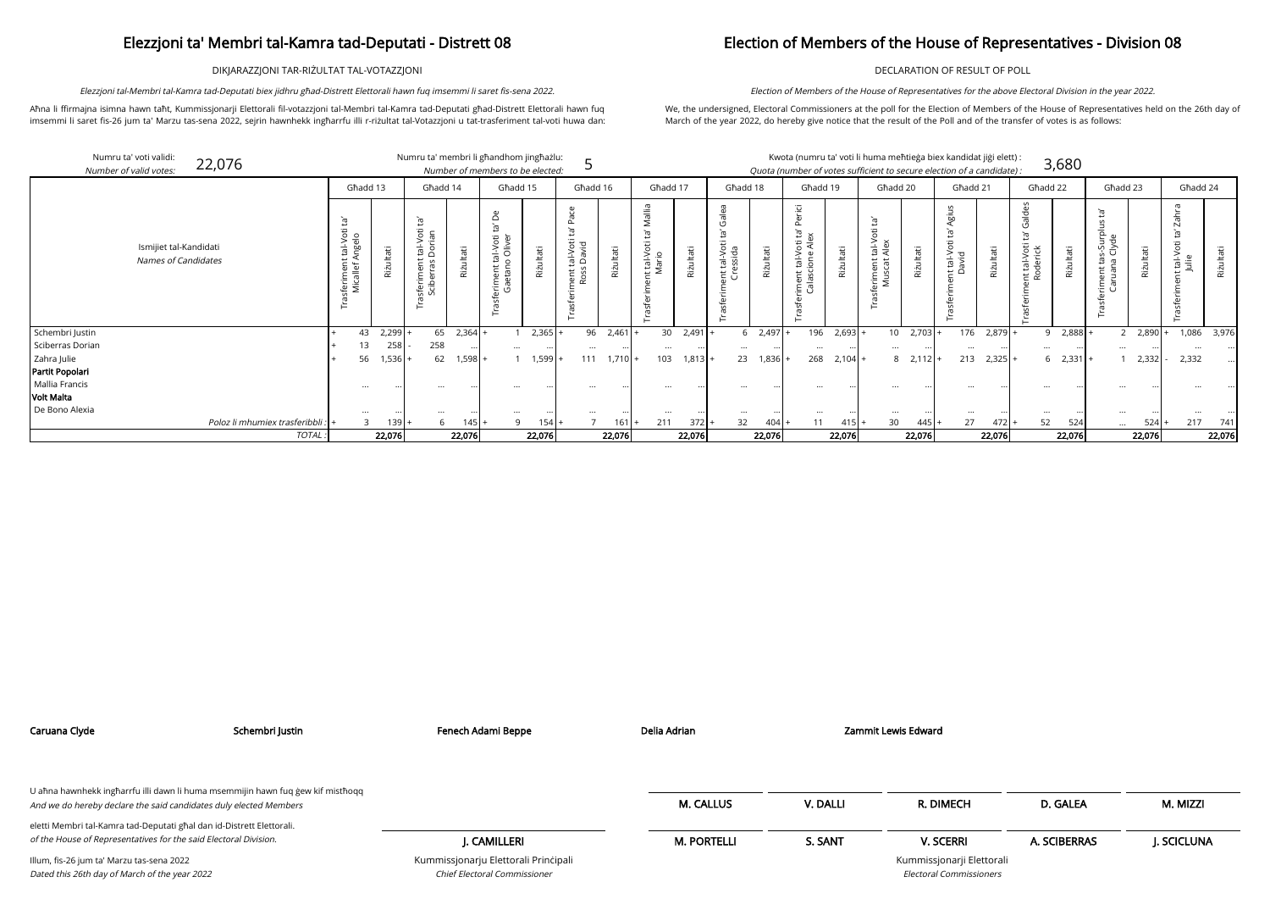DIKJARAZZJONI TAR-RIŻULTAT TAL-VOTAZZJONI

Aħna li ffirmajna isimna hawn taħt, Kummissjonarji Elettorali fil-votazzjoni tal-Membri tal-Kamra tad-Deputati għad-Distrett Elettorali hawn fuq imsemmi li saret fis-26 jum ta' Marzu tas-sena 2022, sejrin hawnhekk ingħarrfu illi r-riżultat tal-Votazzjoni u tat-trasferiment tal-voti huwa dan:

Elezzjoni tal-Membri tal-Kamra tad-Deputati biex jidhru għad-Distrett Elettorali hawn fuq imsemmi li saret fis-sena 2022.

### Election of Members of the House of Representatives - Division 08

DECLARATION OF RESULT OF POLL

We, the undersigned, Electoral Commissioners at the poll for the Election of Members of the House of Representatives held on the 26th day of March of the year 2022, do hereby give notice that the result of the Poll and of the transfer of votes is as follows:

Election of Members of the House of Representatives for the above Electoral Division in the year 2022.

|                  | Numru ta' voti validi:<br>22,076<br>Number of valid votes: |                                                        |                       | Numru ta' membri li għandhom jingħażlu:                          |           | Number of members to be elected:                             |           |                                   |           |                                  |           |                                                 |            | Kwota (numru ta' voti li huma meħtieġa biex kandidat jiġi elett) :<br>Quota (number of votes sufficient to secure election of a candidate): |               |                                            |           |                            |           |                         | 3,680       |                            |        |                                |           |
|------------------|------------------------------------------------------------|--------------------------------------------------------|-----------------------|------------------------------------------------------------------|-----------|--------------------------------------------------------------|-----------|-----------------------------------|-----------|----------------------------------|-----------|-------------------------------------------------|------------|---------------------------------------------------------------------------------------------------------------------------------------------|---------------|--------------------------------------------|-----------|----------------------------|-----------|-------------------------|-------------|----------------------------|--------|--------------------------------|-----------|
|                  |                                                            |                                                        | Għadd 13              | Ghadd 14                                                         |           | Għadd 15                                                     |           | Għadd 16                          |           | Ghadd 17                         |           | Għadd 18                                        |            | Għadd 19                                                                                                                                    |               | Għadd 20                                   |           | Għadd 21                   |           | Għadd 22                |             | Għadd 23                   |        | Ghadd 24                       |           |
|                  | Ismijiet tal-Kandidati<br><b>Names of Candidates</b>       | Ĭā,<br>tal-Voti<br>Angelo<br>sferiment t<br>Micallef A | Riżultati             | $\mathbb{E}^1$<br>tal-Voti<br>Dorian<br>sferiment<br>Sciberras l | ultati    | $\ddot{\sigma}$<br>ി<br>tal-Vo<br>o Oliv<br>iment<br>Gaetano | Riżultati | tal-Voti<br>David<br>nent<br>Ross | Rizultati | $\equiv$<br>it tal-Voti<br>Mario | Rizultati | Galea<br>: tal-Voti<br>essida<br>$\overline{u}$ | Riżultati  | "급<br>$\mathbf{a}$<br>$\Xi^1$<br>Voti<br>e Ale<br>$\frac{1}{\sqrt{2}}$<br>$\overline{\text{c}}$<br>$\omega$<br>ັ⊑ ອັ                        | Riżultati     | tal-Vex<br>ent<br>scat<br>$\bar{\xi} \leq$ | Rizultati | ōō<br>it tal-Voti<br>David | Riżultati | nt tal-Voti<br>Roderick | Riżultati   | ᆞᄒᇟ<br>ਰੱ<br>S<br>증<br>CD. | ultati | σ<br>ت<br>nt tal-Voti<br>Julie | Riżultati |
| Schembri Justin  |                                                            | 43                                                     | 2,299                 | 65                                                               | $2,364$ + |                                                              | 2,365     |                                   | 96 2,461  | 30                               | $2,491$ . |                                                 | 2,497<br>6 |                                                                                                                                             | $196$ 2,693 + | 10 <sup>1</sup>                            | 2,703     | 176                        | $2,879 +$ |                         | 9 2,888     |                            | 2,890  | 1,086                          | 3,976     |
| Sciberras Dorian |                                                            | 13                                                     | 258                   | 258                                                              |           | $\ddotsc$                                                    |           | $\cdots$                          |           | $\cdots$                         |           |                                                 |            | $\cdots$                                                                                                                                    |               | $\ddotsc$                                  |           | $\cdots$                   | $\cdots$  |                         |             | $\ddotsc$                  |        |                                |           |
| Zahra Julie      |                                                            | 56                                                     | 1,536                 | 62                                                               | - 598. [  |                                                              | 1,599     | 111                               | $1,710 +$ | 103                              | 1,813     | 23                                              | 1,836      | 268                                                                                                                                         | $2,104 +$     | 8                                          | $2,112$ + | 213                        | $2,325$ + |                         | $6$ 2,331 + |                            | 2,332  | 2,332                          |           |
| Partit Popolari  |                                                            |                                                        |                       |                                                                  |           |                                                              |           |                                   |           |                                  |           |                                                 |            |                                                                                                                                             |               |                                            |           |                            |           |                         |             |                            |        |                                |           |
| Mallia Francis   |                                                            | $\cdots$                                               |                       | $\cdots$                                                         |           |                                                              |           |                                   |           | $\cdots$                         |           |                                                 |            | $\cdots$                                                                                                                                    |               |                                            |           |                            |           |                         |             |                            |        |                                |           |
| Volt Malta       |                                                            |                                                        |                       |                                                                  |           |                                                              |           |                                   |           |                                  |           |                                                 |            |                                                                                                                                             |               |                                            |           |                            |           |                         |             |                            |        |                                |           |
| De Bono Alexia   |                                                            |                                                        |                       | $\cdots$                                                         |           |                                                              |           |                                   |           |                                  |           |                                                 |            |                                                                                                                                             |               |                                            |           |                            |           |                         |             |                            |        |                                |           |
|                  | Poloz li mhumiex trasferibbli :                            |                                                        | $\overline{3}$<br>139 |                                                                  | 145       | $\mathsf{Q}$                                                 | 154       |                                   | $161 +$   | 211                              | 372       | 32 <sup>2</sup>                                 | $404$ .    | 11                                                                                                                                          | $415 +$       | 30                                         | 445 I     | 27                         | $472 +$   | 52                      | 524         | $\cdots$                   | 524    | 217                            | 741       |
|                  | TOTAL.                                                     |                                                        | 22,076                |                                                                  | 22,076    |                                                              | 22,076    |                                   | 22,076    |                                  | 22,076    |                                                 | 22,076     |                                                                                                                                             | 22,076        |                                            | 22,076    |                            | 22,076    |                         | 22,076      |                            | 22,076 |                                | 22,076    |

| Caruana Clyde                                                                                                                             | Schembri Justin                                                                 | Fenech Adami Beppe                                                   | Delia Adrian       |          | Zammit Lewis Edward                                         |              |            |
|-------------------------------------------------------------------------------------------------------------------------------------------|---------------------------------------------------------------------------------|----------------------------------------------------------------------|--------------------|----------|-------------------------------------------------------------|--------------|------------|
| And we do hereby declare the said candidates duly elected Members                                                                         | U ahna hawnhekk ingharrfu illi dawn li huma msemmijin hawn fuq gew kif misthoqq |                                                                      | <b>M. CALLUS</b>   | V. DALLI | R. DIMECH                                                   | D. GALEA     | M. MIZZI   |
| eletti Membri tal-Kamra tad-Deputati għal dan id-Distrett Elettorali.<br>of the House of Representatives for the said Electoral Division. |                                                                                 | I. CAMILLERI                                                         | <b>M. PORTELLI</b> | S. SANT  | <b>V. SCERRI</b>                                            | A. SCIBERRAS | J. SCICLUN |
| Illum, fis-26 jum ta' Marzu tas-sena 2022<br>Dated this 26th day of March of the year 2022                                                |                                                                                 | Kummissjonarju Elettorali Principali<br>Chief Electoral Commissioner |                    |          | Kummissjonarji Elettorali<br><b>Electoral Commissioners</b> |              |            |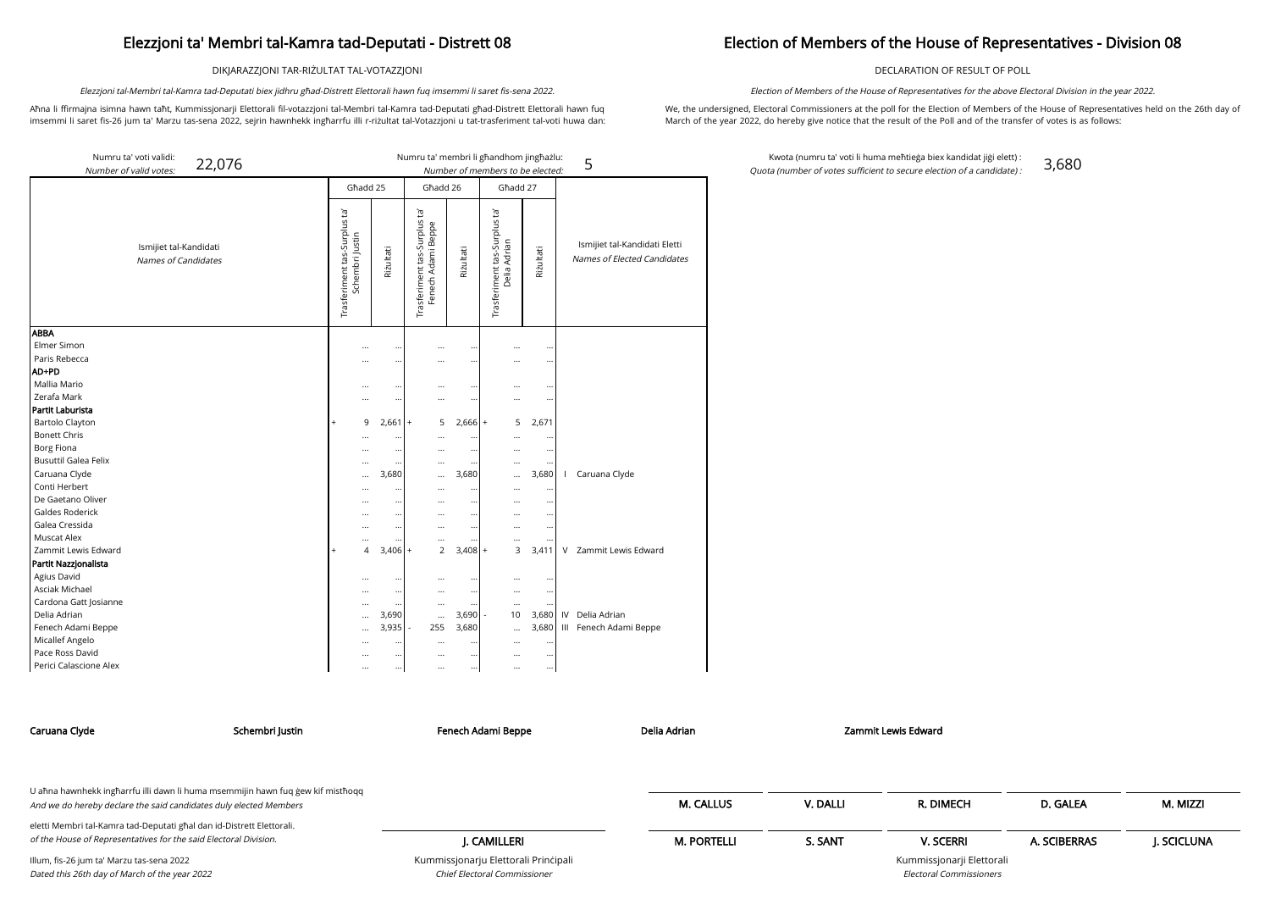DIKJARAZZJONI TAR-RIŻULTAT TAL-VOTAZZJONI

Aħna li ffirmajna isimna hawn taħt, Kummissjonarji Elettorali fil-votazzjoni tal-Membri tal-Kamra tad-Deputati għad-Distrett Elettorali hawn fuq imsemmi li saret fis-26 jum ta' Marzu tas-sena 2022, sejrin hawnhekk ingħarrfu illi r-riżultat tal-Votazzjoni u tat-trasferiment tal-voti huwa dan:

Elezzjoni tal-Membri tal-Kamra tad-Deputati biex jidhru għad-Distrett Elettorali hawn fuq imsemmi li saret fis-sena 2022.

### Election of Members of the House of Representatives - Division 08

DECLARATION OF RESULT OF POLL

We, the undersigned, Electoral Commissioners at the poll for the Election of Members of the House of Representatives held on the 26th day of March of the year 2022, do hereby give notice that the result of the Poll and of the transfer of votes is as follows:

Election of Members of the House of Representatives for the above Electoral Division in the year 2022.

Kwota (numru ta' voti li huma meħtieġa biex kandidat jiġi elett) : Quota (number of votes sufficient to secure election of a candidate) : 3,680

A. SCIBERRAS J. SCICLUNA

| Numru ta' voti validi:<br>22,076<br>Number of valid votes: |                                                 |                    |                                                   |              | Numru ta' membri li għandhom jingħażlu:<br>Number of members to be elected: |                       | 5                                                            |
|------------------------------------------------------------|-------------------------------------------------|--------------------|---------------------------------------------------|--------------|-----------------------------------------------------------------------------|-----------------------|--------------------------------------------------------------|
|                                                            | Għadd 25                                        |                    | Għadd 26                                          |              | Għadd 27                                                                    |                       |                                                              |
| Ismijiet tal-Kandidati<br><b>Names of Candidates</b>       | Trasferiment tas-Surplus ta'<br>Schembri Justin | Riżultati          | Trasferiment tas-Surplus ta<br>Fenech Adami Beppe | Riżultati    | Trasferiment tas-Surplus ta'<br>Delia Adrian                                | Rizultati             | Ismijiet tal-Kandidati Eletti<br>Names of Elected Candidates |
| <b>ABBA</b>                                                |                                                 |                    |                                                   |              |                                                                             |                       |                                                              |
| Elmer Simon                                                | $\cdots$                                        | $\ddotsc$          |                                                   |              | $\ddotsc$                                                                   | $\ddotsc$             |                                                              |
| Paris Rebecca                                              |                                                 | $\ddotsc$          |                                                   |              |                                                                             |                       |                                                              |
| AD+PD<br>Mallia Mario                                      |                                                 |                    |                                                   |              |                                                                             |                       |                                                              |
| Zerafa Mark                                                |                                                 | $\ddotsc$          | $\cdots$                                          |              | $\cdots$                                                                    |                       |                                                              |
| Partit Laburista                                           |                                                 |                    |                                                   |              |                                                                             |                       |                                                              |
| <b>Bartolo Clayton</b>                                     | 9<br>$\ddot{}$                                  | $2,661 +$          | 5                                                 | $2,666$ +    | 5                                                                           | 2,671                 |                                                              |
| <b>Bonett Chris</b>                                        |                                                 |                    |                                                   |              |                                                                             |                       |                                                              |
| <b>Borg Fiona</b>                                          |                                                 |                    | $\cdots$                                          |              | $\ddotsc$                                                                   |                       |                                                              |
| <b>Busuttil Galea Felix</b>                                |                                                 | $\ddotsc$          |                                                   |              | $\ddotsc$                                                                   | $\ddotsc$             |                                                              |
| Caruana Clyde                                              | $\cdots$                                        | $\ddotsc$<br>3,680 | $\cdots$                                          | <br>3,680    | $\cdots$                                                                    | 3,680                 | Caruana Clyde                                                |
| Conti Herbert                                              |                                                 |                    | $\cdots$                                          |              | $\cdots$                                                                    |                       |                                                              |
| De Gaetano Oliver                                          |                                                 | $\cdots$           | $\ddotsc$                                         |              | $\ddotsc$                                                                   | $\ddotsc$             |                                                              |
| <b>Galdes Roderick</b>                                     | $\cdots$                                        | $\ddotsc$<br>      | $\cdots$                                          |              |                                                                             | $\ddotsc$             |                                                              |
| Galea Cressida                                             | $\cdots$<br>$\cdots$                            | $\cdots$           | $\cdots$<br>                                      | $\cdots$<br> | <br>                                                                        | $\cdots$<br>$\ddotsc$ |                                                              |
| <b>Muscat Alex</b>                                         |                                                 |                    |                                                   |              | $\ddotsc$                                                                   |                       |                                                              |
| Zammit Lewis Edward                                        | 4<br>$\ddot{}$                                  | $3,406 +$          | $\overline{2}$                                    | $3,408$ +    | 3                                                                           | 3,411                 | V Zammit Lewis Edward                                        |
| Partit Nazzjonalista                                       |                                                 |                    |                                                   |              |                                                                             |                       |                                                              |
| Agius David                                                |                                                 |                    |                                                   |              |                                                                             |                       |                                                              |
| Asciak Michael                                             | $\cdots$                                        | $\cdots$           |                                                   | $\cdots$     | $\cdots$                                                                    | $\ddotsc$             |                                                              |
| Cardona Gatt Josianne                                      |                                                 | $\cdots$           | $\cdots$                                          |              | $\cdots$                                                                    | $\ddotsc$             |                                                              |
| Delia Adrian                                               |                                                 | 3,690              | $\cdots$                                          | 3,690        | 10<br>$\overline{\phantom{a}}$                                              | 3,680                 | Delia Adrian<br>IV                                           |
| Fenech Adami Beppe                                         | $\cdots$                                        | 3,935              | 255                                               | 3,680        | $\cdots$                                                                    | 3,680                 | III Fenech Adami Beppe                                       |
| Micallef Angelo                                            | $\cdots$                                        | $\cdots$           | $\cdots$                                          |              | $\ddotsc$                                                                   |                       |                                                              |
| Pace Ross David                                            | $\cdots$                                        |                    | $\cdots$                                          |              | $\ddotsc$                                                                   | $\cdots$              |                                                              |
| Perici Calascione Alex                                     |                                                 | $\cdots$           | $\cdots$                                          |              |                                                                             | $\cdots$              |                                                              |

Caruana Clyde Schembri Justin Schembri Justin Fenech Adami Beppe Delia Adrian Delia Adrian Zammit Lewis Edward

| U ahna hawnhekk ingharrfu illi dawn li huma msemmijin hawn fuq gew kif misthoqq<br>And we do hereby declare the said candidates duly elected Members |                                                                      | M. CALLUS          | V. DALLI | R. DIMECH                                            | D. GALEA     | M. MIZZI   |
|------------------------------------------------------------------------------------------------------------------------------------------------------|----------------------------------------------------------------------|--------------------|----------|------------------------------------------------------|--------------|------------|
| eletti Membri tal-Kamra tad-Deputati għal dan id-Distrett Elettorali.<br>of the House of Representatives for the said Electoral Division.            | I. CAMILLERI                                                         | <b>M. PORTELLI</b> | S. SANT  | <b>V. SCERRI</b>                                     | A. SCIBERRAS | I. SCICLUN |
| Illum, fis-26 jum ta' Marzu tas-sena 2022<br>Dated this 26th day of March of the year 2022                                                           | Kummissjonarju Elettorali Principali<br>Chief Electoral Commissioner |                    |          | Kummissjonarji Elettorali<br>Electoral Commissioners |              |            |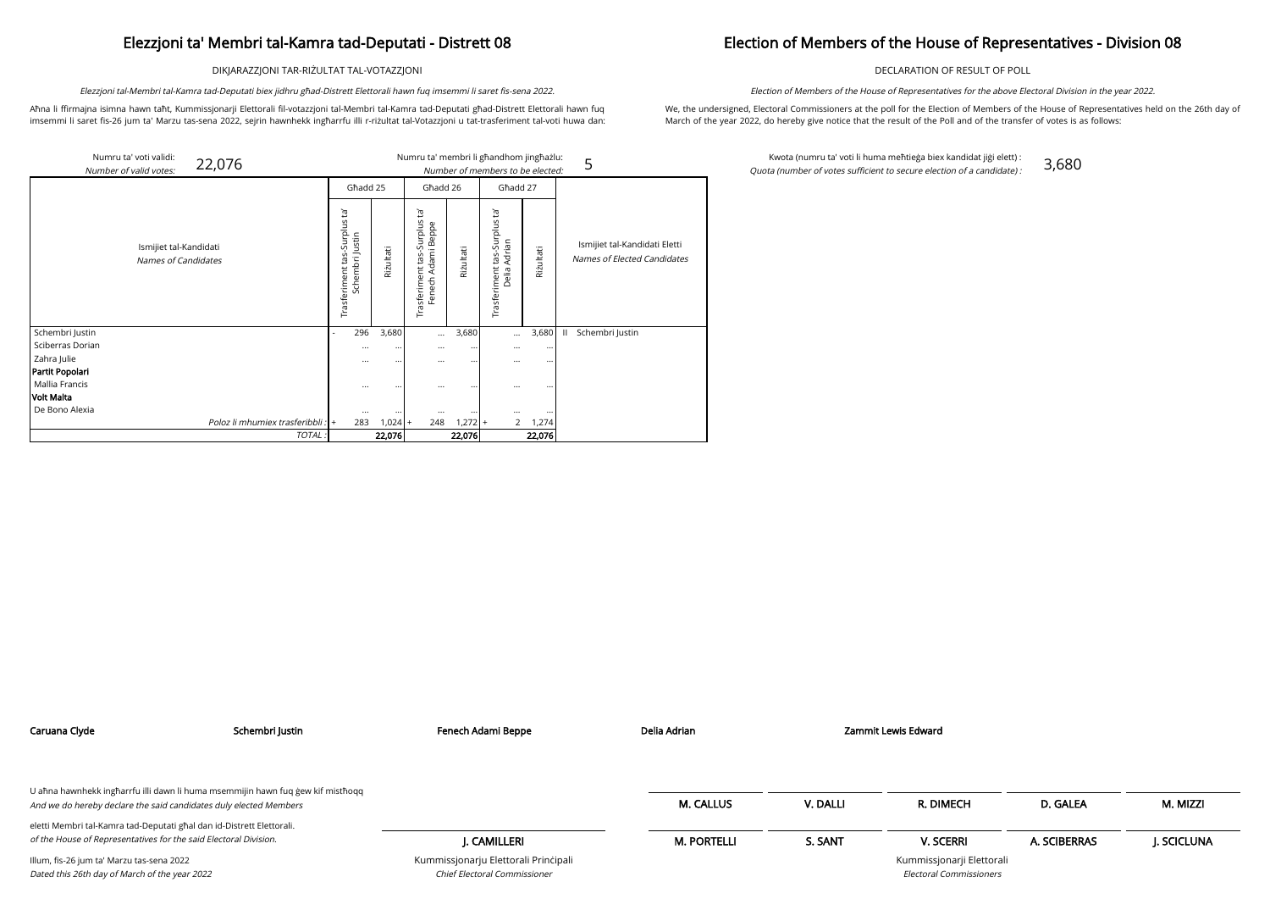DIKJARAZZJONI TAR-RIŻULTAT TAL-VOTAZZJONI

Aħna li ffirmajna isimna hawn taħt, Kummissjonarji Elettorali fil-votazzjoni tal-Membri tal-Kamra tad-Deputati għad-Distrett Elettorali hawn fuq imsemmi li saret fis-26 jum ta' Marzu tas-sena 2022, sejrin hawnhekk ingħarrfu illi r-riżultat tal-Votazzjoni u tat-trasferiment tal-voti huwa dan:

Elezzjoni tal-Membri tal-Kamra tad-Deputati biex jidhru għad-Distrett Elettorali hawn fuq imsemmi li saret fis-sena 2022.

## Election of Members of the House of Representatives - Division 08

DECLARATION OF RESULT OF POLL

We, the undersigned, Electoral Commissioners at the poll for the Election of Members of the House of Representatives held on the 26th day of March of the year 2022, do hereby give notice that the result of the Poll and of the transfer of votes is as follows:

Election of Members of the House of Representatives for the above Electoral Division in the year 2022.

Kwota (numru ta' voti li huma meħtieġa biex kandidat jiġi elett) : Quota (number of votes sufficient to secure election of a candidate) : 3,680

| Numru ta' voti validi:<br>22,076<br>Number of valid votes: |                                                         |           |                                                                  |           | Numru ta' membri li għandhom jingħażlu:<br>Number of members to be elected: |           | 5                                                            |
|------------------------------------------------------------|---------------------------------------------------------|-----------|------------------------------------------------------------------|-----------|-----------------------------------------------------------------------------|-----------|--------------------------------------------------------------|
|                                                            | Ghadd 25                                                |           | Ghadd 26                                                         |           | Ghadd 27                                                                    |           |                                                              |
| Ismijiet tal-Kandidati<br>Names of Candidates              | ē,<br>Surplus<br>Schembri Justin<br>tas<br>Trasferiment | Riżultati | `Fd<br>-Surplus<br>Adami Beppe<br>tas.<br>Trasferiment<br>Fenech | Rizultati | Įą,<br>tas-Surplus<br>Adrian<br>Trasferiment<br>Delia.                      | Rizultati | Ismijiet tal-Kandidati Eletti<br>Names of Elected Candidates |
| Schembri Justin                                            | 296                                                     | 3,680     | $\cdots$                                                         | 3,680     | $\cdots$                                                                    | 3,680     | $\mathbf{H}$<br>Schembri Justin                              |
| Sciberras Dorian                                           | $\cdots$                                                | $\cdots$  | $\cdots$                                                         | $\cdots$  | $\cdots$                                                                    | $\cdots$  |                                                              |
| Zahra Julie                                                | $\cdots$                                                | $\cdots$  | $\cdots$                                                         | $\cdots$  | $\cdots$                                                                    |           |                                                              |
| Partit Popolari                                            |                                                         |           |                                                                  |           |                                                                             |           |                                                              |
| Mallia Francis                                             | $\cdots$                                                | $\cdots$  | $\cdots$                                                         | $\cdots$  | $\cdots$                                                                    |           |                                                              |
| Volt Malta                                                 |                                                         |           |                                                                  |           |                                                                             |           |                                                              |
| De Bono Alexia                                             | $\cdots$                                                |           | $\cdots$                                                         |           | $\cdots$                                                                    | $\cdots$  |                                                              |
| Poloz li mhumiex trasferibbli : +                          | 283                                                     | $1,024$ + | 248                                                              | $1,272$ + | $\overline{2}$                                                              | 1,274     |                                                              |
| TOTAL:                                                     |                                                         | 22,076    |                                                                  | 22,076    |                                                                             | 22,076    |                                                              |

| Caruana Clyde                                                                                                                             | Schembri Justin                                                                 | Fenech Adami Beppe                                                   | Delia Adrian       |          | Zammit Lewis Edward                                         |              |            |
|-------------------------------------------------------------------------------------------------------------------------------------------|---------------------------------------------------------------------------------|----------------------------------------------------------------------|--------------------|----------|-------------------------------------------------------------|--------------|------------|
|                                                                                                                                           |                                                                                 |                                                                      |                    |          |                                                             |              |            |
| And we do hereby declare the said candidates duly elected Members                                                                         | U aħna hawnhekk ingħarrfu illi dawn li huma msemmijin hawn fuq ġew kif mistħoqq |                                                                      | <b>M. CALLUS</b>   | V. DALLI | R. DIMECH                                                   | D. GALEA     | M. MIZZI   |
| eletti Membri tal-Kamra tad-Deputati għal dan id-Distrett Elettorali.<br>of the House of Representatives for the said Electoral Division. |                                                                                 | J. CAMILLERI                                                         | <b>M. PORTELLI</b> | S. SANT  | <b>V. SCERRI</b>                                            | A. SCIBERRAS | J. SCICLUN |
| Illum, fis-26 jum ta' Marzu tas-sena 2022<br>Dated this 26th day of March of the year 2022                                                |                                                                                 | Kummissjonarju Elettorali Principali<br>Chief Electoral Commissioner |                    |          | Kummissjonarji Elettorali<br><b>Electoral Commissioners</b> |              |            |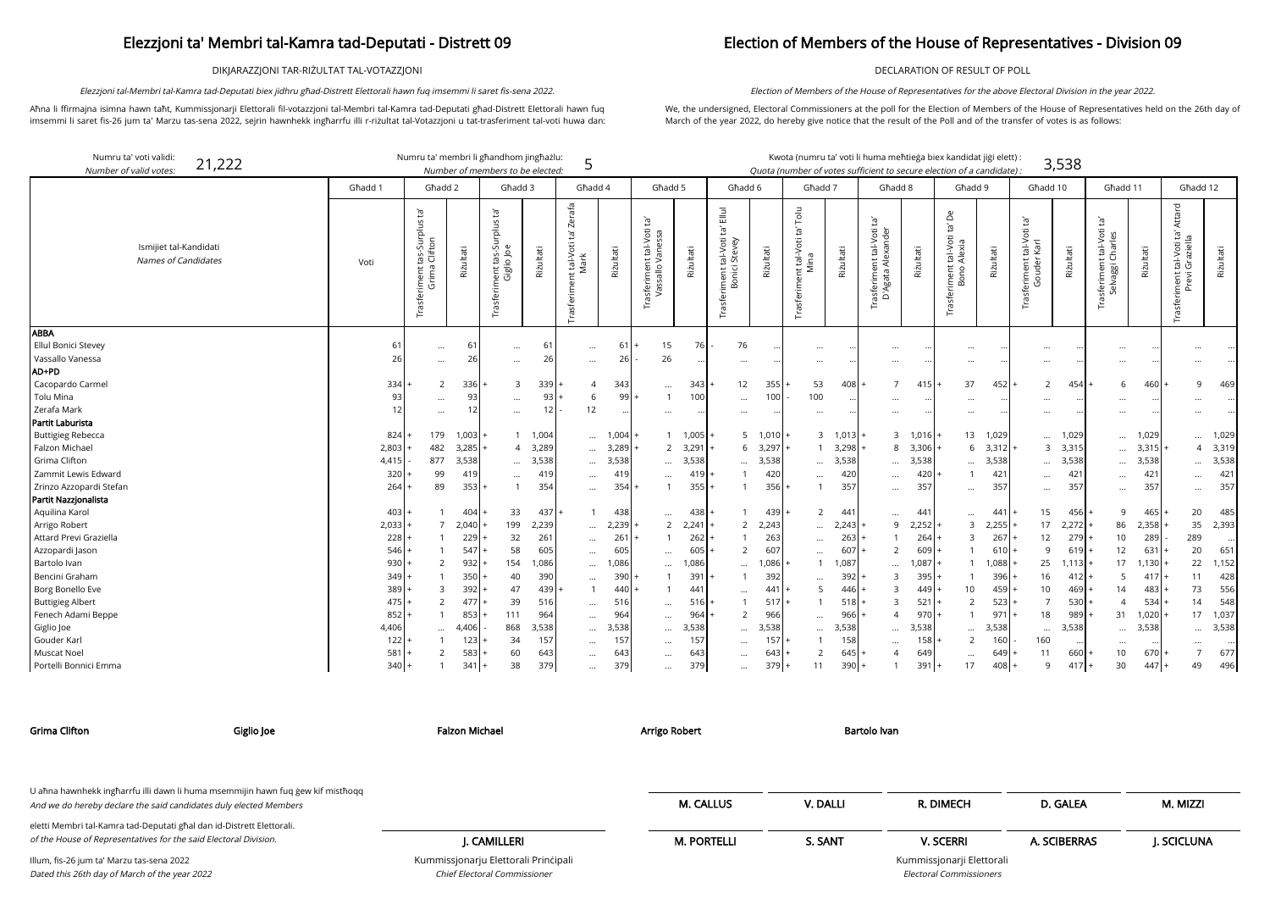DIKJARAZZJONI TAR-RIŻULTAT TAL-VOTAZZJONI

Aħna li ffirmajna isimna hawn taħt, Kummissjonarji Elettorali fil-votazzjoni tal-Membri tal-Kamra tad-Deputati għad-Distrett Elettorali hawn fuq imsemmi li saret fis-26 jum ta' Marzu tas-sena 2022, sejrin hawnhekk ingħarrfu illi r-riżultat tal-Votazzjoni u tat-trasferiment tal-voti huwa dan:

Elezzjoni tal-Membri tal-Kamra tad-Deputati biex jidhru għad-Distrett Elettorali hawn fuq imsemmi li saret fis-sena 2022.

## Election of Members of the House of Representatives - Division 09

DECLARATION OF RESULT OF POLL

We, the undersigned, Electoral Commissioners at the poll for the Election of Members of the House of Representatives held on the 26th day of March of the year 2022, do hereby give notice that the result of the Poll and of the transfer of votes is as follows:

Election of Members of the House of Representatives for the above Electoral Division in the year 2022.

arji Elettorali Electoral Commissioners

| Numru ta' voti validi:<br>21,222<br>Number of valid votes: |                | Numru ta' membri li għandhom jingħażlu:                |           | Number of members to be elected:                                    |           | 5                                                   |           |                                                                    |           |                                                                          |           | Kwota (numru ta' voti li huma meħtieġa biex kandidat jiġi elett)<br>Quota (number of votes sufficient to secure election of a candidate) : |               |                                                            |           |                                                 |           |                                                      | 3,538     |                                                          |           |                                                              |           |
|------------------------------------------------------------|----------------|--------------------------------------------------------|-----------|---------------------------------------------------------------------|-----------|-----------------------------------------------------|-----------|--------------------------------------------------------------------|-----------|--------------------------------------------------------------------------|-----------|--------------------------------------------------------------------------------------------------------------------------------------------|---------------|------------------------------------------------------------|-----------|-------------------------------------------------|-----------|------------------------------------------------------|-----------|----------------------------------------------------------|-----------|--------------------------------------------------------------|-----------|
|                                                            | Għadd 1        | Għadd 2                                                |           | Għadd 3                                                             |           | Għadd 4                                             |           | Ghadd 5                                                            |           | Ghadd 6                                                                  |           | Ghadd 7                                                                                                                                    |               | Ghadd 8                                                    |           | Ghadd 9                                         |           | Għadd 10                                             |           | Għadd 11                                                 |           | Ghadd 12                                                     |           |
| Ismijiet tal-Kandidati<br>Names of Candidates              | Voti           | Trasferiment tas-Surplus ta'<br>Grima Clifton<br>Grima | Riżultati | $\Xi'$<br>-Surplus<br>nent tas-Su<br>Giglio Joe<br>iment<br>Trasfer | Riżultati | Zerafa<br>Ē,<br>t tal-Voti t<br>Mark<br>Trasferimen | Riżultati | $\mathbf{E}^{\prime}$<br>Trasferiment tal-Voti<br>Vassallo Vanessa | Riżultati | $\Xi$<br>$\tilde{\Xi}$<br>iment tal-Voti t<br>Bonici Stevey<br>Trasferim | Riżultati | Tolu<br>$\vec{E}$<br>nt tal-Voti<br>Mina<br>Trasferim                                                                                      | Riżultati     | tal-Voti ta'<br>Alexander<br>Trasferiment t<br>D'Agata Ale | Riżultati | Δ<br>ίg<br>Trasferiment tal-Voti<br>Bono Alexia | Riżultati | $\Xi$<br>tal-Voti<br>Karl<br>rasferiment t<br>Gouder | Riżultati | Ĭā,<br>tal-Voti<br>Charles<br>asferiment 1<br>Selvaggi C | Riżultati | Attard<br>Ĭā'<br>Trasferiment tal-Voti ta<br>Previ Graziella | Riżultati |
| <b>ABBA</b><br>Ellul Bonici Stevey                         | 6 <sup>′</sup> |                                                        | 61        |                                                                     | 61        |                                                     | 61        | 15                                                                 | 76        | 76                                                                       |           |                                                                                                                                            |               |                                                            |           |                                                 |           |                                                      |           |                                                          |           |                                                              |           |
| Vassallo Vanessa                                           | 26             | $\cdots$                                               | 26        | $\cdots$                                                            | 26        | $\cdots$                                            | 26        | 26                                                                 |           |                                                                          |           | $\cdots$                                                                                                                                   |               | $\cdots$                                                   |           |                                                 |           | $\cdots$                                             |           | .                                                        |           | $\cdots$                                                     |           |
| AD+PD                                                      |                | $\cdots$                                               |           | $\cdots$                                                            |           | $\ldots$                                            |           |                                                                    |           | $\ddotsc$                                                                |           | $\cdots$                                                                                                                                   |               | $\cdots$                                                   |           |                                                 |           | $\cdots$                                             |           | $\ddotsc$                                                |           |                                                              |           |
| Cacopardo Carmel                                           | 334            | 2                                                      | $336 +$   | $\overline{3}$                                                      | 339       |                                                     | 343       |                                                                    | 343       | 12                                                                       | 355       | 53                                                                                                                                         | $408 +$       | $\overline{7}$                                             | 415       | 37                                              | 452       | $\overline{2}$                                       | 454       | 6                                                        | 460       | 9                                                            | 469       |
| Tolu Mina                                                  | 93             |                                                        | 93        | $\cdots$                                                            | 93        | 6                                                   | 99        | $\ldots$<br>$\overline{1}$                                         | 100       | $\cdots$                                                                 | 100       | 100                                                                                                                                        |               |                                                            |           |                                                 |           |                                                      |           |                                                          |           |                                                              |           |
| Zerafa Mark                                                | 12             | $\cdots$<br>$\cdots$                                   |           | $\cdots$                                                            | 12        | 12                                                  |           |                                                                    |           | $\cdots$                                                                 |           | $\cdots$                                                                                                                                   |               | $\cdots$<br>$\cdots$                                       | $\cdots$  |                                                 |           | $\cdots$                                             |           | $\ddotsc$                                                | $\cdots$  |                                                              |           |
| Partit Laburista                                           |                |                                                        |           |                                                                     |           |                                                     |           | $\cdots$                                                           |           |                                                                          |           |                                                                                                                                            |               |                                                            |           | $\cdots$                                        |           | $\cdots$                                             |           | $\cdots$                                                 |           |                                                              |           |
| <b>Buttigieg Rebecca</b>                                   | 824            | 179                                                    | $1,003$ + |                                                                     | 1 1,004   | $\cdots$                                            | $1,004 +$ | -1                                                                 | $1,005$ . |                                                                          | 5 1,010   |                                                                                                                                            | $3 \t1,013 +$ | 3                                                          | 1,016     | 13                                              | 1,029     |                                                      | 1,029     | $\ddotsc$                                                | 1,029     | $\cdots$                                                     | 1,029     |
| Falzon Michael                                             | 2,803          | 482                                                    | $3,285$ + |                                                                     | 4 3,289   | $\cdots$                                            | 3,289     | $\overline{2}$                                                     | 3,291     |                                                                          | 6, 3, 297 | $\mathbf{1}$                                                                                                                               | 3,298         | 8                                                          | 3,306     | 6                                               | 3,312     |                                                      | 3 3,315   | $\ddotsc$                                                | 3,315     | 4                                                            | 3,319     |
| Grima Clifton                                              | 4,415          | 877                                                    | 3,538     | $\cdots$                                                            | 3,538     | $\cdots$                                            | 3,538     | $\cdots$                                                           | 3,538     | $\cdots$                                                                 | 3,538     | $\ddotsc$                                                                                                                                  | 3,538         | $\cdots$                                                   | 3,538     | $\cdots$                                        | 3,538     | $\cdots$                                             | 3,538     | $\ddotsc$                                                | 3,538     | $\cdots$                                                     | 3,538     |
| Zammit Lewis Edward                                        | 320            | 99                                                     | 419       | $\cdots$                                                            | 419       | $\cdots$                                            | 419       | $\ldots$                                                           | 419       |                                                                          | 420       | $\cdots$                                                                                                                                   | 420           | $\cdots$                                                   | 420       |                                                 | 421       | $\cdots$                                             | 421       | $\ddots$                                                 | 421       |                                                              | 421       |
| Zrinzo Azzopardi Stefan                                    | 264            | 89                                                     | $353+$    |                                                                     | 354       | $\cdots$                                            | 354       |                                                                    | 355       |                                                                          | 356       | $\mathbf{1}$                                                                                                                               | 357           | $\cdots$                                                   | 357       | $\cdots$                                        | 357       | $\cdots$                                             | 357       | $\ddots$                                                 | 357       | $\cdots$                                                     | 357       |
| Partit Nazzjonalista                                       |                |                                                        |           |                                                                     |           |                                                     |           |                                                                    |           |                                                                          |           |                                                                                                                                            |               |                                                            |           |                                                 |           |                                                      |           |                                                          |           |                                                              |           |
| Aquilina Karol                                             | 403            |                                                        | $404$ +   | 33                                                                  | 437       |                                                     | 438       |                                                                    | 438       |                                                                          | 439       | $\overline{2}$                                                                                                                             | 441           | $\cdots$                                                   | 441       |                                                 | 441       | 15                                                   | 456       | 9                                                        | 465       | 20                                                           | 485       |
| Arrigo Robert                                              | 2,033          | $\overline{7}$                                         | $2,040$ + | 199                                                                 | 2,239     | $\cdots$                                            | 2,239     | 2                                                                  | 2,241     | $\overline{2}$                                                           | 2,243     | $\cdots$                                                                                                                                   | 2,243         | 9                                                          | 2,252     | 3                                               | 2,255     | 17                                                   | 2,272     | 86                                                       | 2,358     | 35                                                           | 2,393     |
| Attard Previ Graziella                                     | 228            |                                                        | 229       | 32                                                                  | 261       | $\ldots$                                            | 261       | $\mathbf{1}$                                                       | 262       |                                                                          | 263       | $\cdots$                                                                                                                                   | 263           |                                                            | 264       | $\mathcal{E}$                                   | 267       | 12                                                   | 279       | 10                                                       | 289       | 289                                                          |           |
| Azzopardi Jason                                            | 546            |                                                        | 547       | 58                                                                  | 605       | $\cdots$                                            | 605       | $\cdots$                                                           | 605       | $\overline{2}$                                                           | 607       | $\cdots$                                                                                                                                   | 607           | 2                                                          | 609       |                                                 | 610       | 9                                                    | 619       | 12                                                       | 631       | 20                                                           | 651       |
| Bartolo Ivan                                               | 930            | 2                                                      | $932 +$   | 154                                                                 | 1,086     | $\cdots$                                            | 1,086     | $\cdots$                                                           | 1,086     | $\cdots$                                                                 | 1,086     |                                                                                                                                            | 1,087         | $\cdots$                                                   | 1,087     |                                                 | 1,088     | 25                                                   | 1,113     | 17                                                       | 1,130     | 22                                                           | 1,152     |
| Bencini Graham                                             | 349            |                                                        | 350       | 40                                                                  | 390       | $\cdots$                                            | 390       |                                                                    | 391       |                                                                          | 392       |                                                                                                                                            | 392           | $\overline{3}$                                             | 395       |                                                 | 396       | 16                                                   | 412       | 5                                                        | 417       | 11                                                           | 428       |
| Borg Bonello Eve                                           | 389            | $\overline{3}$                                         | $392$ +   | 47                                                                  | 439       |                                                     | 440       |                                                                    | 44        |                                                                          | 441       | 5                                                                                                                                          | $446 +$       | $\overline{3}$                                             | 449       | 10                                              | 459       | 10 <sup>1</sup>                                      | 469       | 14                                                       | 483       | 73                                                           | 556       |
| <b>Buttigieg Albert</b>                                    | 475            | $\overline{2}$                                         | $477$ +   | 39                                                                  | 516       | $\cdots$                                            | 516       | $\ldots$                                                           | 516       |                                                                          | 517       |                                                                                                                                            | $518 +$       | $\overline{3}$                                             | 521       |                                                 | 523       | $\overline{7}$                                       | 530       | $\overline{4}$                                           | 534       | 14                                                           | 548       |
| Fenech Adami Beppe                                         | 852            |                                                        | 853       | 111                                                                 | 964       | $\cdots$                                            | 964       | $\cdots$                                                           | 964       | $\overline{2}$                                                           | 966       |                                                                                                                                            | 966           | $\overline{4}$                                             | 970       | $\mathbf{1}$                                    | 971       | 18                                                   | 989       | 31                                                       | 1,020     | 17                                                           | 1,037     |
| Giglio Joe                                                 | 4,406          | $\ddots$                                               | 4,406     | 868                                                                 | 3,538     | $\cdots$                                            | 3,538     | $\cdots$                                                           | 3,538     | $\cdots$                                                                 | 3,538     | $\cdots$                                                                                                                                   | 3,538         | $\cdots$                                                   | 3,538     | $\cdots$                                        | 3,538     | $\cdots$                                             | 3,538     | $\ddots$                                                 | 3,538     |                                                              | 3,538     |
| Gouder Karl                                                | 122            |                                                        | 123       | 34                                                                  | 157       | $\cdots$                                            | 157       | $\cdots$                                                           | 157       | $\cdots$                                                                 | 157       |                                                                                                                                            | 158           | $\cdots$                                                   | 158       |                                                 | 160       | 160                                                  |           | $\ddotsc$                                                |           |                                                              |           |
| Muscat Noel                                                | 581            | $\overline{2}$                                         | 583       | 60                                                                  | 643       | $\cdots$                                            | 643       | $\cdots$                                                           | 643       | $\cdots$                                                                 | 643       | $\overline{2}$                                                                                                                             | 645           | $\overline{A}$                                             | 649       |                                                 | 649       | 11                                                   | 660       | 10                                                       | 670       |                                                              | 677       |
| Portelli Bonnici Emma                                      | 340            |                                                        | $341 +$   | 38                                                                  | 379       | $\cdots$                                            | 379       | $\cdots$                                                           | 379       | $\cdots$                                                                 | 379       | 11                                                                                                                                         | $390 +$       |                                                            | 391       | 17                                              | 408       | $\mathsf{q}$                                         | 417       | 30                                                       | 447       | 49                                                           | 496       |

Chief Electoral Commissioner

| Grima Clifton                                                                                                                                        | Giglio Joe | Falzon Michael                       | Arrigo Robert      | Bartolo Ivan |                           |              |            |
|------------------------------------------------------------------------------------------------------------------------------------------------------|------------|--------------------------------------|--------------------|--------------|---------------------------|--------------|------------|
| U ahna hawnhekk ingharrfu illi dawn li huma msemmijin hawn fuq gew kif misthoqq<br>And we do hereby declare the said candidates duly elected Members |            |                                      | <b>M. CALLUS</b>   | V. DALLI     | R. DIMECH                 | D. GALEA     | M. MIZZI   |
| eletti Membri tal-Kamra tad-Deputati għal dan id-Distrett Elettorali.                                                                                |            |                                      |                    |              |                           |              |            |
| of the House of Representatives for the said Electoral Division.                                                                                     |            | J. CAMILLERI                         | <b>M. PORTELLI</b> | S. SANT      | <b>V. SCERRI</b>          | A. SCIBERRAS | J. SCICLUN |
| Illum, fis-26 jum ta' Marzu tas-sena 2022                                                                                                            |            | Kummissjonarju Elettorali Principali |                    |              | Kummissjonarji Elettorali |              |            |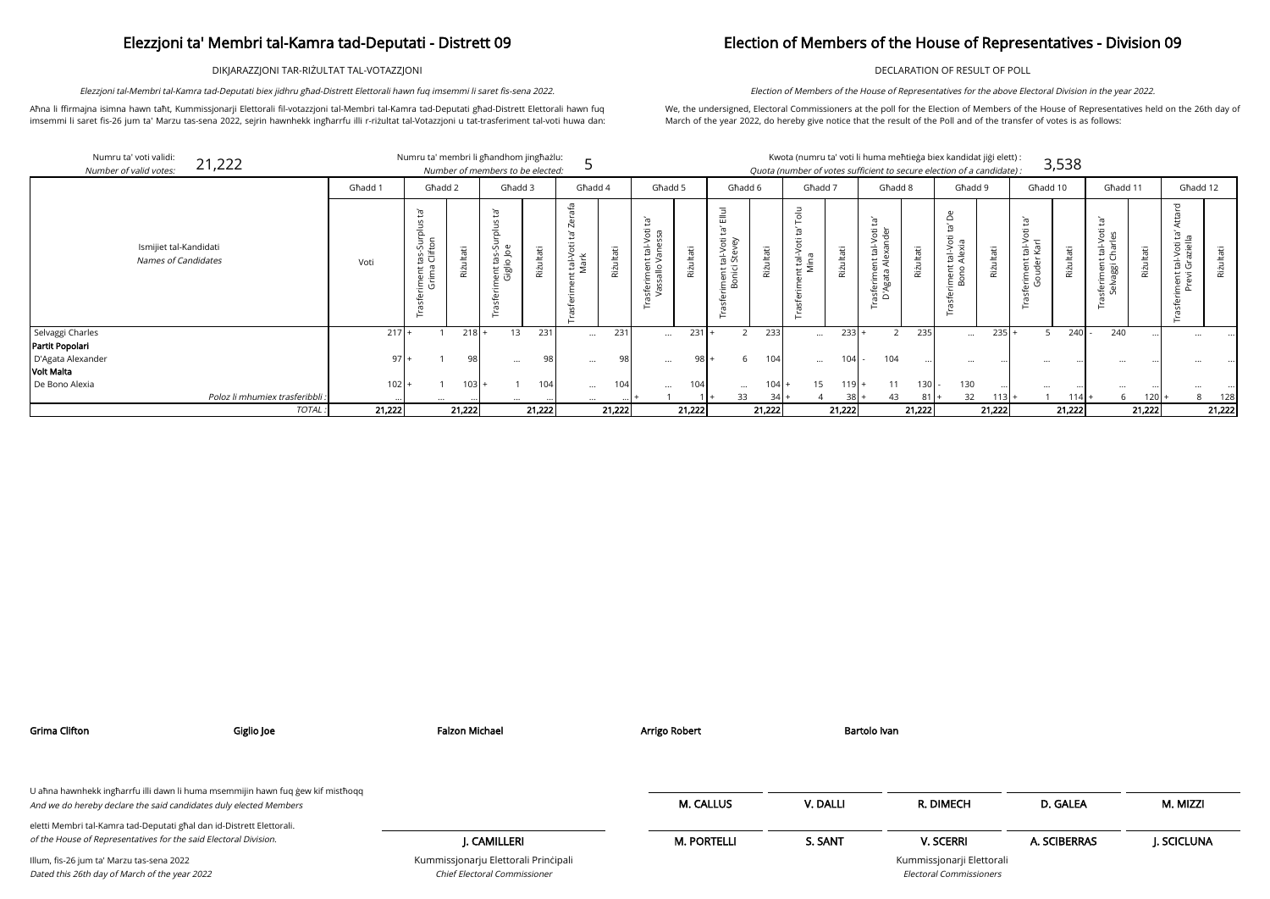DIKJARAZZJONI TAR-RIŻULTAT TAL-VOTAZZJONI

Aħna li ffirmajna isimna hawn taħt, Kummissjonarji Elettorali fil-votazzjoni tal-Membri tal-Kamra tad-Deputati għad-Distrett Elettorali hawn fuq imsemmi li saret fis-26 jum ta' Marzu tas-sena 2022, sejrin hawnhekk ingħarrfu illi r-riżultat tal-Votazzjoni u tat-trasferiment tal-voti huwa dan:

Elezzjoni tal-Membri tal-Kamra tad-Deputati biex jidhru għad-Distrett Elettorali hawn fuq imsemmi li saret fis-sena 2022.

### Election of Members of the House of Representatives - Division 09

DECLARATION OF RESULT OF POLL

We, the undersigned, Electoral Commissioners at the poll for the Election of Members of the House of Representatives held on the 26th day of March of the year 2022, do hereby give notice that the result of the Poll and of the transfer of votes is as follows:

Election of Members of the House of Representatives for the above Electoral Division in the year 2022.

| Numru ta' voti validi:<br>Number of valid votes: | 21,222                                               |         |                                  |                | Numru ta' membri li għandhom jingħażlu:<br>Number of members to be elected: |           |                                     |           |                                                                       |                  |                                                                                 |                  | Kwota (numru ta' voti li huma meħtieġa biex kandidat jiġi elett) :<br>Quota (number of votes sufficient to secure election of a candidate): |           |                                                          |                  |                                             |           |                                                                 | 3,538     |                                                           |              |                                          |           |
|--------------------------------------------------|------------------------------------------------------|---------|----------------------------------|----------------|-----------------------------------------------------------------------------|-----------|-------------------------------------|-----------|-----------------------------------------------------------------------|------------------|---------------------------------------------------------------------------------|------------------|---------------------------------------------------------------------------------------------------------------------------------------------|-----------|----------------------------------------------------------|------------------|---------------------------------------------|-----------|-----------------------------------------------------------------|-----------|-----------------------------------------------------------|--------------|------------------------------------------|-----------|
|                                                  |                                                      | Għadd 1 | Għadd 2                          |                | Ghadd 3                                                                     |           | Għadd 4                             |           | Ghadd 5                                                               |                  | Ghadd 6                                                                         |                  | Għadd 7                                                                                                                                     |           | Ghadd 8                                                  |                  | Ghadd 9                                     |           | Għadd 10                                                        |           | Għadd 11                                                  |              | Ghadd 12                                 |           |
|                                                  | Ismijiet tal-Kandidati<br><b>Names of Candidates</b> | Voti    | tas-Su<br>Clifto<br>imen<br>Grim | Jltati<br>Rizu | $\mathbf{\Phi}$<br>ي ۾<br>ڪ<br>္မွာ ဝ<br>ent<br>Gigli                       | Riżultati | afa<br>Ñ<br>Ġ<br>: tal-Voti<br>Mark | Riżultati | $\tilde{E}$<br>tal-Voti<br>anessa<br>$\mu >$<br>ısferimen<br>Vassallo | lltati<br>Rizu   | $\overline{m}$<br><u>ъ</u><br>ਨ਼<br>al-Vo<br>Steve<br>nent ta<br>onici s<br>ه خ | Riżultati        | $\overline{\circ}$<br>C<br>$\frac{1}{10}$ in $\frac{1}{2}$<br>$\overline{ }$                                                                | Riżultati | Ĭā<br>tal-Voti<br>exander<br>ਥ ਵ<br>rasferime<br>D'Agata | ltati<br>Riż     | $\Omega$<br>iment tal-Voti t<br>Bono Alexia | Riżultati | ē,<br>Φ<br>$\overline{S}$<br>tal-V<br>Karl<br>eriment<br>Gouder | Riżultati | $\tilde{E}$<br>H<br>$o$ /-la:<br>, ပ<br>iggi<br>∵⊏<br>sfe | Itati<br>Riz | ਨ<br>ent tal-Voti ta' ,<br>evi Graziella | Riżultati |
| Selvaggi Charles                                 |                                                      | 217     |                                  | $218 \cdot$    | 13                                                                          | 231       | $\cdots$                            | 231       | $\cdots$                                                              | $231$ +          |                                                                                 | 233              | $\cdots$                                                                                                                                    | 233       |                                                          | 235              | $\cdots$                                    | $235 +$   |                                                                 | $240 -$   | 240                                                       |              |                                          |           |
| Partit Popolari                                  |                                                      |         |                                  |                |                                                                             |           |                                     |           |                                                                       |                  |                                                                                 |                  |                                                                                                                                             |           |                                                          |                  |                                             |           |                                                                 |           |                                                           |              |                                          |           |
| D'Agata Alexander                                |                                                      | 97      |                                  |                | $\cdots$                                                                    | 98        | $\cdots$                            | 98        | $\cdots$                                                              | 98 I             | b                                                                               | 104              | $\cdots$                                                                                                                                    | 104       | 104                                                      |                  | $\ddotsc$                                   |           |                                                                 |           |                                                           |              |                                          |           |
| Volt Malta                                       |                                                      |         |                                  |                |                                                                             |           |                                     |           |                                                                       |                  |                                                                                 |                  |                                                                                                                                             |           |                                                          |                  |                                             |           |                                                                 |           |                                                           |              |                                          |           |
| De Bono Alexia                                   |                                                      | 102     |                                  | $103+$         |                                                                             | 104.      | $\cdots$                            | 104       | $\cdots$                                                              | 104 <sub>1</sub> | $\cdots$                                                                        | 104 <sub>l</sub> | 15                                                                                                                                          | 119       | 11                                                       | 130 <sub>l</sub> | 130                                         | $\cdots$  | $\cdots$                                                        |           | $\ddotsc$                                                 | $\cdots$     |                                          |           |
|                                                  | Poloz li mhumiex trasferibbli                        |         | $\cdots$                         |                | $\cdots$                                                                    |           |                                     |           |                                                                       |                  | 33                                                                              | $34 +$           |                                                                                                                                             | 38        | 43                                                       | 81 I             | 32                                          | $113$ +   |                                                                 | $114 +$   |                                                           | 120          | 8                                        | 128       |
|                                                  | TOTAL:                                               | 21,222  |                                  | 21,222         |                                                                             | 21,222    |                                     | 21,222    |                                                                       | 21,222           |                                                                                 | 21,222           |                                                                                                                                             | 21,222    |                                                          | 21,222           |                                             | 21,222    |                                                                 | 21,222    |                                                           | 21,222       |                                          | 21,222    |

| <b>Grima Clifton</b>                                                                                                                                 | Giglio Joe | <b>Falzon Michael</b>                                                | Arrigo Robert      | Bartolo Ivan |                                                             |              |            |
|------------------------------------------------------------------------------------------------------------------------------------------------------|------------|----------------------------------------------------------------------|--------------------|--------------|-------------------------------------------------------------|--------------|------------|
| U aħna hawnhekk ingħarrfu illi dawn li huma msemmijin hawn fuq gew kif mistħoqq<br>And we do hereby declare the said candidates duly elected Members |            |                                                                      | <b>M. CALLUS</b>   | V. DALLI     | R. DIMECH                                                   | D. GALEA     | M. MIZZI   |
| eletti Membri tal-Kamra tad-Deputati ghal dan id-Distrett Elettorali.                                                                                |            |                                                                      |                    |              |                                                             |              |            |
| of the House of Representatives for the said Electoral Division.                                                                                     |            | I. CAMILLERI                                                         | <b>M. PORTELLI</b> | S. SANT      | <b>V. SCERRI</b>                                            | A. SCIBERRAS | J. SCICLUN |
| Illum, fis-26 jum ta' Marzu tas-sena 2022<br>Dated this 26th day of March of the year 2022                                                           |            | Kummissjonarju Elettorali Principali<br>Chief Electoral Commissioner |                    |              | Kummissjonarji Elettorali<br><b>Electoral Commissioners</b> |              |            |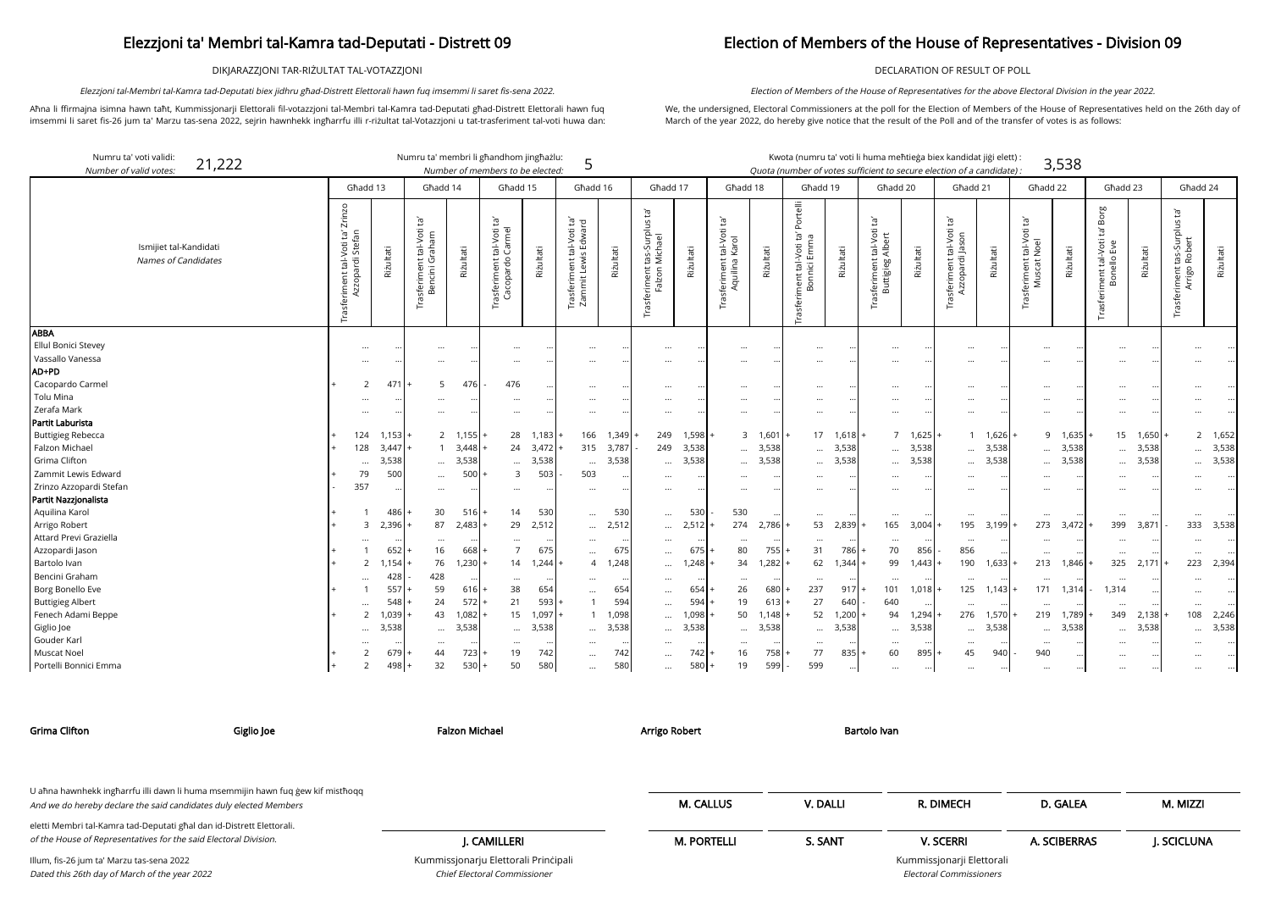DIKJARAZZJONI TAR-RIŻULTAT TAL-VOTAZZJONI

Aħna li ffirmajna isimna hawn taħt, Kummissjonarji Elettorali fil-votazzjoni tal-Membri tal-Kamra tad-Deputati għad-Distrett Elettorali hawn fuq imsemmi li saret fis-26 jum ta' Marzu tas-sena 2022, sejrin hawnhekk ingħarrfu illi r-riżultat tal-Votazzjoni u tat-trasferiment tal-voti huwa dan:

Elezzjoni tal-Membri tal-Kamra tad-Deputati biex jidhru għad-Distrett Elettorali hawn fuq imsemmi li saret fis-sena 2022.

## Election of Members of the House of Representatives - Division 09

DECLARATION OF RESULT OF POLL

We, the undersigned, Electoral Commissioners at the poll for the Election of Members of the House of Representatives held on the 26th day of March of the year 2022, do hereby give notice that the result of the Poll and of the transfer of votes is as follows:

Election of Members of the House of Representatives for the above Electoral Division in the year 2022.

arji Elettorali Electoral Commissioners

| Numru ta' voti validi:<br>21,222<br>Number of valid votes: |                                                         | Numru ta' membri li għandhom jingħażlu:                     |                           | Number of members to be elected:                        |           | 5                                                                           |           |                                                                         |              |                                                         |           | Kwota (numru ta' voti li huma meħtieġa biex kandidat jiġi elett) :<br>Quota (number of votes sufficient to secure election of a candidate) : |           |                                                                              |               |                                                  |           |                                                                   | 3,538     |                                                             |           |                                                 |                 |
|------------------------------------------------------------|---------------------------------------------------------|-------------------------------------------------------------|---------------------------|---------------------------------------------------------|-----------|-----------------------------------------------------------------------------|-----------|-------------------------------------------------------------------------|--------------|---------------------------------------------------------|-----------|----------------------------------------------------------------------------------------------------------------------------------------------|-----------|------------------------------------------------------------------------------|---------------|--------------------------------------------------|-----------|-------------------------------------------------------------------|-----------|-------------------------------------------------------------|-----------|-------------------------------------------------|-----------------|
|                                                            | Għadd 13                                                |                                                             | Għadd 14                  | Ghadd 15                                                |           | Għadd 16                                                                    |           | Ghadd 17                                                                |              | Għadd 18                                                |           | Għadd 19                                                                                                                                     |           | Għadd 20                                                                     |               | Ghadd 21                                         |           | Għadd 22                                                          |           | Għadd 23                                                    |           | Ghadd 24                                        |                 |
| Ismijiet tal-Kandidati<br>Names of Candidates              | Zrinzo<br>Trasferiment tal-Voti ta'<br>Azzopardi Stefan | tā'<br>Trasferiment tal-Voti<br>Bencini Graham<br>Riżultati | Riżultati                 | Ĕ,<br>Carmel<br>tal-Voti<br>irasferiment t<br>Cacopardo | Riżultati | ے ق<br>ح<br>tal-Voti 1<br>is Edwar<br>Lewis<br>ent<br>Trasferim<br>Zammit L | Riżultati | $\tilde{E}$<br>: tas-Surplus t<br>Michael<br>Trasferiment t<br>Falzon M | Riżultati    | Ĭā,<br>tal-Voti<br>Karol<br>rasferiment 1<br>Aquilina l | Riżultati | Portelli<br>$\Xi$<br>ment tal-Voti ta'<br>Bonnici Emma                                                                                       | Riżultati | $\overline{c}$<br>tal-Voti<br>Albert<br>Trasferiment t<br>Buttigieg <i>i</i> | Rizultati     | Ĭď<br>Trasferiment tal-Voti t<br>Azzopardi Jason | Riżultati | $\overline{a}$<br>tal-Voti<br>Noel<br>feriment<br>Muscat l<br>ise | Riżultati | Borg<br>Ĭā,<br>nent tal-Voti<br>Bonello Eve<br>Trasferiment | Riżultati | Ìď<br>Trasferiment tas-Surplus<br>Arrigo Robert | Riżultati       |
| <b>ABBA</b><br>Ellul Bonici Stevey<br>Vassallo Vanessa     | $\cdots$<br>$\cdots$                                    |                                                             | $\cdots$<br>$\cdots$      | $\cdots$                                                | $\cdots$  | $\cdots$<br>$\cdots$                                                        |           | $\ldots$<br>$\cdots$                                                    |              | $\cdots$<br>                                            |           | $\cdots$<br>$\cdots$                                                                                                                         |           | $\cdots$<br>$\cdots$                                                         |               | $\cdots$                                         |           | $\cdots$<br>$\cdots$                                              |           | $\cdots$<br>$\cdots$                                        |           |                                                 |                 |
| AD+PD                                                      |                                                         |                                                             |                           |                                                         |           |                                                                             |           |                                                                         |              |                                                         |           |                                                                                                                                              |           |                                                                              |               |                                                  |           |                                                                   |           |                                                             |           |                                                 |                 |
| Cacopardo Carmel                                           |                                                         | 471                                                         | 5<br>476                  | 476                                                     |           | $\cdots$                                                                    |           | $\cdots$                                                                |              |                                                         |           |                                                                                                                                              |           | $\cdots$                                                                     | $\ddotsc$     |                                                  |           | $\cdots$                                                          |           | $\ddots$                                                    |           |                                                 |                 |
| Tolu Mina                                                  |                                                         |                                                             | $\cdots$                  |                                                         |           | $\cdots$                                                                    |           | $\cdots$                                                                |              |                                                         |           | $\cdots$                                                                                                                                     |           | $\cdots$                                                                     | $\cdots$      |                                                  |           | $\cdots$                                                          |           | $\ddotsc$                                                   |           |                                                 |                 |
| Zerafa Mark                                                |                                                         |                                                             |                           |                                                         |           | $\cdots$                                                                    |           | $\cdots$                                                                |              |                                                         |           | $\ddotsc$                                                                                                                                    |           | $\cdots$                                                                     |               |                                                  |           |                                                                   |           | $\ddotsc$                                                   |           |                                                 |                 |
| Partit Laburista                                           |                                                         |                                                             |                           |                                                         |           |                                                                             |           |                                                                         |              |                                                         |           |                                                                                                                                              |           |                                                                              |               |                                                  |           |                                                                   |           |                                                             |           |                                                 |                 |
| <b>Buttigieg Rebecca</b>                                   | 124                                                     | 1,153                                                       | $2 \quad 1,155$           | 28                                                      | 1,183     | 166                                                                         | 1,349     | 249                                                                     | 1,598        |                                                         | 3 1,601   |                                                                                                                                              | 17 1,618  | $\overline{7}$                                                               | 1,625         |                                                  | 1 1,626   |                                                                   | 9 1.635   | 15                                                          | 1,650     |                                                 | $2 \quad 1,652$ |
| Falzon Michael                                             | 128                                                     | 3,447                                                       | $3.448$ .<br>$\mathbf{1}$ | 24                                                      | 3,472     | 315                                                                         | 3,787     | 249                                                                     | 3,538        | $\cdots$                                                | 3,538     | $\cdots$                                                                                                                                     | 3,538     | $\cdots$                                                                     | 3,538         | $\cdots$                                         | 3,538     | $\cdots$                                                          | 3,538     | $\ddotsc$                                                   | 3,538     | $\cdots$                                        | 3,538           |
| Grima Clifton                                              | $\ddotsc$                                               | 3,538                                                       | 3,538<br>$\cdots$         | $\cdots$                                                | 3,538     | $\cdots$                                                                    | 3,538     | $\cdots$                                                                | 3,538        | $\cdots$                                                | 3,538     | $\cdots$                                                                                                                                     | 3,538     | $\cdots$                                                                     | 3,538         | $\cdots$                                         | 3,538     | $\cdots$                                                          | 3,538     | $\cdots$                                                    | 3,538     | $\cdots$                                        | 3,538           |
| Zammit Lewis Edward                                        | 79                                                      | 500                                                         | 500<br>$\cdots$           | $\overline{3}$                                          | 503       | 503                                                                         |           | $\cdots$                                                                |              |                                                         |           |                                                                                                                                              |           |                                                                              |               |                                                  |           |                                                                   |           | $\ddotsc$                                                   | $\ddotsc$ |                                                 |                 |
| Zrinzo Azzopardi Stefan                                    | 357                                                     |                                                             | $\cdots$                  | $\cdots$                                                |           | $\cdots$                                                                    |           | $\cdots$                                                                | $\ddotsc$    |                                                         |           |                                                                                                                                              |           | $\cdots$                                                                     | $\cdot \cdot$ | $\cdots$                                         |           | $\cdots$                                                          |           | $\cdots$                                                    |           |                                                 |                 |
| Partit Nazzjonalista                                       |                                                         |                                                             |                           |                                                         |           |                                                                             |           |                                                                         |              |                                                         |           |                                                                                                                                              |           |                                                                              |               |                                                  |           |                                                                   |           |                                                             |           |                                                 |                 |
| Aquilina Karol                                             |                                                         | 486                                                         | 30<br>516                 | 14                                                      | 530       | $\cdots$                                                                    | 530       | $\cdots$                                                                | 530          | 530                                                     |           | $\cdots$                                                                                                                                     |           | $\cdots$                                                                     |               | $\cdots$                                         |           | $\cdots$                                                          |           | $\ddotsc$                                                   |           | $\cdots$                                        |                 |
| Arrigo Robert                                              | 3                                                       | 2,396                                                       | 87<br>2,483               | 29                                                      | 2,512     | $\cdots$                                                                    | 2,512     | $\cdots$                                                                | 2,512        | 274                                                     | 2,786     | 53                                                                                                                                           | 2,839     | 165                                                                          | 3,004         | 195                                              | 3,199     | 273                                                               | 3,472     | 399                                                         | 3,871     | 333                                             | 3,538           |
| Attard Previ Graziella                                     |                                                         |                                                             | $\cdots$                  |                                                         |           | $\cdots$                                                                    |           | $\cdots$                                                                |              | $\cdots$                                                |           | $\cdots$                                                                                                                                     |           | $\cdots$                                                                     |               | $\cdots$                                         |           |                                                                   |           | $\cdots$                                                    |           |                                                 |                 |
| Azzopardi Jason                                            |                                                         | 652                                                         | 16<br>668                 | $\overline{7}$                                          | 675       | $\cdots$                                                                    | 675       | $\cdots$                                                                | 675          | 80                                                      | 755       | 31                                                                                                                                           | 786       | 70                                                                           | 856           | 856                                              |           | $\cdots$                                                          |           | $\cdots$                                                    |           | $\cdots$                                        |                 |
| Bartolo Ivan                                               |                                                         | 1,154                                                       | 76<br>1,230               | 14                                                      | 1,244     | $\overline{4}$                                                              | 1,248     | $\cdots$                                                                | 1,248        | 34                                                      | 1,282     | 62                                                                                                                                           | 1,344     | 99                                                                           | .443          | 190                                              | 1,633     | 213                                                               | 1,846     | 325                                                         | 2,171     | 223                                             | 2,394           |
| Bencini Graham                                             | $\ddotsc$                                               | 428<br>428                                                  |                           | $\cdots$                                                |           |                                                                             |           | $\cdots$                                                                |              | $\cdots$                                                |           | $\cdots$                                                                                                                                     |           | $\cdots$                                                                     |               |                                                  |           | $\cdots$                                                          |           | .                                                           |           |                                                 |                 |
| Borg Bonello Eve                                           |                                                         | 557                                                         | 59<br>616                 | 38                                                      | 654       | $\cdots$                                                                    | 654       | $\cdots$                                                                | 654          | 26                                                      | 680       | 237                                                                                                                                          | 917       | 101                                                                          | 1,018         | 125                                              | 1,143     | 171                                                               | 1,314     | 1,314                                                       |           | $\cdots$                                        |                 |
| <b>Buttigieg Albert</b>                                    | $\ddotsc$                                               | 548                                                         | 24<br>$572$ +             | 21                                                      | 593       |                                                                             | 594       | $\cdots$                                                                | 594          | 19                                                      | 613       | 27                                                                                                                                           | 640       | 640                                                                          |               |                                                  |           | $\cdots$                                                          |           | $\ddotsc$                                                   |           |                                                 |                 |
| Fenech Adami Beppe                                         | 2                                                       | 1,039                                                       | 43<br>$1,082$ +           | 15                                                      | 1,097     |                                                                             | 1,098     |                                                                         | 1,098        | 50                                                      | 1,148     | 52                                                                                                                                           | 1,200     | 94                                                                           | 1,294         | 276                                              | 1,570     | 219                                                               | 1,789     | 349                                                         | 2,138     | 108                                             | 2,246           |
| Giglio Joe                                                 | $\cdots$                                                | 3,538                                                       | 3,538<br>$\cdots$         | $\cdots$                                                | 3,538     | $\cdots$                                                                    | 3,538     | $\cdots$                                                                | 3,538        | $\cdots$                                                | 3,538     | $\cdots$                                                                                                                                     | 3,538     | $\cdots$                                                                     | 3,538         | $\cdots$                                         | 3,538     | $\cdots$                                                          | 3,538     | $\cdots$                                                    | 3,538     |                                                 | 3,538           |
| Gouder Karl                                                |                                                         |                                                             |                           |                                                         |           |                                                                             |           | $\cdots$                                                                |              |                                                         |           |                                                                                                                                              |           | $\cdots$                                                                     |               |                                                  |           | $\cdots$                                                          |           |                                                             |           |                                                 |                 |
| Muscat Noel                                                |                                                         | 67 <sup>c</sup>                                             | 723<br>44                 | 19                                                      | 742       | $\cdots$                                                                    | 742       | $\cdots$                                                                | 742 <b>1</b> | 16                                                      | 758       | 77                                                                                                                                           | 835       | 60                                                                           | 895           | 45                                               | 940       | 940                                                               |           |                                                             |           |                                                 |                 |
| Portelli Bonnici Emma                                      | 2                                                       | 498                                                         | 32<br>530                 | 50                                                      | 580       | $\cdots$                                                                    | 580       | $\cdots$                                                                | 580          | 19                                                      | 599       | 599                                                                                                                                          |           | $\cdots$                                                                     | $\cdots$      | $\cdots$                                         |           | $\cdots$                                                          |           | $\ddotsc$                                                   |           |                                                 |                 |

Chief Electoral Commissioner

| <b>Grima Clifton</b>                                                                                                                                 | Giglio Joe | <b>Falzon Michael</b>                | Arrigo Robert      | Bartolo Ivan |                           |              |            |
|------------------------------------------------------------------------------------------------------------------------------------------------------|------------|--------------------------------------|--------------------|--------------|---------------------------|--------------|------------|
| U ahna hawnhekk ingharrfu illi dawn li huma msemmijin hawn fuq gew kif misthoqq<br>And we do hereby declare the said candidates duly elected Members |            |                                      | <b>M. CALLUS</b>   | V. DALLI     | R. DIMECH                 | D. GALEA     | M. MIZZI   |
| eletti Membri tal-Kamra tad-Deputati għal dan id-Distrett Elettorali.<br>of the House of Representatives for the said Electoral Division.            |            | J. CAMILLERI                         | <b>M. PORTELLI</b> | S. SANT      | <b>V. SCERRI</b>          | A. SCIBERRAS | J. SCICLUN |
| Illum, fis-26 jum ta' Marzu tas-sena 2022                                                                                                            |            | Kummissjonarju Elettorali Principali |                    |              | Kummissjonarji Elettorali |              |            |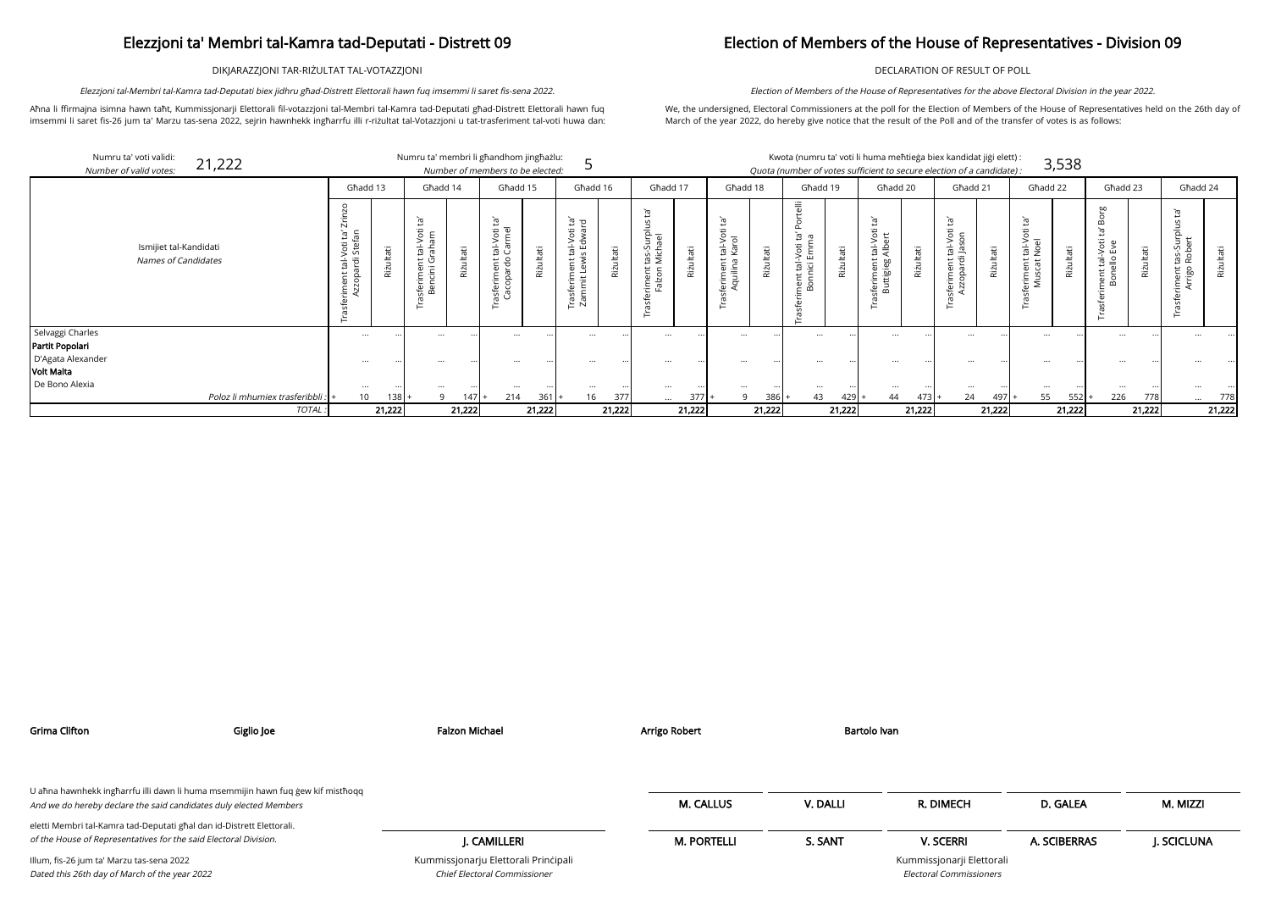DIKJARAZZJONI TAR-RIŻULTAT TAL-VOTAZZJONI

Aħna li ffirmajna isimna hawn taħt, Kummissjonarji Elettorali fil-votazzjoni tal-Membri tal-Kamra tad-Deputati għad-Distrett Elettorali hawn fuq imsemmi li saret fis-26 jum ta' Marzu tas-sena 2022, sejrin hawnhekk ingħarrfu illi r-riżultat tal-Votazzjoni u tat-trasferiment tal-voti huwa dan:

Elezzjoni tal-Membri tal-Kamra tad-Deputati biex jidhru għad-Distrett Elettorali hawn fuq imsemmi li saret fis-sena 2022.

## Election of Members of the House of Representatives - Division 09

DECLARATION OF RESULT OF POLL

We, the undersigned, Electoral Commissioners at the poll for the Election of Members of the House of Representatives held on the 26th day of March of the year 2022, do hereby give notice that the result of the Poll and of the transfer of votes is as follows:

Election of Members of the House of Representatives for the above Electoral Division in the year 2022.

|                           | Numru ta' voti validi:<br>21,222<br>Number of valid votes: |                                                                         |           | Numru ta' membri li għandhom jingħażlu:    |                       | Number of members to be elected:                       |           |                                                             |           |                                                         |           |                                                                                                                                  |            |                                                                   |             |                                                                                |           | Kwota (numru ta' voti li huma meħtieġa biex kandidat jiġi elett) :<br>Quota (number of votes sufficient to secure election of a candidate): |                     |                                                                              | 3,538     |                                                                          |           |                                             |           |
|---------------------------|------------------------------------------------------------|-------------------------------------------------------------------------|-----------|--------------------------------------------|-----------------------|--------------------------------------------------------|-----------|-------------------------------------------------------------|-----------|---------------------------------------------------------|-----------|----------------------------------------------------------------------------------------------------------------------------------|------------|-------------------------------------------------------------------|-------------|--------------------------------------------------------------------------------|-----------|---------------------------------------------------------------------------------------------------------------------------------------------|---------------------|------------------------------------------------------------------------------|-----------|--------------------------------------------------------------------------|-----------|---------------------------------------------|-----------|
|                           |                                                            | Għadd 13                                                                |           | Ghadd 14                                   |                       | Għadd 15                                               |           | Għadd 16                                                    |           | Għadd 17                                                |           | Ghadd 18                                                                                                                         |            | Għadd 19                                                          |             | Għadd 20                                                                       |           | Għadd 21                                                                                                                                    |                     | Ghadd 22                                                                     |           | Ghadd 23                                                                 |           | Ghadd 24                                    |           |
|                           | Ismijiet tal-Kandidati<br><b>Names of Candidates</b>       | $\overline{\mathsf{N}}$<br>ne o<br>öti<br>ى<br>$\overline{\phantom{a}}$ | Riżultati | ᄒ<br>$E$ $\Omega$<br>$\dot{=}$<br>로 등<br>മ | Φ<br>RίŻ              | Ĭā,<br>tal-Voti t<br>Carmel<br>asferiment<br>Cacopardo | Φ<br>Rizt | ं थे<br>Þ<br>il-Vot<br>Edwa<br>nent<br>Lewi<br>Tras<br>Zarr | Riżultati | ঁত<br>n<br>tas-Surplus<br>Michael<br>riment<br>Falzon I | Riżultati | Σî,<br>öÜ<br>$\overline{\circ}$<br>⋗<br>$\frac{1}{2}$<br><u>Ş</u><br>$\overline{\phantom{0}}$<br>ത<br>nem<br>wilip<br>'⊏ ਰਾ<br>ு | άİ<br>Riżu | $\frac{1}{a}$<br>'n,<br>ത<br>-Voti<br>Emm<br>ment tal-<br>Bonnici | āťi<br>Rizu | Ĕ,<br>Voti<br>ert<br>$\frac{1}{4}$ $\frac{1}{4}$<br>;feriment 1<br>Buttigieg , | Riżultati | Ĭā<br>Voti<br>SO<br>$\frac{1}{18}$<br>ē<br>$\overline{\phantom{0}}$<br>g<br>Q<br>Φ<br>$\frac{1}{2}$ $\frac{1}{2}$<br>$\mathbf{\Phi}$        | Riżultati           | Ĭā<br>$\Omega$<br>$\frac{1-\gamma}{\gamma}$<br>nent<br>scat<br>$\frac{1}{2}$ | Riżultati | $\omega$<br>Bo<br>Ĭā,<br>ment tal-Voti 1<br>Bonello Eve<br>$\sigma$<br>H | Riżultati | Įą,<br>를<br>riment tas-Sur<br>Arrigo Robert | Riżultati |
| vaggi Charles             |                                                            | $\cdots$                                                                |           | $\cdots$                                   |                       | $\cdots$                                               |           | $\cdots$                                                    |           | $\cdots$                                                |           | $\cdots$                                                                                                                         |            | $\cdots$                                                          |             | $\ddotsc$                                                                      |           | $\cdots$                                                                                                                                    | $\cdots$            |                                                                              |           | $\cdots$                                                                 |           | $\cdots$                                    |           |
| tit Popolari              |                                                            |                                                                         |           |                                            |                       |                                                        |           |                                                             |           |                                                         |           |                                                                                                                                  |            |                                                                   |             |                                                                                |           |                                                                                                                                             |                     |                                                                              |           |                                                                          |           |                                             |           |
| gata Alexander<br>: Malta |                                                            | $\cdots$                                                                |           | $\cdots$                                   |                       | $\cdots$                                               |           |                                                             |           | $\cdots$                                                |           | $\cdots$                                                                                                                         |            | $\cdots$                                                          |             |                                                                                |           |                                                                                                                                             |                     | $\cdots$                                                                     |           | $\cdots$                                                                 |           |                                             |           |
| Bono Alexia               |                                                            |                                                                         |           |                                            |                       |                                                        |           |                                                             |           |                                                         |           |                                                                                                                                  |            |                                                                   |             |                                                                                |           |                                                                                                                                             |                     |                                                                              |           |                                                                          |           |                                             |           |
|                           | Poloz li mhumiex trasferibbli : +                          | <br>10                                                                  | $138 +$   | $\cdots$                                   | .<br>147 <sup>1</sup> | $\cdots$<br>214                                        | $361 +$   | 16                                                          | 377       | $\cdots$<br>$\cdots$                                    | 377       | 9                                                                                                                                | 386        | <br>43                                                            | 429         | 44                                                                             | $473+$    | 24                                                                                                                                          | $\cdots$<br>$497 +$ | $\cdots$<br>55                                                               | $552$ .   | $\cdots$<br>226                                                          | 778       | $\cdots$                                    | 778       |
|                           | TOTAL.                                                     |                                                                         | 21,222    |                                            | 21,222                |                                                        | 21,222    |                                                             | 21,222    |                                                         | 21,222    |                                                                                                                                  | 21,222     |                                                                   | 21,222      |                                                                                | 21,222    |                                                                                                                                             | 21,222              |                                                                              | 21,222    |                                                                          | 21,222    |                                             | 21,222    |

|                                      |                                                      | Għadd 13                                                                    |           | Ghadd 14                                                                                                                                  |           | Ghadd 15                                                            |               | Ghadd 16                                                                          |           | Ghadd 17                                                                          |              | Ghadd 18                                    |               | Għadd 19                                              |           | Ghadd 20                                                        |            | Ghadd 21                                            |               | Ghadd 22                                                      |           | Ghadd 23                                      |               | Għadd 24                       |           |
|--------------------------------------|------------------------------------------------------|-----------------------------------------------------------------------------|-----------|-------------------------------------------------------------------------------------------------------------------------------------------|-----------|---------------------------------------------------------------------|---------------|-----------------------------------------------------------------------------------|-----------|-----------------------------------------------------------------------------------|--------------|---------------------------------------------|---------------|-------------------------------------------------------|-----------|-----------------------------------------------------------------|------------|-----------------------------------------------------|---------------|---------------------------------------------------------------|-----------|-----------------------------------------------|---------------|--------------------------------|-----------|
|                                      | Ismijiet tal-Kandidati<br><b>Names of Candidates</b> | $\overline{\phantom{0}}$<br>tal-Voti ta'<br>ardi Stefan<br>riment<br>Azzopa | Riżultati | Ĭa'<br>$\overline{5}$ $\overline{E}$<br>ത<br>하 한<br>⊭ ত<br>$=$<br>도 - 큰<br>ءَ ت<br>$\overline{\mathsf{v}}$ $\overline{\mathsf{v}}$<br>ه ﷺ | θĖ<br>Riz | Ĭā,<br>ti<br>nel<br>ි ලි<br>ප<br>ent<br>rdo<br>$-\bar{\varpi}$<br>௨ | Itati<br>Riżu | <del>ס</del> פּ<br>tal-Voti<br>is Edwar<br>Ë<br>ω<br>ت م<br>Trasferim<br>Zammit l | Riżultati | ᠊ᢆᠭᡆ<br>$\mathsf{S}$<br>혼교<br>tas-><br>Mich<br><b>← ←</b><br>5 a<br>$\frac{1}{6}$ | θĖ<br>Riz    | ъ<br>tal-Voi<br>Karol<br>൹<br>nijn<br>Vilin | Itati<br>Riżu | telli<br>ត ថ<br>-Voti<br>Emm<br>ं हैं<br>nent<br>Bonn | Riżultati | Ĭa'<br>$\overline{5}$ t<br>d a<br>Fa<br>tigieg<br>Φ<br>$\infty$ | θĖ<br>Rizu | Φ<br>$\circ$<br>nt tal-Vo<br>di Jasor<br>nen<br>par | ltati<br>Riżu | $\tilde{E}$<br>tal-Voti<br>Noel<br>ent<br>ಕ<br>erime<br>Musca | Riżultati | 5<br>്ധ<br>$\circ$<br>ய<br>$rac{Q}{d}$<br>ngg | āťi<br>Riżult | tas-Sui<br>Rober<br>ent<br>igo | Riżultati |
| Selvaggi Charles                     |                                                      | $\cdots$                                                                    | $\cdots$  | $\cdots$                                                                                                                                  |           | $\cdots$                                                            |               | $\cdots$                                                                          |           | $\cdots$                                                                          |              | $\cdots$                                    |               | $\cdots$                                              |           | $\cdots$                                                        |            | $\cdots$                                            |               | $\cdots$                                                      |           | $\cdots$                                      |               |                                |           |
| Partit Popolari<br>D'Agata Alexander |                                                      |                                                                             |           |                                                                                                                                           |           |                                                                     |               |                                                                                   |           |                                                                                   |              |                                             |               |                                                       |           |                                                                 |            |                                                     |               |                                                               |           |                                               |               |                                |           |
| Volt Malta                           |                                                      |                                                                             |           | $\cdots$                                                                                                                                  |           |                                                                     |               | $\cdots$                                                                          |           | $\cdots$                                                                          |              |                                             |               | $\cdots$                                              |           | $\cdots$                                                        |            |                                                     |               |                                                               |           |                                               |               |                                |           |
| De Bono Alexia                       |                                                      |                                                                             | $\cdots$  | $\cdots$                                                                                                                                  |           | $\cdots$                                                            |               | $\cdots$                                                                          |           | $\cdots$                                                                          |              |                                             |               | $\cdots$                                              |           | $\cdots$                                                        |            |                                                     |               | $\cdots$                                                      |           | $\cdots$                                      |               |                                |           |
|                                      | Poloz li mhumiex trasferibbli : +                    | 10                                                                          | $138 +$   | 9                                                                                                                                         | 147       | 214                                                                 | $361 +$       | 16                                                                                | 377       | $\cdots$                                                                          | 377 <b>1</b> | a                                           | $386 +$       | 43                                                    | $429$ +   | 44                                                              | $473+$     | 24                                                  | $497 +$       | 55                                                            | 552       | 226                                           | 778           |                                | 778       |
|                                      | TOTAL:                                               |                                                                             | 21,222    |                                                                                                                                           | 21,222    |                                                                     | 21,222        |                                                                                   | 21,222    |                                                                                   | 21,222       |                                             | 21,222        |                                                       | 21,222    |                                                                 | 21,222     |                                                     | 21,222        |                                                               | 21,222    |                                               | 21,222        |                                | 21,222    |

| Grima Clifton                                                                                                                                        | Giglio Joe | <b>Falzon Michael</b>                                                | Arrigo Robert      | Bartolo Ivan |                                                             |              |            |
|------------------------------------------------------------------------------------------------------------------------------------------------------|------------|----------------------------------------------------------------------|--------------------|--------------|-------------------------------------------------------------|--------------|------------|
| U aħna hawnhekk ingħarrfu illi dawn li huma msemmijin hawn fuq ġew kif mistħoqq<br>And we do hereby declare the said candidates duly elected Members |            |                                                                      | <b>M. CALLUS</b>   | V. DALLI     | R. DIMECH                                                   | D. GALEA     | M. MIZZI   |
| eletti Membri tal-Kamra tad-Deputati għal dan id-Distrett Elettorali.<br>of the House of Representatives for the said Electoral Division.            |            | J. CAMILLERI                                                         | <b>M. PORTELLI</b> | S. SANT      | <b>V. SCERRI</b>                                            | A. SCIBERRAS | J. SCICLUN |
| Illum, fis-26 jum ta' Marzu tas-sena 2022<br>Dated this 26th day of March of the year 2022                                                           |            | Kummissjonarju Elettorali Principali<br>Chief Electoral Commissioner |                    |              | Kummissjonarji Elettorali<br><b>Electoral Commissioners</b> |              |            |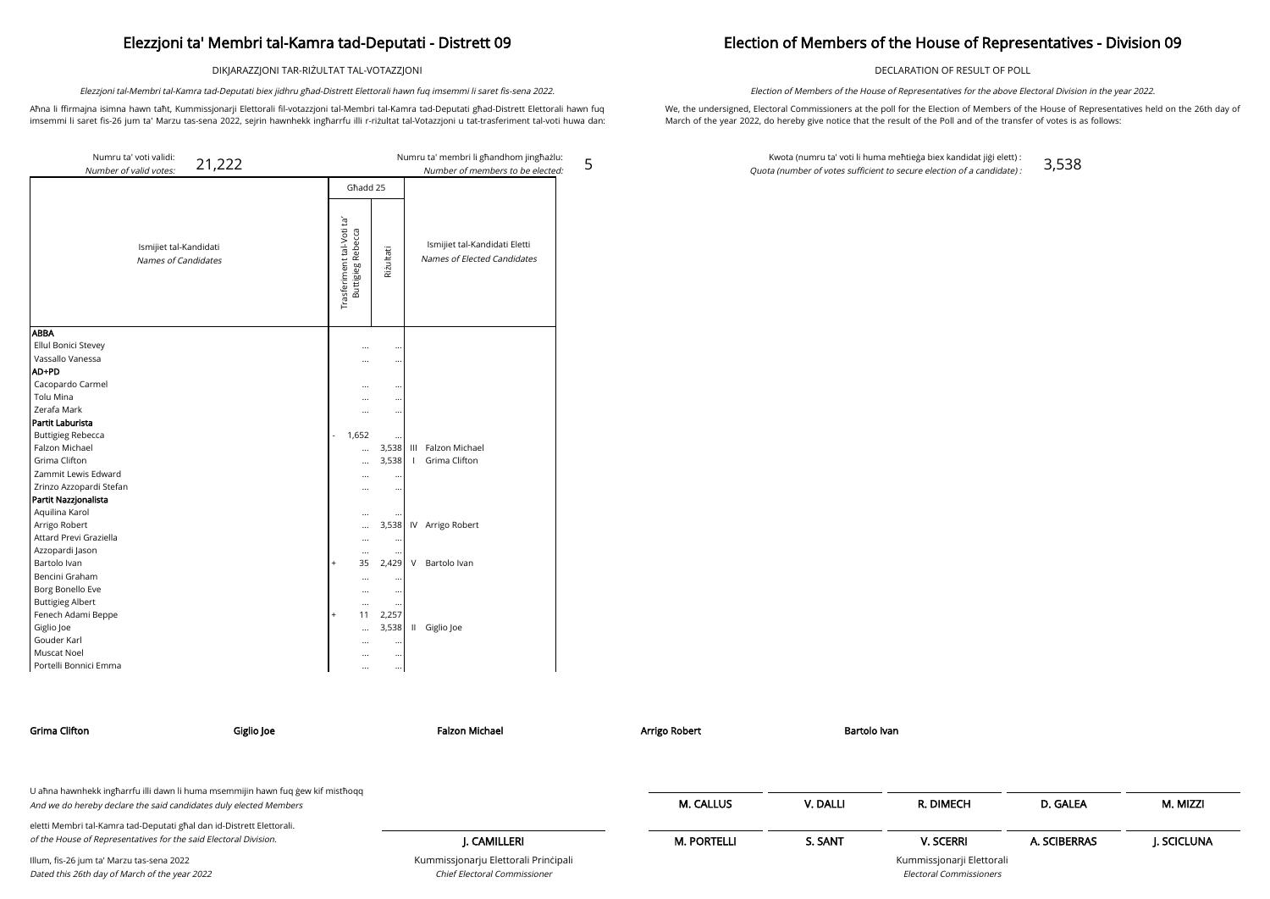DIKJARAZZJONI TAR-RIŻULTAT TAL-VOTAZZJONI

Aħna li ffirmajna isimna hawn taħt, Kummissjonarji Elettorali fil-votazzjoni tal-Membri tal-Kamra tad-Deputati għad-Distrett Elettorali hawn fuq imsemmi li saret fis-26 jum ta' Marzu tas-sena 2022, sejrin hawnhekk ingħarrfu illi r-riżultat tal-Votazzjoni u tat-trasferiment tal-voti huwa dan:

Elezzjoni tal-Membri tal-Kamra tad-Deputati biex jidhru għad-Distrett Elettorali hawn fuq imsemmi li saret fis-sena 2022.

5

### Election of Members of the House of Representatives - Division 09

DECLARATION OF RESULT OF POLL

We, the undersigned, Electoral Commissioners at the poll for the Election of Members of the House of Representatives held on the 26th day of March of the year 2022, do hereby give notice that the result of the Poll and of the transfer of votes is as follows:

Election of Members of the House of Representatives for the above Electoral Division in the year 2022.

Kwota (numru ta' voti li huma meħtieġa biex kandidat jiġi elett) : Quota (number of votes sufficient to secure election of a candidate) : 3,538

| Numru ta' voti validi:                                 |           |                                                |               |               | Numru ta' membri li għandhom jingħażlu:                      |
|--------------------------------------------------------|-----------|------------------------------------------------|---------------|---------------|--------------------------------------------------------------|
| 21,222<br>Number of valid votes:                       |           |                                                |               |               | Number of members to be elected:                             |
|                                                        | Għadd 25  |                                                |               |               |                                                              |
| Ismijiet tal-Kandidati<br>Names of Candidates          |           | Trasferiment tal-Voti ta'<br>Buttigieg Rebecca | Riżultati     |               | Ismijiet tal-Kandidati Eletti<br>Names of Elected Candidates |
| <b>ABBA</b><br>Ellul Bonici Stevey<br>Vassallo Vanessa |           | <br>                                           | $\ddotsc$<br> |               |                                                              |
| AD+PD                                                  |           |                                                |               |               |                                                              |
| Cacopardo Carmel                                       |           |                                                | $\ddotsc$     |               |                                                              |
| Tolu Mina                                              |           |                                                |               |               |                                                              |
| Zerafa Mark                                            |           |                                                |               |               |                                                              |
| Partit Laburista                                       |           |                                                |               |               |                                                              |
| <b>Buttigieg Rebecca</b>                               | L.        | 1,652                                          | $\ddotsc$     |               |                                                              |
| Falzon Michael                                         |           |                                                | 3,538         |               | III Falzon Michael                                           |
| Grima Clifton                                          |           | $\cdots$                                       | 3,538         | $\mathbf{L}$  | Grima Clifton                                                |
| Zammit Lewis Edward                                    |           |                                                |               |               |                                                              |
| Zrinzo Azzopardi Stefan                                |           |                                                |               |               |                                                              |
| Partit Nazzjonalista                                   |           |                                                |               |               |                                                              |
| Aquilina Karol                                         |           |                                                |               |               |                                                              |
| Arrigo Robert                                          |           |                                                | 3,538         |               | IV Arrigo Robert                                             |
| Attard Previ Graziella                                 |           | $\cdots$                                       | $\cdots$      |               |                                                              |
| Azzopardi Jason                                        |           | $\cdots$                                       |               |               |                                                              |
| Bartolo Ivan                                           | $\ddot{}$ | 35                                             | 2,429         | V             | Bartolo Ivan                                                 |
| Bencini Graham                                         |           |                                                |               |               |                                                              |
| Borg Bonello Eve                                       |           |                                                | $\ddotsc$     |               |                                                              |
| <b>Buttigieg Albert</b>                                |           |                                                |               |               |                                                              |
| Fenech Adami Beppe                                     | $^{+}$    | 11                                             | 2,257         |               |                                                              |
| Giglio Joe                                             |           | $\cdots$                                       | 3,538         | $\mathbf{II}$ | Giglio Joe                                                   |
| Gouder Karl                                            |           |                                                | $\ddotsc$     |               |                                                              |
| Muscat Noel                                            |           |                                                | $\ddotsc$     |               |                                                              |
| Portelli Bonnici Emma                                  |           |                                                | $\cdots$      |               |                                                              |

| Grima Clifton                                                                                                                                        | Giglio Joe | Falzon Michael                                                       | Arrigo Robert      | Bartolo Ivan |                                                      |              |            |
|------------------------------------------------------------------------------------------------------------------------------------------------------|------------|----------------------------------------------------------------------|--------------------|--------------|------------------------------------------------------|--------------|------------|
| U ahna hawnhekk ingharrfu illi dawn li huma msemmijin hawn fuq gew kif misthoqq<br>And we do hereby declare the said candidates duly elected Members |            |                                                                      | <b>M. CALLUS</b>   | V. DALLI     | R. DIMECH                                            | D. GALEA     | M. MIZZI   |
| eletti Membri tal-Kamra tad-Deputati għal dan id-Distrett Elettorali.                                                                                |            |                                                                      |                    |              |                                                      |              |            |
| of the House of Representatives for the said Electoral Division.                                                                                     |            | I. CAMILLERI                                                         | <b>M. PORTELLI</b> | S. SANT      | <b>V. SCERRI</b>                                     | A. SCIBERRAS | J. SCICLUN |
| Illum, fis-26 jum ta' Marzu tas-sena 2022<br>Dated this 26th day of March of the year 2022                                                           |            | Kummissjonarju Elettorali Principali<br>Chief Electoral Commissioner |                    |              | Kummissjonarji Elettorali<br>Electoral Commissioners |              |            |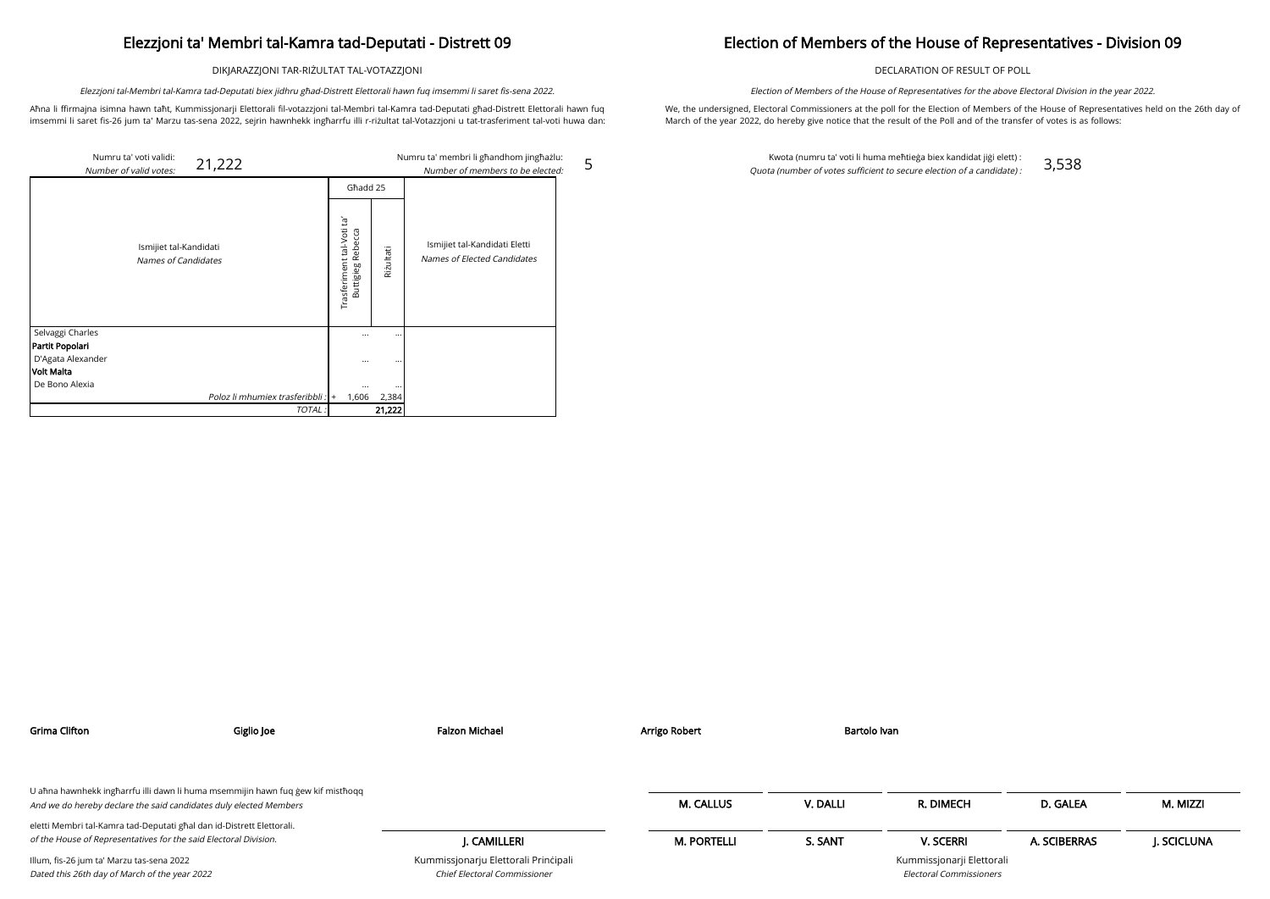DIKJARAZZJONI TAR-RIŻULTAT TAL-VOTAZZJONI

Aħna li ffirmajna isimna hawn taħt, Kummissjonarji Elettorali fil-votazzjoni tal-Membri tal-Kamra tad-Deputati għad-Distrett Elettorali hawn fuq imsemmi li saret fis-26 jum ta' Marzu tas-sena 2022, sejrin hawnhekk ingħarrfu illi r-riżultat tal-Votazzjoni u tat-trasferiment tal-voti huwa dan:

Elezzjoni tal-Membri tal-Kamra tad-Deputati biex jidhru għad-Distrett Elettorali hawn fuq imsemmi li saret fis-sena 2022.

5

## Election of Members of the House of Representatives - Division 09

DECLARATION OF RESULT OF POLL

We, the undersigned, Electoral Commissioners at the poll for the Election of Members of the House of Representatives held on the 26th day of March of the year 2022, do hereby give notice that the result of the Poll and of the transfer of votes is as follows:

|                                      | Numru ta' voti validi:<br>21,222<br>Number of valid votes: |                                                            |                      | Numru ta' membri li ghandhom jinghazlu:<br>Number of members to be elected: |
|--------------------------------------|------------------------------------------------------------|------------------------------------------------------------|----------------------|-----------------------------------------------------------------------------|
|                                      |                                                            | Ghadd 25                                                   |                      |                                                                             |
|                                      | Ismijiet tal-Kandidati<br>Names of Candidates              | Ĕ,<br>Trasferiment tal-Voti<br>Rebecca<br><b>Buttigleg</b> | Rizultati            | Ismijiet tal-Kandidati Eletti<br>Names of Elected Candidates                |
| Selvaggi Charles                     |                                                            | $\cdots$                                                   | $\ddotsc$            |                                                                             |
| Partit Popolari<br>D'Agata Alexander |                                                            | $\cdots$                                                   | $\ddot{\phantom{0}}$ |                                                                             |
| Volt Malta                           |                                                            |                                                            |                      |                                                                             |
| De Bono Alexia                       |                                                            | $\cdots$                                                   | $\ddot{\phantom{0}}$ |                                                                             |
|                                      | Poloz li mhumiex trasferibbli : +                          | 1,606                                                      | 2,384                |                                                                             |
|                                      | TOTAL:                                                     |                                                            | 21,222               |                                                                             |

Election of Members of the House of Representatives for the above Electoral Division in the year 2022.

Kwota (numru ta' voti li huma meħtieġa biex kandidat jiġi elett) : Quota (number of votes sufficient to secure election of a candidate) : 3,538

| <b>Grima Clifton</b>                                                                                                                                 | Giglio Joe | <b>Falzon Michael</b>                                                       | Arrigo Robert      | Bartolo Ivan |                                                             |              |            |
|------------------------------------------------------------------------------------------------------------------------------------------------------|------------|-----------------------------------------------------------------------------|--------------------|--------------|-------------------------------------------------------------|--------------|------------|
|                                                                                                                                                      |            |                                                                             |                    |              |                                                             |              |            |
| U aħna hawnhekk ingħarrfu illi dawn li huma msemmijin hawn fuq gew kif mistħoqq<br>And we do hereby declare the said candidates duly elected Members |            |                                                                             | <b>M. CALLUS</b>   | V. DALLI     | R. DIMECH                                                   | D. GALEA     | M. MIZZI   |
| eletti Membri tal-Kamra tad-Deputati għal dan id-Distrett Elettorali.                                                                                |            |                                                                             |                    |              |                                                             |              |            |
| of the House of Representatives for the said Electoral Division.                                                                                     |            | J. CAMILLERI                                                                | <b>M. PORTELLI</b> | S. SANT      | <b>V. SCERRI</b>                                            | A. SCIBERRAS | J. SCICLUN |
| Illum, fis-26 jum ta' Marzu tas-sena 2022<br>Dated this 26th day of March of the year 2022                                                           |            | Kummissjonarju Elettorali Principali<br><b>Chief Electoral Commissioner</b> |                    |              | Kummissjonarji Elettorali<br><b>Electoral Commissioners</b> |              |            |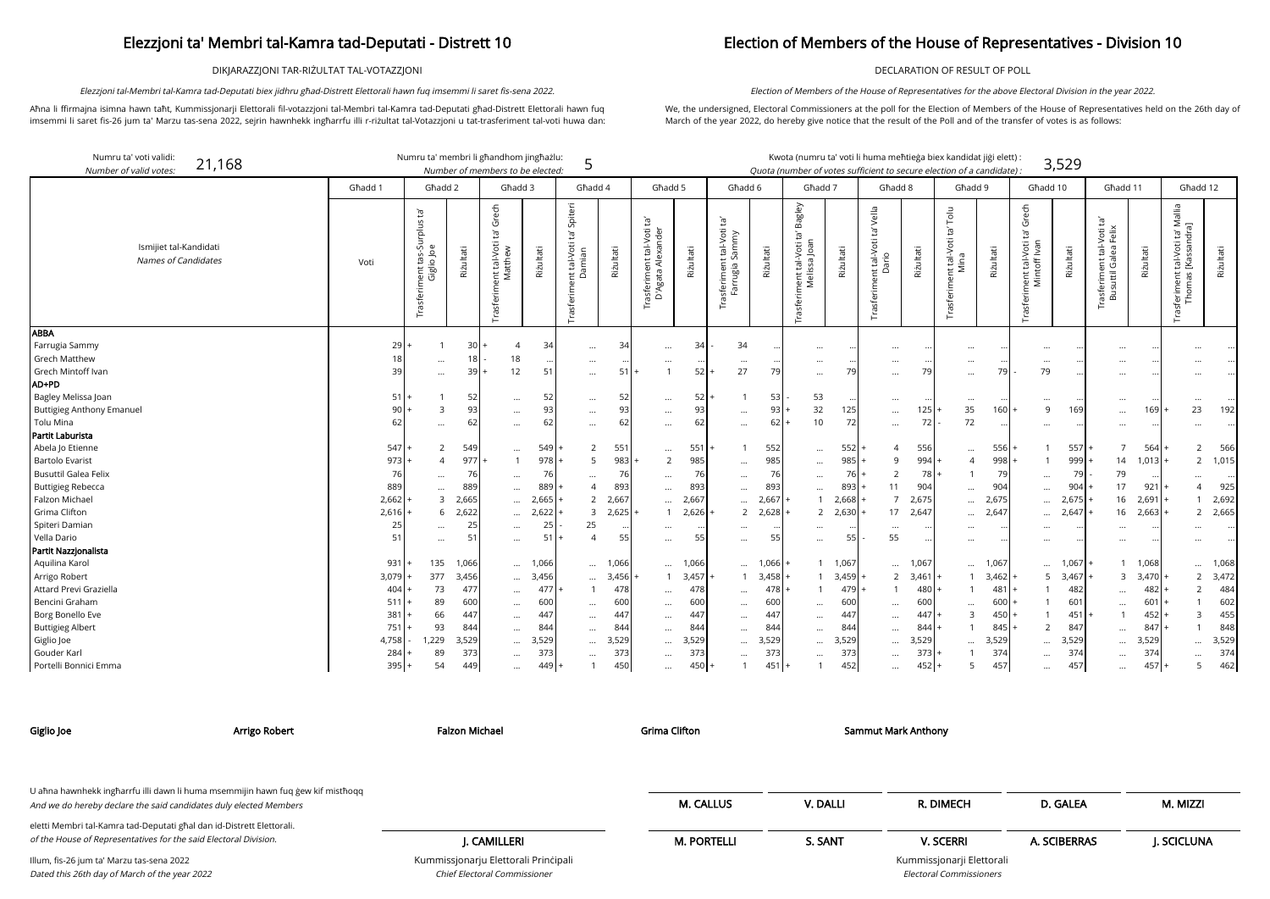DIKJARAZZJONI TAR-RIŻULTAT TAL-VOTAZZJONI

Aħna li ffirmajna isimna hawn taħt, Kummissjonarji Elettorali fil-votazzjoni tal-Membri tal-Kamra tad-Deputati għad-Distrett Elettorali hawn fuq imsemmi li saret fis-26 jum ta' Marzu tas-sena 2022, sejrin hawnhekk ingħarrfu illi r-riżultat tal-Votazzjoni u tat-trasferiment tal-voti huwa dan:

Elezzjoni tal-Membri tal-Kamra tad-Deputati biex jidhru għad-Distrett Elettorali hawn fuq imsemmi li saret fis-sena 2022.

### Election of Members of the House of Representatives - Division 10

DECLARATION OF RESULT OF POLL

We, the undersigned, Electoral Commissioners at the poll for the Election of Members of the House of Representatives held on the 26th day of March of the year 2022, do hereby give notice that the result of the Poll and of the transfer of votes is as follows:

Election of Members of the House of Representatives for the above Electoral Division in the year 2022.

arji Elettorali Electoral Commissioners

| Numru ta' voti validi:<br>21,168<br>Number of valid votes.                                                                                                                                               |                                                                     | Numru ta' membri li għandhom jingħażlu:                                       |                                                                   | Number of members to be elected:                                                                  |                                                                   | 5                                                                    |                                                                   |                                                                                      |                                                                   |                                                                                                    |                                                                   | Kwota (numru ta' voti li huma meħtieġa biex kandidat jiġi elett) :<br>Quota (number of votes sufficient to secure election of a candidate) . |                                                                  |                                                                                                    |                                                                       |                                                                                        |                                                                   |                                                                                      | 3,529                                                             |                                                                                              |                                                                                   |                                                                                   |                                                                   |
|----------------------------------------------------------------------------------------------------------------------------------------------------------------------------------------------------------|---------------------------------------------------------------------|-------------------------------------------------------------------------------|-------------------------------------------------------------------|---------------------------------------------------------------------------------------------------|-------------------------------------------------------------------|----------------------------------------------------------------------|-------------------------------------------------------------------|--------------------------------------------------------------------------------------|-------------------------------------------------------------------|----------------------------------------------------------------------------------------------------|-------------------------------------------------------------------|----------------------------------------------------------------------------------------------------------------------------------------------|------------------------------------------------------------------|----------------------------------------------------------------------------------------------------|-----------------------------------------------------------------------|----------------------------------------------------------------------------------------|-------------------------------------------------------------------|--------------------------------------------------------------------------------------|-------------------------------------------------------------------|----------------------------------------------------------------------------------------------|-----------------------------------------------------------------------------------|-----------------------------------------------------------------------------------|-------------------------------------------------------------------|
|                                                                                                                                                                                                          | Għadd 1                                                             | Għadd 2                                                                       |                                                                   | Ghadd 3                                                                                           |                                                                   | Ghadd 4                                                              |                                                                   | Ghadd 5                                                                              |                                                                   | Ghadd 6                                                                                            |                                                                   | Ghadd 7                                                                                                                                      |                                                                  | Ghadd 8                                                                                            |                                                                       | Għadd 9                                                                                |                                                                   | Għadd 10                                                                             |                                                                   | Ghadd 11                                                                                     |                                                                                   | Ghadd 12                                                                          |                                                                   |
| Ismijiet tal-Kandidati<br>Names of Candidates                                                                                                                                                            | Voti                                                                | $\mathbf{E}^{\prime}$<br>tas-Surplus<br>Giglio Joe<br>Trasferiment            | Riżultati                                                         | Grech<br>ά<br>int tal-Voti<br>Matthew                                                             | Riżultati                                                         | Spiteri<br>ρŕ<br>nt tal-Voti<br>Damian<br>Trasferim                  | Riżultati                                                         | Trasferiment tal-Voti ta'<br>D'Agata Alexander<br>Agata                              | Riżultati                                                         | ē,<br>tal-Voti<br>ammy<br>Sarr<br>asferiment<br>Farrugia S<br>σ,                                   | Rizultati                                                         | Bagley<br>$\mathbb{E}^{\mathsf{I}}$<br>ment tal-Voti ta<br>Melissa Joan<br>Trasferir                                                         | Riżultati                                                        | Vella<br>$\mathbf{E}$<br>Trasferiment tal-Voti<br>Dario                                            | Rizultati                                                             | Tolu<br>ent tal-Voti ta' <sup>-</sup><br>Mina<br>Trasferim                             | Riżultati                                                         | Grech<br>$\Xi$<br>Trasferiment tal-Voti                                              | Riżultati                                                         | $\tilde{E}$<br>tal-Voti t<br>lea Felix<br><sup>-</sup> rasferiment tal-\<br>Busuttil Galea I | Rizultati                                                                         | ta' Mallia<br>ndra]<br>tal-Voti<br>[Kassan<br>$\overline{c}$<br>δp<br>ferime<br>홉 | Riżultati                                                         |
| ABBA<br>Farrugia Sammy<br><b>Grech Matthew</b><br>Grech Mintoff Ivan<br>AD+PD<br>Bagley Melissa Joan<br><b>Buttigieg Anthony Emanuel</b>                                                                 | 29<br>18<br>39<br>51<br>90                                          | $\mathbf{1}$<br>$\cdots$<br>$\cdots$<br>3                                     | 30 <sup>1</sup><br>18 <br>39<br>52<br>93                          | $\Delta$<br>18<br>12<br>$\ddots$<br>$\cdots$                                                      | 34<br>$\ddotsc$<br>51<br>52<br>93                                 | $\ddots$<br>$\cdots$<br>$\cdots$<br>$\cdots$<br>$\cdots$             | 34<br>51<br>52<br>93                                              | $\cdots$<br><br>$\cdots$<br>$\cdots$                                                 | 34<br>52<br>52<br>93                                              | 34<br>$\ddots$<br>27<br>$\cdots$                                                                   | 79<br>53<br>93                                                    | $\cdots$<br>$\cdots$<br>$\cdots$<br>53<br>32                                                                                                 | 79<br>125                                                        | $\cdots$<br>$\cdots$<br>$\cdots$<br>$\cdots$<br>$\cdots$                                           | 79<br>125                                                             | $\cdots$<br>$\cdots$<br>$\cdots$<br>35                                                 | $\ddotsc$<br>79<br>160                                            | $\cdots$<br>$\cdots$<br>79<br>$\cdots$<br>9                                          | 169                                                               | $\ddotsc$<br>$\ddotsc$<br>$\cdots$<br>$\cdots$<br>$\cdots$                                   | $\cdot \cdot$<br>169                                                              | 23                                                                                | 192                                                               |
| Tolu Mina<br>Partit Laburista                                                                                                                                                                            | 62                                                                  | $\cdots$                                                                      | 62                                                                | $\ddots$                                                                                          | 62                                                                | $\cdots$                                                             | 62                                                                | $\cdots$                                                                             | 62                                                                | $\ddotsc$                                                                                          | 62                                                                | 10                                                                                                                                           | 72                                                               | $\cdots$                                                                                           | 72                                                                    | 72                                                                                     |                                                                   | $\cdots$                                                                             |                                                                   | $\cdots$                                                                                     |                                                                                   |                                                                                   |                                                                   |
| Abela Jo Etienne<br><b>Bartolo Evarist</b><br><b>Busuttil Galea Felix</b><br><b>Buttigieg Rebecca</b><br>Falzon Michael<br>Grima Clifton<br>Spiteri Damian<br>Vella Dario                                | 547<br>973<br>76<br>889<br>2,662<br>2,616<br>25<br>51               | 2<br>$\overline{4}$<br>$\cdots$<br>$\cdots$<br>3<br>6<br>$\cdots$<br>$\cdots$ | 549<br>977<br>76<br>889<br>2,665<br>2,622<br>25<br>51             | $\cdots$<br>$\mathbf{1}$<br>$\cdots$<br>$\cdots$<br>$\ddotsc$<br>$\cdots$<br>$\cdots$<br>$\cdots$ | 549<br>978<br>76<br>889<br>2,665<br>2,622<br>25<br>51             | 2<br>5<br>4<br>2<br>3<br>25<br>4                                     | 551<br>983<br>76<br>893<br>2,667<br>2,625<br>5!                   | $\cdots$<br>2<br>$\ldots$<br>$\cdots$<br>$\cdots$<br>$\cdots$<br>$\cdots$            | 551<br>985<br>76<br>893<br>2,667<br>2,626<br>$\ddots$<br>55       | $\ddotsc$<br>$\ddotsc$<br>$\cdots$<br>$\cdots$<br>$\overline{2}$<br>$\ddotsc$<br>$\cdots$          | 552<br>985<br>76<br>893<br>2,667<br>2,628<br>$\cdot \cdot$<br>55  | $\cdots$<br>$\cdots$<br>$\ldots$<br>$\cdots$<br>$\overline{2}$<br>$\cdots$<br>$\cdots$                                                       | 552<br>985<br>76<br>893<br>2,668<br>2,630<br>55                  | 9<br>$\overline{2}$<br>11<br>$\overline{7}$<br>17<br>$\cdots$<br>55                                | 556<br>994<br>78<br>904<br>2,675<br>2,647                             | $\cdots$<br>$\overline{4}$<br>$\cdots$<br>$\cdots$<br>$\cdots$<br>$\cdots$<br>$\cdots$ | 556<br>998<br>79<br>904<br>2,675<br>2,647<br>$\bullet\bullet$     | $\mathbf{1}$<br>$\cdots$<br>$\cdots$<br>$\cdots$<br>$\cdots$<br>$\cdots$<br>$\cdots$ | 557<br>999<br>79<br>904<br>2,675<br>2,647<br>$\cdots$             | $\overline{7}$<br>14<br>79<br>17<br>16<br>16<br>$\cdots$<br>$\cdots$                         | 564<br>1,013<br>921<br>$2,691$ +<br>2,663<br>$\cdots$<br>$\cdot \cdot$            | $\overline{2}$<br>$\overline{2}$<br>4<br>$\overline{2}$                           | 566<br>1,015<br>925<br>2,692<br>2,665                             |
| Partit Nazzjonalista<br>Aquilina Karol<br>Arrigo Robert<br>Attard Previ Graziella<br>Bencini Graham<br>Borg Bonello Eve<br><b>Buttigieg Albert</b><br>Giglio Joe<br>Gouder Karl<br>Portelli Bonnici Emma | 931<br>3,079<br>404<br>511<br>381<br>751<br>4,758<br>284<br>$395 +$ | 135<br>377<br>73<br>89<br>66<br>93<br>1,229<br>89<br>54                       | 1,066<br>3,456<br>477<br>600<br>447<br>844<br>3,529<br>373<br>449 | $\cdots$<br>$\cdots$<br><br>$\cdots$<br>$\cdots$<br><br>$\cdots$<br>$\cdots$<br>$\cdots$          | 1,066<br>3,456<br>477<br>60C<br>447<br>844<br>3,529<br>373<br>449 | $\cdots$<br>$\cdots$<br>$\cdots$<br>$\cdots$<br>$\cdots$<br>$\cdots$ | 1,066<br>3,456<br>478<br>600<br>447<br>844<br>3,529<br>373<br>450 | $\cdots$<br>$\cdots$<br>$\cdots$<br><br>$\cdots$<br>$\cdots$<br>$\cdots$<br>$\cdots$ | 1,066<br>3,457<br>478<br>60C<br>447<br>844<br>3,529<br>373<br>450 | <br>$\mathbf{1}$<br>$\cdots$<br>$\cdots$<br>$\cdots$<br>$\cdots$<br><br>$\cdots$<br>$\overline{1}$ | 1,066<br>3,458<br>478<br>600<br>447<br>844<br>3,529<br>373<br>451 | $\cdots$<br>$\cdots$<br>$\cdots$<br>$\cdots$<br>$\cdots$                                                                                     | 1,067<br>3,459<br>479<br>600<br>44<br>844<br>3,529<br>373<br>452 | $\cdots$<br>$\overline{2}$<br>$\cdots$<br>$\cdots$<br>$\cdots$<br>$\cdots$<br>$\cdots$<br>$\cdots$ | 1,067<br>3,461<br>480<br>600<br>447<br>844<br>3,529<br>373<br>$452 +$ | $\cdots$<br>$\cdots$<br>$\mathbf{B}$<br>5                                              | 1,067<br>3,462<br>481<br>600<br>450<br>845<br>3,529<br>374<br>457 | <br>5<br>2<br>$\cdots$<br>$\cdots$<br>$\cdots$                                       | 1,067<br>3,467<br>482<br>601<br>451<br>847<br>3,529<br>374<br>457 | 3<br>$\cdots$<br>$\cdots$<br>$\ddotsc$<br>$\cdots$<br>.<br>$\cdots$                          | 1,068<br>$3,470$ -<br>$482 +$<br>$601$ +<br>452<br>847<br>3,529<br>374<br>$457$ + | $2^{\circ}$<br>$\overline{2}$<br>3<br>5                                           | 1,068<br>3,472<br>484<br>602<br>455<br>848<br>3,529<br>374<br>462 |

| Giglio Joe                                                                                                                                           | Arrigo Robert | <b>Falzon Michael</b>                | <b>Grima Clifton</b> |          | <b>Sammut Mark Anthony</b>     |              |            |
|------------------------------------------------------------------------------------------------------------------------------------------------------|---------------|--------------------------------------|----------------------|----------|--------------------------------|--------------|------------|
| U ahna hawnhekk ingharrfu illi dawn li huma msemmijin hawn fuq gew kif misthoqq<br>And we do hereby declare the said candidates duly elected Members |               |                                      | <b>M. CALLUS</b>     | V. DALLI | R. DIMECH                      | D. GALEA     | M. MIZZI   |
|                                                                                                                                                      |               |                                      |                      |          |                                |              |            |
| eletti Membri tal-Kamra tad-Deputati għal dan id-Distrett Elettorali.                                                                                |               |                                      |                      |          |                                |              |            |
| of the House of Representatives for the said Electoral Division.                                                                                     |               | I. CAMILLERI                         | <b>M. PORTELLI</b>   | S. SANT  | <b>V. SCERRI</b>               | A. SCIBERRAS | J. SCICLUN |
| Illum, fis-26 jum ta' Marzu tas-sena 2022                                                                                                            |               | Kummissjonarju Elettorali Principali |                      |          | Kummissjonarji Elettorali      |              |            |
| Dated this 26th day of March of the year 2022                                                                                                        |               | Chief Electoral Commissioner         |                      |          | <b>Electoral Commissioners</b> |              |            |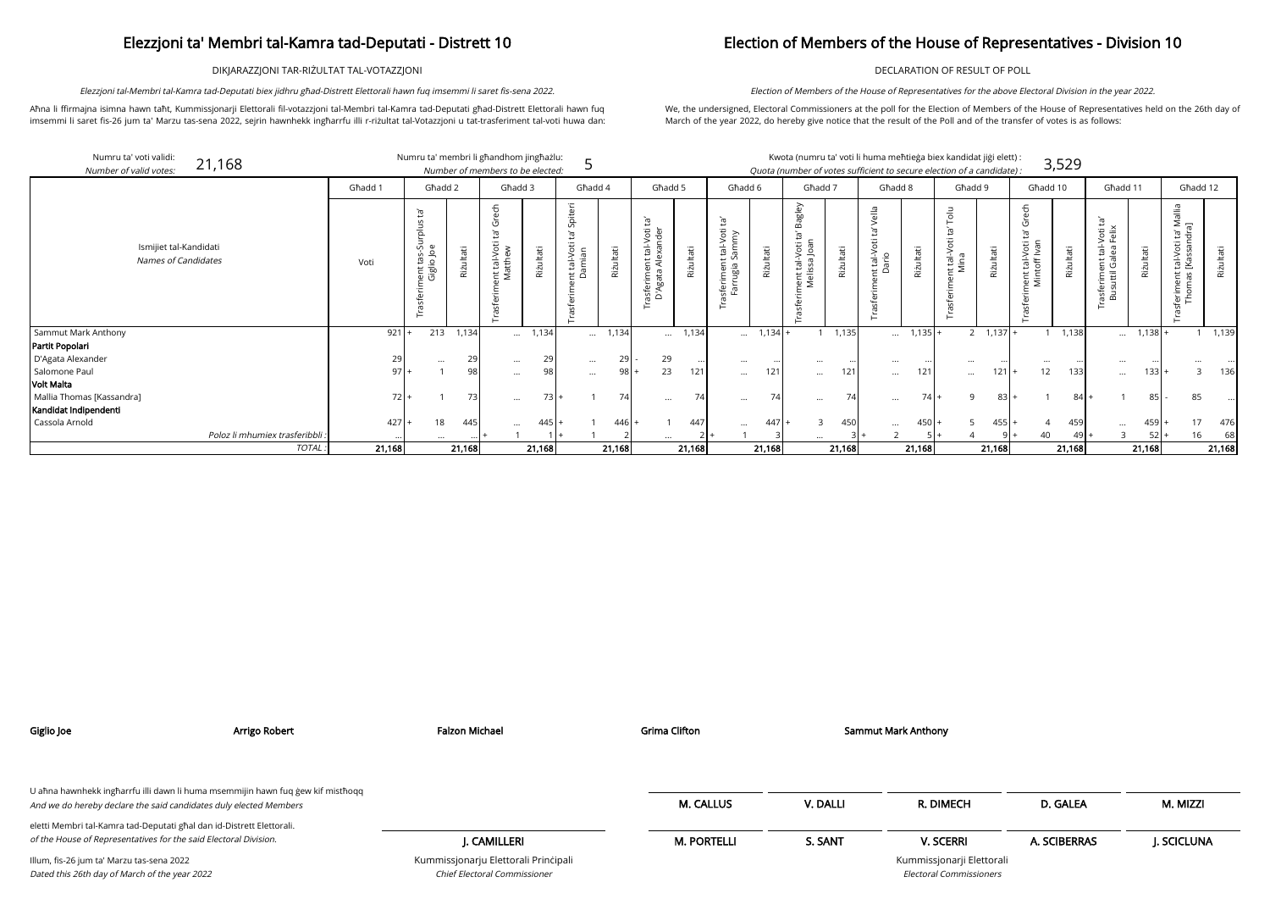DIKJARAZZJONI TAR-RIŻULTAT TAL-VOTAZZJONI

Aħna li ffirmajna isimna hawn taħt, Kummissjonarji Elettorali fil-votazzjoni tal-Membri tal-Kamra tad-Deputati għad-Distrett Elettorali hawn fuq imsemmi li saret fis-26 jum ta' Marzu tas-sena 2022, sejrin hawnhekk ingħarrfu illi r-riżultat tal-Votazzjoni u tat-trasferiment tal-voti huwa dan:

Elezzjoni tal-Membri tal-Kamra tad-Deputati biex jidhru għad-Distrett Elettorali hawn fuq imsemmi li saret fis-sena 2022.

## Election of Members of the House of Representatives - Division 10

DECLARATION OF RESULT OF POLL

| didat jiği elett) : |       |
|---------------------|-------|
| of a candidate) :   | 3,529 |

We, the undersigned, Electoral Commissioners at the poll for the Election of Members of the House of Representatives held on the 26th day of March of the year 2022, do hereby give notice that the result of the Poll and of the transfer of votes is as follows:

Election of Members of the House of Representatives for the above Electoral Division in the year 2022.

| Numru ta' voti validi:<br>21,168<br>Number of valid votes: | Numru ta' membri li għandhom jingħażlu:<br>Number of members to be elected: |                                                          |           |                                        |           |                                                            |           |                                                                   | Kwota (numru ta' voti li huma meħtieġa biex kandidat jiġi elett) :<br>3,529<br>Quota (number of votes sufficient to secure election of a candidate): |                                               |           |                                                 |           |                                            |           |                                      |           |                                                      |           |                                                                        |           |                                                               |           |
|------------------------------------------------------------|-----------------------------------------------------------------------------|----------------------------------------------------------|-----------|----------------------------------------|-----------|------------------------------------------------------------|-----------|-------------------------------------------------------------------|------------------------------------------------------------------------------------------------------------------------------------------------------|-----------------------------------------------|-----------|-------------------------------------------------|-----------|--------------------------------------------|-----------|--------------------------------------|-----------|------------------------------------------------------|-----------|------------------------------------------------------------------------|-----------|---------------------------------------------------------------|-----------|
|                                                            | Għadd 1                                                                     | Ghadd 2                                                  |           | Għadd 3                                |           | Għadd 4                                                    |           | Ghadd 5                                                           |                                                                                                                                                      | Għadd 6                                       |           | Għadd 7                                         |           | Għadd 8                                    |           | Għadd 9                              |           | Għadd 10                                             |           | Għadd 11                                                               |           | Għadd 12                                                      |           |
| Ismijiet tal-Kandidati<br><b>Names of Candidates</b>       | Voti                                                                        | $\overline{a}$<br>Trasferiment tas-Surplus<br>Giglio Joe | Riżultati | မ္မင္မ<br>ent tal-Voti<br>Matthew<br>ঢ | Riżultati | <u>تع</u><br>tal-Voti<br>amian<br>$\sharp$ $\tilde{\circ}$ | Riżultati | Ìđ<br>tal-Voti 1<br>exander<br>ξX<br>asferiment t<br>D'Agata Ale> | Riżultati                                                                                                                                            | Ĕ,<br>isferiment tal-Voti t<br>Farrugia Sammy | Riżultati | agley<br>Ĭgʻ<br>nent tal-Voti t<br>Melissa Joan | Riżultati | $\frac{a}{b}$<br>tal-Ve<br>ario<br>$\pm$ 0 | Riżultati | $\frac{1}{5}$<br>it tal-Voti<br>Mina | Riżultati | Ρë<br>Ĭg<br>Voti 1<br>Ivan<br>nent tal-<br>Mintoff I | Riżultati | Ē,<br>Voti t<br>Felix<br>ent tal-<br>Galea<br>rasferimer<br>Busuttil G | Riżultati | Mallia<br>ri<br>高岩<br>sferiment tal-Voti t<br>Thomas [Kassanc | Riżultati |
| Sammut Mark Anthony                                        | 921                                                                         | 213                                                      | 1,134     | $\cdots$                               | 1,134     |                                                            | 1,134     | $\cdots$                                                          | 1,134                                                                                                                                                | $\cdots$                                      | 1,134     |                                                 | 1,135     | $\cdots$                                   | $1,135$ . | $2^{\circ}$                          | $1,137 +$ |                                                      | 1,138     | $\cdots$                                                               | 1,138     |                                                               | 1,139     |
| Partit Popolari                                            |                                                                             |                                                          |           |                                        |           |                                                            |           |                                                                   |                                                                                                                                                      |                                               |           |                                                 |           |                                            |           |                                      |           |                                                      |           |                                                                        |           |                                                               |           |
| D'Agata Alexander                                          | 29                                                                          | $\cdots$                                                 | 29        | $\cdots$                               | 29        | $\cdots$                                                   | 29        | 29                                                                | $\cdots$                                                                                                                                             | $\cdots$                                      |           | $\cdots$                                        |           | $\cdots$                                   |           | $\cdots$                             |           | $\cdots$                                             |           | $\cdots$                                                               |           |                                                               |           |
| Salomone Paul                                              | 971                                                                         |                                                          | 98        | $\cdots$                               | 98        | $\cdots$                                                   | 98        | 23                                                                | 121                                                                                                                                                  | $\cdots$                                      | 121       | $\cdots$                                        | 121       | $\cdots$                                   | 121       | $\cdots$                             | $121 +$   | 12 <sup>°</sup>                                      | 133       | $\cdots$                                                               | $133 +$   |                                                               | 136       |
| Volt Malta                                                 |                                                                             |                                                          |           |                                        |           |                                                            |           |                                                                   |                                                                                                                                                      |                                               |           |                                                 |           |                                            |           |                                      |           |                                                      |           |                                                                        |           |                                                               |           |
| Mallia Thomas [Kassandra]                                  | 72                                                                          |                                                          | 73        | $\cdots$                               | 73        |                                                            | 74        | $\cdots$                                                          | 74                                                                                                                                                   | $\cdots$                                      | 74        | $\cdots$                                        |           | $\cdots$                                   | 74        | Q                                    | $83 +$    |                                                      | 84 I      |                                                                        | 85        | 85                                                            |           |
| Kandidat Indipendenti                                      |                                                                             |                                                          |           |                                        |           |                                                            |           |                                                                   |                                                                                                                                                      |                                               |           |                                                 |           |                                            |           |                                      |           |                                                      |           |                                                                        |           |                                                               |           |
| Cassola Arnold                                             | 427                                                                         | 18                                                       | 445       | $\ddotsc$                              | 445       |                                                            | 446       |                                                                   | 447                                                                                                                                                  |                                               | 447       |                                                 | 450       | $\cdots$                                   | 450       |                                      | $455 +$   |                                                      | 459       | $\cdots$                                                               | 459       | 17                                                            | 476       |
| Poloz li mhumiex trasferibbli.                             |                                                                             |                                                          |           |                                        |           |                                                            |           |                                                                   |                                                                                                                                                      |                                               |           |                                                 |           |                                            |           |                                      |           | 40                                                   |           |                                                                        | 52        | 16                                                            | 68        |
| <b>TOTAL</b>                                               | 21,168                                                                      |                                                          | 21,168    |                                        | 21,168    |                                                            | 21,168    |                                                                   | 21,168                                                                                                                                               |                                               | 21,168    |                                                 | 21,168    |                                            | 21,168    |                                      | 21,168    |                                                      | 21,168    |                                                                        | 21,168    |                                                               | 21,168    |

| Giglio Joe                                                                                                                                           | Arrigo Robert | <b>Falzon Michael</b>                                                | <b>Grima Clifton</b> |          | <b>Sammut Mark Anthony</b>                                  |              |            |
|------------------------------------------------------------------------------------------------------------------------------------------------------|---------------|----------------------------------------------------------------------|----------------------|----------|-------------------------------------------------------------|--------------|------------|
|                                                                                                                                                      |               |                                                                      |                      |          |                                                             |              |            |
| U aħna hawnhekk ingħarrfu illi dawn li huma msemmijin hawn fuq ġew kif mistħoqq<br>And we do hereby declare the said candidates duly elected Members |               |                                                                      | <b>M. CALLUS</b>     | V. DALLI | R. DIMECH                                                   | D. GALEA     | M. MIZZI   |
| eletti Membri tal-Kamra tad-Deputati għal dan id-Distrett Elettorali.                                                                                |               |                                                                      |                      |          |                                                             |              |            |
| of the House of Representatives for the said Electoral Division.                                                                                     |               | J. CAMILLERI                                                         | <b>M. PORTELLI</b>   | S. SANT  | <b>V. SCERRI</b>                                            | A. SCIBERRAS | J. SCICLUN |
| Illum, fis-26 jum ta' Marzu tas-sena 2022<br>Dated this 26th day of March of the year 2022                                                           |               | Kummissjonarju Elettorali Principali<br>Chief Electoral Commissioner |                      |          | Kummissjonarji Elettorali<br><b>Electoral Commissioners</b> |              |            |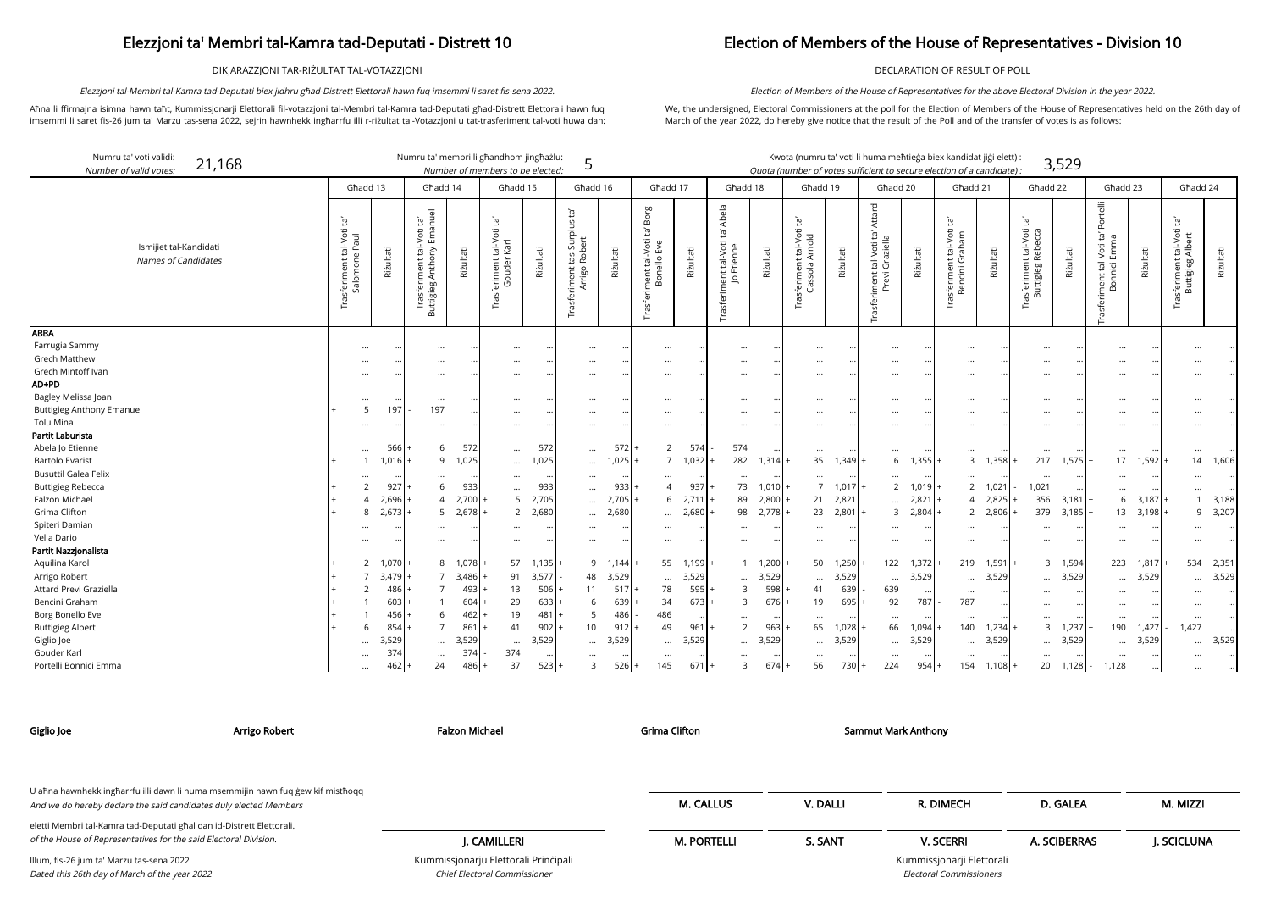DIKJARAZZJONI TAR-RIŻULTAT TAL-VOTAZZJONI

Aħna li ffirmajna isimna hawn taħt, Kummissjonarji Elettorali fil-votazzjoni tal-Membri tal-Kamra tad-Deputati għad-Distrett Elettorali hawn fuq imsemmi li saret fis-26 jum ta' Marzu tas-sena 2022, sejrin hawnhekk ingħarrfu illi r-riżultat tal-Votazzjoni u tat-trasferiment tal-voti huwa dan:

Elezzjoni tal-Membri tal-Kamra tad-Deputati biex jidhru għad-Distrett Elettorali hawn fuq imsemmi li saret fis-sena 2022.

## Election of Members of the House of Representatives - Division 10

DECLARATION OF RESULT OF POLL

We, the undersigned, Electoral Commissioners at the poll for the Election of Members of the House of Representatives held on the 26th day of March of the year 2022, do hereby give notice that the result of the Poll and of the transfer of votes is as follows:

Election of Members of the House of Representatives for the above Electoral Division in the year 2022.

| didat jiği elett) : |       |
|---------------------|-------|
| af a candidato) ;   | 3,529 |

arji Elettorali Electoral Commissioners

| Numru ta' voti validi:<br>21,168<br>Number of valid votes: |                                                           |                           | Numru ta' membri li għandhom jingħażlu:                                 |                     | Number of members to be elected:                     |              | 5                                                                |              |                                                    |              |                                                                               |                |                                                         |                | Kwota (numru ta' voti li huma meħtieġa biex kandidat jiġi elett)<br>Quota (number of votes sufficient to secure election of a candidate). |                |                                                  |                        |                                                       | 3,529     |                                                                  |           |                                                        |           |
|------------------------------------------------------------|-----------------------------------------------------------|---------------------------|-------------------------------------------------------------------------|---------------------|------------------------------------------------------|--------------|------------------------------------------------------------------|--------------|----------------------------------------------------|--------------|-------------------------------------------------------------------------------|----------------|---------------------------------------------------------|----------------|-------------------------------------------------------------------------------------------------------------------------------------------|----------------|--------------------------------------------------|------------------------|-------------------------------------------------------|-----------|------------------------------------------------------------------|-----------|--------------------------------------------------------|-----------|
|                                                            |                                                           | Għadd 13                  | Ghadd 14                                                                |                     | Ghadd 15                                             |              | Ghadd 16                                                         |              | Għadd 17                                           |              | Għadd 18                                                                      |                | Għadd 19                                                |                | Għadd 20                                                                                                                                  |                | Ghadd 21                                         |                        | Għadd 22                                              |           | Għadd 23                                                         |           | Għadd 24                                               |           |
| Ismijiet tal-Kandidati<br>Names of Candidates              | $\Xi$<br>tal-Voti<br>e Paul<br>Trasferiment t<br>Salomone | Riżultati                 | Trasferiment tal-Voti ta'<br>.ttigieg Anthony Emanuel<br>uttigieg<br>മ് | Riżultati           | ē,<br>tal-Voti<br>Karl<br>Trasferiment t<br>Gouder l | Riżultati    | ē,<br>rplus<br>tas-Sur<br>Robert<br>iment t<br>Arrigo<br>Trasfer | Riżultati    | Borg<br>Ĕ,<br>Trasferiment tal-Voti<br>Bonello Eve | Riżultati    | Abela<br>Ġ<br>it tal-Voti<br>Etienne<br>ent<br>$\overline{\circ}$<br>Trasferi | Riżultati      | Ĭā<br>t tal-Voti<br>Arnold<br>isferiment t<br>Cassola A | Riżultati      | Attard<br>Įą,<br>tal-Voti ta<br>Graziella<br>Trasferiment t<br>Previ (                                                                    | Riżultati      | $\Xi$<br>Trasferiment tal-Voti<br>Bencini Graham | Riżultati              | $\Xi$<br>Frasferiment tal-Voti t<br>Buttigieg Rebecca | Riżultati | Portelli<br>Ĕ,<br>ma<br>t tal-Voti 1<br>nici Emm<br>iment<br>Bon | Riżultati | Įą,<br>asferiment tal-Voti t<br>Buttigieg Albert<br>Īä | Riżultati |
| <b>ABBA</b><br>Farrugia Sammy<br><b>Grech Matthew</b>      |                                                           |                           | $\cdots$                                                                |                     | $\cdots$                                             |              |                                                                  |              | $\cdots$                                           |              | $\cdots$                                                                      |                |                                                         |                | $\cdots$                                                                                                                                  |                |                                                  |                        | $\cdots$                                              |           |                                                                  |           |                                                        |           |
| Grech Mintoff Ivan<br>AD+PD                                |                                                           |                           | $\ddotsc$                                                               |                     |                                                      |              | $\cdots$                                                         |              | $\cdots$<br>                                       |              | <br>$\ddotsc$                                                                 |                | $\cdots$                                                |                | $\cdots$<br>$\cdots$                                                                                                                      |                |                                                  |                        | <br>$\ddotsc$                                         |           | $\ddotsc$<br>$\ddotsc$                                           |           |                                                        |           |
| Bagley Melissa Joan<br><b>Buttigieg Anthony Emanuel</b>    |                                                           | $\cdots$<br>197<br>5      | $\cdots$<br>197                                                         |                     |                                                      |              | $\cdots$<br>$\cdots$                                             |              | $\cdots$<br>                                       |              | $\cdots$                                                                      |                | $\cdots$                                                |                | $\cdots$<br>$\cdots$                                                                                                                      |                |                                                  |                        | $\cdots$<br>                                          |           | $\ddotsc$                                                        |           |                                                        |           |
| Tolu Mina<br>Partit Laburista                              |                                                           |                           | $\cdots$                                                                |                     | $\cdots$                                             |              | $\cdots$                                                         |              | $\cdots$                                           |              | $\cdots$                                                                      |                | $\cdots$                                                |                | $\cdots$                                                                                                                                  |                |                                                  |                        | $\cdots$                                              |           | $\cdots$                                                         |           |                                                        |           |
| Abela Jo Etienne                                           |                                                           | 566                       | 6                                                                       | 572                 | $\cdots$                                             | 572          | $\cdots$                                                         | 572          | 2                                                  | 574          | 574                                                                           |                |                                                         |                | $\cdots$                                                                                                                                  |                |                                                  |                        | $\ldots$                                              |           | $\ddots$                                                         |           | $\cdots$                                               |           |
| <b>Bartolo Evarist</b><br><b>Busuttil Galea Felix</b>      |                                                           | 1,016                     | 9<br>$\cdots$                                                           | 1,025               | $\cdots$                                             | 1,025        | $\cdots$                                                         | 1,025        | 7<br>$\cdots$                                      | 1,032        | 282<br>$\ddotsc$                                                              | 1,314          | 35                                                      | $1,349 +$      | 6<br>$\cdots$                                                                                                                             | 1,355          | $\mathbf{3}$                                     | 1,358                  | 217<br>                                               | 1,575     | 17<br>$\ddotsc$                                                  | 1,592     | 14                                                     | 1,606     |
| <b>Buttigieg Rebecca</b><br>Falzon Michael                 |                                                           | 927<br>2,696              | 6<br>$\overline{A}$                                                     | 933<br>$2,700$ +    | $\ddots$<br>5 <sup>5</sup>                           | 933<br>2,705 | $\ddotsc$<br>$\cdots$                                            | 933<br>2,705 | 4<br>6                                             | 937<br>2,711 | 73<br>89                                                                      | 1,010<br>2,800 | $7^{\circ}$<br>21                                       | 1,017<br>2,821 | 2<br>$\cdots$                                                                                                                             | 1,019<br>2,821 | $\overline{4}$                                   | 2 1,021<br>2,825       | 1,021<br>356                                          | 3,181     | $\ddots$<br>6                                                    | 3,187     |                                                        | 3,188     |
| Grima Clifton<br>Spiteri Damian                            |                                                           | 2,673<br>8                | 5<br>$\cdots$                                                           | $2,678$ +           | $\overline{2}$                                       | 2,680        | $\cdots$<br>$\cdots$                                             | 2,680        | $\cdots$<br>$\cdots$                               | 2,680        | 98<br>$\cdots$                                                                | 2,778          | 23<br>$\cdots$                                          | $2,801 +$      | $\overline{3}$<br>$\cdots$                                                                                                                | 2,804          |                                                  | 2 2,806                | 379<br>$\cdots$                                       | 3,185     | 13<br>$\ddotsc$                                                  | 3,198     | 9                                                      | 3,207     |
| Vella Dario<br>Partit Nazzjonalista                        |                                                           |                           |                                                                         |                     |                                                      |              |                                                                  |              |                                                    |              |                                                                               |                |                                                         |                | $\cdots$                                                                                                                                  |                |                                                  |                        | $\cdots$                                              |           | $\ddotsc$                                                        |           |                                                        |           |
| Aquilina Karol                                             |                                                           | 2 1,070                   | 8                                                                       | 1,078               | 57                                                   | 1,135        |                                                                  | 9 1,144      | 55                                                 | 1,199        |                                                                               | 1, 1, 200      |                                                         | 50 1,250       | 122                                                                                                                                       | 1,372          | 219                                              | 1,591                  |                                                       | 3 1,594   | 223                                                              | 1,817     | 534                                                    | 2,351     |
| Arrigo Robert<br>Attard Previ Graziella                    |                                                           | 3,479<br>486              | $\overline{7}$<br>$\overline{7}$                                        | $3,486$ +<br>$493+$ | 91<br>13                                             | 3,577<br>506 | 48<br>11                                                         | 3,529<br>517 | $\cdots$<br>78                                     | 3,529<br>595 | $\cdots$<br>3                                                                 | 3,529<br>598   | $\cdots$<br>41                                          | 3,529<br>639   | $\cdots$<br>639                                                                                                                           | 3,529          | $\cdots$<br>$\cdots$                             | 3,529                  | $\cdots$                                              | $$ 3,529  | $\ddotsc$<br>$\ddotsc$                                           | 3,529     |                                                        | 3,529     |
| Bencini Graham                                             |                                                           | 603                       |                                                                         | $604$ +             | 29                                                   | 633          | 6                                                                | 639          | 34                                                 | 673          | $\mathbf{3}$                                                                  | 676            | 19                                                      | 695            | 92                                                                                                                                        | 787            | 787                                              |                        | $\cdots$                                              |           | $\ddotsc$                                                        |           |                                                        |           |
| Borg Bonello Eve<br><b>Buttigieg Albert</b>                |                                                           | 456<br>854<br>6           | 6<br>$\overline{7}$                                                     | $462 +$<br>$861 +$  | 19<br>41                                             | 481<br>902   | -5<br>10                                                         | 486<br>912   | 486<br>49                                          | 961          | 2                                                                             | 963            | 65                                                      | 1,028          | 66                                                                                                                                        | 1,094          | 140                                              | 1,234                  |                                                       | 3, 1, 237 | $\ddotsc$<br>190                                                 | 1,427     | 1,427                                                  |           |
| Giglio Joe<br>Gouder Karl                                  |                                                           | 3,529<br>$\ddotsc$<br>374 | $\ddotsc$<br>$\cdots$                                                   | 3,529<br>374        | $\cdots$<br>374                                      | 3,529        | $\cdots$                                                         | 3,529        | $\cdots$<br>$\cdots$                               | 3,529        | $\cdots$                                                                      | 3,529          | $\cdots$                                                | 3,529          | $\cdots$<br>$\cdots$                                                                                                                      | 3,529          | $\cdots$                                         | 3,529<br>$\cdot \cdot$ | $\cdots$                                              | 3,529     | $\cdots$<br>$\ddotsc$                                            | 3,529     | $\cdots$                                               | 3,529     |
| Portelli Bonnici Emma                                      |                                                           | 462                       | 24                                                                      | $486+$              | 37                                                   | 523          | 3                                                                | $526 +$      | 145                                                | 671          | 3                                                                             | 674            | 56                                                      | $730 +$        | 224                                                                                                                                       | 954            | 154                                              | $1,108 +$              | 20                                                    | 1,128     | 1,128                                                            |           |                                                        |           |

Chief Electoral Commissioner

| Giglio Joe                                                                                                                                | Arrigo Robert                                                                   | Falzon Michael                       | Grima Clifton      |          | Sammut Mark Anthony       |              |            |
|-------------------------------------------------------------------------------------------------------------------------------------------|---------------------------------------------------------------------------------|--------------------------------------|--------------------|----------|---------------------------|--------------|------------|
| And we do hereby declare the said candidates duly elected Members                                                                         | U ahna hawnhekk ingharrfu illi dawn li huma msemmijin hawn fuq gew kif misthoqq |                                      | <b>M. CALLUS</b>   | V. DALLI | R. DIMECH                 | D. GALEA     | M. MIZZI   |
| eletti Membri tal-Kamra tad-Deputati għal dan id-Distrett Elettorali.<br>of the House of Representatives for the said Electoral Division. |                                                                                 | I. CAMILLERI                         | <b>M. PORTELLI</b> | S. SANT  | <b>V. SCERRI</b>          | A. SCIBERRAS | J. SCICLUN |
| Illum, fis-26 jum ta' Marzu tas-sena 2022                                                                                                 |                                                                                 | Kummissjonarju Elettorali Principali |                    |          | Kummissjonarji Elettorali |              |            |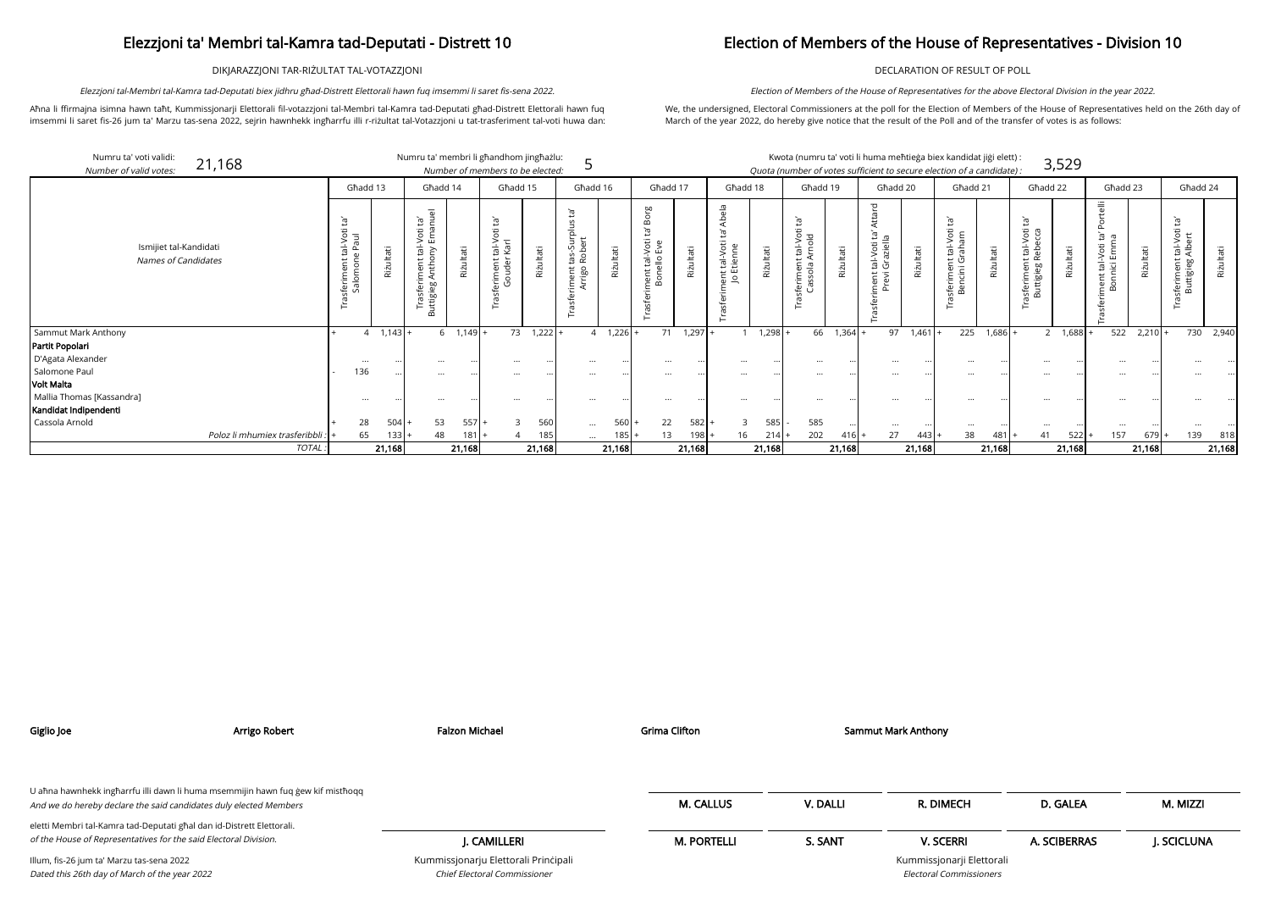DIKJARAZZJONI TAR-RIŻULTAT TAL-VOTAZZJONI

Aħna li ffirmajna isimna hawn taħt, Kummissjonarji Elettorali fil-votazzjoni tal-Membri tal-Kamra tad-Deputati għad-Distrett Elettorali hawn fuq imsemmi li saret fis-26 jum ta' Marzu tas-sena 2022, sejrin hawnhekk ingħarrfu illi r-riżultat tal-Votazzjoni u tat-trasferiment tal-voti huwa dan:

Elezzjoni tal-Membri tal-Kamra tad-Deputati biex jidhru għad-Distrett Elettorali hawn fuq imsemmi li saret fis-sena 2022.

## Election of Members of the House of Representatives - Division 10

DECLARATION OF RESULT OF POLL

We, the undersigned, Electoral Commissioners at the poll for the Election of Members of the House of Representatives held on the 26th day of March of the year 2022, do hereby give notice that the result of the Poll and of the transfer of votes is as follows:

Election of Members of the House of Representatives for the above Electoral Division in the year 2022.

| didat jiģi elett) : |       |
|---------------------|-------|
| of a candidate) ·   | 3,529 |

Numru ta' voti validi: 21,168 Numru ta' membri li għandhom jingħażlu: Kwota (numru ta' voti li huma meħtieġa biex kan 5 Number of valid votes: Number of members to be elected: Quota (number of votes sufficient to secure election of a candidate) : Għadd 17 Għadd 13 Għadd 14 Għadd 15 Għadd 16 Għadd 18 Għadd 19 Għadd 20 Attard ta' Abela Trasferiment tal-Voti ta' Borg<br>Bonello Eve<br>Riżultati Trasferiment tal-Voti ta' Attard Trasferiment tal-Voti ta' Abela Trasferiment tal-Voti ta'<br>Buttigieg Anthony Emanuel Trasferiment tas-Surplus ta'<br>Arrigo Robert<br>Riżultati Buttigieg Anthony Emanuel sferiment tal-Voti ta'<br>Gouder Karl Trasferiment tal-Voti ta'<br>Salomone Paul Ġ Trasferiment tal-Voti ta' Trasferiment tal-Voti ta' Trasferiment tal-Voti ta' Trasferiment tal-Voti ta' Trasferiment tal-Voti ta' Trasferiment tal-Voti ta' riment tal-Voti ta' *l*<br>Previ Graziella Trasferiment tal-Voti<br>Cassola Arnold Trasferiment tal-Voti ta<br>Jo Etienne Salomone Paul Gouder Karl Ismijiet tal-Kandidati Riżultati Riżultati Riżultati Riżultati Riżultati Riżultati Names of Candidates Trasf asfer عي Sammut Mark Anthony |+ 4 1,143|+ 6 1,149|+ 73 1,222|+ 4 1,226|+ 71 1,297|+ 1 1,298|+ 66 1,364|+ 97 1,461|+ 225 1,686|+ 2 1,688|+ 522 2,210|+ 730 2,940 Partit Popolari D'Agata Alexander ... ... ... ... ... ... ... ... ... ... ... ... ... ... ... ... ... ... ... ... ... ... ... ... Salomone Paul - 136 ... ... ... ... ... ... ... ... ... ... ... ... ... ... ... ... ... ... ... ... ... ... ... Volt Malta Mallia Thomas [Kassandra] ... ... ... ... ... ... ... ... ... ... ... ... ... ... ... ... ... ... ... ... ... ... ... ...

|                                                      |                                 | Għadd 13                                                                    |              | Ghadd 14                                                                                            |                 | Ghadd 15                         |           | Ghadd 16                                                 |               | Ghadd 17                                                 |           | Għadd 18                                                             |           | Għadd 19                                                 |               | Għadd 20                                                                 |               | Ghadd 21                                                                         |           | Ghadd 22                                                                      |                | Ghadd 23                                                                                       |           | Għadd 24                                                  |           |
|------------------------------------------------------|---------------------------------|-----------------------------------------------------------------------------|--------------|-----------------------------------------------------------------------------------------------------|-----------------|----------------------------------|-----------|----------------------------------------------------------|---------------|----------------------------------------------------------|-----------|----------------------------------------------------------------------|-----------|----------------------------------------------------------|---------------|--------------------------------------------------------------------------|---------------|----------------------------------------------------------------------------------|-----------|-------------------------------------------------------------------------------|----------------|------------------------------------------------------------------------------------------------|-----------|-----------------------------------------------------------|-----------|
| Ismijiet tal-Kandidati<br><b>Names of Candidates</b> |                                 | É<br>52<br>$\frac{1}{2}$<br>$\sigma$<br>$\circ$<br>Φ<br>Ē<br>ferin<br>Saloı | tati<br>Rizu | $\overline{a}$<br>ia E<br>Voti 1<br>Emai<br>효<br>$\geq$<br>ment t<br>Antho<br>Trasferin<br>Jttigieg | āΰ<br>Rizu      | tal-V<br>Karl<br>ු<br>ප<br>'ਦ ਚੱ | Riżultati | ᢛ<br>௨<br>ب ح<br>ധ<br>tas-S<br>Rob<br>ent<br>rigo<br>도 된 | Jltati<br>Riz | Borg<br>ت<br>: tal-Voti<br>ello Eve<br>nent<br>Bone<br>┶ | Riżultati | $\frac{a}{b}$<br>it tal-Voti<br>Etienne<br>န္မ<br>$\overline{\circ}$ | Riżultati | Ĭā,<br>tal-Voti<br>vrnold<br>meni<br>Sola<br>eri)<br>Cas | Itati<br>Rizu | $\overline{\sigma}$<br>£<br>tal-Voti ta' ,<br>Graziella<br>ment<br>Previ | ltati<br>Rizi | Ĭā,<br>$\circ$<br>$\frac{1}{2}$ $\frac{1}{2}$<br>⊭ ਯ<br>ner<br>ciri<br>エミ<br>e a | Riżultati | Ġ<br>öť<br>t tal-Voti<br>Rebecca<br>rimen <sup>.</sup><br>tigieg<br>se<br>Sut | ultati<br>Rizi | ₩<br>$\Omega$<br>ត ត្<br>Φ<br>후 밑<br>t tai<br>nici<br>$\overline{\phantom{0}}$<br>nent<br>Boni | Riżultati | Įą,<br>iment tal-Voti t<br>ttigieg Albert<br>feri<br>Butt | Riżultati |
| Sammut Mark Anthony<br>Partit Popolari               |                                 |                                                                             | $1,143 +$    |                                                                                                     | $6 \quad 1,149$ | 73                               | $1,222$ + |                                                          | $1,226$ +     | 71                                                       | $1,297$ + |                                                                      | $1,298 +$ | 66                                                       | $1,364$ +     | 97                                                                       | 1,461         | 225                                                                              | $1,686 +$ | $2^{\circ}$                                                                   | 1,688          | 522                                                                                            | $2,210$ + | 730                                                       | 2,940     |
| D'Agata Alexander                                    |                                 |                                                                             |              | $\cdots$                                                                                            |                 | $\cdots$                         |           |                                                          |               | $\cdots$                                                 |           | $\cdots$                                                             |           | $\cdots$                                                 |               | $\cdots$                                                                 |               | $\cdots$                                                                         |           |                                                                               |                |                                                                                                |           |                                                           |           |
| Salomone Paul                                        |                                 | 136                                                                         | $\cdots$     | $\cdots$                                                                                            |                 | $\cdots$                         |           | $\cdots$                                                 | $\ddotsc$     | $\cdots$                                                 |           | $\cdots$                                                             | $\cdots$  | $\cdots$                                                 |               | $\cdots$                                                                 |               | $\cdots$                                                                         |           | $\cdots$                                                                      |                | $\cdots$                                                                                       |           |                                                           |           |
| /olt Malta                                           |                                 |                                                                             |              |                                                                                                     |                 |                                  |           |                                                          |               |                                                          |           |                                                                      |           |                                                          |               |                                                                          |               |                                                                                  |           |                                                                               |                |                                                                                                |           |                                                           |           |
| Mallia Thomas [Kassandra]                            |                                 | $\cdots$                                                                    |              | $\cdots$                                                                                            |                 | $\cdots$                         |           |                                                          |               | $\cdots$                                                 |           | $\cdots$                                                             | $\cdots$  |                                                          |               | $\cdots$                                                                 |               | $\cdots$                                                                         |           |                                                                               |                | $\cdots$                                                                                       |           |                                                           |           |
| Gandidat Indipendenti                                |                                 |                                                                             |              |                                                                                                     |                 |                                  |           |                                                          |               |                                                          |           |                                                                      |           |                                                          |               |                                                                          |               |                                                                                  |           |                                                                               |                |                                                                                                |           |                                                           |           |
| Cassola Arnold                                       |                                 | 28                                                                          | 504          | 53                                                                                                  | 557             |                                  | 560       | $\cdots$                                                 | 560           | 22                                                       | 582       |                                                                      | 585       | 585                                                      | $\cdots$      | $\cdots$                                                                 |               | $\cdots$                                                                         | $\cdots$  |                                                                               |                | $\cdots$                                                                                       |           |                                                           |           |
|                                                      | Poloz li mhumiex trasferibbli : | 65                                                                          | 133          | 48                                                                                                  | $181 +$         |                                  | 185       | $\cdots$                                                 | 185           | 13                                                       | 198       | 16                                                                   | $214 +$   | 202                                                      | $416 +$       | 27                                                                       | 443           | 38                                                                               | $481 +$   | 41                                                                            | 522            | 157                                                                                            | 679       | 139                                                       | 818       |
|                                                      | TOTAL:                          |                                                                             | 21,168       |                                                                                                     | 21,168          |                                  | 21,168    |                                                          | 21,168        |                                                          | 21,168    |                                                                      | 21,168    |                                                          | 21,168        |                                                                          | 21,168        |                                                                                  | 21,168    |                                                                               | 21,168         |                                                                                                | 21,168    |                                                           | 21,168    |

| Giglio Joe                                                                                 | Arrigo Robert                                                                   | <b>Falzon Michael</b>                                                | Grima Clifton      |          | <b>Sammut Mark Anthony</b>                           |              |            |
|--------------------------------------------------------------------------------------------|---------------------------------------------------------------------------------|----------------------------------------------------------------------|--------------------|----------|------------------------------------------------------|--------------|------------|
| And we do hereby declare the said candidates duly elected Members                          | U aħna hawnhekk ingħarrfu illi dawn li huma msemmijin hawn fuq gew kif mistħoqq |                                                                      | <b>M. CALLUS</b>   | V. DALLI | R. DIMECH                                            | D. GALEA     | M. MIZZI   |
| eletti Membri tal-Kamra tad-Deputati ghal dan id-Distrett Elettorali.                      |                                                                                 |                                                                      |                    |          |                                                      |              |            |
| of the House of Representatives for the said Electoral Division.                           |                                                                                 | I. CAMILLERI                                                         | <b>M. PORTELLI</b> | S. SANT  | <b>V. SCERRI</b>                                     | A. SCIBERRAS | J. SCICLUN |
| Illum, fis-26 jum ta' Marzu tas-sena 2022<br>Dated this 26th day of March of the year 2022 |                                                                                 | Kummissjonarju Elettorali Principali<br>Chief Electoral Commissioner |                    |          | Kummissjonarji Elettorali<br>Electoral Commissioners |              |            |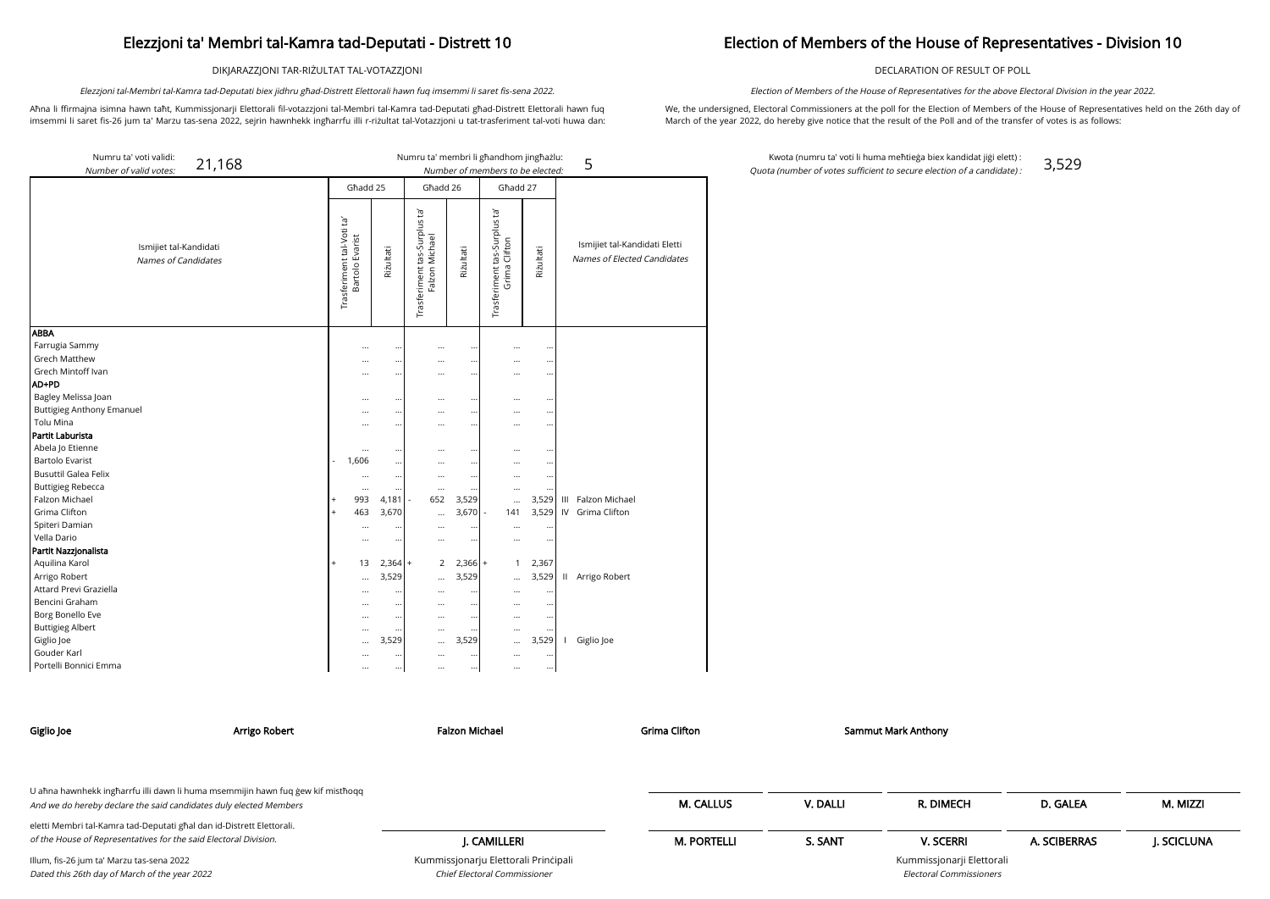DIKJARAZZJONI TAR-RIŻULTAT TAL-VOTAZZJONI

Aħna li ffirmajna isimna hawn taħt, Kummissjonarji Elettorali fil-votazzjoni tal-Membri tal-Ka imsemmi li saret fis-26 jum ta' Marzu tas-sena 2022, sejrin hawnhekk ingħarrfu illi r-riżultat tal-Votazzjoni u tat-trasferiment tal-voti huwa dan:

| lawn lug imsemmi ii saret iis-sena 2022.                                                                       | election of members of the House of Repres                                                                                                                                                  |
|----------------------------------------------------------------------------------------------------------------|---------------------------------------------------------------------------------------------------------------------------------------------------------------------------------------------|
| amra tad-Deputati għad-Distrett Elettorali hawn fug                                                            | We, the undersigned, Electoral Commissioners at the poll for the                                                                                                                            |
| a a children control and announced and a children and home control and a control of the control of the control | $M = 1$ , $\mathcal{L} = 1$ , $\mathcal{L} = 1$ , $\mathcal{L} = 0$ , $\mathcal{L} = 0$ , $\mathcal{L} = 1$ , $\mathcal{L} = 0$ , $\mathcal{L} = 0$ , $\mathcal{L} = 0$ , $\mathcal{L} = 0$ |

Elezzjoni tal-Membri tal-Kamra tad-Deputati biex jidhru għad-Distrett Elettorali hawn fuq imsemmi li saret fis-sena 2022.

e Election of Members of the House of Representatives held on the 26th day of March of the year 2022, do hereby give notice that the result of the Poll and of the transfer of votes is as follows:

## Election of Members of the House of Representatives - Division 10

DECLARATION OF RESULT OF POLL

Election of Members of the House of Representatives for the above Electoral Division in the year 2022.

Kwota (numru ta' voti li huma meħtieġa biex kandidat jiġi elett) : Quota (number of votes sufficient to secure election of a candidate) : 3,529

| Numru ta' voti validi:<br>21,168<br>Number of valid votes: |                                              |          |           |                                                |           | Numru ta' membri li għandhom jingħażlu:<br>Number of members to be elected: |           |   | 5                                                            |
|------------------------------------------------------------|----------------------------------------------|----------|-----------|------------------------------------------------|-----------|-----------------------------------------------------------------------------|-----------|---|--------------------------------------------------------------|
|                                                            |                                              | Ghadd 25 |           | Għadd 26                                       |           | Ghadd 27                                                                    |           |   |                                                              |
| Ismijiet tal-Kandidati<br>Names of Candidates              | Trasferiment tal-Voti ta'<br>Bartolo Evarist |          | Riżultati | Trasferiment tas-Surplus ta'<br>Falzon Michael | Riżultati | Trasferiment tas-Surplus ta'<br>Grima Clifton                               | Riżultati |   | Ismijiet tal-Kandidati Eletti<br>Names of Elected Candidates |
| <b>ABBA</b>                                                |                                              |          |           |                                                |           |                                                                             |           |   |                                                              |
| Farrugia Sammy                                             |                                              |          |           |                                                | $\ddotsc$ |                                                                             | $\ddotsc$ |   |                                                              |
| <b>Grech Matthew</b>                                       |                                              | $\cdots$ |           |                                                | $\cdots$  | $\cdots$                                                                    | $\ddotsc$ |   |                                                              |
| Grech Mintoff Ivan                                         |                                              | $\cdots$ |           |                                                | $\cdots$  | $\cdots$                                                                    | $\ddotsc$ |   |                                                              |
| AD+PD                                                      |                                              |          |           |                                                |           |                                                                             |           |   |                                                              |
| Bagley Melissa Joan                                        |                                              |          | $\cdots$  | $\cdots$                                       | $\ddotsc$ | $\ddotsc$                                                                   | $\ddotsc$ |   |                                                              |
| <b>Buttigieg Anthony Emanuel</b>                           |                                              | $\cdots$ |           |                                                | $\cdots$  | $\cdots$                                                                    | $\ddotsc$ |   |                                                              |
| <b>Tolu Mina</b>                                           |                                              |          | $\cdots$  |                                                |           | $\cdots$                                                                    | $\cdots$  |   |                                                              |
| Partit Laburista                                           |                                              |          |           |                                                |           |                                                                             |           |   |                                                              |
| Abela Jo Etienne                                           |                                              |          |           |                                                | $\ddotsc$ |                                                                             |           |   |                                                              |
| <b>Bartolo Evarist</b>                                     | 1,606                                        |          |           | $\cdots$                                       | $\cdots$  | $\cdots$                                                                    | $\ddotsc$ |   |                                                              |
| <b>Busuttil Galea Felix</b>                                |                                              |          | $\cdots$  |                                                | $\cdots$  |                                                                             | $\cdots$  |   |                                                              |
| <b>Buttigieg Rebecca</b>                                   |                                              | $\cdots$ |           | $\cdots$                                       | $\cdots$  |                                                                             |           |   |                                                              |
| Falzon Michael                                             |                                              | 993      | $4,181$ - | 652                                            | 3,529     | $\cdots$                                                                    | 3,529     | Ш | Falzon Michael                                               |
| Grima Clifton                                              | $^{+}$                                       | 463      | 3,670     | $\cdots$                                       | 3,670     | 141                                                                         | 3,529     |   | IV Grima Clifton                                             |
| Spiteri Damian                                             |                                              |          |           |                                                | $\cdots$  |                                                                             | $\ddotsc$ |   |                                                              |
| Vella Dario                                                |                                              |          | $\cdots$  |                                                | $\ldots$  |                                                                             | $\ddotsc$ |   |                                                              |
| Partit Nazzjonalista                                       |                                              |          |           |                                                |           |                                                                             |           |   |                                                              |
| Aquilina Karol                                             | $\overline{+}$                               | 13       | $2,364$ + | 2                                              | $2,366$ + | $\mathbf{1}$                                                                | 2,367     |   |                                                              |
| Arrigo Robert                                              |                                              | $\cdots$ | 3,529     | $\cdots$                                       | 3,529     | $\cdots$                                                                    | 3,529     |   | II Arrigo Robert                                             |
| Attard Previ Graziella                                     |                                              |          |           | $\cdots$                                       | $\cdots$  |                                                                             | $\ddotsc$ |   |                                                              |
| Bencini Graham                                             |                                              |          | $\cdots$  | $\cdots$                                       | $\cdots$  |                                                                             | $\ddotsc$ |   |                                                              |
| Borg Bonello Eve                                           |                                              |          | $\ldots$  | $\cdots$                                       | $\ldots$  | $\cdots$                                                                    | $\cdots$  |   |                                                              |
| <b>Buttigieg Albert</b>                                    |                                              |          | $\cdots$  | $\cdots$                                       | $\cdots$  |                                                                             | $\ddotsc$ |   |                                                              |
| Giglio Joe                                                 |                                              | $\cdots$ | 3,529     | $\cdots$                                       | 3,529     | $\cdots$                                                                    | 3,529     |   | I Giglio Joe                                                 |
| Gouder Karl                                                |                                              | $\cdots$ | $\cdots$  | $\cdots$                                       | $\cdots$  | $\cdots$                                                                    | $\cdots$  |   |                                                              |

Portelli Bonnici Emma ... ... ... ... ... ...

J. CAMILLERI

Kummissjonarju Elettorali Prinċipali

Chief Electoral Commissioner

| Giglio Joe | Arrigo Robert                                                                                                                                        | Falzon Michael | <b>Grima Clifton</b> |          | <b>Sammut Mark Anthony</b> |          |          |
|------------|------------------------------------------------------------------------------------------------------------------------------------------------------|----------------|----------------------|----------|----------------------------|----------|----------|
|            | U aħna hawnhekk ingħarrfu illi dawn li huma msemmijin hawn fuq ġew kif mistħoqq<br>And we do hereby declare the said candidates duly elected Members |                | <b>M. CALLUS</b>     | V. DALLI | R. DIMECH                  | D. GALEA | M. MIZZI |

M. PORTELLI S. SANT V. SCERRI A. SCIBERRAS J. SCICLUNA

Kummissjonarji Elettorali

| eletti Membri tal-Kamra tad-Deputati ghal dan id-Distrett Elettorali. |  |
|-----------------------------------------------------------------------|--|
| of the House of Representatives for the said Electoral Division.      |  |

Illum, fis-26 jum ta' Marzu tas-sena 2022 Dated this 26th day of March of the year 2022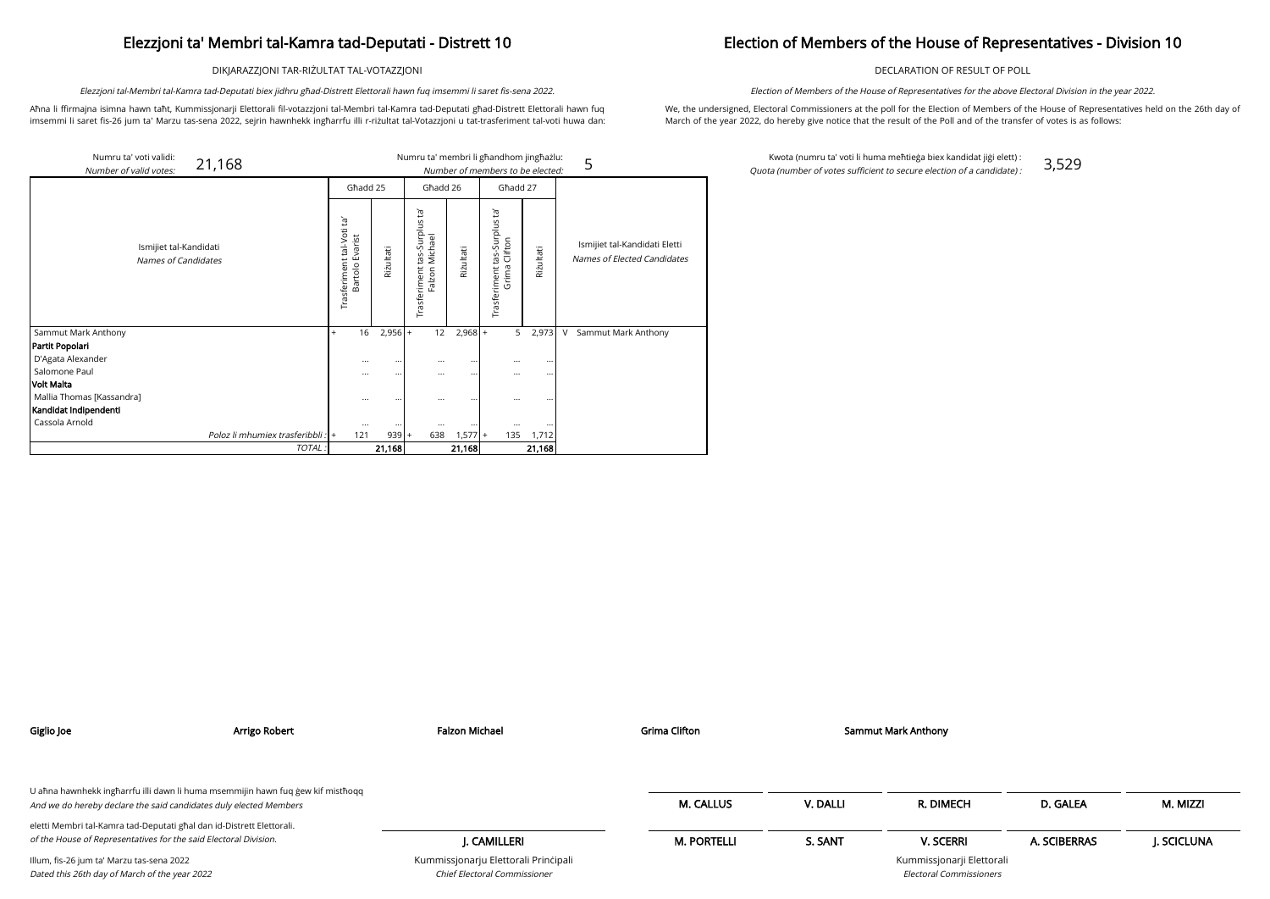DIKJARAZZJONI TAR-RIŻULTAT TAL-VOTAZZJONI

Aħna li ffirmajna isimna hawn taħt, Kummissjonarji Elettorali fil-votazzjoni tal-Membri tal-Kamra tad-Deputati għad-Distrett Elettorali hawn fuq imsemmi li saret fis-26 jum ta' Marzu tas-sena 2022, sejrin hawnhekk ingħarrfu illi r-riżultat tal-Votazzjoni u tat-trasferiment tal-voti huwa dan:

Elezzjoni tal-Membri tal-Kamra tad-Deputati biex jidhru għad-Distrett Elettorali hawn fuq imsemmi li saret fis-sena 2022.

## Election of Members of the House of Representatives - Division 10

DECLARATION OF RESULT OF POLL

We, the undersigned, Electoral Commissioners at the poll for the Election of Members of the House of Representatives held on the 26th day of March of the year 2022, do hereby give notice that the result of the Poll and of the transfer of votes is as follows:

Election of Members of the House of Representatives for the above Electoral Division in the year 2022.

Kwota (numru ta' voti li huma meħtieġa biex kandidat jiġi elett) : Quota (number of votes sufficient to secure election of a candidate) : 3,529

| Numru ta' voti validi:<br>21,168<br>Number of valid votes: |                                                   |                     |                                                          |           | Numru ta' membri li għandhom jingħażlu:<br>Number of members to be elected: |                    | 5                                                            |
|------------------------------------------------------------|---------------------------------------------------|---------------------|----------------------------------------------------------|-----------|-----------------------------------------------------------------------------|--------------------|--------------------------------------------------------------|
|                                                            | Ghadd 25                                          |                     | Ghadd 26                                                 |           | Ghadd 27                                                                    |                    |                                                              |
| Ismijiet tal-Kandidati<br>Names of Candidates              | ē,<br>tal-Voti<br>Bartolo Evarist<br>Trasferiment | Rizultati           | Ĕ,<br>-Surplus<br>Falzon Michael<br>tas-<br>Trasferiment | Rizultati | Trasferiment tas-Surplus ta'<br>Grima Clifton                               | Rizultati          | Ismijiet tal-Kandidati Eletti<br>Names of Elected Candidates |
| Sammut Mark Anthony                                        | 16<br>$^{+}$                                      | $2,956 +$           | 12                                                       | $2,968$ + | 5                                                                           | 2,973              | V<br>Sammut Mark Anthony                                     |
| Partit Popolari                                            |                                                   |                     |                                                          |           |                                                                             |                    |                                                              |
| D'Agata Alexander                                          | $\cdots$                                          | $\cdots$            | $\cdots$                                                 | $\cdots$  | $\cdots$                                                                    | $\cdots$           |                                                              |
| Salomone Paul                                              | $\cdots$                                          |                     | $\cdots$                                                 | $\cdots$  | $\cdots$                                                                    | $\cdots$           |                                                              |
| <b>Volt Malta</b>                                          |                                                   |                     |                                                          |           |                                                                             |                    |                                                              |
| Mallia Thomas [Kassandra]<br>Kandidat Indipendenti         | $\cdots$                                          | $\ddotsc$           | $\cdots$                                                 |           | $\cdots$                                                                    |                    |                                                              |
| Cassola Arnold                                             |                                                   |                     |                                                          |           |                                                                             |                    |                                                              |
| Poloz li mhumiex trasferibbli : +                          | $\cdots$<br>121                                   | $\cdots$<br>$939 +$ | $\cdots$<br>638                                          | $1,577$ + | $\cdots$<br>135                                                             | $\ddotsc$<br>1,712 |                                                              |
| TOTAL:                                                     |                                                   | 21,168              |                                                          | 21,168    |                                                                             | 21,168             |                                                              |

| Giglio Joe                                                                                                                                           | Arrigo Robert | <b>Falzon Michael</b>                                                       | <b>Grima Clifton</b> |          | <b>Sammut Mark Anthony</b>                                  |              |            |
|------------------------------------------------------------------------------------------------------------------------------------------------------|---------------|-----------------------------------------------------------------------------|----------------------|----------|-------------------------------------------------------------|--------------|------------|
|                                                                                                                                                      |               |                                                                             |                      |          |                                                             |              |            |
| U ahna hawnhekk ingharrfu illi dawn li huma msemmijin hawn fuq gew kif misthoqq<br>And we do hereby declare the said candidates duly elected Members |               |                                                                             | <b>M. CALLUS</b>     | V. DALLI | R. DIMECH                                                   | D. GALEA     | M. MIZZI   |
| eletti Membri tal-Kamra tad-Deputati għal dan id-Distrett Elettorali.<br>of the House of Representatives for the said Electoral Division.            |               | J. CAMILLERI                                                                | <b>M. PORTELLI</b>   | S. SANT  | <b>V. SCERRI</b>                                            | A. SCIBERRAS | J. SCICLUN |
| Illum, fis-26 jum ta' Marzu tas-sena 2022<br>Dated this 26th day of March of the year 2022                                                           |               | Kummissjonarju Elettorali Principali<br><b>Chief Electoral Commissioner</b> |                      |          | Kummissjonarji Elettorali<br><b>Electoral Commissioners</b> |              |            |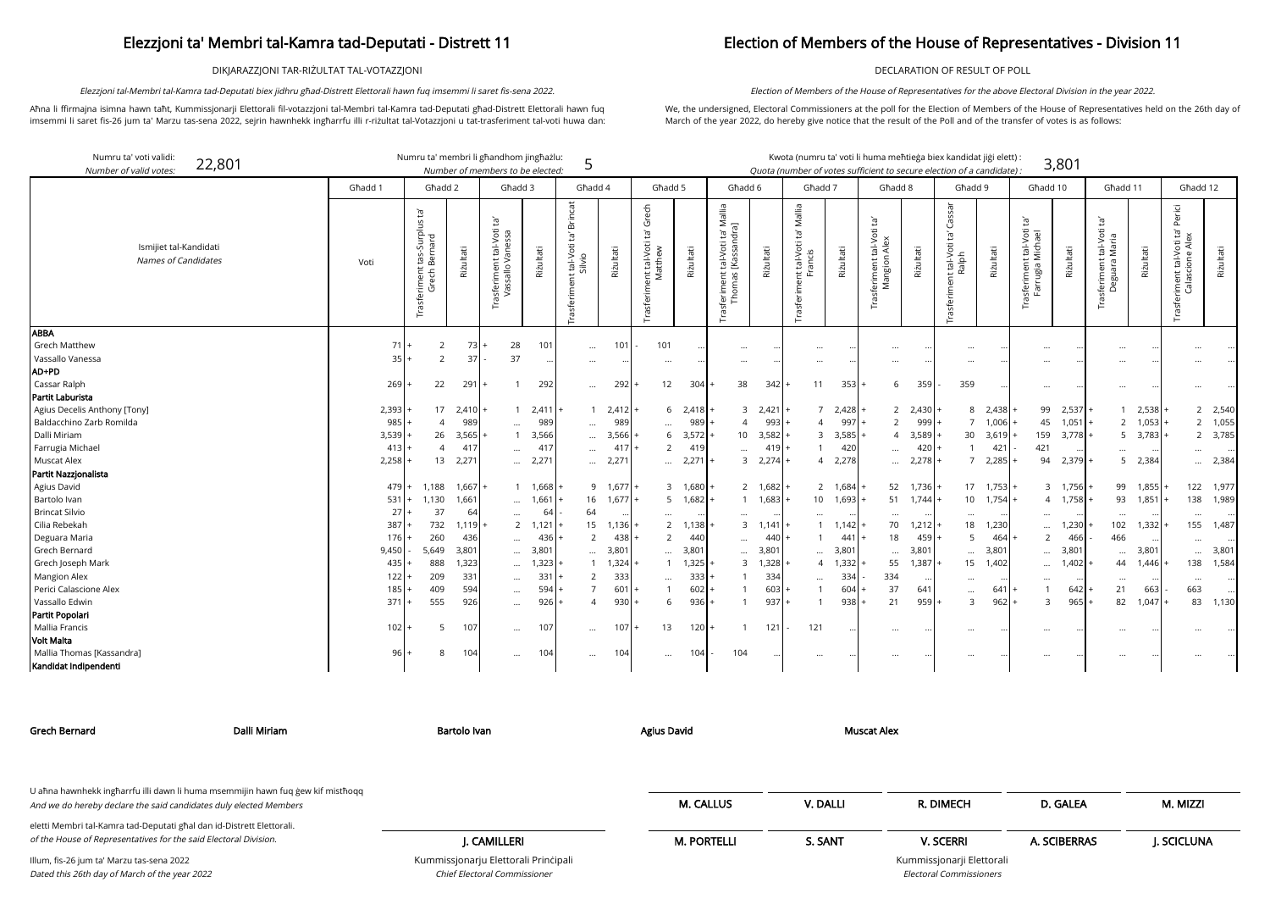DIKJARAZZJONI TAR-RIŻULTAT TAL-VOTAZZJONI

Aħna li ffirmajna isimna hawn taħt, Kummissjonarji Elettorali fil-votazzjoni tal-Membri tal-Kamra tad-Deputati għad-Distrett Elettorali hawn fuq imsemmi li saret fis-26 jum ta' Marzu tas-sena 2022, sejrin hawnhekk ingħarrfu illi r-riżultat tal-Votazzjoni u tat-trasferiment tal-voti huwa dan:

Elezzjoni tal-Membri tal-Kamra tad-Deputati biex jidhru għad-Distrett Elettorali hawn fuq imsemmi li saret fis-sena 2022.

### Election of Members of the House of Representatives - Division 11

DECLARATION OF RESULT OF POLL

We, the undersigned, Electoral Commissioners at the poll for the Election of Members of the House of Representatives held on the 26th day of March of the year 2022, do hereby give notice that the result of the Poll and of the transfer of votes is as follows:

Election of Members of the House of Representatives for the above Electoral Division in the year 2022.

rji Elettorali Electoral Commissioners

| Numru ta' voti validi:<br>22,801<br>Number of valid votes: |         | Numru ta' membri li għandhom jingħażlu:                       |                 | Number of members to be elected:                     |           | 5                                                                      |                    |                                                   |                         |                                                                         |                 | Kwota (numru ta' voti li huma meħtieġa biex kandidat jiġi elett) :<br>Quota (number of votes sufficient to secure election of a candidate) : |                 |                                                                           |           |                                                        |           |                                                        | 3,801           |                                                           |                 |                                                               |           |
|------------------------------------------------------------|---------|---------------------------------------------------------------|-----------------|------------------------------------------------------|-----------|------------------------------------------------------------------------|--------------------|---------------------------------------------------|-------------------------|-------------------------------------------------------------------------|-----------------|----------------------------------------------------------------------------------------------------------------------------------------------|-----------------|---------------------------------------------------------------------------|-----------|--------------------------------------------------------|-----------|--------------------------------------------------------|-----------------|-----------------------------------------------------------|-----------------|---------------------------------------------------------------|-----------|
|                                                            | Ghadd 1 | Ghadd 2                                                       |                 | Ghadd 3                                              |           | Ghadd 4                                                                |                    | Għadd 5                                           |                         | Ghadd 6                                                                 |                 | Ghadd 7                                                                                                                                      |                 | Ghadd 8                                                                   |           | Ghadd 9                                                |           | Ghadd 10                                               |                 | Għadd 11                                                  |                 | Ghadd 12                                                      |           |
| Ismijiet tal-Kandidati<br><b>Names of Candidates</b>       | Voti    | ē,<br>t tas-Surplus t<br>Bernard<br>Trasferiment t<br>Grech B | Riżultati       | ń<br>nt tal-Voti<br>Vanessa<br>ısferimen<br>Vassallo | Riżultati | <b>Brincat</b><br>Ìā<br>tal-Voti<br>$\frac{1}{\sqrt{2}}$<br>Trasferime | Riżultati          | Grech<br>Ĕ,<br>ent tal-Voti<br>Matthew<br>Trasfer | Riżultati               | ta' Mallia<br>ndra]<br>tal-Voti<br>[Kassan<br>as<br>as<br>erime<br>Thom | Riżultati       | Mallia<br>$\tilde{E}_1$<br>int tal-Voti 1<br>Francis<br>Trasferime                                                                           | Riżultati       | $\overline{c}$<br>tal-Voti<br>Alex<br>Trasferiment ta<br>Mangion <i>i</i> | Riżultati | Cassar<br>Ĭd'<br>t tal-Voti t<br>Ralph<br>Trasferiment | Riżultati | $\Xi^1$<br>frasferiment tal-Voti t<br>Farrugia Michael | Rizultati       | 可<br>-Voti<br>tal-Vot<br>Maria<br>ent<br>Deguara<br>sferi | Rizultati       | Perici<br>Ĭd'<br>tal-Voti<br>ione Ale<br>eriment 1<br>Calasci | Riżultati |
| <b>ABBA</b><br><b>Grech Matthew</b>                        | 71      | 2                                                             | 73 <sup>1</sup> | 28                                                   | 101       | $\ddotsc$                                                              | 101                | 101                                               |                         |                                                                         |                 | $\cdots$                                                                                                                                     |                 | $\ddotsc$                                                                 |           |                                                        |           |                                                        |                 |                                                           |                 |                                                               |           |
| Vassallo Vanessa<br>AD+PD                                  | 35      | 2                                                             | 37              | 37                                                   |           | $\cdots$                                                               |                    | $\cdots$                                          |                         |                                                                         |                 | $\cdots$                                                                                                                                     |                 | $\ddotsc$                                                                 |           |                                                        |           |                                                        |                 | $\cdots$                                                  |                 |                                                               |           |
| Cassar Ralph                                               | 269     | 22                                                            | 291             | $\mathbf{1}$                                         | 292       | $\cdots$                                                               | 292                | 12                                                | 304                     | 38                                                                      | 342             | 11                                                                                                                                           | 353             | 6                                                                         | 359       | 359                                                    |           | $\cdots$                                               |                 | $\cdots$                                                  |                 |                                                               |           |
| Partit Laburista                                           |         |                                                               |                 |                                                      |           |                                                                        |                    |                                                   |                         |                                                                         |                 |                                                                                                                                              |                 |                                                                           |           |                                                        |           |                                                        |                 |                                                           |                 |                                                               |           |
| Agius Decelis Anthony [Tony]                               | 2,393   | 17                                                            | 2,410           | -1                                                   | 2,411     |                                                                        | $1 \quad 2,412$    |                                                   | 2,418<br>6              | 3                                                                       | 2,421           |                                                                                                                                              | 7, 2,428        | 2                                                                         | 2,430     | 8                                                      | 2,438     |                                                        | 99 2,537        |                                                           | 2,538           |                                                               | 2 2,540   |
| Baldacchino Zarb Romilda                                   | 985     | $\overline{4}$                                                | 989             |                                                      | 989       | $\cdots$                                                               | 989                | $\cdots$                                          | 989                     |                                                                         | 993             | $\overline{4}$                                                                                                                               | 997             | $\overline{2}$                                                            | 999       | $\overline{7}$                                         | 1,006     | 45                                                     | 1,051           | 2                                                         | 1,053           |                                                               | 2 1,055   |
| Dalli Miriam                                               | 3,539   | 26                                                            | 3,565           | $\overline{1}$                                       | 3,566     | $\cdots$                                                               | 3,566              | 6                                                 | 3,572                   | 10 <sup>1</sup>                                                         | 3,582           |                                                                                                                                              | 3,585           | 4                                                                         | 3,589     | 30                                                     | 3,619     | 159                                                    | $3,778$ +       |                                                           | $5 \quad 3,783$ |                                                               | 2 3,785   |
| Farrugia Michael                                           | 413     | $\overline{4}$                                                | 417             | $\ddotsc$                                            | 417       | $\cdots$                                                               | 417                | $\overline{2}$                                    | 419                     | $\cdots$                                                                | 419             | $\mathbf{1}$                                                                                                                                 | 420             | $\ddots$                                                                  | 420       |                                                        | 421       | 421                                                    |                 |                                                           |                 | $\cdots$                                                      |           |
| <b>Muscat Alex</b>                                         | 2,258   | 13                                                            | 2,271           | $\cdots$                                             | 2,271     |                                                                        | $$ 2,27            | $\cdots$                                          | 2,271                   | $\mathbf{3}$                                                            | 2,274           |                                                                                                                                              | 4 2,278         | $\cdots$                                                                  | 2,278     | $7\overline{ }$                                        | 2,285     | 94                                                     | 2,379           | 5                                                         | 2,384           | $\cdots$                                                      | 2,384     |
| Partit Nazzjonalista                                       |         |                                                               |                 |                                                      |           |                                                                        |                    |                                                   |                         |                                                                         |                 |                                                                                                                                              |                 |                                                                           |           |                                                        |           |                                                        |                 |                                                           |                 |                                                               |           |
| Agius David                                                | 479     | 1,188                                                         | 1,667           |                                                      | 1 1,668   |                                                                        | $9 \t1,677$ +      |                                                   | 1,680<br>3              |                                                                         | 2 1,682         |                                                                                                                                              | 2 1,684         | 52                                                                        | 1,736     | 17                                                     | 1,753     |                                                        | 3 1,756         | 99                                                        | 1,855           | 122                                                           | 1,977     |
| Bartolo Ivan                                               | 531     | 1,130                                                         | 1,661           | $\cdots$                                             | 1,661     |                                                                        | $16 \quad 1,677$ + |                                                   | $5 \quad 1,682$         |                                                                         | $1 \quad 1,683$ |                                                                                                                                              | 10 1,693        | 51                                                                        | 1,744     | 10                                                     | 1,754     |                                                        | $4 \quad 1,758$ | 93                                                        | 1,851           | 138                                                           | 1,989     |
| <b>Brincat Silvio</b>                                      | 27      | 37                                                            | 64              | $\cdots$                                             | 64        | 64                                                                     |                    | $\cdots$                                          |                         |                                                                         |                 | $\cdots$                                                                                                                                     |                 | $\ddotsc$                                                                 |           |                                                        |           | $\cdots$                                               |                 | $\ddotsc$                                                 |                 | $\cdots$                                                      |           |
| Cilia Rebekah                                              | 387     | 732                                                           | 1,119           |                                                      | 2, 1, 121 | 15                                                                     | $1,136$ +          |                                                   | $\overline{2}$<br>1,138 | $\mathbf{3}$                                                            | 1,141           |                                                                                                                                              | $1 \quad 1.142$ | 70                                                                        | 1,212     | 18                                                     | 1,230     | $\cdots$                                               | 1,230           | 102                                                       | 1,332           | 155                                                           | 1,487     |
| Deguara Maria                                              | 176     | 260                                                           | 436             | $\cdots$                                             | 436       | $\mathcal{P}$                                                          | 438                | 2                                                 | 440                     | $\cdots$                                                                | 440             |                                                                                                                                              | 441             | 18                                                                        | 459       | 5                                                      | 464       | 2                                                      | 466             | 466                                                       |                 | $\cdots$                                                      |           |
| <b>Grech Bernard</b>                                       | 9,450   | 5,649                                                         | 3,801           | $\cdots$                                             | 3,801     |                                                                        | $3,80^{\circ}$     | $\cdots$                                          | 3,801                   | $\cdots$                                                                | 3,801           | $\cdots$                                                                                                                                     | 3,801           | $\ddots$                                                                  | 3,801     | $\ddotsc$                                              | 3,801     | $\cdots$                                               | 3,801           | $\ddotsc$                                                 | 3,801           |                                                               | 3,801     |
| Grech Joseph Mark                                          | 435     | 888                                                           | 1,323           | $\cdots$                                             | 1,323     |                                                                        | 1,324              | $\overline{1}$                                    | 1,325                   | $\mathbf{3}$                                                            | 1,328           | $\overline{4}$                                                                                                                               | 1,332           | 55                                                                        | 1,387     | 15                                                     | 1,402     | $\cdots$                                               | 1,402           | 44                                                        | 1,446           | 138                                                           | 1,584     |
| <b>Mangion Alex</b>                                        | 122     | 209                                                           | 331             | $\cdots$                                             | 331       | 2                                                                      | 333                | $\cdots$                                          | 333                     |                                                                         | 334             | $\cdots$                                                                                                                                     | 334             | 334                                                                       |           | $\cdots$                                               |           | $\cdots$                                               | $\cdots$        | $\cdots$                                                  |                 | $\cdots$                                                      | $\cdots$  |
| Perici Calascione Alex                                     | 185     | 409                                                           | 594             | $\cdots$                                             | 594       |                                                                        | 601                |                                                   | 602                     |                                                                         | 603             | $\overline{1}$                                                                                                                               | 604             | 37                                                                        | 641       |                                                        | 641       |                                                        | 642             | 21                                                        | 663             | 663                                                           |           |
| Vassallo Edwin                                             | 371     | 555                                                           | 926             |                                                      | 926       | $\Delta$                                                               | 930                | 6                                                 | 936                     | $\mathbf{1}$                                                            | 937             | $\overline{1}$                                                                                                                               | 938             | 21                                                                        | 959       | $\mathcal{E}$                                          | 962       | $\mathbf{3}$                                           | 965             | 82                                                        | 1.047           |                                                               | 83 1,130  |
| Partit Popolari                                            |         |                                                               |                 |                                                      |           |                                                                        |                    |                                                   |                         |                                                                         |                 |                                                                                                                                              |                 |                                                                           |           |                                                        |           |                                                        |                 |                                                           |                 |                                                               |           |
| Mallia Francis                                             | 102     | -5                                                            | 107             | $\cdots$                                             | 107       |                                                                        | 107                | 13                                                | 120                     | $\mathbf{1}$                                                            | 121             | 121                                                                                                                                          |                 | $\ddotsc$                                                                 |           |                                                        |           | $\cdots$                                               |                 |                                                           |                 |                                                               |           |
| Volt Malta                                                 |         |                                                               |                 |                                                      |           |                                                                        |                    |                                                   |                         |                                                                         |                 |                                                                                                                                              |                 |                                                                           |           |                                                        |           |                                                        |                 |                                                           |                 |                                                               |           |
| Mallia Thomas [Kassandra]                                  | 96      | 8                                                             | 104             | $\cdots$                                             | 104       | $\cdots$                                                               | 104                | $\cdots$                                          | 104                     | 104                                                                     |                 | $\cdots$                                                                                                                                     |                 | $\cdots$                                                                  | $\cdots$  | $\cdots$                                               |           | $\cdots$                                               |                 | $\cdots$                                                  |                 |                                                               |           |
| Kandidat Indipendenti                                      |         |                                                               |                 |                                                      |           |                                                                        |                    |                                                   |                         |                                                                         |                 |                                                                                                                                              |                 |                                                                           |           |                                                        |           |                                                        |                 |                                                           |                 |                                                               |           |

Chief Electoral Commissioner

| Grech Bernard                                                                                                                                        | Dalli Miriam | Bartolo Ivan                         | <b>Agius David</b> | Muscat Alex |                           |              |            |
|------------------------------------------------------------------------------------------------------------------------------------------------------|--------------|--------------------------------------|--------------------|-------------|---------------------------|--------------|------------|
|                                                                                                                                                      |              |                                      |                    |             |                           |              |            |
| U ahna hawnhekk ingharrfu illi dawn li huma msemmijin hawn fuq gew kif misthoqq<br>And we do hereby declare the said candidates duly elected Members |              |                                      | <b>M. CALLUS</b>   | V. DALLI    | <b>R. DIMECH</b>          | D. GALEA     | M. MIZZI   |
| eletti Membri tal-Kamra tad-Deputati għal dan id-Distrett Elettorali.<br>of the House of Representatives for the said Electoral Division.            |              | J. CAMILLERI                         | <b>M. PORTELLI</b> | S. SANT     | <b>V. SCERRI</b>          | A. SCIBERRAS | J. SCICLUN |
| Illum, fis-26 jum ta' Marzu tas-sena 2022                                                                                                            |              | Kummissjonarju Elettorali Principali |                    |             | Kummissjonarji Elettorali |              |            |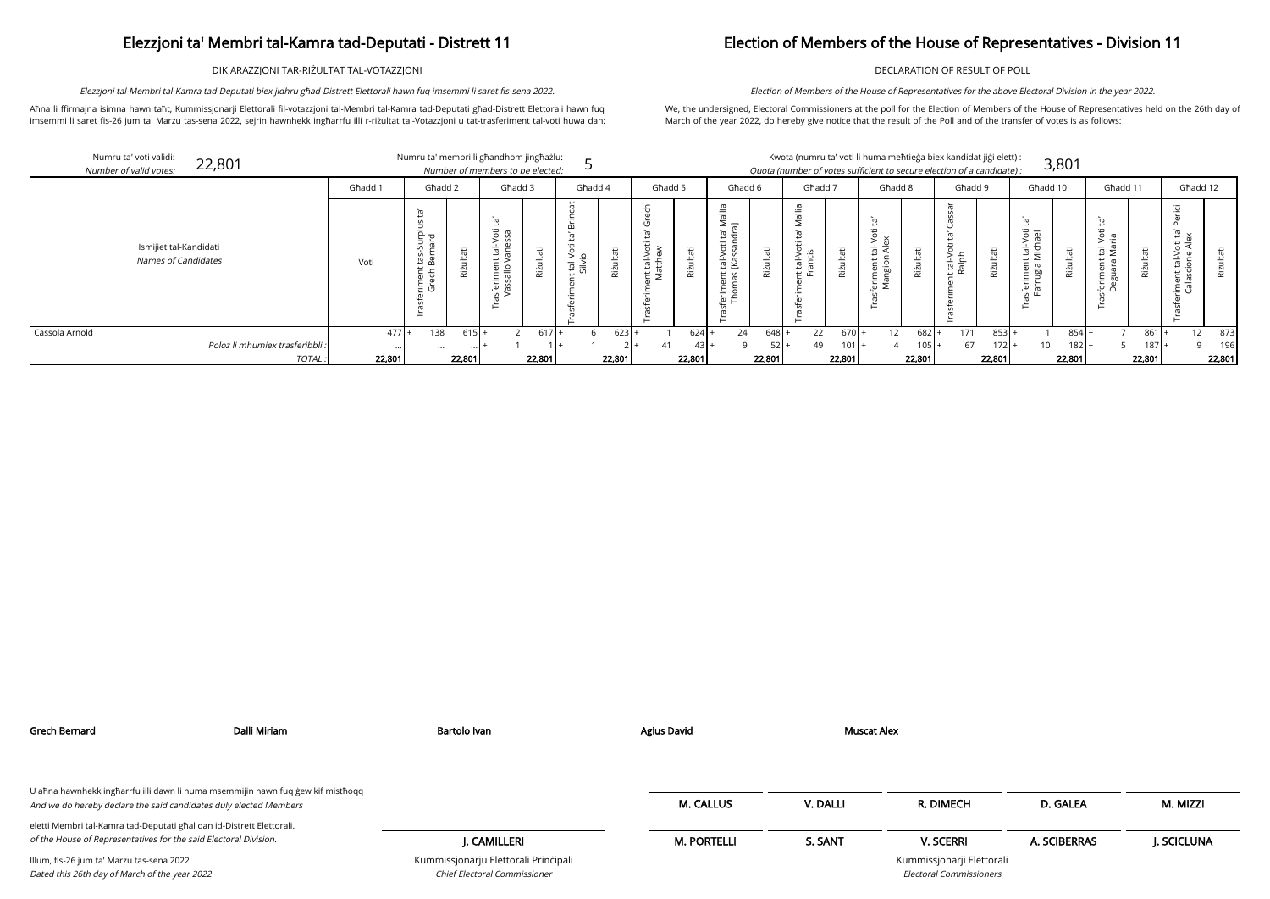DIKJARAZZJONI TAR-RIŻULTAT TAL-VOTAZZJONI

Aħna li ffirmajna isimna hawn taħt, Kummissjonarji Elettorali fil-votazzjoni tal-Membri tal-Kamra tad-Deputati għad-Distrett Elettorali hawn fuq imsemmi li saret fis-26 jum ta' Marzu tas-sena 2022, sejrin hawnhekk ingħarrfu illi r-riżultat tal-Votazzjoni u tat-trasferiment tal-voti huwa dan:

Elezzjoni tal-Membri tal-Kamra tad-Deputati biex jidhru għad-Distrett Elettorali hawn fuq imsemmi li saret fis-sena 2022.

## Election of Members of the House of Representatives - Division 11

DECLARATION OF RESULT OF POLL

We, the undersigned, Electoral Commissioners at the poll for the Election of Members of the House of Representatives held on the 26th day of March of the year 2022, do hereby give notice that the result of the Poll and of the transfer of votes is as follows:

Election of Members of the House of Representatives for the above Electoral Division in the year 2022.

| didat jiği elett): |       |
|--------------------|-------|
| of a candidate) :  | 3,801 |

| ۰  | . . |  |
|----|-----|--|
|    | . . |  |
|    |     |  |
| ۰. |     |  |

| Numru ta' voti validi:<br>22,801<br>Number of valid votes: |         |                                                            | Numru ta' membri li għandhom jingħażlu:<br>Number of members to be elected: |                                |                                |                                                                                 |                                                                      | Kwota (numru ta' voti li huma meħtieġa biex kandidat jiġi elett) :<br>Quota (number of votes sufficient to secure election of a candidate): |                                  | 3,801                                                            |                                               |                                                                 |
|------------------------------------------------------------|---------|------------------------------------------------------------|-----------------------------------------------------------------------------|--------------------------------|--------------------------------|---------------------------------------------------------------------------------|----------------------------------------------------------------------|---------------------------------------------------------------------------------------------------------------------------------------------|----------------------------------|------------------------------------------------------------------|-----------------------------------------------|-----------------------------------------------------------------|
|                                                            | Għadd 1 | Għadd 2                                                    | Għadd 3                                                                     | Għadd 4                        | Ghadd 5                        | Ghadd 6                                                                         | Għadd 7                                                              | Għadd 8                                                                                                                                     | Għadd 9                          | Għadd 10                                                         | Ghadd 11                                      | Għadd 12                                                        |
| Ismijiet tal-Kandidati<br><b>Names of Candidates</b>       | Voti    | ᢛ<br>Surplu<br>hard<br>≔<br>tä<br>Ber<br>riment<br>Grech E | Φ<br>$\circ$<br>πã<br>$\frac{5}{5}$<br>$\ddot{\mathbf{z}}$                  | 'nБ<br>vikit<br>Silvic<br>Rizu | tal-Voti<br>itthew<br>π<br>Riż | ≒<br>$\geq$ $\equiv$<br>᠊᠇<br>ى<br>ੱਚ ਛ<br>āΰ<br>tal-Vc<br>[Kass<br>Rizu<br>– எ | ъ<br><b>J</b> tati<br>$\frac{1}{\sigma}$<br>$\overline{\pi}$<br>Rizu | $\frac{1}{2}$ $\frac{1}{2}$<br>аťі<br>$rac{5}{8}$<br>Riżu                                                                                   | : tal-Voti<br>Ralph<br>āť<br>Riż | Ē<br>.<br>정 ම<br>iç<br>豆<br>Φ<br>ىد<br>൹<br>Riz<br>ğı<br>∵⊏<br>ഄ | $\overline{6}$ $\overline{6}$<br>—<br>ਨ<br>60 | ੌਰ<br>ى<br>'ਰ ਵੱ<br>. ਜ਼<br>$\frac{1}{2}$ $\frac{5}{2}$<br>Rizi |
| Cassola Arnold                                             | $477$ + | 138<br>$615H +$                                            | $617 +$                                                                     | 623                            | $624$ +                        | 24<br>$648$ +                                                                   | 22<br>$670 +$                                                        | 12<br>$682 +$                                                                                                                               | 171<br>$853$ +                   | 854                                                              | 861                                           | 12<br>873                                                       |
| Poloz li mhumiex trasferibbli :                            |         | $\cdots$                                                   |                                                                             |                                | $43+$<br>41                    | $52 +$                                                                          | 49<br>$101 +$                                                        |                                                                                                                                             | 67<br>$172 +$                    | 10<br>$182 +$                                                    | $187$ .                                       | 196                                                             |
| TOTAL                                                      | 22,801  | 22,801                                                     | 22,801                                                                      | 22,801                         | 22,801                         | 22,801                                                                          | 22,801                                                               | 22,801                                                                                                                                      | 22,801                           | 22,801                                                           | 22,801                                        | 22,801                                                          |

Grech Bernard Dalli Miriam Bartolo Ivan Agius David Muscat Alex

| U ahna hawnhekk ingharrfu illi dawn li huma msemmijin hawn fuq gew kif misthoqq<br>And we do hereby declare the said candidates duly elected Members |                                                                      | <b>M. CALLUS</b>   | V. DALLI | R. DIMECH                                            | D. GALEA     | M. MIZZI   |
|------------------------------------------------------------------------------------------------------------------------------------------------------|----------------------------------------------------------------------|--------------------|----------|------------------------------------------------------|--------------|------------|
| eletti Membri tal-Kamra tad-Deputati għal dan id-Distrett Elettorali.                                                                                |                                                                      |                    |          |                                                      |              |            |
| of the House of Representatives for the said Electoral Division.                                                                                     | I. CAMILLERI                                                         | <b>M. PORTELLI</b> | S. SANT  | <b>V. SCERRI</b>                                     | A. SCIBERRAS | J. SCICLUN |
| Illum, fis-26 jum ta' Marzu tas-sena 2022<br>Dated this 26th day of March of the year 2022                                                           | Kummissjonarju Elettorali Principali<br>Chief Electoral Commissioner |                    |          | Kummissjonarji Elettorali<br>Electoral Commissioners |              |            |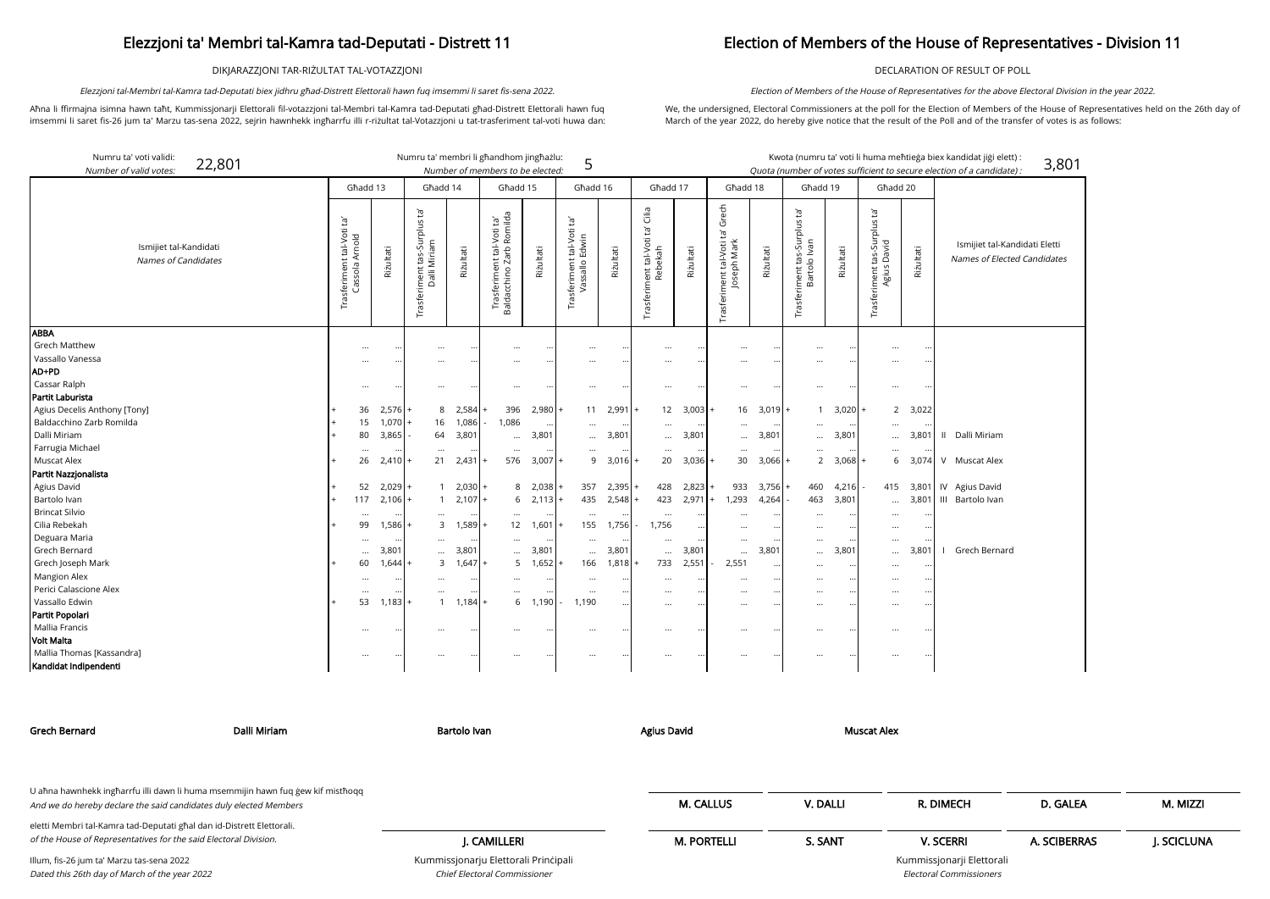DIKJARAZZJONI TAR-RIŻULTAT TAL-VOTAZZJONI

Aħna li ffirmajna isimna hawn taħt, Kummissjonarji Elettorali fil-votazzjoni tal-Membri tal-Kamra tad-Deputati għad-Distrett Elettorali hawn fuq imsemmi li saret fis-26 jum ta' Marzu tas-sena 2022, sejrin hawnhekk ingħarrfu illi r-riżultat tal-Votazzjoni u tat-trasferiment tal-voti huwa dan:

Elezzjoni tal-Membri tal-Kamra tad-Deputati biex jidhru għad-Distrett Elettorali hawn fuq imsemmi li saret fis-sena 2022.

## Election of Members of the House of Representatives - Division 11

Electoral Com

DECLARATION OF RESULT OF POLL

We, the undersigned, Electoral Commissioners at the poll for the Election of Members of the House of Representatives held on the 26th day of March of the year 2022, do hereby give notice that the result of the Poll and of the transfer of votes is as follows:

Election of Members of the House of Representatives for the above Electoral Division in the year 2022.

Numru ta' voti validi: 22,801 Numru ta' membri li għandhom jingħażlu:<br>Numher ef membri ta ba elected: Kwota (numru ta' voti li huma meħtieġa biex kan 5 Number of valid votes: Number of members to be elected: Quota (number of votes sufficient to secure election Għadd 13 Għadd 17 Għadd 18 Għadd 19 Għadd 14 Għadd 15 Għadd 16 Għadd 20 ta' Grech Trasferiment tal-Voti ta' Grech Cilia Trasferiment tas-Surplus ta'<br>Dalli Miriam<br>Riżultati Trasferiment tal-Voti ta' Cilia Trasferiment tas-Surplus ta'<br>Bartolo Ivan<br>Riżultati Trasferiment tas-Surplus ta'<br>Agius David<br>Riżultati Trasferiment tal-Voti ta'<br>Baldacchino Zarb Romilda Baldacchino Zarb Romilda Trasferiment tal-Voti ta'<br>Cassola Arnold  $\tilde{e}_1$ Trasferiment tal-Voti ta' Trasferiment tal-Voti ta' Trasferiment tal-Voti ta' Trasferiment tal-Voti ta'<br>Rebekah Trasferiment tal-Voti<br>Vassallo Edwin Trasferiment tal-Voti t<br>Joseph Mark Ismijiet tal-Kandidati Riżultati Riżultati Riżultati Riżultati Riżultati Names of Candidates Grech Matthew ... ... ... ... ... ... ... ... ... ... ... ... ... ... ... ... Vassallo Vanessa ... ... ... ... ... ... ... ... ... ... ... ... ... ... ... ... AD+PD Cassar Ralph ... ... ... ... ... ... ... ... ... ... ... ... ... ... ... ... Partit Laburista

| andidat jiģi elett):<br>n of a candidate) :                  | 3,801 |
|--------------------------------------------------------------|-------|
| Ismijiet tal-Kandidati Eletti<br>Names of Elected Candidates |       |
|                                                              |       |
| Dalli Miriam                                                 |       |
| <b>Muscat Alex</b>                                           |       |
| Agius David<br>Bartolo Ivan                                  |       |
| Grech Bernard                                                |       |
|                                                              |       |

| CH                           | D. GALEA     | M. MIZZI    |
|------------------------------|--------------|-------------|
| R <sub>l</sub>               | A. SCIBERRAS | J. SCICLUNA |
| rji Elettorali<br>missioners |              |             |

| rai ul Laburisla             |          |           |          |                |           |          |           |        |          |             |          |                    |          |           |           |                          |          |                 |   |                |
|------------------------------|----------|-----------|----------|----------------|-----------|----------|-----------|--------|----------|-------------|----------|--------------------|----------|-----------|-----------|--------------------------|----------|-----------------|---|----------------|
| Agius Decelis Anthony [Tony] | 36       | $2,576 +$ |          | $2,584$ +<br>8 |           | 396      | $2,980 +$ |        | 11       | $2,991 +$   |          | $12 \quad 3,003$ + | 16       | $3,019$ + |           | $3,020 +$                |          | 2, 3,022        |   |                |
| Baldacchino Zarb Romilda     | 15       | $1,070$ + | 16       | 1,086          |           | 1,086    | $\cdots$  |        | $\cdots$ | $\cdots$    | $\cdots$ | $\cdots$           | $\cdots$ | $\cdots$  | $\cdots$  | $\cdots$                 | $\cdots$ |                 |   |                |
| Dalli Miriam                 | 80       | 3,865     | 64       | 3,801          |           | $\cdots$ | 3,801     |        |          | $$ 3,801    | $\cdots$ | 3,801              | $\cdots$ | 3,801     |           | 3,801<br>$\cdots$        |          | 3,801           |   | Dalli Miriam   |
| Farrugia Michael             |          | $\cdots$  | $\cdots$ |                | $\cdots$  | $\cdots$ | $\cdots$  |        | $\cdots$ | $\cdots$    | $\cdots$ | $\cdots$           | $\cdots$ | $\cdots$  | $\cdots$  | $\cdots$                 | $\cdots$ |                 |   |                |
| Muscat Alex                  | 26       | $2,410 +$ | 21       | $2,431$ +      |           | 576      | $3,007 +$ |        |          | $9$ 3,016 + | 20       | $3,036$ +          | 30       | $3,066 +$ |           | $3,068 +$<br>$2^{\circ}$ |          | $6 \quad 3,074$ |   | Muscat Alex    |
| Partit Nazzjonalista         |          |           |          |                |           |          |           |        |          |             |          |                    |          |           |           |                          |          |                 |   |                |
| Agius David                  | 52       | $2,029$ + |          | $2,030$ +      |           | 8        | $2,038$ + |        | 357      | $2,395$ +   | 428      | $2,823$ +          | 933      | $3,756$ + | 460       | $4,216 -$                | 415      | 3,801           |   | IV Agius David |
| Bartolo Ivan                 | 117      | $2,106$ + |          | $2,107$ +      |           | 6        | $2,113 +$ |        | 435      | $2,548$ +   | 423      | 2,971              | ,293     | 4,264     | 463       | 3,801                    |          | $\dots$ 3,801   | Ш | Bartolo Ivan   |
| <b>Brincat Silvio</b>        |          | $\cdot$   | $\cdots$ |                |           | $\cdots$ | $\cdots$  |        | $\cdots$ | $\cdots$    | $\cdots$ | $\cdots$           | $\cdots$ | $\cdots$  | $\cdots$  | $\cdots$                 | $\cdots$ | $\ddotsc$       |   |                |
| Cilia Rebekah                | 99       | $1,586 +$ |          | 3              |           | 12       | 1,601     | $^{+}$ | 155      | .756        | 1,756    | $\cdots$           | $\cdots$ |           | $\cdots$  | $\ddotsc$                | $\cdots$ |                 |   |                |
| Deguara Maria                | $\cdots$ | $\cdots$  | $\cdots$ |                | $\cdots$  | $\cdots$ | $\cdots$  |        | $\cdots$ | $\cdots$    | $\cdots$ | $\cdots$           | $\cdots$ | $\cdots$  | $\cdots$  | $\cdots$                 | $\cdots$ |                 |   |                |
| Grech Bernard                | $\cdots$ | 3,801     | $\cdots$ | 3,801          |           | $\cdots$ | 3,801     |        |          | 3,801       | $\cdots$ | 3,801              | $\cdots$ | 3,801     | $\cdots$  | 3,801                    |          | 3,801           |   | Grech Bernard  |
| Grech Joseph Mark            | 60       | $,644 +$  |          | 3<br>$1,647$ + |           | 5        | $1,652$ + |        | 166      | 1,818       | 733      | 2,551              | 2,551    | $\cdots$  | $\cdots$  | $\ddotsc$                | $\cdots$ | $\cdots$        |   |                |
| Mangion Alex                 |          | $\cdots$  | $\cdots$ |                |           | $\cdots$ | $\bullet$ |        | $\cdots$ | $\cdots$    | $\cdots$ |                    | $\cdots$ | $\cdots$  | $\cdots$  | $\cdots$                 | $\cdots$ |                 |   |                |
| Perici Calascione Alex       |          | $\cdots$  | $\cdots$ |                |           | $\cdots$ | $\cdots$  |        | $\cdots$ | $\cdots$    | $\cdots$ |                    | $\cdots$ | $\cdots$  | $\cdots$  | $\cdots$                 | $\cdots$ |                 |   |                |
| Vassallo Edwin               | 53       | $1,183$ + |          |                | $1,184$ + | 6        | 1,190     |        | 1,190    | $\cdots$    | $\cdots$ | $\cdot$ .          | $\cdots$ |           | $\cdots$  | $\cdots$                 | $\cdots$ |                 |   |                |
| Partit Popolari              |          |           |          |                |           |          |           |        |          |             |          |                    |          |           |           |                          |          |                 |   |                |
| Mallia Francis               |          | $\cdot$ . | $\cdots$ |                |           |          | $\cdots$  |        |          |             | $\cdots$ | $\cdot$ .          | $\cdots$ |           | $\ddotsc$ | $\ddotsc$                |          |                 |   |                |
| Volt Malta                   |          |           |          |                |           |          |           |        |          |             |          |                    |          |           |           |                          |          |                 |   |                |
| Mallia Thomas [Kassandra]    | $\cdots$ |           | $\cdots$ |                |           |          | $\bullet$ |        | $\cdots$ |             | $\cdots$ |                    |          |           | $\cdots$  | $\cdots$                 | $\cdots$ |                 |   |                |
| Kandidat Indipendenti        |          |           |          |                |           |          |           |        |          |             |          |                    |          |           |           |                          |          |                 |   |                |
|                              |          |           |          |                |           |          |           |        |          |             |          |                    |          |           |           |                          |          |                 |   |                |

Kummissjonarju Elettorali Prinċipali Chief Electoral Commissioner

| Grech Bernard                                                                                                                             | Dalli Miriam | Bartolo Ivan                         | <b>Agius David</b> | Muscat Alex |                           |              |             |
|-------------------------------------------------------------------------------------------------------------------------------------------|--------------|--------------------------------------|--------------------|-------------|---------------------------|--------------|-------------|
| U aħna hawnhekk ingħarrfu illi dawn li huma msemmijin hawn fuq ġew kif mistħoqq                                                           |              |                                      |                    |             |                           |              |             |
| And we do hereby declare the said candidates duly elected Members                                                                         |              |                                      | <b>M. CALLUS</b>   | V. DALLI    | R. DIMECH                 | D. GALEA     | M. MIZZI    |
| eletti Membri tal-Kamra tad-Deputati għal dan id-Distrett Elettorali.<br>of the House of Representatives for the said Electoral Division. |              | J. CAMILLERI                         | <b>M. PORTELLI</b> | S. SANT     | <b>V. SCERRI</b>          | A. SCIBERRAS | J. SCICLUNA |
| Illum, fis-26 jum ta' Marzu tas-sena 2022                                                                                                 |              | Kummissjonarju Elettorali Principali |                    |             | Kummissjonarji Elettorali |              |             |

Illum, fis-26 jum ta' Marzu tas-sena 2022 Dated this 26th day of March of the year 2022

**ABBA**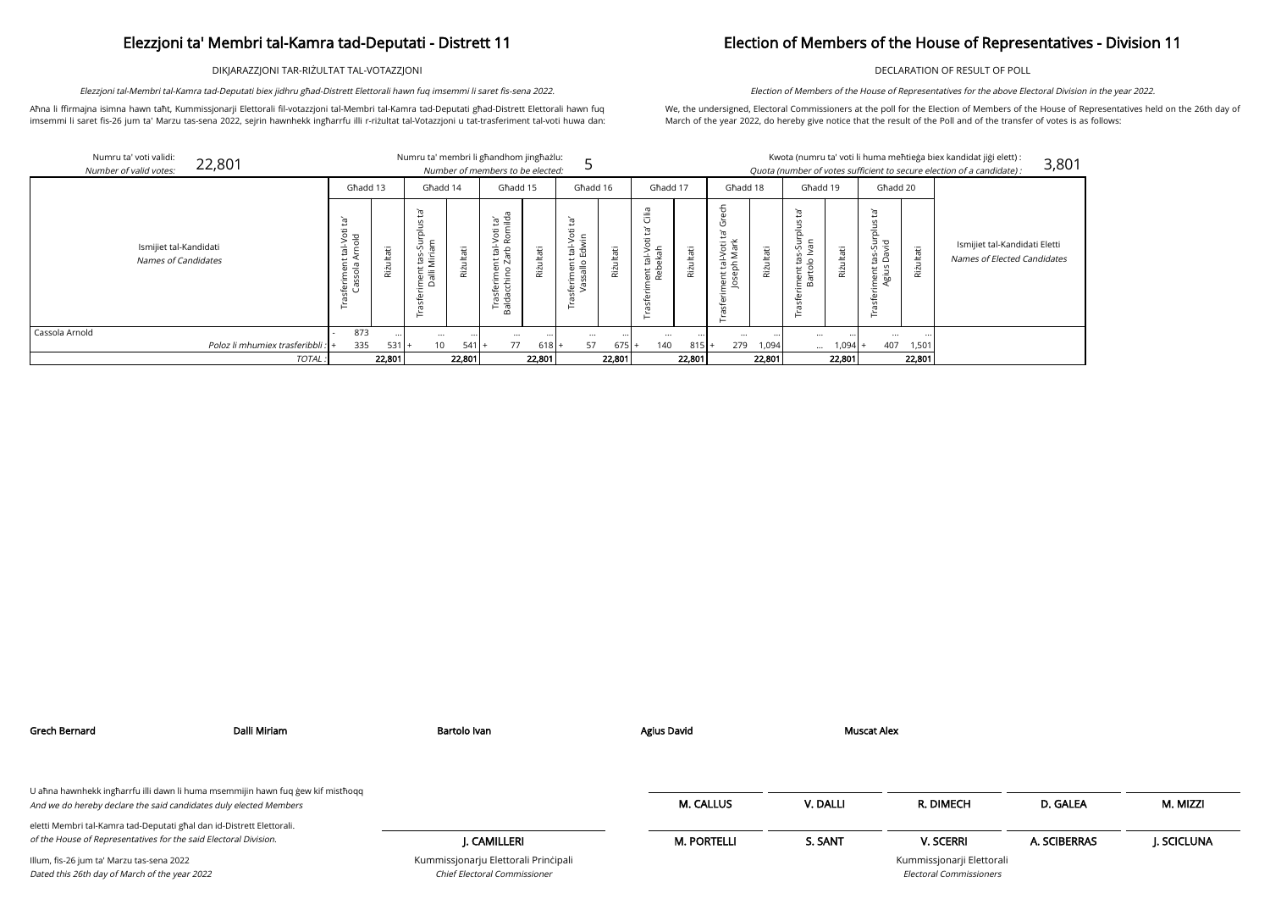DIKJARAZZJONI TAR-RIŻULTAT TAL-VOTAZZJONI

Aħna li ffirmajna isimna hawn taħt, Kummissjonarji Elettorali fil-votazzjoni tal-Membri tal-Kamra tad-Deputati għad-Distrett Elettorali hawn fuq imsemmi li saret fis-26 jum ta' Marzu tas-sena 2022, sejrin hawnhekk ingħarrfu illi r-riżultat tal-Votazzjoni u tat-trasferiment tal-voti huwa dan:

Elezzjoni tal-Membri tal-Kamra tad-Deputati biex jidhru għad-Distrett Elettorali hawn fuq imsemmi li saret fis-sena 2022.

## Election of Members of the House of Representatives - Division 11

DECLARATION OF RESULT OF POLL

We, the undersigned, Electoral Commissioners at the poll for the Election of Members of the House of Representatives held on the 26th day of March of the year 2022, do hereby give notice that the result of the Poll and of the transfer of votes is as follows:

Election of Members of the House of Representatives for the above Electoral Division in the year 2022.

| Numru ta' voti validi:<br>22,801<br>Number of valid votes: |        |                                                   |           | Numru ta' membri li ghandhom jinghażlu:             |          | Number of members to be elected:                                                                                        |           |                                                     |                |                                           |            |                                                                     |           |                                          |                  |                                                               |                | Kwota (numru ta' voti li huma meħtieġa biex kandidat jiġi elett):<br>Quota (number of votes sufficient to secure election of a candidate) : |
|------------------------------------------------------------|--------|---------------------------------------------------|-----------|-----------------------------------------------------|----------|-------------------------------------------------------------------------------------------------------------------------|-----------|-----------------------------------------------------|----------------|-------------------------------------------|------------|---------------------------------------------------------------------|-----------|------------------------------------------|------------------|---------------------------------------------------------------|----------------|---------------------------------------------------------------------------------------------------------------------------------------------|
|                                                            |        | Għadd 13                                          |           | Għadd 14                                            |          | Għadd 15                                                                                                                |           | Għadd 16                                            |                | Ghadd 17                                  |            | Għadd 18                                                            |           | Għadd 19                                 |                  | Għadd 20                                                      |                |                                                                                                                                             |
| Ismijiet tal-Kandidati<br><b>Names of Candidates</b>       |        | Έ,<br>Φ<br>tal-Vot<br>mold<br>feriment<br>Cassola | Riżultati | ഁ൛<br>ᅙ<br>ε<br>Ξ<br>Miriar<br>ى<br>ment<br>Dalli l | āťi      | ebli<br>≀¤<br>Φ<br>$\circ$<br>6q<br>을 한<br>t ä<br>Φ<br>$\circ$<br>ε<br>erim<br>chin<br>Ū<br>in.<br>᠊ᢐ<br>Traid<br>Baldä | Riżultati | ᠤ<br>$\circ$<br>$\geq \frac{1}{2}$<br>ರ<br>ρņ<br>∵⊏ | ultati<br>Rizi | Cilia<br>Φ<br>등<br>Ė<br>훇<br>Re<br>Œ<br>⊢ | Itati<br>ë | $\overline{\mathbf{X}}$<br>: tal-Voti<br>ph Mark<br>ent<br>Sep<br>ö | Rizultati | ᡡ<br>ㅎ<br>⊃<br>n<br>£,<br>ment<br>Bartol | āťi<br>یر<br>Riz | Έ<br>$\mathsf{C}$<br>tas-Surplus<br>David<br>iment t<br>Agius | ultati<br>Riżi | Ismijiet tal-Kand<br>Names of Elected                                                                                                       |
| Cassola Arnold                                             |        | 873                                               |           | $\cdots$                                            | $\cdots$ |                                                                                                                         | $\ddotsc$ | $\cdots$                                            |                | $\ddotsc$                                 | $\cdots$   | $\cdots$                                                            |           | $\cdots$                                 |                  | $\cdots$                                                      |                |                                                                                                                                             |
| Poloz li mhumiex trasferibbli :                            |        | 335                                               | 531       | 10                                                  | $541 +$  | 77                                                                                                                      | $618$  +  | 57                                                  | $675 +$        | 140                                       | $815+$     | 279                                                                 | 1,094     | $\cdots$                                 | $1,094$ +        | 407                                                           | 1,501          |                                                                                                                                             |
|                                                            | TOTAL: |                                                   | 22,801    |                                                     | 22,801   |                                                                                                                         | 22,801    |                                                     | 22,801         |                                           | 22,801     |                                                                     | 22,801    |                                          | 22,801           |                                                               | 22,801         |                                                                                                                                             |

| andidat jiği elett) :<br>n of a candidate) : | 3,801 |
|----------------------------------------------|-------|
|                                              |       |
|                                              |       |
| Ismijiet tal-Kandidati Eletti                |       |
| Names of Elected Candidates                  |       |
|                                              |       |
|                                              |       |
|                                              |       |
|                                              |       |

| I |  |  |
|---|--|--|
|   |  |  |
|   |  |  |

| Grech Bernard                                                                                                                                        | Dalli Miriam | Bartolo Ivan                                                         | Agius David        | Muscat Alex |                                                             |              |            |
|------------------------------------------------------------------------------------------------------------------------------------------------------|--------------|----------------------------------------------------------------------|--------------------|-------------|-------------------------------------------------------------|--------------|------------|
| U ahna hawnhekk ingharrfu illi dawn li huma msemmijin hawn fuq gew kif misthoqq<br>And we do hereby declare the said candidates duly elected Members |              |                                                                      | <b>M. CALLUS</b>   | V. DALLI    | R. DIMECH                                                   | D. GALEA     | M. MIZZI   |
| eletti Membri tal-Kamra tad-Deputati għal dan id-Distrett Elettorali.<br>of the House of Representatives for the said Electoral Division.            |              | J. CAMILLERI                                                         | <b>M. PORTELLI</b> | S. SANT     | <b>V. SCERRI</b>                                            | A. SCIBERRAS | J. SCICLUN |
| Illum, fis-26 jum ta' Marzu tas-sena 2022<br>Dated this 26th day of March of the year 2022                                                           |              | Kummissjonarju Elettorali Principali<br>Chief Electoral Commissioner |                    |             | Kummissjonarji Elettorali<br><b>Electoral Commissioners</b> |              |            |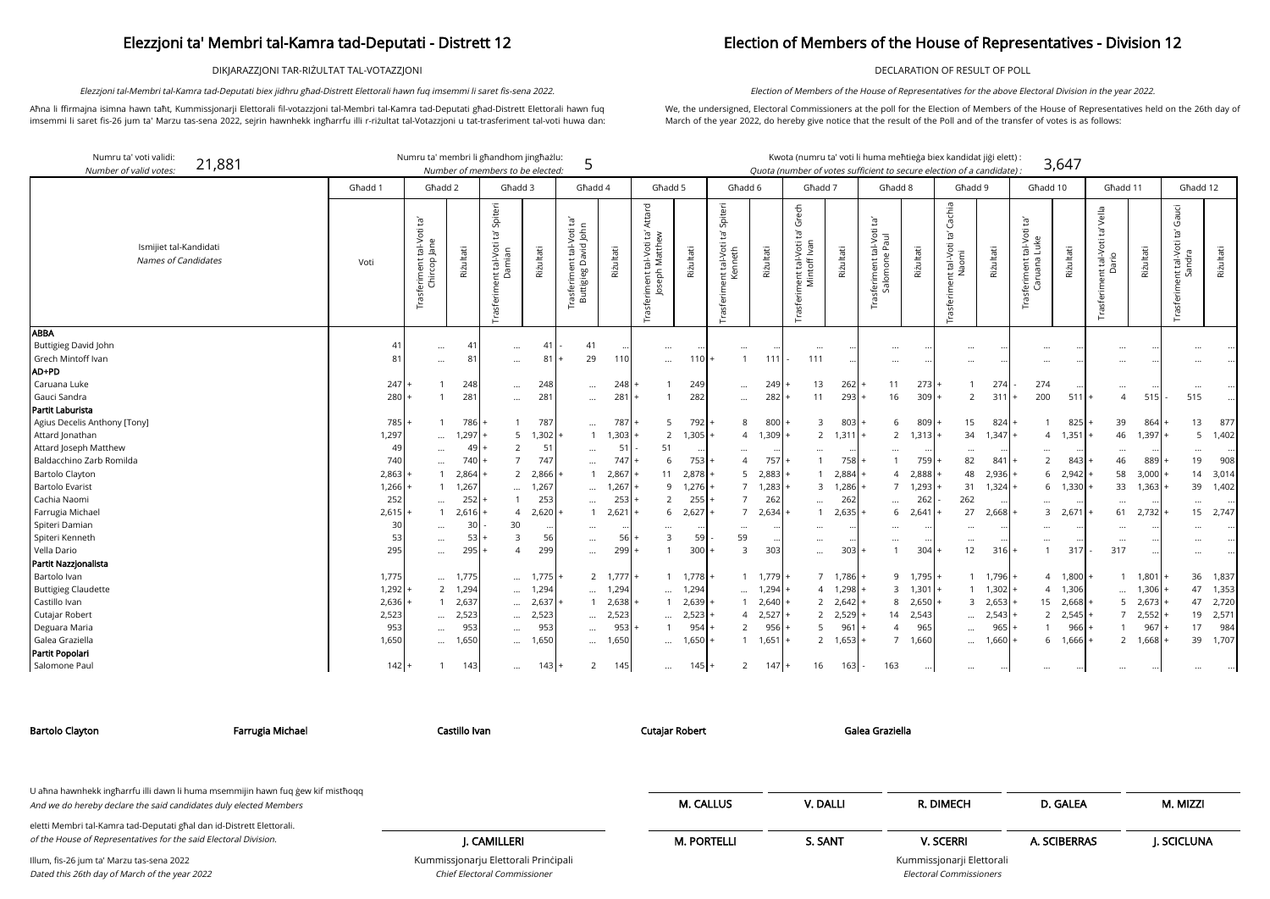DIKJARAZZJONI TAR-RIŻULTAT TAL-VOTAZZJONI

Aħna li ffirmajna isimna hawn taħt, Kummissjonarji Elettorali fil-votazzjoni tal-Membri tal-Kamra tad-Deputati għad-Distrett Elettorali hawn fuq imsemmi li saret fis-26 jum ta' Marzu tas-sena 2022, sejrin hawnhekk ingħarrfu illi r-riżultat tal-Votazzjoni u tat-trasferiment tal-voti huwa dan:

Elezzjoni tal-Membri tal-Kamra tad-Deputati biex jidhru għad-Distrett Elettorali hawn fuq imsemmi li saret fis-sena 2022.

### Election of Members of the House of Representatives - Division 12

DECLARATION OF RESULT OF POLL

| didat jiģi elett) : |       |
|---------------------|-------|
| of a candidate) :   | 3,647 |

We, the undersigned, Electoral Commissioners at the poll for the Election of Members of the House of Representatives held on the 26th day of March of the year 2022, do hereby give notice that the result of the Poll and of the transfer of votes is as follows:

Election of Members of the House of Representatives for the above Electoral Division in the year 2022.

arji Elettorali Electoral Commissioners

| Numru ta' voti validi:<br>21,881<br>Number of valid votes |         | Numru ta' membri li għandhom jingħażlu:   |             | Number of members to be elected:                                             |            | 5                                                              |                        |                                                       |                     |                                                        |           | Kwota (numru ta' voti li huma meħtieġa biex kandidat jiġi elett) :<br>Quota (number of votes sufficient to secure election of a candidate) : |                   |                                            |                    |                                                    |                 |                                           | 3,647             |                                               |               |                                                 |           |
|-----------------------------------------------------------|---------|-------------------------------------------|-------------|------------------------------------------------------------------------------|------------|----------------------------------------------------------------|------------------------|-------------------------------------------------------|---------------------|--------------------------------------------------------|-----------|----------------------------------------------------------------------------------------------------------------------------------------------|-------------------|--------------------------------------------|--------------------|----------------------------------------------------|-----------------|-------------------------------------------|-------------------|-----------------------------------------------|---------------|-------------------------------------------------|-----------|
|                                                           | Ghadd 1 | Għadd 2                                   |             | Għadd 3                                                                      |            | Ghadd 4                                                        |                        | Ghadd 5                                               |                     | Ghadd 6                                                |           | Għadd 7                                                                                                                                      |                   | Ghadd 8                                    |                    | Ghadd 9                                            |                 | Għadd 10                                  |                   | Għadd 11                                      |               | Għadd 12                                        |           |
| Ismijiet tal-Kandidati<br>Names of Candidates             | Voti    | Trasferiment tal-Voti ta'<br>Chircop Jane | Riżultati   | Spiteri<br>Έ<br>tal-Voti<br>amian<br>õ<br>$\overline{\text{c}}$<br>Trasferim | Riżultati  | ĔJ<br>ent tal-Voti ta<br>David John<br>rasferimer<br>Buttigieg | Riżultati              | Attard<br>Trasferiment tal-Voti ta'<br>Joseph Matthew | Riżultati           | Spiteri<br>ď<br>int tal-Voti<br>Kenneth<br>Trasferimer | Riżultati | Grech<br>$\Xi$<br>Trasferiment tal-Voti<br>Mintoff Ivan                                                                                      | Riżultati         | Trasferiment tal-Voti ta'<br>Salomone Paul | Riżultati          | Cachia<br>nt tal-Voti ta' (<br>Naomi<br>Trasferime | Riżultati       | Trasferiment tal-Voti ta'<br>Caruana Luke | Riżultati         | vella<br>Ğ,<br>Trasferiment tal-Voti<br>Dario | Riżultati     | Gauci<br>Ĭā,<br>Trasferiment tal-Voti<br>Sandra | Riżultati |
| ABBA                                                      |         |                                           |             |                                                                              |            |                                                                |                        |                                                       |                     |                                                        |           |                                                                                                                                              |                   |                                            |                    |                                                    |                 |                                           |                   |                                               |               |                                                 |           |
| Buttigieg David John                                      | 41      | $\cdots$                                  | 41          | $\cdots$                                                                     | 41         | 41                                                             |                        | $\ldots$                                              | $\cdots$            | $\ddotsc$                                              |           | $\cdots$                                                                                                                                     |                   | $\cdots$                                   |                    |                                                    |                 | $\cdots$                                  |                   | $\ddotsc$                                     |               |                                                 |           |
| Grech Mintoff Ivan<br>AD+PD                               | 81      |                                           | $8^{\circ}$ | $\cdots$                                                                     | 81         | 29                                                             | 11(                    | $\cdots$                                              | 110 <b>1</b>        | $\overline{1}$                                         | 111       | 111                                                                                                                                          |                   | $\cdots$                                   |                    |                                                    |                 |                                           |                   |                                               |               |                                                 |           |
| Caruana Luke                                              | 247     |                                           | 248         |                                                                              |            |                                                                |                        |                                                       | 249                 |                                                        | 249       | 13                                                                                                                                           | 262               | 11                                         | 273                |                                                    | 274             | 274                                       |                   |                                               |               |                                                 |           |
| Gauci Sandra                                              | 280     |                                           | 281         | $\cdots$                                                                     | 248<br>281 | $\cdots$                                                       | 248<br>28 <sup>2</sup> |                                                       | 282                 | $\cdots$                                               | 282       | 11                                                                                                                                           | 293               | 16                                         | 309                | 2                                                  | 311             | 200                                       | 511               | $\cdots$<br>$\overline{4}$                    | 515           | $\cdots$<br>515                                 |           |
| Partit Laburista                                          |         |                                           |             | $\cdots$                                                                     |            | $\cdots$                                                       |                        |                                                       |                     |                                                        |           |                                                                                                                                              |                   |                                            |                    |                                                    |                 |                                           |                   |                                               |               |                                                 |           |
| Agius Decelis Anthony [Tony]                              | 785     |                                           | $786+$      |                                                                              | 787        |                                                                | 787                    | -5                                                    | $792 +$             | 8                                                      | 800       | 3                                                                                                                                            | $803 +$           | 6                                          | $809$ +            | 15                                                 | $824 +$         |                                           | 825               | 39                                            | 864           | 13                                              | 877       |
| Attard Jonathan                                           | 1,297   |                                           | 1,297       | 5                                                                            | 1,302      |                                                                | 1,303                  | 2                                                     | $1,305$ +           | $\overline{4}$                                         | 1,309     | $2^{\circ}$                                                                                                                                  | $1,311 +$         | $\overline{2}$                             | $1,313$ +          | 34                                                 | 1,347           | $\overline{4}$                            | 1,351             | 46                                            | 1,397         | 5                                               | 1,402     |
| Attard Joseph Matthew                                     | 49      | $\cdots$                                  | 491         | $\overline{2}$                                                               | 51         |                                                                | 51                     | 51                                                    |                     |                                                        |           |                                                                                                                                              |                   |                                            |                    |                                                    |                 |                                           |                   |                                               |               |                                                 |           |
| Baldacchino Zarb Romilda                                  | 740     | $\cdots$                                  | 740         |                                                                              | 747        | $\cdots$                                                       | 747                    | 6                                                     | $\cdots$<br>$753$ + |                                                        | 757       | $\cdots$                                                                                                                                     | $758 +$           | $\cdots$                                   | 759                | 82                                                 | 841             | $\cdots$<br>2                             | 843               | $\cdots$<br>46                                | 889           | $\cdots$<br>19                                  | 908       |
| <b>Bartolo Clayton</b>                                    | 2,863   | $\cdots$                                  | 2,864       | 2                                                                            | 2,866      | $\cdots$                                                       | 2,867                  | 11                                                    | 2,878               |                                                        | 5 2,883   |                                                                                                                                              | $2,884 +$         | 4                                          | 2,888              | 48                                                 | 2,936           | 6                                         | 2,942             | 58                                            | 3,000         | 14                                              | 3,014     |
| <b>Bartolo Evarist</b>                                    | 1,266   | $\mathbf{1}$                              | 1,267       |                                                                              | 1,267      |                                                                | 1,267                  | 9                                                     | 1,276               |                                                        | 1,283     | 3                                                                                                                                            | 1,286             | $\overline{7}$                             | 1,293              | 31                                                 | 1,324           |                                           | 6 1,330           | 33                                            | 1,363         | 39                                              | 1,402     |
| Cachia Naomi                                              | 252     | $\cdots$                                  | 252         | $\cdots$                                                                     | 253        |                                                                | 253                    | 2                                                     | $255$ +             |                                                        | 262       |                                                                                                                                              | 262               |                                            | 262                | 262                                                |                 |                                           |                   |                                               |               |                                                 |           |
| Farrugia Michael                                          | 2,615   |                                           | 2,616       | $\overline{A}$                                                               | 2,620      |                                                                | 2,621                  | 6                                                     | 2,627               | $\overline{7}$                                         | 2,634     | $\cdots$                                                                                                                                     | 2,635             | $\cdots$<br>6                              | 2,641              | 27                                                 | 2,668           | $\cdots$                                  | 3, 2,671          | $\ddots$<br>61                                | 2,732         | $\cdots$<br>15                                  | 2,747     |
| Spiteri Damian                                            | 30      |                                           | 30          | 30                                                                           |            |                                                                |                        |                                                       |                     |                                                        |           |                                                                                                                                              |                   |                                            |                    |                                                    |                 |                                           |                   |                                               |               |                                                 |           |
| Spiteri Kenneth                                           | 53      | $\cdots$<br>$\cdots$                      | 53          | 3                                                                            | 56         | $\cdots$<br>$\cdots$                                           | 56                     | $\cdots$<br>$\overline{3}$                            | $\cdots$<br>59      | $\ddotsc$<br>59                                        | $\cdot$   | $\ddotsc$<br>                                                                                                                                |                   | $\cdots$<br>$\cdots$                       |                    | $\cdots$                                           |                 | $\cdots$<br>$\cdots$                      |                   |                                               |               |                                                 |           |
| Vella Dario                                               | 295     | $\cdots$                                  | 295         | $\Delta$                                                                     | 299        | $\cdots$                                                       | 299                    |                                                       | 300                 | 3                                                      | 303       | $\cdots$                                                                                                                                     | 303               |                                            | 304                | 12                                                 | 316             | $\mathbf{1}$                              | 317               | $\ldots$<br>317                               | $\ddotsc$     | $\cdots$                                        |           |
| Partit Nazzjonalista                                      |         |                                           |             |                                                                              |            |                                                                |                        |                                                       |                     |                                                        |           |                                                                                                                                              |                   |                                            |                    |                                                    |                 |                                           |                   |                                               |               |                                                 |           |
| Bartolo Ivan                                              | 1,775   | $\cdots$                                  | 1,775       | $\cdots$                                                                     | 1,775      |                                                                | $2 \t1,777$ +          |                                                       | $1,778$ +           | $\overline{1}$                                         | 1,779     |                                                                                                                                              | $7 \quad 1,786 +$ |                                            | $9 \quad 1.795$  + |                                                    | $1,796 +$       |                                           | $4 \quad 1,800 +$ |                                               | 1,801         | 36                                              | 1,837     |
| <b>Buttigieg Claudette</b>                                | 1,292   | $\overline{2}$                            | 1,294       | $\cdots$                                                                     | 1,294      |                                                                | 1,294                  | $\cdots$                                              | 1,294               | $\cdots$                                               | 1,294     |                                                                                                                                              | $4 1,298 +$       | $\overline{3}$                             | $1,301$ +          |                                                    | $1 \quad 1,302$ |                                           | 4 1,306           | $\ddotsc$                                     | 1,306         | 47                                              | 1,353     |
| Castillo Ivan                                             | 2,636   | $\overline{1}$                            | 2,637       | $\cdots$                                                                     | 2,637      |                                                                | 2,638                  |                                                       | 2,639               | $\mathbf{1}$                                           | 2,640     |                                                                                                                                              | $2 \quad 2,642 +$ | 8                                          | 2,650              |                                                    | 3, 2,653        |                                           | 15 2,668          | 5                                             | 2,673         | 47                                              | 2,720     |
| Cutajar Robert                                            | 2,523   |                                           | 2,523       |                                                                              | 2,523      |                                                                | 2,523                  | $\cdots$                                              | 2,523               | $\overline{4}$                                         | 2,527     |                                                                                                                                              | $2 \quad 2,529$ + | 14                                         | 2,543              | $\cdots$                                           | 2,543           |                                           | 2,545             |                                               | 2,552         | 19                                              | 2,571     |
| Deguara Maria                                             | 953     | $\cdots$<br>$\cdots$                      | 953         | $\cdots$                                                                     | 953        | $\cdots$<br>$\cdots$                                           | 953                    |                                                       | 954                 | 2                                                      | 956       | 5                                                                                                                                            | 96'               | $\Delta$                                   | 965                | $\cdots$                                           | 965             |                                           | 966               |                                               | 967           | 17                                              | 984       |
| Galea Graziella                                           | 1,650   |                                           | 1,650       | $\cdots$                                                                     | 1,650      | $\cdots$                                                       | 1,650                  |                                                       | 1,650               | $\mathbf{1}$                                           | 1,651     |                                                                                                                                              | $2 \t1,653 +$     | $\overline{7}$                             | 1,660              |                                                    | 1,660           |                                           | 6 1,666           | $\overline{2}$                                | 1,668         | 39                                              | 1,707     |
| Partit Popolari                                           |         | $\cdots$                                  |             | $\cdots$                                                                     |            |                                                                |                        | $\cdots$                                              |                     |                                                        |           |                                                                                                                                              |                   |                                            |                    | $\cdots$                                           |                 |                                           |                   |                                               |               |                                                 |           |
| Salomone Paul                                             | $142 +$ |                                           | 143         | $\cdots$                                                                     | $143 +$    | 2                                                              | 145                    | $\cdots$                                              | $145$ +             | 2                                                      | 147       | 16<br>$+$                                                                                                                                    | 163               | 163                                        |                    | $\cdots$                                           |                 | $\cdots$                                  |                   | $\cdots$                                      | $\cdot \cdot$ |                                                 |           |
|                                                           |         |                                           |             |                                                                              |            |                                                                |                        |                                                       |                     |                                                        |           |                                                                                                                                              |                   |                                            | $\cdots$           |                                                    |                 |                                           |                   |                                               |               |                                                 |           |

Chief Electoral Commissioner

| Bartolo Clayton                                                                                                                                      | Farrugia Michael | Castillo Ivan                        | <b>Cutajar Robert</b> | Galea Graziella |                           |              |            |
|------------------------------------------------------------------------------------------------------------------------------------------------------|------------------|--------------------------------------|-----------------------|-----------------|---------------------------|--------------|------------|
|                                                                                                                                                      |                  |                                      |                       |                 |                           |              |            |
| U ahna hawnhekk ingharrfu illi dawn li huma msemmijin hawn fuq gew kif misthoqq<br>And we do hereby declare the said candidates duly elected Members |                  |                                      | <b>M. CALLUS</b>      | V. DALLI        | R. DIMECH                 | D. GALEA     | M. MIZZI   |
| eletti Membri tal-Kamra tad-Deputati għal dan id-Distrett Elettorali.<br>of the House of Representatives for the said Electoral Division.            |                  | I. CAMILLERI                         | <b>M. PORTELLI</b>    | S. SANT         | <b>V. SCERRI</b>          | A. SCIBERRAS | J. SCICLUN |
| Illum, fis-26 jum ta' Marzu tas-sena 2022                                                                                                            |                  | Kummissjonarju Elettorali Principali |                       |                 | Kummissjonarji Elettorali |              |            |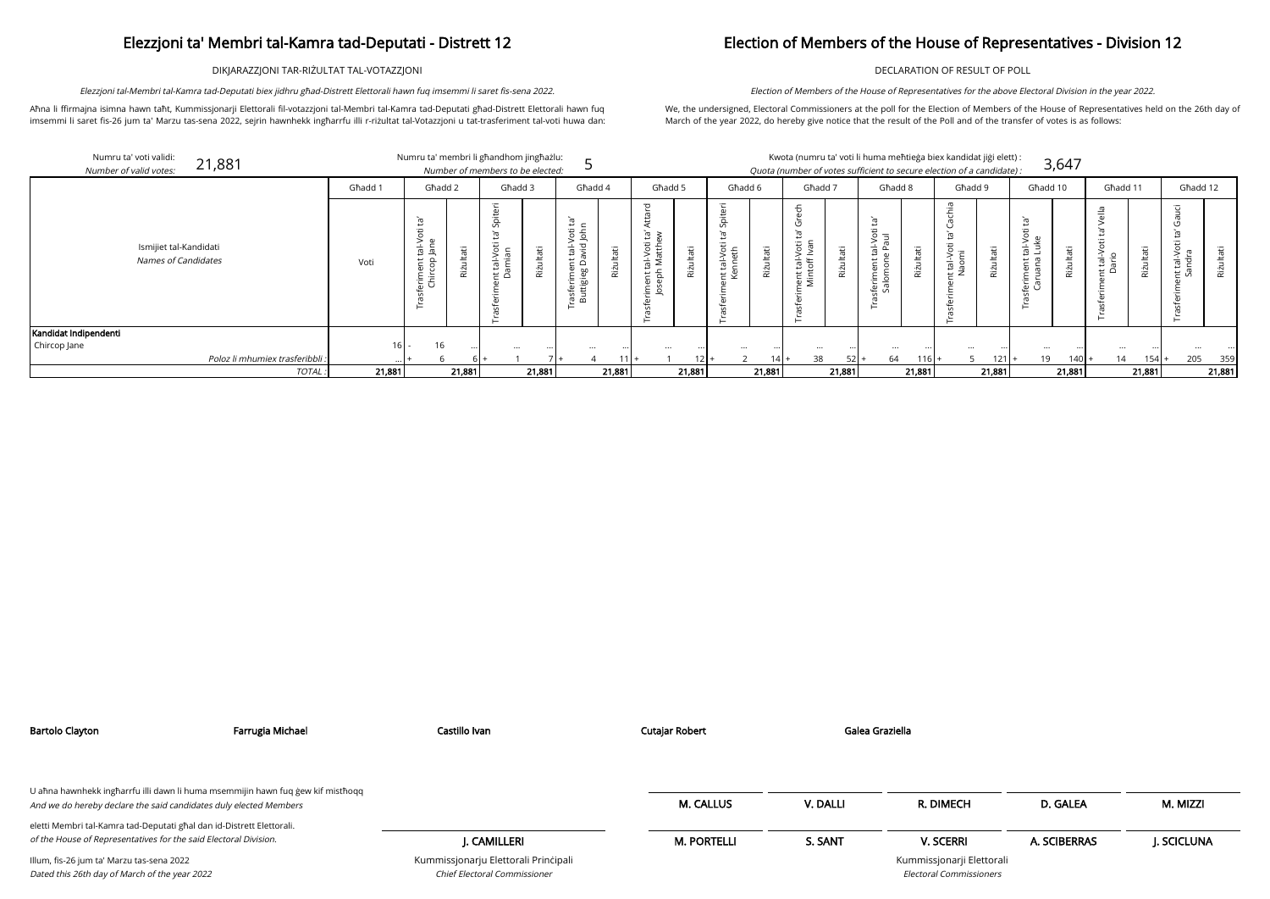DIKJARAZZJONI TAR-RIŻULTAT TAL-VOTAZZJONI

Aħna li ffirmajna isimna hawn taħt, Kummissjonarji Elettorali fil-votazzjoni tal-Membri tal-Kamra tad-Deputati għad-Distrett Elettorali hawn fuq imsemmi li saret fis-26 jum ta' Marzu tas-sena 2022, sejrin hawnhekk ingħarrfu illi r-riżultat tal-Votazzjoni u tat-trasferiment tal-voti huwa dan:

Elezzjoni tal-Membri tal-Kamra tad-Deputati biex jidhru għad-Distrett Elettorali hawn fuq imsemmi li saret fis-sena 2022.

mdidat jiġi elett<mark>)</mark> : of a candidate) : 3,647

## Election of Members of the House of Representatives - Division 12

DECLARATION OF RESULT OF POLL

We, the undersigned, Electoral Commissioners at the poll for the Election of Members of the House of Representatives held on the 26th day of March of the year 2022, do hereby give notice that the result of the Poll and of the transfer of votes is as follows:

Election of Members of the House of Representatives for the above Electoral Division in the year 2022.

| Numru ta' voti validi:<br>21,881<br>Number of valid votes: |         | Numru ta' membri li għandhom jingħażlu:                                                     |           | Number of members to be elected:                                                              |           |                                                                                                       |           |                               |           |                                                                                   |                |                                                                                                  |           | Kwota (numru ta' voti li huma meħtieġa biex ka<br>Quota (number of votes sufficient to secure election |           |                                                                                |
|------------------------------------------------------------|---------|---------------------------------------------------------------------------------------------|-----------|-----------------------------------------------------------------------------------------------|-----------|-------------------------------------------------------------------------------------------------------|-----------|-------------------------------|-----------|-----------------------------------------------------------------------------------|----------------|--------------------------------------------------------------------------------------------------|-----------|--------------------------------------------------------------------------------------------------------|-----------|--------------------------------------------------------------------------------|
|                                                            | Ghadd 1 | Għadd 2                                                                                     |           | Għadd 3                                                                                       |           | Għadd 4                                                                                               |           | Ghadd 5                       |           | Għadd 6                                                                           |                | Għadd 7                                                                                          |           | Għadd 8                                                                                                |           |                                                                                |
| Ismijiet tal-Kandidati<br>Names of Candidates              | Voti    | Ĭā,<br>Ħ<br>ö<br>tal-V<br>Jane<br>$\overline{E}$<br><u>ခ</u><br>Φ<br>erime<br>Chirco<br>in. | Riżultati | piter<br>$\overline{v}$<br>ΣÎ<br>: tal-Voti<br>amian<br>ة بخ<br>(1)<br>∴≐<br>sfer<br>$\sigma$ | Riżultati | Ĭā,<br>Φ<br>$\frac{5}{5}$<br>$\circ$<br>yid<br>亩<br>Ë<br>$\Omega$<br>Φ<br>rasferime<br>Buttigieg<br>는 | Rizultati | ರ<br>᠊ᡴᠣ<br>Ξ.<br>H<br>ō<br>ᅙ | Rizultati | Φ<br>ä<br>$\Omega$<br>Σî<br>öti<br>eth<br>$\frac{1}{10}$<br>Ξ<br>t le<br>ہے<br>in | ultati<br>Rizi | ᠊ᠣ<br>$\mathbf{a}$<br>ט<br>ΣC<br>Voti<br>$\overline{\text{lev}}$<br>hent tal-<br>Mintoff I<br>in | Rizultati | Ĭā,<br>Ħ<br>ΞŠ<br>$V$ -let<br>Ā<br>feriment<br>Salomone<br>in<br>∽<br>⊢                                | Rizultati | chia<br>$\bar{\sigma}$<br>U<br>ρŕ<br>tal-Voti<br>$\mathbf{d}$<br>sfei<br>$\pi$ |

|                                                      | Għadd 1          | Ghadd 2                                                     |          | Għadd 3                                                             |               | Għadd 4                                                                           |          | Għadd 5                                                                              |             | Għadd 6                                            |                   | Ghadd 7                                              |                      | Għadd 8                                                                     |           | Ghadd 9                                                                              |          | Għadd 10                                                                     |               | Għadd 11                           |           | Għadd 12                                         |          |
|------------------------------------------------------|------------------|-------------------------------------------------------------|----------|---------------------------------------------------------------------|---------------|-----------------------------------------------------------------------------------|----------|--------------------------------------------------------------------------------------|-------------|----------------------------------------------------|-------------------|------------------------------------------------------|----------------------|-----------------------------------------------------------------------------|-----------|--------------------------------------------------------------------------------------|----------|------------------------------------------------------------------------------|---------------|------------------------------------|-----------|--------------------------------------------------|----------|
| Ismijiet tal-Kandidati<br><b>Names of Candidates</b> | Voti             | ್<br>CD.<br>$\frac{1}{\sqrt{2}}$<br>$E_{0}$<br>erim<br>Chin | ъ<br>Riż | $\cdot$ $-$<br>ŠP<br>$\cdot$ $-$<br>$\frac{1}{10}$<br>—<br>$\Omega$ | ltati<br>Rizu | Ĕ,<br>ਰ ਦੌ<br>∽<br>ਨ<br>≍ ہ<br>≏<br>hn<br>- GJ<br>$-$<br>60<br>ச ச<br>in.<br>് മ് | ≔<br>Riz | ਨ<br>$\epsilon$ of<br>$\overline{\phantom{0}}$<br>riment tal-Voti t<br>Joseph Matthe | āťi<br>Rizu | $\cdot$ $-$<br>Spiter<br>-Voti<br>eth<br>さき<br>t & | tati<br>÷<br>Rizu | ٯ<br>ïБ.<br>ത<br>$\geq$<br>ta<br>toff<br>ent<br>Mint | H<br>ഁ൛<br>ىد<br>Riz | $\mathbb{E}^1$<br>Φ<br>55<br>><br>ത<br>亩<br>ى<br>ਂ ਤ<br>ധ<br>ferim<br>Salom | Þ<br>Rizi | ÎД.<br>$\overline{S}$<br>$\cdot$ $-$<br>$\overline{\sigma}$<br>ം പ<br>$\overline{z}$ | Ħ<br>Riz | $\cdot$ $-$<br>$\mathbf \omega$<br>$\overline{\phantom{a}}$<br>ᄒ<br>ᆜ<br>္ေပ | ltati<br>Riżu | 으<br>$\cdot$ $-$<br>$\geq$ .<br>효공 | ≔<br>Rizi | $\overline{G}$<br>Ŧ.<br>tal-Vor<br>andra<br>E Sa | π<br>Riz |
| andidat Indipendenti                                 |                  |                                                             |          |                                                                     |               |                                                                                   |          |                                                                                      |             |                                                    |                   |                                                      |                      |                                                                             |           |                                                                                      |          |                                                                              |               |                                    |           |                                                  |          |
| Chircop Jane                                         |                  | 16<br>$16 -$                                                |          | $\cdots$                                                            |               | $\cdots$                                                                          |          | $\cdots$                                                                             |             | $\cdots$                                           |                   |                                                      |                      | $\cdots$                                                                    |           | $\cdots$                                                                             |          |                                                                              |               | $\cdots$                           |           | $\cdots$                                         |          |
| Poloz li mhumiex trasferibbli :                      |                  |                                                             |          |                                                                     |               |                                                                                   |          |                                                                                      |             |                                                    | $41+$             | 38                                                   | 52                   | 64                                                                          | 1161.     |                                                                                      | $121$ +  | 19                                                                           | $140 +$       | 14                                 | 154       | 205                                              | 359      |
|                                                      | 21,881<br>TOTAL: |                                                             | 21,881   |                                                                     | 21,881        |                                                                                   | 21,881   |                                                                                      | 21,881      |                                                    | 21,881            |                                                      | 21,881               |                                                                             | 21,881    |                                                                                      | 21,881   |                                                                              | 21,881        |                                    | 21,881    |                                                  | 21,881   |

| ۰  | . . |  |
|----|-----|--|
|    | . . |  |
|    |     |  |
| ۰. |     |  |

| Bartolo Clayton                                                                                                                                      | Farrugia Michael | Castillo Ivan                                                        | <b>Cutajar Robert</b> | Galea Graziella |                                                             |              |            |
|------------------------------------------------------------------------------------------------------------------------------------------------------|------------------|----------------------------------------------------------------------|-----------------------|-----------------|-------------------------------------------------------------|--------------|------------|
| U aħna hawnhekk ingħarrfu illi dawn li huma msemmijin hawn fuq ġew kif mistħoqq<br>And we do hereby declare the said candidates duly elected Members |                  |                                                                      | <b>M. CALLUS</b>      | V. DALLI        | R. DIMECH                                                   | D. GALEA     | M. MIZZI   |
| eletti Membri tal-Kamra tad-Deputati għal dan id-Distrett Elettorali.                                                                                |                  |                                                                      |                       |                 |                                                             |              |            |
| of the House of Representatives for the said Electoral Division.                                                                                     |                  | I. CAMILLERI                                                         | <b>M. PORTELLI</b>    | S. SANT         | <b>V. SCERRI</b>                                            | A. SCIBERRAS | I. SCICLUN |
| Illum, fis-26 jum ta' Marzu tas-sena 2022<br>Dated this 26th day of March of the year 2022                                                           |                  | Kummissjonarju Elettorali Principali<br>Chief Electoral Commissioner |                       |                 | Kummissjonarji Elettorali<br><b>Electoral Commissioners</b> |              |            |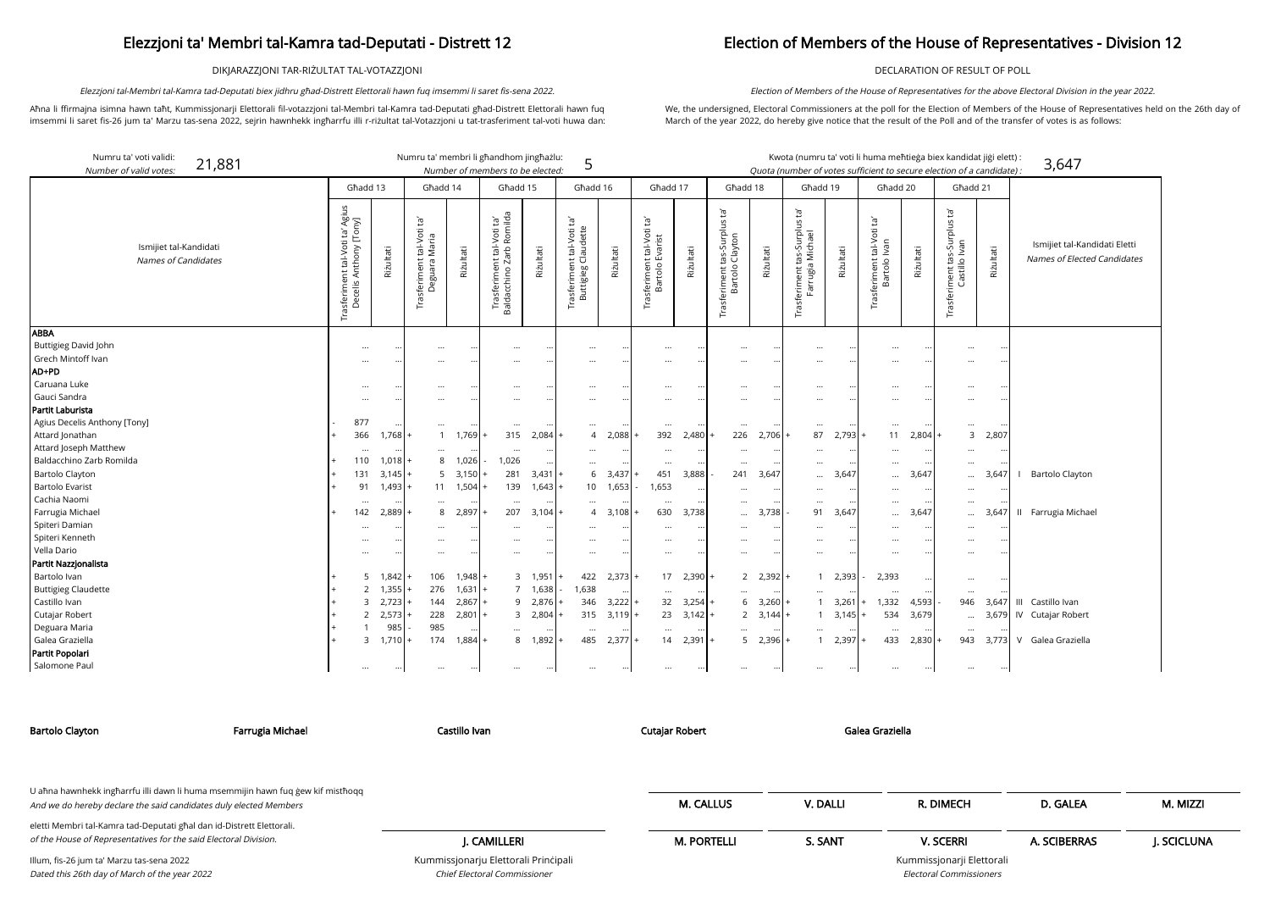DIKJARAZZJONI TAR-RIŻULTAT TAL-VOTAZZJONI

Aħna li ffirmajna isimna hawn taħt, Kummissjonarji Elettorali fil-votazzjoni tal-Membri tal-Kamra tad-Deputati għad-Distrett Elettorali hawn fuq imsemmi li saret fis-26 jum ta' Marzu tas-sena 2022, sejrin hawnhekk ingħarrfu illi r-riżultat tal-Votazzjoni u tat-trasferiment tal-voti huwa dan:

Elezzjoni tal-Membri tal-Kamra tad-Deputati biex jidhru għad-Distrett Elettorali hawn fuq imsemmi li saret fis-sena 2022.

## Election of Members of the House of Representatives - Division 12

DECLARATION OF RESULT OF POLL

We, the undersigned, Electoral Commissioners at the poll for the Election of Members of the House of Representatives held on the 26th day of March of the year 2022, do hereby give notice that the result of the Poll and of the transfer of votes is as follows:

Election of Members of the House of Representatives for the above Electoral Division in the year 2022.

|                                              | kandidat jiģi elett) :<br>on of a candidate) : |      | 3,647                                                        |
|----------------------------------------------|------------------------------------------------|------|--------------------------------------------------------------|
| Għadd 21                                     |                                                |      |                                                              |
| rasferiment tas-Surplus ta'<br>Castillo Ivan | Riżultat                                       |      | Ismijiet tal-Kandidati Eletti<br>Names of Elected Candidates |
|                                              |                                                |      |                                                              |
|                                              |                                                |      |                                                              |
|                                              |                                                |      |                                                              |
|                                              |                                                |      |                                                              |
| <br>3                                        | <br>2,807<br>                                  |      |                                                              |
|                                              | <br>3,647                                      | I    | <b>Bartolo Clayton</b>                                       |
|                                              |                                                |      |                                                              |
|                                              | <br>3,647                                      | П.   | Farrugia Michael                                             |
|                                              |                                                |      |                                                              |
|                                              |                                                |      |                                                              |
|                                              |                                                |      |                                                              |
|                                              |                                                |      |                                                              |
|                                              |                                                |      |                                                              |
| 946                                          | 3,647                                          | Ш    | Castillo Ivan                                                |
|                                              | 3,679                                          | IV I | Cutajar Robert                                               |
| <br>943                                      | 3,773                                          | ٧    | Galea Graziella                                              |
|                                              |                                                |      |                                                              |

| Numru ta' voti validi:<br>21,881<br>Number of valid votes: |                                                                                    |                      |                                                     |               | Numru ta' membri li għandhom jingħażlu:<br>Number of members to be elected: |           | 5                                                                |               |                                                              |           |                                                                                    |                   |                                                                          |           |                                                               |           | Kwota (numru ta' voti li huma meħtieġa biex kandidat jiġi elett) :<br>Quota (number of votes sufficient to secure election of a candidate): |               | 3,647                                 |
|------------------------------------------------------------|------------------------------------------------------------------------------------|----------------------|-----------------------------------------------------|---------------|-----------------------------------------------------------------------------|-----------|------------------------------------------------------------------|---------------|--------------------------------------------------------------|-----------|------------------------------------------------------------------------------------|-------------------|--------------------------------------------------------------------------|-----------|---------------------------------------------------------------|-----------|---------------------------------------------------------------------------------------------------------------------------------------------|---------------|---------------------------------------|
|                                                            |                                                                                    | Ghadd 13             | Għadd 14                                            |               | Ghadd 15                                                                    |           | Għadd 16                                                         |               | Għadd 17                                                     |           | Għadd 18                                                                           |                   | Ghadd 19                                                                 |           | Ghadd 20                                                      |           | Ghadd 21                                                                                                                                    |               |                                       |
| Ismijiet tal-Kandidati<br><b>Names of Candidates</b>       | ti ta' Agius<br>[Tony]<br>tal-Voti<br>ony<br>Anth<br>Trasferiment t<br>Decelis Ant | Rizultati            | Ĭd'<br>tal-Voti<br>Maria<br>Trasferiment<br>Deguara | Rizultati     | Romilda<br>tal-Voti ta'<br>Zarb<br>Trasferiment t<br>Baldacchino Zaı        | Riżultati | $\Xi^{\prime}$<br>Trasferiment tal-Voti t<br>Buttigieg Claudette | Rizultati     | tā'<br>tal-Voti<br>Evarist<br>Trasferiment<br><b>Bartolo</b> | Riżultati | $\mathbb{E}^1$<br>Surplus<br>tas-Surpl<br>o Clayton<br>Bartolo<br>ent<br>Trasferim | Riżultati         | $\mathbb{E}^1$<br>tas-Surplus t<br>a Michael<br>Farrugia<br>Trasferiment | Riżultati | $\mathbb{E}^1$<br>tal-Voti<br>Ivan<br>Bartolo<br>Trasferiment | Riżultati | Surplus ta'<br>lvan<br>tas-<br>$\circ$<br>still<br>iment <sup>-</sup><br>Trasferi                                                           | Riżultati     | Ismijiet tal-Kand<br>Names of Elected |
| <b>ABBA</b>                                                |                                                                                    |                      |                                                     |               |                                                                             |           |                                                                  |               |                                                              |           |                                                                                    |                   |                                                                          |           |                                                               |           |                                                                                                                                             |               |                                       |
| <b>Buttigieg David John</b>                                |                                                                                    |                      | $\ddotsc$                                           |               |                                                                             |           | $\ddotsc$                                                        |               | $\cdots$                                                     |           |                                                                                    |                   |                                                                          | $\cdots$  | $\ddotsc$                                                     |           |                                                                                                                                             |               |                                       |
| Grech Mintoff Ivan                                         |                                                                                    |                      | $\ddotsc$                                           |               |                                                                             |           |                                                                  |               | $\cdot \cdot$                                                |           |                                                                                    |                   |                                                                          |           | $\ddotsc$                                                     |           |                                                                                                                                             |               |                                       |
| AD+PD                                                      |                                                                                    |                      |                                                     |               |                                                                             |           |                                                                  |               |                                                              |           |                                                                                    |                   |                                                                          |           |                                                               |           |                                                                                                                                             |               |                                       |
| Caruana Luke                                               |                                                                                    | $\cdots$             | $\cdots$                                            | $\cdot \cdot$ | $\cdots$                                                                    |           | $\cdots$                                                         | $\cdot \cdot$ | $\cdots$                                                     |           | $\cdots$                                                                           |                   | $\cdots$                                                                 | $\ddotsc$ | $\cdots$                                                      |           |                                                                                                                                             |               |                                       |
| Gauci Sandra                                               |                                                                                    |                      |                                                     |               |                                                                             |           |                                                                  |               |                                                              |           |                                                                                    |                   |                                                                          |           |                                                               |           |                                                                                                                                             |               |                                       |
| Partit Laburista                                           |                                                                                    |                      |                                                     |               |                                                                             |           |                                                                  |               |                                                              |           |                                                                                    |                   |                                                                          |           |                                                               |           |                                                                                                                                             |               |                                       |
| Agius Decelis Anthony [Tony]                               | 877                                                                                |                      | $\cdots$                                            | $\ddotsc$     | $\cdots$                                                                    |           | $\cdots$                                                         |               | $\cdots$                                                     |           | $\cdots$                                                                           |                   | $\cdots$                                                                 | $\ddotsc$ | $\cdots$                                                      |           |                                                                                                                                             | $\ddotsc$     |                                       |
| Attard Jonathan                                            | 366                                                                                | 1,768                |                                                     | 1,769         | 315                                                                         | 2,084     | 4                                                                | 2,088         | 392                                                          | 2,480     | 226                                                                                | 2,706             | 87                                                                       | 2,793     | 11                                                            | 2,804     | 3                                                                                                                                           | 2,807         |                                       |
| Attard Joseph Matthew                                      |                                                                                    | $\cdots$             |                                                     |               | $\ddotsc$                                                                   |           | $\cdots$                                                         | $\ddotsc$     | $\cdots$                                                     |           |                                                                                    |                   | $\cdots$                                                                 | $\ddotsc$ | $\cdots$                                                      |           |                                                                                                                                             | $\ddotsc$     |                                       |
| Baldacchino Zarb Romilda                                   | 110                                                                                | 1,018                | 8                                                   | 1,026         | 1,026                                                                       |           | $\cdots$                                                         |               | $\cdots$                                                     |           |                                                                                    |                   |                                                                          | $\ddotsc$ | $\cdots$                                                      |           |                                                                                                                                             | $\cdot \cdot$ |                                       |
| <b>Bartolo Clayton</b>                                     | 131                                                                                | 3,145                | 5                                                   | 3,150         | 281                                                                         | 3,431     | 6                                                                | 3,437         | 451                                                          | 3,888     | 241                                                                                | 3,647             | $\cdots$                                                                 | 3,647     | $\cdots$                                                      | 3,647     | $\cdots$                                                                                                                                    | 3,647         | Bartolo Clayton                       |
| <b>Bartolo Evarist</b>                                     | 91                                                                                 | 1,493                | 11                                                  | 1,504         | 139                                                                         | 1,643     | 10                                                               | 1,653         | 1,653                                                        |           |                                                                                    |                   | $\cdots$                                                                 | $\ddotsc$ | $\ddotsc$                                                     |           | $\cdots$                                                                                                                                    | $\ddotsc$     |                                       |
| Cachia Naomi                                               |                                                                                    | $\cdots$             | $\cdots$                                            |               |                                                                             |           | $\cdots$                                                         |               | $\cdots$                                                     |           |                                                                                    |                   | $\cdots$                                                                 | $\ddotsc$ | $\ldots$                                                      |           | $\cdots$                                                                                                                                    |               |                                       |
| Farrugia Michael                                           | 142                                                                                | 2,889                | 8                                                   | 2,897         | 207                                                                         | 3,104     | $\overline{A}$                                                   | 3,108         | 630                                                          | 3,738     |                                                                                    | 3,738             | 91                                                                       | 3,647     | $\ddots$                                                      | 3,647     |                                                                                                                                             | 3,647         | Farrugia Michael<br>$\mathbf{II}$     |
| Spiteri Damian                                             |                                                                                    |                      |                                                     |               |                                                                             |           |                                                                  |               |                                                              |           |                                                                                    |                   |                                                                          |           |                                                               |           |                                                                                                                                             |               |                                       |
| Spiteri Kenneth                                            |                                                                                    |                      |                                                     | $\ddotsc$     |                                                                             |           |                                                                  | $\cdot \cdot$ | $\cdots$                                                     | $\ddotsc$ |                                                                                    |                   | $\cdots$                                                                 | $\ddotsc$ | $\cdots$                                                      |           |                                                                                                                                             |               |                                       |
| Vella Dario                                                |                                                                                    |                      | $\ldots$                                            | $\ddotsc$     | $\cdots$                                                                    |           | $\cdots$                                                         | $\cdot \cdot$ | $\cdots$                                                     |           |                                                                                    |                   | $\cdots$                                                                 | $\ddotsc$ | $\ldots$                                                      |           |                                                                                                                                             |               |                                       |
| Partit Nazzjonalista                                       |                                                                                    |                      |                                                     |               |                                                                             |           |                                                                  |               |                                                              |           |                                                                                    |                   |                                                                          |           |                                                               |           |                                                                                                                                             |               |                                       |
| Bartolo Ivan                                               |                                                                                    | 1,842<br>5           | 106                                                 | $1,948$ +     | 3                                                                           | 1,951     | 422                                                              | 2,373         | 17<br>$^{+}$                                                 | $2,390+$  |                                                                                    | $2 \quad 2,392 +$ | -1                                                                       | 2,393     | 2,393                                                         |           |                                                                                                                                             | $\ddotsc$     |                                       |
| <b>Buttigieg Claudette</b>                                 |                                                                                    | 1,355<br>2           | 276                                                 | $1,631$ +     | $\overline{7}$                                                              | 1,638     | 1,638                                                            |               | $\cdots$                                                     |           |                                                                                    |                   |                                                                          |           | $\ldots$                                                      |           |                                                                                                                                             |               |                                       |
| Castillo Ivan                                              |                                                                                    | 3<br>2,723           | 144                                                 | 2,867         | 9                                                                           | $2,876 +$ | 346                                                              | $3,222$ +     | 32                                                           | 3,254     | 6                                                                                  | $3,260 +$         |                                                                          | 3,261     | 1,332<br>$^{+}$                                               | 4,593     | 946                                                                                                                                         |               | 3,647 III Castillo Ivan               |
| Cutajar Robert                                             |                                                                                    | 2,573<br>2           | 228                                                 | 2,801         | 3                                                                           | 2,804     | 315                                                              | 3,119         | 23<br>$+$                                                    | $3,142$ + | $\overline{2}$                                                                     | $3,144$ +         | $\mathbf{1}$                                                             | 3,145     | 534<br>$\ddot{}$                                              | 3,679     | $\cdots$                                                                                                                                    |               | 3,679 IV Cutajar Robert               |
| Deguara Maria                                              |                                                                                    | 985                  | 985                                                 |               |                                                                             |           | $\cdots$                                                         |               | $\cdots$                                                     |           |                                                                                    |                   | $\cdots$                                                                 |           | $\cdots$                                                      |           |                                                                                                                                             |               |                                       |
| Galea Graziella                                            |                                                                                    | 1.710<br>3           | 174                                                 | 1,884         | 8                                                                           | 1,892     | 485                                                              | 2,377         | 14<br>$\overline{+}$                                         | 2,391     | 5 <sup>5</sup>                                                                     | $2,396$ +         |                                                                          | 2,397     | 433                                                           | 2,830     | 943                                                                                                                                         |               | 3,773 V Galea Graziella               |
| Partit Popolari                                            |                                                                                    |                      |                                                     |               |                                                                             |           |                                                                  |               |                                                              |           |                                                                                    |                   |                                                                          |           |                                                               |           |                                                                                                                                             |               |                                       |
| Salomone Paul                                              |                                                                                    | $\cdots$<br>$\cdots$ | $\cdots$                                            | $\cdots$      | $\cdots$                                                                    | $\cdots$  | $\cdots$                                                         | $\cdots$      | $\cdots$                                                     | $\cdots$  | $\cdots$                                                                           |                   | $\cdots$                                                                 | $\cdots$  | $\cdots$                                                      | $\cdots$  | $\cdots$                                                                                                                                    | $\cdots$      |                                       |

Chief Electoral Commissioner

| R. DIMECH                                                   | D. GALEA     | M. MIZZI    |
|-------------------------------------------------------------|--------------|-------------|
| V. SCERRI                                                   | A. SCIBERRAS | J. SCICLUNA |
| Kummissjonarji Elettorali<br><b>Electoral Commissioners</b> |              |             |

| Bartolo Clayton                                                                                                                           | Farrugia Michael                                                                | Castillo Ivan                        | <b>Cutajar Robert</b> | Galea Graziella |                           |              |             |
|-------------------------------------------------------------------------------------------------------------------------------------------|---------------------------------------------------------------------------------|--------------------------------------|-----------------------|-----------------|---------------------------|--------------|-------------|
|                                                                                                                                           |                                                                                 |                                      |                       |                 |                           |              |             |
| And we do hereby declare the said candidates duly elected Members                                                                         | U ahna hawnhekk ingharrfu illi dawn li huma msemmijin hawn fuq gew kif misthoqq |                                      | <b>M. CALLUS</b>      | V. DALLI        | R. DIMECH                 | D. GALEA     | M. MIZZI    |
| eletti Membri tal-Kamra tad-Deputati għal dan id-Distrett Elettorali.<br>of the House of Representatives for the said Electoral Division. |                                                                                 | J. CAMILLERI                         | <b>M. PORTELLI</b>    | S. SANT         | <b>V. SCERRI</b>          | A. SCIBERRAS | J. SCICLUNA |
| Illum, fis-26 jum ta' Marzu tas-sena 2022                                                                                                 |                                                                                 | Kummissjonarju Elettorali Prinċipali |                       |                 | Kummissjonarji Elettorali |              |             |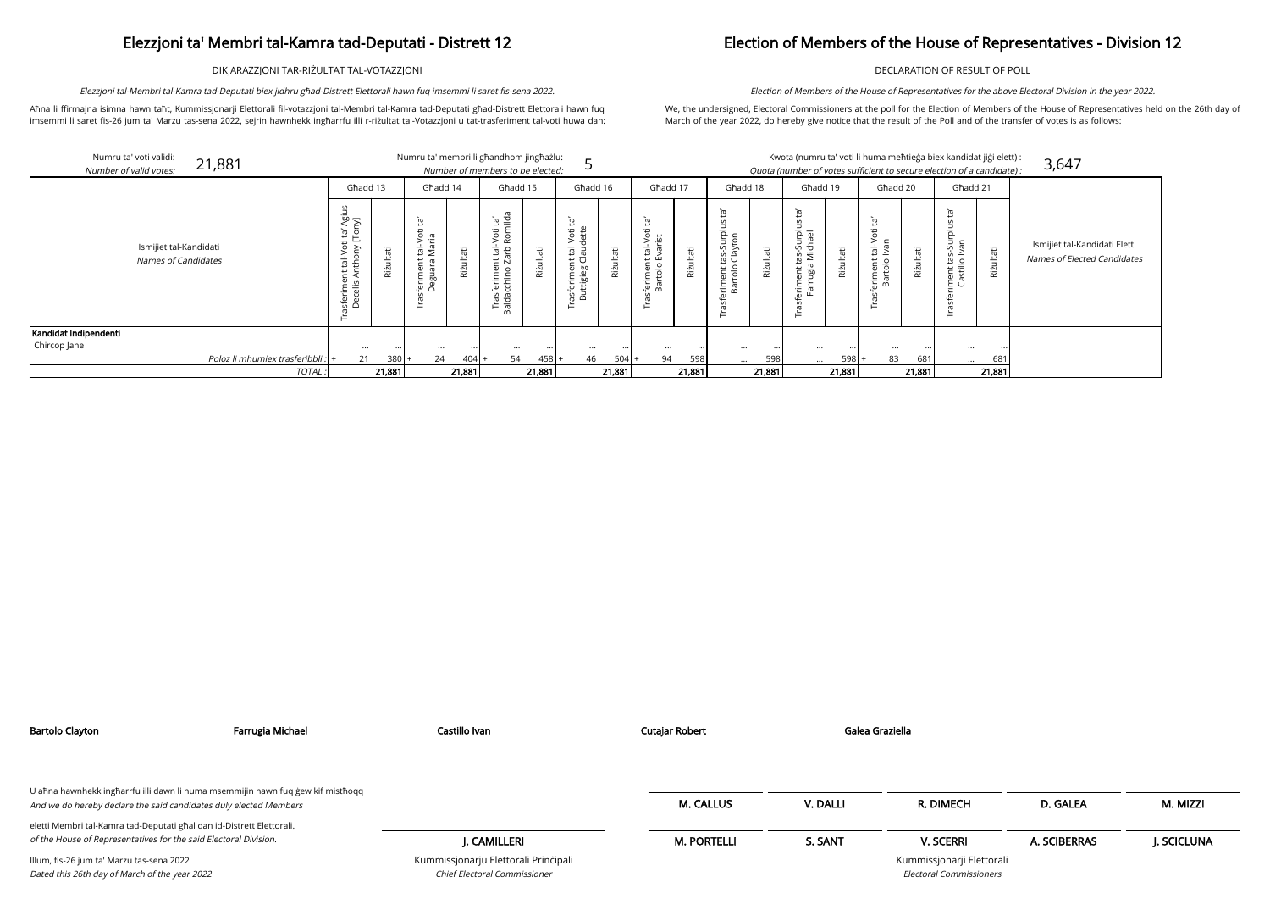DIKJARAZZJONI TAR-RIŻULTAT TAL-VOTAZZJONI

Aħna li ffirmajna isimna hawn taħt, Kummissjonarji Elettorali fil-votazzjoni tal-Membri tal-Kamra tad-Deputati għad-Distrett Elettorali hawn fuq imsemmi li saret fis-26 jum ta' Marzu tas-sena 2022, sejrin hawnhekk ingħarrfu illi r-riżultat tal-Votazzjoni u tat-trasferiment tal-voti huwa dan:

Elezzjoni tal-Membri tal-Kamra tad-Deputati biex jidhru għad-Distrett Elettorali hawn fuq imsemmi li saret fis-sena 2022.

# Election of Members of the House of Representatives - Division 12

DECLARATION OF RESULT OF POLL

We, the undersigned, Electoral Commissioners at the poll for the Election of Members of the House of Representatives held on the 26th day of March of the year 2022, do hereby give notice that the result of the Poll and of the transfer of votes is as follows:

Election of Members of the House of Representatives for the above Electoral Division in the year 2022.

|                        | Numru ta' voti validi:<br>21,881              |                                                                                                                                 |                | Numru ta' membri li għandhom jingħażlu:                                     |                            |                                                                                                                              |           |                                                                          |           |                                                                                                       |            |                                                             |           |                                                               |                | Kwota (numru ta' voti li huma meħtieġa biex kandidat jiġi elett):      |               |                                                                       |           |
|------------------------|-----------------------------------------------|---------------------------------------------------------------------------------------------------------------------------------|----------------|-----------------------------------------------------------------------------|----------------------------|------------------------------------------------------------------------------------------------------------------------------|-----------|--------------------------------------------------------------------------|-----------|-------------------------------------------------------------------------------------------------------|------------|-------------------------------------------------------------|-----------|---------------------------------------------------------------|----------------|------------------------------------------------------------------------|---------------|-----------------------------------------------------------------------|-----------|
| Number of valid votes: |                                               |                                                                                                                                 |                |                                                                             |                            | Number of members to be elected:                                                                                             |           |                                                                          |           |                                                                                                       |            |                                                             |           |                                                               |                | Quota (number of votes sufficient to secure election of a candidate) : |               |                                                                       |           |
|                        |                                               | Għadd 13                                                                                                                        |                | Għadd 14                                                                    |                            | Għadd 15                                                                                                                     |           | Ghadd 16                                                                 |           | Ghadd 17                                                                                              |            | Ghadd 18                                                    |           | Ghadd 19                                                      |                | Għadd 20                                                               |               | Ghadd 21                                                              |           |
|                        | Ismijiet tal-Kandidati<br>Names of Candidates | S<br>प्र<br>भा<br>ថ គ្<br>Φ<br>ξ<br>$\bar{\mathcal{S}}$<br>ng - 15<br>15<br>15<br>∈ ∢<br>$\mathbf \omega$<br>sferime<br>Decelis | ultati<br>Rizi | Ē.<br>Voti<br>∵Ξ<br>ē<br>Na<br>Ĕ<br>rime<br>ത<br>Ō.<br>ω<br>ِ م<br>$\Omega$ | Φ<br>$\overline{a}$<br>Riż | a<br>in lida<br>i<br>öti<br><u>င</u> ္<br>능<br>은<br>さご<br>e<br>E<br>$\circ$<br>erim<br>chine<br>Trasf <sub>i</sub><br>Baldac | Riżultati | Įą,<br>Ħ<br>$\circ$<br>ರ<br>它<br>ٮ<br>99<br>Φ<br>흔<br>.<br>क<br>Φ<br>즓 2 | Riżultati | `Fd<br>Φ<br>$\Omega$<br>$\frac{1}{2}$<br>$\frac{1}{10}$<br>ζō<br>ш<br>tolo<br>노<br>feri<br>ৰ্জ<br>প্ৰ | āťi<br>Riż | Ĭđ<br>고 흐<br>Ģ<br>ă<br>Ge<br>$\frac{1}{10}$<br>Ě<br>Bã<br>⊢ | Riżultati | ρŕ<br>legr<br>Tag<br>tas-Su<br>I Mich<br>ent<br>igu<br>Ē<br>⊢ | ΨĘ<br>言<br>Riz | ΈŢ<br>Φ<br>$\circ$<br>tal-V<br>Ivan<br>eriment<br>Bartolo              | άť<br>Rizulta | 현<br><b>S</b><br>Jurpl<br>ΓS<br>U<br>Ω<br>$\circ$<br>iment<br>Castill | Rizultati |
| Kandidat Indipendenti  |                                               |                                                                                                                                 |                |                                                                             |                            |                                                                                                                              |           |                                                                          |           |                                                                                                       |            |                                                             |           |                                                               |                |                                                                        |               |                                                                       |           |
| Chircop Jane           |                                               | $\cdots$                                                                                                                        |                | $\cdots$                                                                    |                            | $\cdots$                                                                                                                     | $\cdots$  | $\cdots$                                                                 |           | $\cdots$                                                                                              |            |                                                             |           | $\cdots$                                                      |                | $\cdots$                                                               |               | $\cdots$                                                              |           |
|                        | Poloz li mhumiex trasferibbli : +             | 21                                                                                                                              | 380            | 24                                                                          | $404$ +                    | 54                                                                                                                           | $458 +$   | 46                                                                       | 504       | 94                                                                                                    | 598        | $\cdots$                                                    | 598       | $\cdots$                                                      | 598            | 83                                                                     | 681           | $\cdots$                                                              | 681       |
|                        | <b>TOTAL</b>                                  |                                                                                                                                 | 21,881         |                                                                             | 21,881                     |                                                                                                                              | 21,881    |                                                                          | 21,881    |                                                                                                       | 21,881     |                                                             | 21,881    |                                                               | 21,881         |                                                                        | 21,881        |                                                                       | 21,881    |

|                                               | kandidat jiģi elett):<br>on of a candidate) : | 3,647                                                        |
|-----------------------------------------------|-----------------------------------------------|--------------------------------------------------------------|
| Ghadd 21                                      |                                               |                                                              |
| Trasferiment tas-Surplus ta'<br>Castillo Ivan | Rizultati                                     | Ismijiet tal-Kandidati Eletti<br>Names of Elected Candidates |
|                                               |                                               |                                                              |
|                                               | 681                                           |                                                              |
|                                               | 21,881                                        |                                                              |

| сн                           | D. GALEA     | M. MIZZI    |
|------------------------------|--------------|-------------|
| RI                           | A. SCIBERRAS | J. SCICLUNA |
| rji Elettorali<br>missioners |              |             |

| Bartolo Clayton                                                                                                                                      | Farrugia Michael | Castillo Ivan                                                        | Cutajar Robert     |          | Galea Graziella                                             |              |             |
|------------------------------------------------------------------------------------------------------------------------------------------------------|------------------|----------------------------------------------------------------------|--------------------|----------|-------------------------------------------------------------|--------------|-------------|
| U aħna hawnhekk ingħarrfu illi dawn li huma msemmijin hawn fuq ġew kif mistħoqq<br>And we do hereby declare the said candidates duly elected Members |                  |                                                                      | <b>M. CALLUS</b>   | V. DALLI | R. DIMECH                                                   | D. GALEA     | M. MIZZI    |
| eletti Membri tal-Kamra tad-Deputati għal dan id-Distrett Elettorali.<br>of the House of Representatives for the said Electoral Division.            |                  | I. CAMILLERI                                                         | <b>M. PORTELLI</b> | S. SANT  | <b>V. SCERRI</b>                                            | A. SCIBERRAS | J. SCICLUNA |
| Illum, fis-26 jum ta' Marzu tas-sena 2022<br>Dated this 26th day of March of the year 2022                                                           |                  | Kummissjonarju Elettorali Principali<br>Chief Electoral Commissioner |                    |          | Kummissjonarji Elettorali<br><b>Electoral Commissioners</b> |              |             |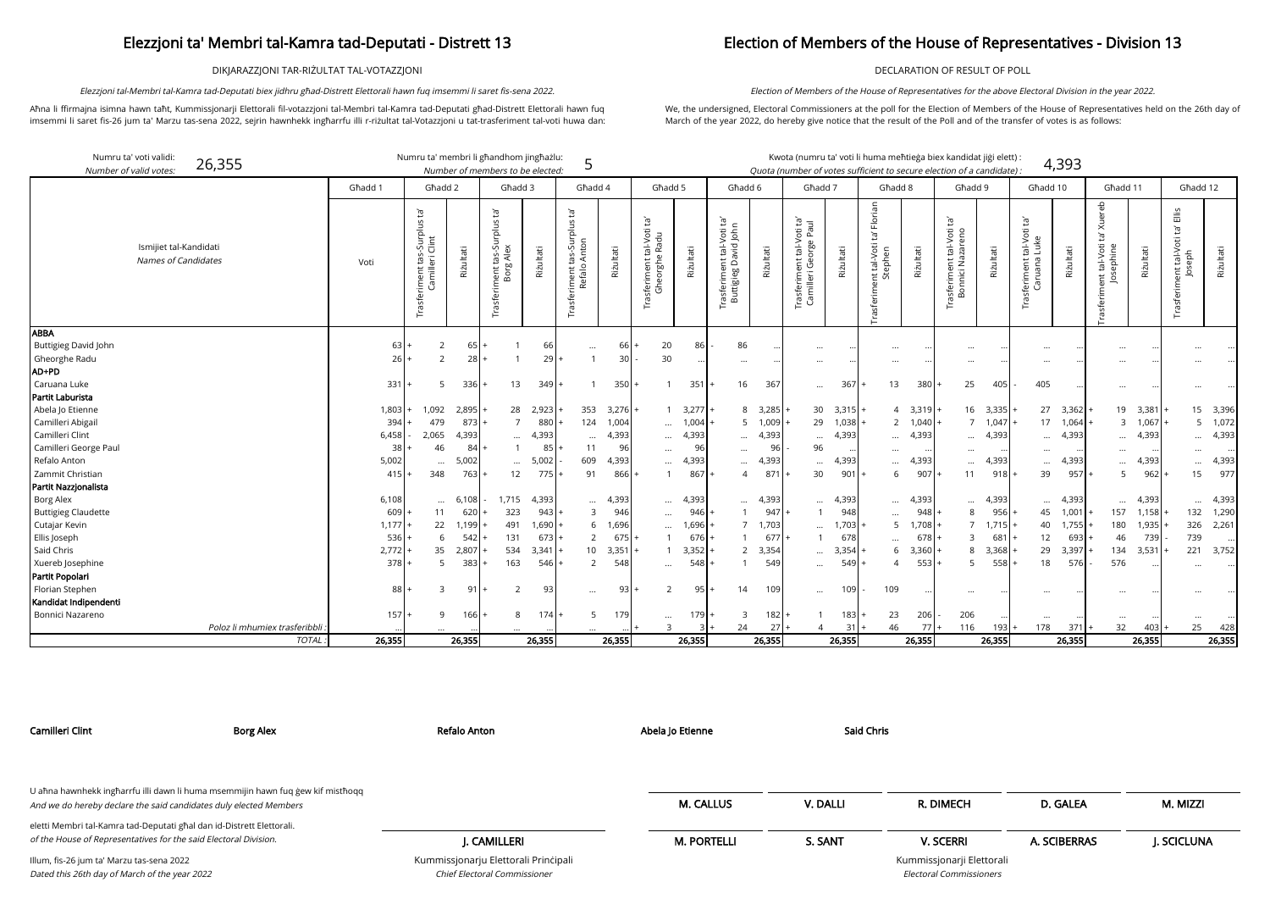DIKJARAZZJONI TAR-RIŻULTAT TAL-VOTAZZJONI

Aħna li ffirmajna isimna hawn taħt, Kummissjonarji Elettorali fil-votazzjoni tal-Membri tal-Kamra tad-Deputati għad-Distrett Elettorali hawn fuq imsemmi li saret fis-26 jum ta' Marzu tas-sena 2022, sejrin hawnhekk ingħarrfu illi r-riżultat tal-Votazzjoni u tat-trasferiment tal-voti huwa dan:

Elezzjoni tal-Membri tal-Kamra tad-Deputati biex jidhru għad-Distrett Elettorali hawn fuq imsemmi li saret fis-sena 2022.

## Election of Members of the House of Representatives - Division 13

DECLARATION OF RESULT OF POLL

| didat jiği elett):        |       |
|---------------------------|-------|
| rf <i>a candidate</i> ) : | 4,393 |

We, the undersigned, Electoral Commissioners at the poll for the Election of Members of the House of Representatives held on the 26th day of March of the year 2022, do hereby give notice that the result of the Poll and of the transfer of votes is as follows:

Election of Members of the House of Representatives for the above Electoral Division in the year 2022.

| Numru ta' voti validi:<br>26,355<br>Number of valid votes: |         |                                                            |              | Numru ta' membri li għandhom jingħażlu:<br>Number of members to be elected: |           | 5                                            |            |                                                           |           |                                                                     |           | Kwota (numru ta' voti li huma meħtieġa biex kandidat jiġi elett) :<br>Quota (number of votes sufficient to secure election of a candidate) : |                    |                                                                                |           |                                                               |           |                                           | 4,393     |                                           |           |                                                               |             |
|------------------------------------------------------------|---------|------------------------------------------------------------|--------------|-----------------------------------------------------------------------------|-----------|----------------------------------------------|------------|-----------------------------------------------------------|-----------|---------------------------------------------------------------------|-----------|----------------------------------------------------------------------------------------------------------------------------------------------|--------------------|--------------------------------------------------------------------------------|-----------|---------------------------------------------------------------|-----------|-------------------------------------------|-----------|-------------------------------------------|-----------|---------------------------------------------------------------|-------------|
|                                                            | Għadd 1 | Ghadd 2                                                    |              | Għadd 3                                                                     |           | Ghadd 4                                      |            | Ghadd 5                                                   |           | Għadd 6                                                             |           | Għadd 7                                                                                                                                      |                    | Ghadd 8                                                                        |           | Ghadd 9                                                       |           | Għadd 10                                  |           | Għadd 11                                  |           | Ghadd 12                                                      |             |
| Ismijiet tal-Kandidati<br>Names of Candidates              | Voti    | $\tilde{E}$<br>Trasferiment tas-Surplus<br>Camilleri Clint | Riżultati    | Ē,<br>Ξ<br>ᄒ<br>JUS<br>tas-Su<br>, Alex<br>ent ta<br>Borg                   | Riżultati | Ĭā<br>Ξ<br>riment tas-Surplu<br>Refalo Anton | Riżultati  | : tal-Voti ta'<br>e Radu<br>Trasferiment ta<br>Gheorghe I | Riżultati | ję,<br>tal-Voti ta<br>avid John<br>īrasferiment ta<br>Buttigieg Dav | Riżultati | tal-Voti ta'<br>orge Paul<br>Trasferiment tal-Vo<br>Camilleri George F                                                                       | Riżultati          | Florian<br>$\overline{c}$<br>tal-Voti<br>nent tal-Voti<br>Stephen<br>Trasferim | Riżultati | Ē,<br>tal-Voti<br>azareno<br>asferiment tal-<br>Bonnici Nazar | Riżultati | Ĭā<br>tal-Voti<br>feriment t<br>Caruana l | Riżultati | Xuereb<br>ent tal-Voti<br>Josephine<br>πέ | Riżultati | $\frac{1}{2}$<br>Ĭā,<br>ent tal-Voti t<br>Joseph<br>Trasferim | Riżultati   |
| <b>ABBA</b>                                                |         |                                                            |              |                                                                             |           |                                              |            |                                                           |           |                                                                     |           |                                                                                                                                              |                    |                                                                                |           |                                                               |           |                                           |           |                                           |           |                                                               |             |
| Buttigieg David John                                       | 63      | 2                                                          | 65 I         |                                                                             | 66        | $\cdots$                                     | 66         | 20                                                        | 86        | 86                                                                  |           | $\ddotsc$                                                                                                                                    |                    |                                                                                |           |                                                               |           | $\cdots$                                  |           |                                           |           |                                                               |             |
| Gheorghe Radu                                              | 26      | 2                                                          | 28           |                                                                             | 29        |                                              | 30         | 30                                                        |           |                                                                     |           |                                                                                                                                              |                    |                                                                                |           |                                                               |           | $\cdots$                                  |           |                                           |           |                                                               |             |
| AD+PD                                                      |         |                                                            |              |                                                                             |           |                                              |            |                                                           |           |                                                                     |           |                                                                                                                                              |                    |                                                                                |           |                                                               |           |                                           |           |                                           |           |                                                               |             |
| Caruana Luke                                               | 331     | 5                                                          | 336          | 13<br>$+$                                                                   | 349       |                                              | 350        | - 1                                                       | $351$ +   | 16                                                                  | 367       | $\cdots$                                                                                                                                     | 367                | 13                                                                             | 380       | 25                                                            | 405       | 405                                       |           | $\cdots$                                  | $\ddotsc$ | $\cdots$                                                      |             |
| Partit Laburista                                           |         |                                                            |              |                                                                             |           |                                              |            |                                                           |           |                                                                     |           |                                                                                                                                              |                    |                                                                                |           |                                                               |           |                                           |           |                                           |           |                                                               |             |
| Abela Jo Etienne                                           | 1,803   | 1,092                                                      | 2,895        | 28                                                                          | 2,923     | 353                                          | $3,276+$   |                                                           | $3,277$ + |                                                                     | 8 3,285   |                                                                                                                                              | $30 \quad 3,315$ + | 4                                                                              | $3,319$ . |                                                               | 16 3,335  |                                           | 27 3,362  | 19                                        | 3,381     |                                                               | 15 3,396    |
| Camilleri Abigail                                          | 394     | 479                                                        | 873          | $\overline{7}$                                                              | 880       | 124                                          | 1,004      | $\cdots$                                                  | 1,004     |                                                                     | 5 1,009   | 29                                                                                                                                           | 1,038              | 2                                                                              | 1,040     |                                                               | 7, 1,047  |                                           | 17 1,064  | $\overline{3}$                            | 1,067     |                                                               | $5 \t1,072$ |
| Camilleri Clint                                            | 6,458   | 2,065                                                      | 4,393        | $\cdots$                                                                    | 4,393     |                                              | 4,393      | $\cdots$                                                  | 4,393     | $\cdots$                                                            | 4,393     | $\cdots$                                                                                                                                     | 4,393              | $\cdots$                                                                       | 4,393     | $\cdots$                                                      | 4,393     | $\cdots$                                  | 4,393     | $\cdots$                                  | 4,393     |                                                               | 4,393       |
| Camilleri George Paul                                      | 38      | 46                                                         | 84           |                                                                             | 85        | 11                                           | 96         | $\cdots$                                                  | 96        |                                                                     | 96        | 96                                                                                                                                           |                    |                                                                                |           |                                                               |           |                                           |           |                                           |           |                                                               |             |
| Refalo Anton                                               | 5,002   |                                                            | 5,002        | $\cdots$                                                                    | 5,002     | 609                                          | 4,393      | $\cdots$                                                  | 4,393     | $\cdots$                                                            | 4,393     | $\cdots$                                                                                                                                     | 4,393              | $\cdots$                                                                       | 4,393     | $\cdots$                                                      | 4,393     | $\cdots$                                  | 4,393     | $\cdots$                                  | 4,393     |                                                               | 4,393       |
| Zammit Christian                                           | 415     | 348                                                        | 763          | 12                                                                          | 775       | 91                                           | 866        |                                                           | 867       | $\Delta$                                                            | 871       | 30                                                                                                                                           | 901                | 6                                                                              | 907       | 11                                                            | 918       | 39                                        | 957       | 5                                         | 962       | 15                                                            | 977         |
| Partit Nazzjonalista                                       |         |                                                            |              |                                                                             |           |                                              |            |                                                           |           |                                                                     |           |                                                                                                                                              |                    |                                                                                |           |                                                               |           |                                           |           |                                           |           |                                                               |             |
| Borg Alex                                                  | 6,108   | $\cdots$                                                   | 6,108        | 1,715                                                                       | 4,393     |                                              | 4,393      | $\cdots$                                                  | 4,393     |                                                                     | 4,393     | $\cdots$                                                                                                                                     | 4,393              | $\cdots$                                                                       | 4,393     |                                                               | 4,393     | $\cdots$                                  | 4,393     | $\ddotsc$                                 | 4,393     | $\cdots$                                                      | 4,393       |
| <b>Buttigieg Claudette</b>                                 | 609     | 11                                                         | 620          | 323                                                                         | 943       | 3                                            | 946        | $\cdots$                                                  | 946       |                                                                     | 947       |                                                                                                                                              | 948                | $\cdots$                                                                       | 948       |                                                               | 956       | 45                                        | 1,001     | 157                                       | 1,158     | 132                                                           | 1,290       |
| Cutajar Kevin                                              | 1,177   | 22                                                         | .199         | 491                                                                         | 1,690     | 6                                            | 1,696      | $\cdots$                                                  | 1,696     | $\overline{7}$                                                      | 1,703     | $\cdots$                                                                                                                                     | 1,703              | 5                                                                              | 1,708     |                                                               | 1,715     | 40                                        | 1,755     | 180                                       | 1,935     | 326                                                           | 2,261       |
| Ellis Joseph                                               | 536     | 6                                                          | 542          | 131                                                                         | 673       | 2                                            | 675        |                                                           | 676       |                                                                     | 677       |                                                                                                                                              | 678                | $\cdots$                                                                       | 678       |                                                               | 681       | 12                                        | 693       | 46                                        | 739       | 739                                                           | I           |
| Said Chris                                                 | 2,772   | 35                                                         | 2,807        | 534                                                                         | 3,341     | 10 <sup>°</sup>                              | 3,351      |                                                           | 3,352     |                                                                     | 2 3,354   |                                                                                                                                              | 3,354              | 6                                                                              | 3,360     |                                                               | 3,368     | 29                                        | 3,397     | 134                                       | 3,531     | 221                                                           | 3,752       |
| Xuereb Josephine                                           | 378     | 5                                                          | 383          | 163                                                                         | 546       | $\overline{2}$                               | 548        | $\cdots$                                                  | 548       |                                                                     | 549       | $\cdots$                                                                                                                                     | 549                | $\Delta$                                                                       | 553       | -5                                                            | 558       | 18                                        | 576       | 576                                       |           |                                                               |             |
| Partit Popolari                                            |         |                                                            |              |                                                                             |           |                                              |            |                                                           |           |                                                                     |           |                                                                                                                                              |                    |                                                                                |           |                                                               |           |                                           |           |                                           |           |                                                               |             |
| Florian Stephen                                            | 88      | 3                                                          | 91           | $\overline{2}$                                                              | 93        | $\cdots$                                     | 93         | 2                                                         | 95        | 14                                                                  | 109       | $\ldots$                                                                                                                                     | 10 <sup>°</sup>    | 109                                                                            |           |                                                               |           | $\cdots$                                  |           | $\cdots$                                  |           |                                                               |             |
| Kandidat Indipendenti                                      |         |                                                            |              |                                                                             |           |                                              |            |                                                           |           |                                                                     |           |                                                                                                                                              |                    |                                                                                |           |                                                               |           |                                           |           |                                           |           |                                                               |             |
| Bonnici Nazareno                                           | $157 +$ | 9                                                          | 166 <b>I</b> | 8                                                                           | 174       | $5\overline{)}$                              | <b>179</b> | $\cdots$                                                  | $179+$    | 3                                                                   | 182       |                                                                                                                                              | $183 +$            | 23                                                                             | 206       | 206                                                           |           | $\cdots$                                  |           | $\cdots$                                  |           | $\cdots$                                                      |             |
| Poloz li mhumiex trasferibbli                              |         |                                                            |              |                                                                             |           |                                              |            | $\mathbf{R}$                                              |           | 24                                                                  | 27        |                                                                                                                                              | -31                | 46                                                                             | 77        | 116                                                           | 193       | 178                                       | 371       | 32                                        | 403       | 25                                                            | 428         |
| <b>TOTAL</b>                                               | 26,355  |                                                            | 26,355       |                                                                             | 26,355    |                                              | 26,355     |                                                           | 26,355    |                                                                     | 26,355    |                                                                                                                                              | 26,355             |                                                                                | 26,355    |                                                               | 26,355    |                                           | 26,355    |                                           | 26,355    |                                                               | 26,355      |

| Camilleri Clint                                                                                                                                      | <b>Borg Alex</b> | Refalo Anton                         | Abela Jo Etienne   | <b>Said Chris</b> |                                |              |            |
|------------------------------------------------------------------------------------------------------------------------------------------------------|------------------|--------------------------------------|--------------------|-------------------|--------------------------------|--------------|------------|
|                                                                                                                                                      |                  |                                      |                    |                   |                                |              |            |
| U ahna hawnhekk ingharrfu illi dawn li huma msemmijin hawn fuq gew kif misthoqq<br>And we do hereby declare the said candidates duly elected Members |                  |                                      | <b>M. CALLUS</b>   | V. DALLI          | R. DIMECH                      | D. GALEA     | M. MIZZI   |
| eletti Membri tal-Kamra tad-Deputati għal dan id-Distrett Elettorali.                                                                                |                  |                                      |                    |                   |                                |              |            |
| of the House of Representatives for the said Electoral Division.                                                                                     |                  | J. CAMILLERI                         | <b>M. PORTELLI</b> | S. SANT           | <b>V. SCERRI</b>               | A. SCIBERRAS | J. SCICLUN |
| Illum, fis-26 jum ta' Marzu tas-sena 2022                                                                                                            |                  | Kummissjonarju Elettorali Principali |                    |                   | Kummissjonarji Elettorali      |              |            |
| Dated this 26th day of March of the year 2022                                                                                                        |                  | <b>Chief Electoral Commissioner</b>  |                    |                   | <b>Electoral Commissioners</b> |              |            |